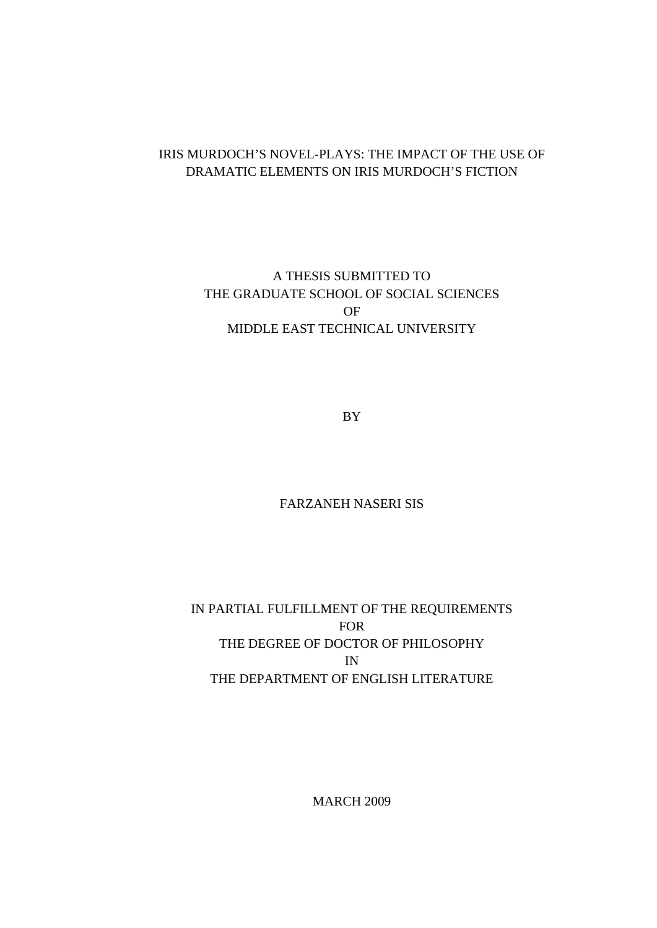## IRIS MURDOCH'S NOVEL-PLAYS: THE IMPACT OF THE USE OF DRAMATIC ELEMENTS ON IRIS MURDOCH'S FICTION

A THESIS SUBMITTED TO THE GRADUATE SCHOOL OF SOCIAL SCIENCES OF MIDDLE EAST TECHNICAL UNIVERSITY

BY

## FARZANEH NASERI SIS

IN PARTIAL FULFILLMENT OF THE REQUIREMENTS FOR THE DEGREE OF DOCTOR OF PHILOSOPHY IN THE DEPARTMENT OF ENGLISH LITERATURE

MARCH 2009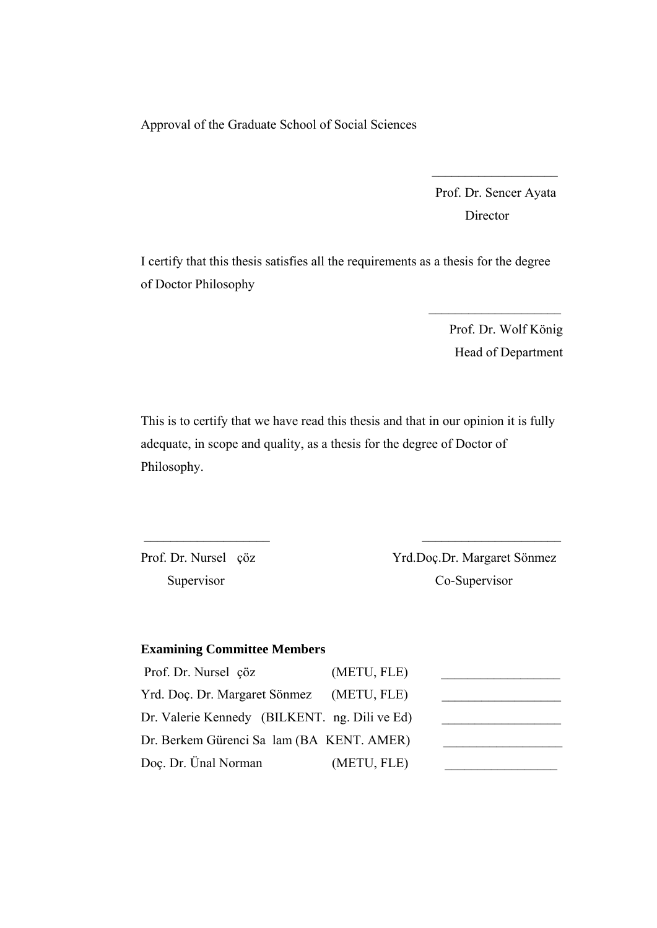Approval of the Graduate School of Social Sciences

 Prof. Dr. Sencer Ayata Director

 $\mathcal{L}=\frac{1}{2}$  , where  $\mathcal{L}=\frac{1}{2}$  , where  $\mathcal{L}=\frac{1}{2}$ 

I certify that this thesis satisfies all the requirements as a thesis for the degree of Doctor Philosophy

> Prof. Dr. Wolf König Head of Department

 $\mathcal{L}_\text{max}$  and  $\mathcal{L}_\text{max}$  and  $\mathcal{L}_\text{max}$ 

This is to certify that we have read this thesis and that in our opinion it is fully adequate, in scope and quality, as a thesis for the degree of Doctor of Philosophy.

\_\_\_\_\_\_\_\_\_\_\_\_\_\_\_\_\_\_\_ \_\_\_\_\_\_\_\_\_\_\_\_\_\_\_\_\_\_\_\_\_

Prof. Dr. Nursel çöz Yrd.Doç.Dr. Margaret Sönmez Supervisor Co-Supervisor

### **Examining Committee Members**

| Prof. Dr. Nursel çöz                          | (METU, FLE) |  |
|-----------------------------------------------|-------------|--|
| Yrd. Doç. Dr. Margaret Sönmez                 | (METU, FLE) |  |
| Dr. Valerie Kennedy (BILKENT. ng. Dili ve Ed) |             |  |
| Dr. Berkem Gürenci Sa lam (BA KENT. AMER)     |             |  |
| Doç. Dr. Ünal Norman                          | (METU, FLE) |  |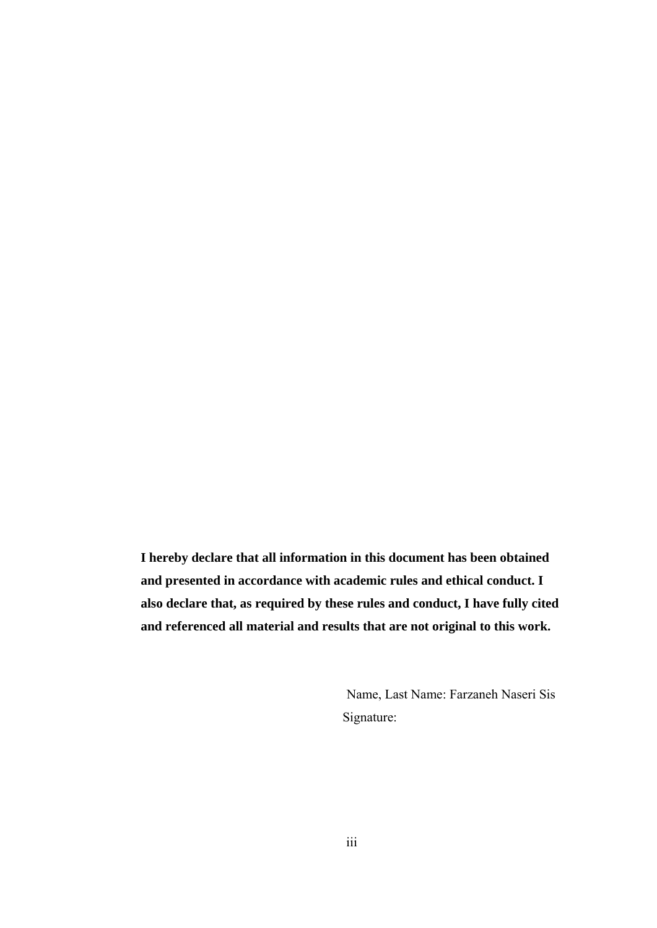**I hereby declare that all information in this document has been obtained and presented in accordance with academic rules and ethical conduct. I also declare that, as required by these rules and conduct, I have fully cited and referenced all material and results that are not original to this work.** 

> Name, Last Name: Farzaneh Naseri Sis Signature: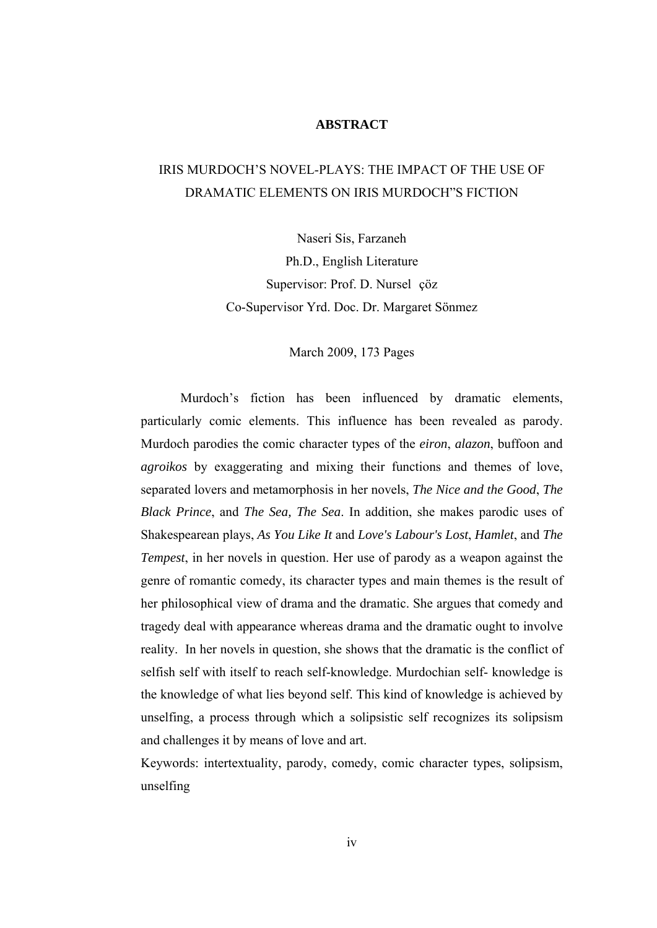## **ABSTRACT**

# IRIS MURDOCH'S NOVEL-PLAYS: THE IMPACT OF THE USE OF DRAMATIC ELEMENTS ON IRIS MURDOCH"S FICTION

Naseri Sis, Farzaneh Ph.D., English Literature Supervisor: Prof. D. Nursel çöz Co-Supervisor Yrd. Doc. Dr. Margaret Sönmez

#### March 2009, 173 Pages

Murdoch's fiction has been influenced by dramatic elements, particularly comic elements. This influence has been revealed as parody. Murdoch parodies the comic character types of the *eiron*, *alazon*, buffoon and *agroikos* by exaggerating and mixing their functions and themes of love, separated lovers and metamorphosis in her novels, *The Nice and the Good*, *The Black Prince*, and *The Sea, The Sea*. In addition, she makes parodic uses of Shakespearean plays, *As You Like It* and *Love's Labour's Lost*, *Hamlet*, and *The Tempest*, in her novels in question. Her use of parody as a weapon against the genre of romantic comedy, its character types and main themes is the result of her philosophical view of drama and the dramatic. She argues that comedy and tragedy deal with appearance whereas drama and the dramatic ought to involve reality. In her novels in question, she shows that the dramatic is the conflict of selfish self with itself to reach self-knowledge. Murdochian self- knowledge is the knowledge of what lies beyond self. This kind of knowledge is achieved by unselfing, a process through which a solipsistic self recognizes its solipsism and challenges it by means of love and art.

Keywords: intertextuality, parody, comedy, comic character types, solipsism, unselfing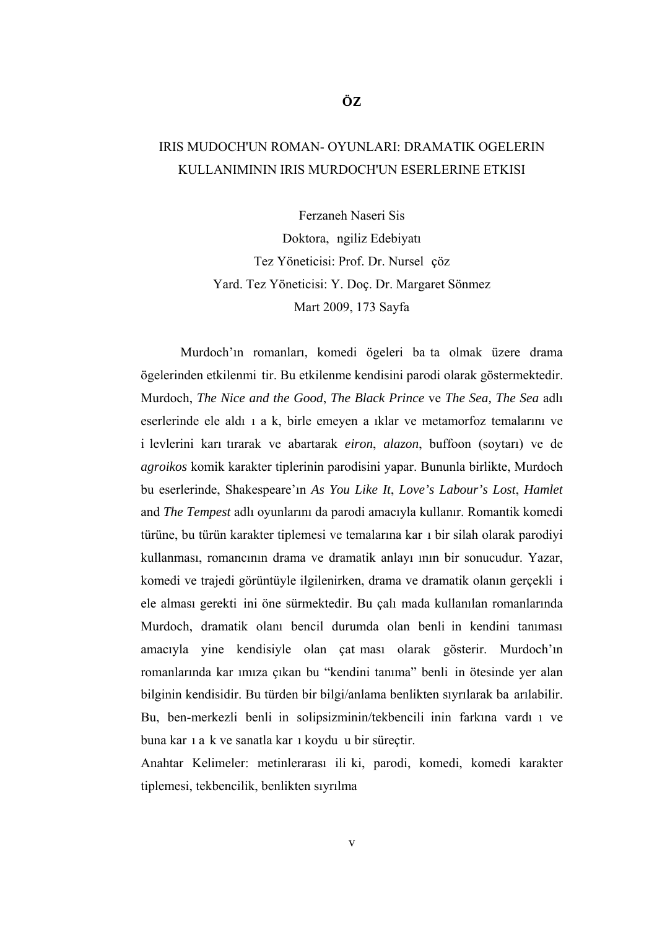# IRIS MUDOCH'UN ROMAN- OYUNLARI: DRAMATIK OGELERIN KULLANIMININ IRIS MURDOCH'UN ESERLERINE ETKISI

Ferzaneh Naseri Sis Doktora, ngiliz Edebiyatı Tez Yöneticisi: Prof. Dr. Nursel çöz Yard. Tez Yöneticisi: Y. Doç. Dr. Margaret Sönmez Mart 2009, 173 Sayfa

Murdoch'ın romanları, komedi ögeleri ba ta olmak üzere drama ögelerinden etkilenmi tir. Bu etkilenme kendisini parodi olarak göstermektedir. Murdoch, *The Nice and the Good*, *The Black Prince* ve *The Sea, The Sea* adlı eserlerinde ele aldı ı a k, birle emeyen a ıklar ve metamorfoz temalarını ve i levlerini karı tırarak ve abartarak *eiron*, *alazon*, buffoon (soytarı) ve de *agroikos* komik karakter tiplerinin parodisini yapar. Bununla birlikte, Murdoch bu eserlerinde, Shakespeare'ın *As You Like It*, *Love's Labour's Lost*, *Hamlet* and *The Tempest* adlı oyunlarını da parodi amacıyla kullanır. Romantik komedi türüne, bu türün karakter tiplemesi ve temalarına kar ı bir silah olarak parodiyi kullanması, romancının drama ve dramatik anlayı ının bir sonucudur. Yazar, komedi ve trajedi görüntüyle ilgilenirken, drama ve dramatik olanın gerçekli i ele alması gerekti ini öne sürmektedir. Bu çalı mada kullanılan romanlarında Murdoch, dramatik olanı bencil durumda olan benli in kendini tanıması amacıyla yine kendisiyle olan çat ması olarak gösterir. Murdoch'ın romanlarında kar ımıza çıkan bu "kendini tanıma" benli in ötesinde yer alan bilginin kendisidir. Bu türden bir bilgi/anlama benlikten sıyrılarak ba arılabilir. Bu, ben-merkezli benli in solipsizminin/tekbencili inin farkına vardı ı ve buna kar ı a k ve sanatla kar ı koydu u bir süreçtir.

Anahtar Kelimeler: metinlerarası ili ki, parodi, komedi, komedi karakter tiplemesi, tekbencilik, benlikten sıyrılma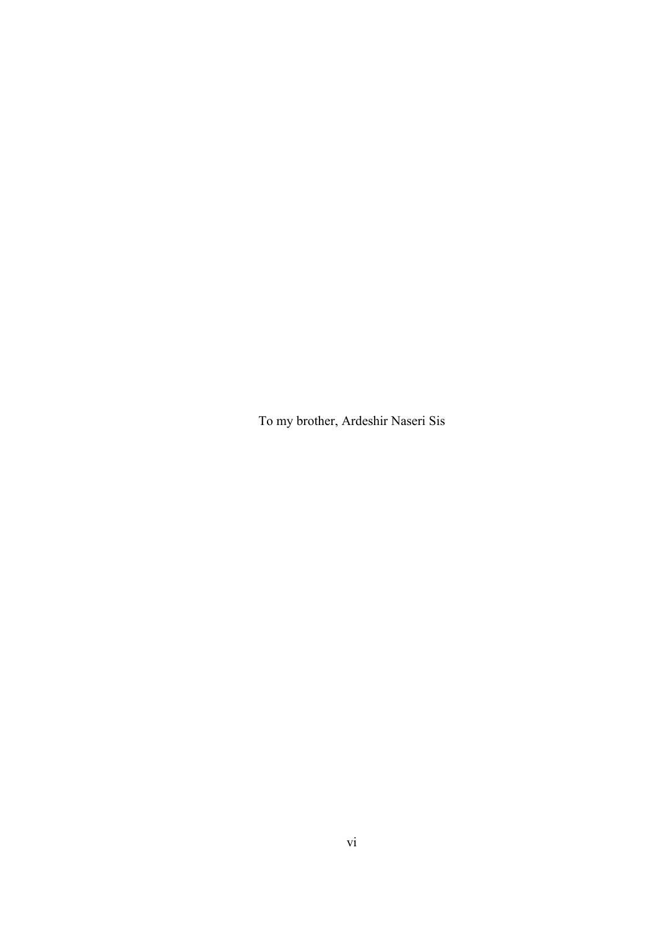To my brother, Ardeshir Naseri Sis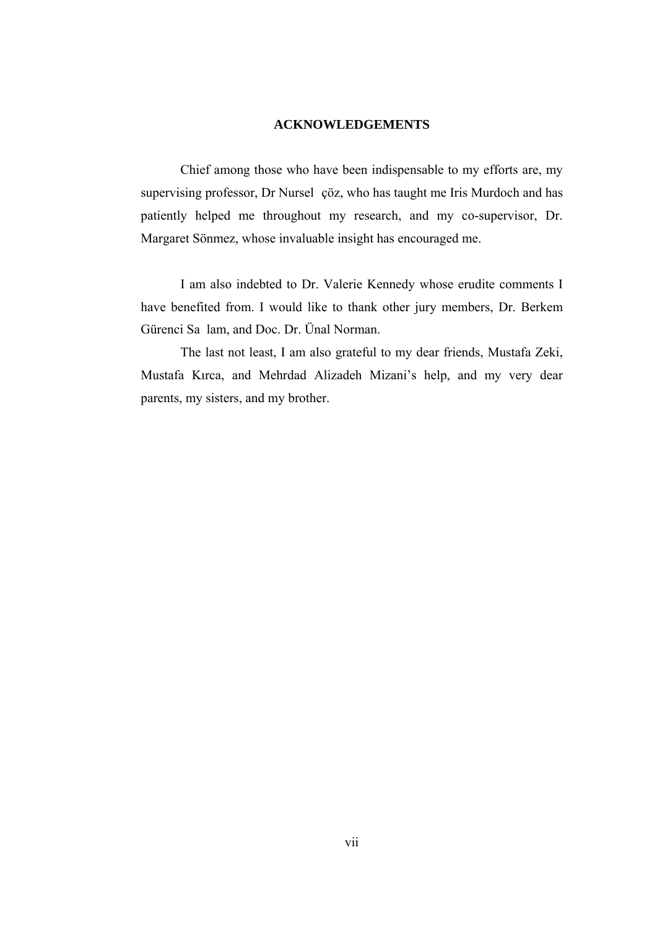#### **ACKNOWLEDGEMENTS**

Chief among those who have been indispensable to my efforts are, my supervising professor, Dr Nursel çöz, who has taught me Iris Murdoch and has patiently helped me throughout my research, and my co-supervisor, Dr. Margaret Sönmez, whose invaluable insight has encouraged me.

I am also indebted to Dr. Valerie Kennedy whose erudite comments I have benefited from. I would like to thank other jury members, Dr. Berkem Gürenci Sa lam, and Doc. Dr. Ünal Norman.

The last not least, I am also grateful to my dear friends, Mustafa Zeki, Mustafa Kırca, and Mehrdad Alizadeh Mizani's help, and my very dear parents, my sisters, and my brother.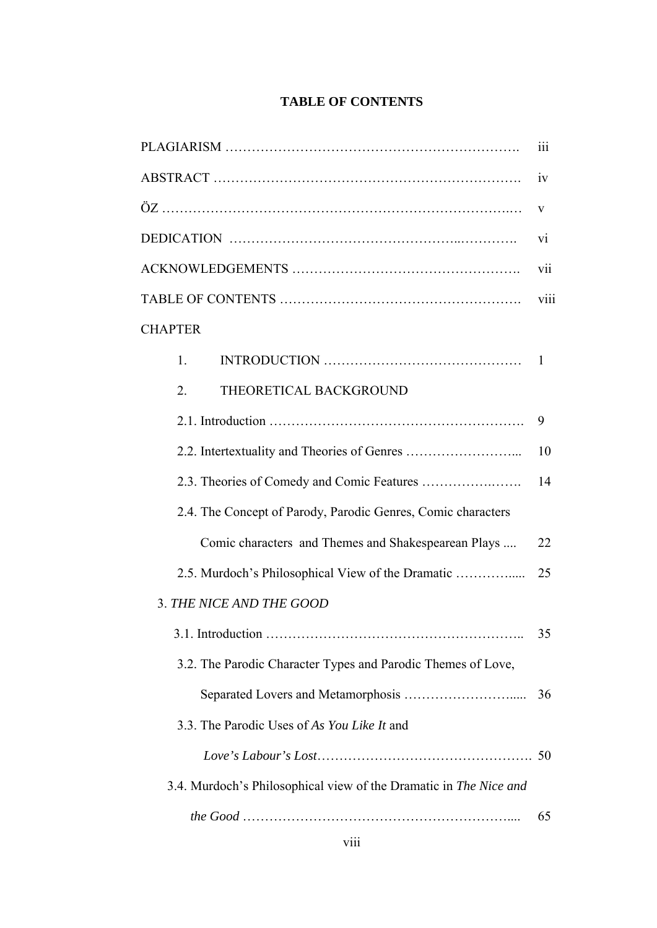## **TABLE OF CONTENTS**

|                                                                   | 111  |
|-------------------------------------------------------------------|------|
|                                                                   | iv   |
|                                                                   | V    |
|                                                                   | V1   |
|                                                                   | vii  |
|                                                                   | viii |
| <b>CHAPTER</b>                                                    |      |
| 1.                                                                | - 1  |
| THEORETICAL BACKGROUND<br>2.                                      |      |
|                                                                   | 9    |
|                                                                   | 10   |
|                                                                   | 14   |
| 2.4. The Concept of Parody, Parodic Genres, Comic characters      |      |
| Comic characters and Themes and Shakespearean Plays               | 22   |
| 2.5. Murdoch's Philosophical View of the Dramatic                 | 25   |
| 3. THE NICE AND THE GOOD                                          |      |
|                                                                   | 35   |
| 3.2. The Parodic Character Types and Parodic Themes of Love,      |      |
|                                                                   | 36   |
| 3.3. The Parodic Uses of As You Like It and                       |      |
|                                                                   |      |
| 3.4. Murdoch's Philosophical view of the Dramatic in The Nice and |      |
|                                                                   | 65   |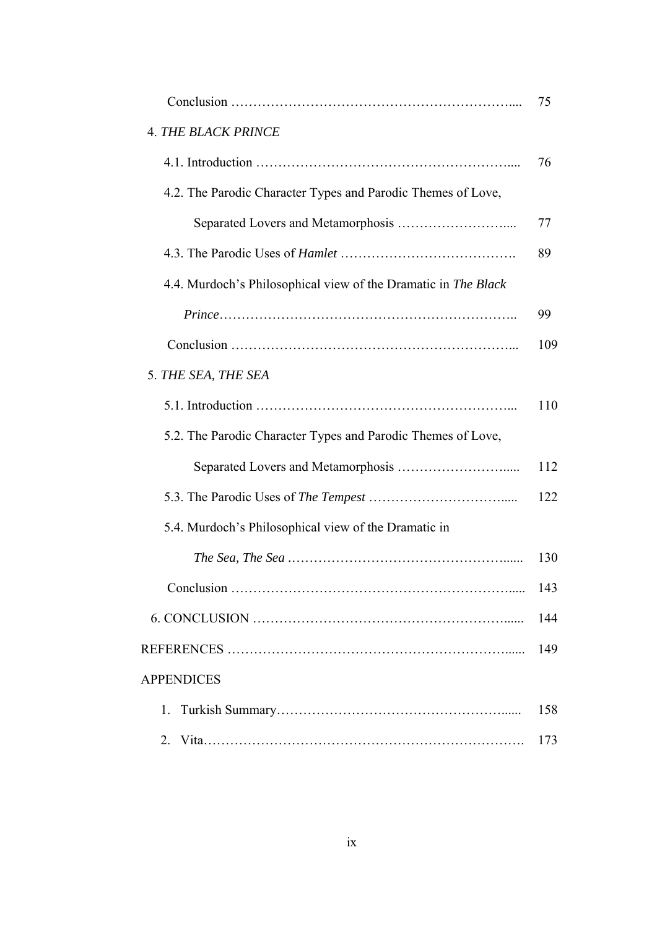|                                                                | 75  |
|----------------------------------------------------------------|-----|
| <b>4. THE BLACK PRINCE</b>                                     |     |
|                                                                | 76  |
| 4.2. The Parodic Character Types and Parodic Themes of Love,   |     |
|                                                                | 77  |
|                                                                | 89  |
| 4.4. Murdoch's Philosophical view of the Dramatic in The Black |     |
|                                                                | 99  |
|                                                                | 109 |
| 5. THE SEA, THE SEA                                            |     |
|                                                                | 110 |
| 5.2. The Parodic Character Types and Parodic Themes of Love,   |     |
|                                                                | 112 |
|                                                                | 122 |
| 5.4. Murdoch's Philosophical view of the Dramatic in           |     |
|                                                                | 130 |
|                                                                | 143 |
|                                                                | 144 |
|                                                                | 149 |
| <b>APPENDICES</b>                                              |     |
| 1.                                                             | 158 |
| 2.                                                             | 173 |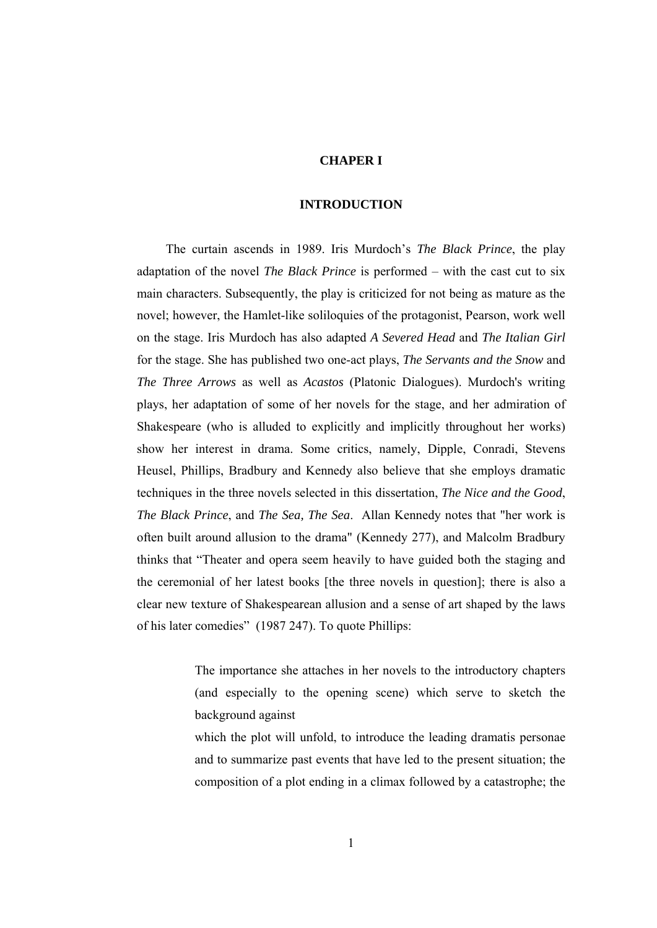#### **CHAPER I**

#### **INTRODUCTION**

 The curtain ascends in 1989. Iris Murdoch's *The Black Prince*, the play adaptation of the novel *The Black Prince* is performed – with the cast cut to six main characters. Subsequently, the play is criticized for not being as mature as the novel; however, the Hamlet-like soliloquies of the protagonist, Pearson, work well on the stage. Iris Murdoch has also adapted *A Severed Head* and *The Italian Girl* for the stage. She has published two one-act plays, *The Servants and the Snow* and *The Three Arrows* as well as *Acastos* (Platonic Dialogues). Murdoch's writing plays, her adaptation of some of her novels for the stage, and her admiration of Shakespeare (who is alluded to explicitly and implicitly throughout her works) show her interest in drama. Some critics, namely, Dipple, Conradi, Stevens Heusel, Phillips, Bradbury and Kennedy also believe that she employs dramatic techniques in the three novels selected in this dissertation, *The Nice and the Good*, *The Black Prince*, and *The Sea, The Sea*. Allan Kennedy notes that "her work is often built around allusion to the drama" (Kennedy 277), and Malcolm Bradbury thinks that "Theater and opera seem heavily to have guided both the staging and the ceremonial of her latest books [the three novels in question]; there is also a clear new texture of Shakespearean allusion and a sense of art shaped by the laws of his later comedies" (1987 247). To quote Phillips:

> The importance she attaches in her novels to the introductory chapters (and especially to the opening scene) which serve to sketch the background against

> which the plot will unfold, to introduce the leading dramatis personae and to summarize past events that have led to the present situation; the composition of a plot ending in a climax followed by a catastrophe; the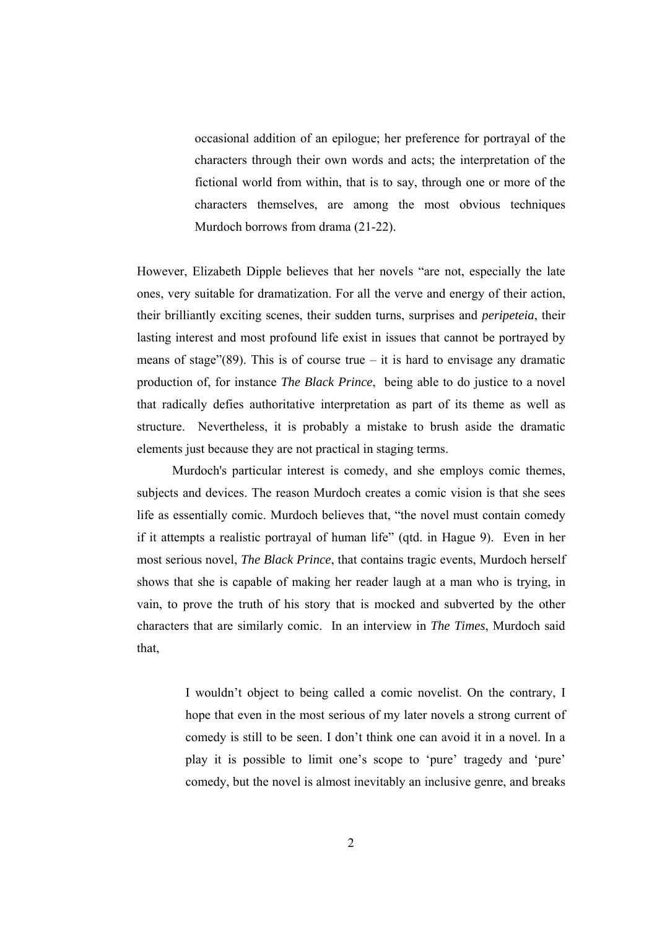occasional addition of an epilogue; her preference for portrayal of the characters through their own words and acts; the interpretation of the fictional world from within, that is to say, through one or more of the characters themselves, are among the most obvious techniques Murdoch borrows from drama (21-22).

However, Elizabeth Dipple believes that her novels "are not, especially the late ones, very suitable for dramatization. For all the verve and energy of their action, their brilliantly exciting scenes, their sudden turns, surprises and *peripeteia*, their lasting interest and most profound life exist in issues that cannot be portrayed by means of stage"(89). This is of course true – it is hard to envisage any dramatic production of, for instance *The Black Prince*, being able to do justice to a novel that radically defies authoritative interpretation as part of its theme as well as structure. Nevertheless, it is probably a mistake to brush aside the dramatic elements just because they are not practical in staging terms.

 Murdoch's particular interest is comedy, and she employs comic themes, subjects and devices. The reason Murdoch creates a comic vision is that she sees life as essentially comic. Murdoch believes that, "the novel must contain comedy if it attempts a realistic portrayal of human life" (qtd. in Hague 9). Even in her most serious novel, *The Black Prince*, that contains tragic events, Murdoch herself shows that she is capable of making her reader laugh at a man who is trying, in vain, to prove the truth of his story that is mocked and subverted by the other characters that are similarly comic. In an interview in *The Times*, Murdoch said that,

> I wouldn't object to being called a comic novelist. On the contrary, I hope that even in the most serious of my later novels a strong current of comedy is still to be seen. I don't think one can avoid it in a novel. In a play it is possible to limit one's scope to 'pure' tragedy and 'pure' comedy, but the novel is almost inevitably an inclusive genre, and breaks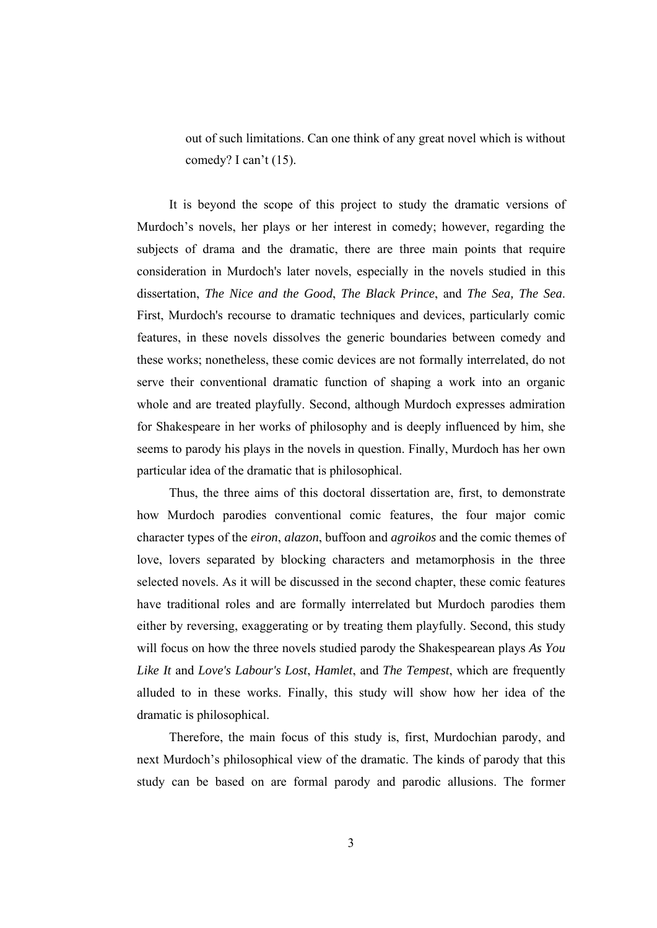out of such limitations. Can one think of any great novel which is without comedy? I can't (15).

 It is beyond the scope of this project to study the dramatic versions of Murdoch's novels, her plays or her interest in comedy; however, regarding the subjects of drama and the dramatic, there are three main points that require consideration in Murdoch's later novels, especially in the novels studied in this dissertation, *The Nice and the Good*, *The Black Prince*, and *The Sea, The Sea*. First, Murdoch's recourse to dramatic techniques and devices, particularly comic features, in these novels dissolves the generic boundaries between comedy and these works; nonetheless, these comic devices are not formally interrelated, do not serve their conventional dramatic function of shaping a work into an organic whole and are treated playfully. Second, although Murdoch expresses admiration for Shakespeare in her works of philosophy and is deeply influenced by him, she seems to parody his plays in the novels in question. Finally, Murdoch has her own particular idea of the dramatic that is philosophical.

 Thus, the three aims of this doctoral dissertation are, first, to demonstrate how Murdoch parodies conventional comic features, the four major comic character types of the *eiron*, *alazon*, buffoon and *agroikos* and the comic themes of love, lovers separated by blocking characters and metamorphosis in the three selected novels. As it will be discussed in the second chapter, these comic features have traditional roles and are formally interrelated but Murdoch parodies them either by reversing, exaggerating or by treating them playfully. Second, this study will focus on how the three novels studied parody the Shakespearean plays *As You Like It* and *Love's Labour's Lost*, *Hamlet*, and *The Tempest*, which are frequently alluded to in these works. Finally, this study will show how her idea of the dramatic is philosophical.

 Therefore, the main focus of this study is, first, Murdochian parody, and next Murdoch's philosophical view of the dramatic. The kinds of parody that this study can be based on are formal parody and parodic allusions. The former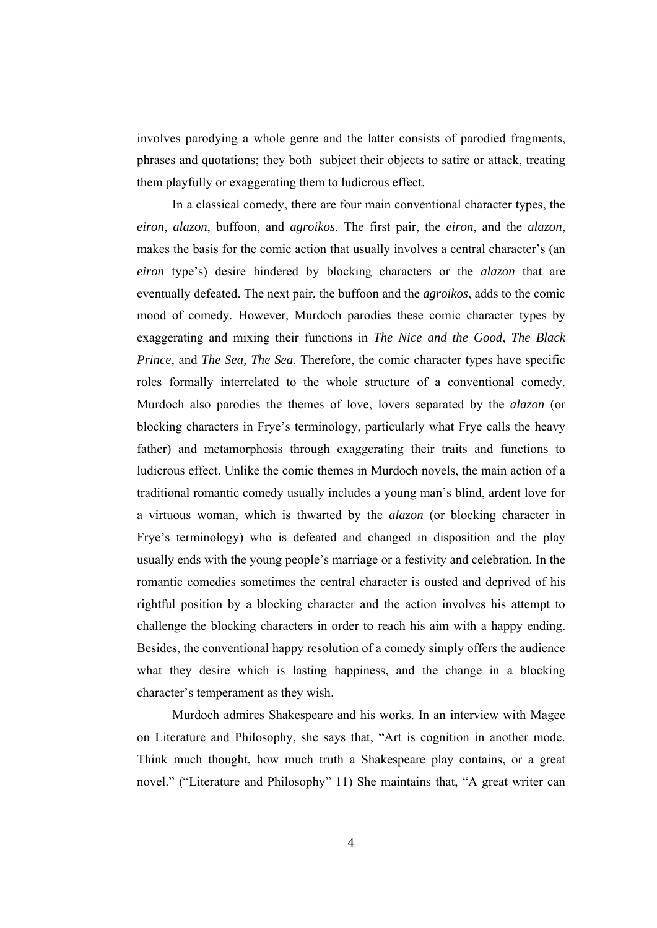involves parodying a whole genre and the latter consists of parodied fragments, phrases and quotations; they both subject their objects to satire or attack, treating them playfully or exaggerating them to ludicrous effect.

 In a classical comedy, there are four main conventional character types, the *eiron*, *alazon*, buffoon, and *agroikos*. The first pair, the *eiron*, and the *alazon*, makes the basis for the comic action that usually involves a central character's (an *eiron* type's) desire hindered by blocking characters or the *alazon* that are eventually defeated. The next pair, the buffoon and the *agroikos*, adds to the comic mood of comedy. However, Murdoch parodies these comic character types by exaggerating and mixing their functions in *The Nice and the Good*, *The Black Prince*, and *The Sea, The Sea*. Therefore, the comic character types have specific roles formally interrelated to the whole structure of a conventional comedy. Murdoch also parodies the themes of love, lovers separated by the *alazon* (or blocking characters in Frye's terminology, particularly what Frye calls the heavy father) and metamorphosis through exaggerating their traits and functions to ludicrous effect. Unlike the comic themes in Murdoch novels, the main action of a traditional romantic comedy usually includes a young man's blind, ardent love for a virtuous woman, which is thwarted by the *alazon* (or blocking character in Frye's terminology) who is defeated and changed in disposition and the play usually ends with the young people's marriage or a festivity and celebration. In the romantic comedies sometimes the central character is ousted and deprived of his rightful position by a blocking character and the action involves his attempt to challenge the blocking characters in order to reach his aim with a happy ending. Besides, the conventional happy resolution of a comedy simply offers the audience what they desire which is lasting happiness, and the change in a blocking character's temperament as they wish.

 Murdoch admires Shakespeare and his works. In an interview with Magee on Literature and Philosophy, she says that, "Art is cognition in another mode. Think much thought, how much truth a Shakespeare play contains, or a great novel." ("Literature and Philosophy" 11) She maintains that, "A great writer can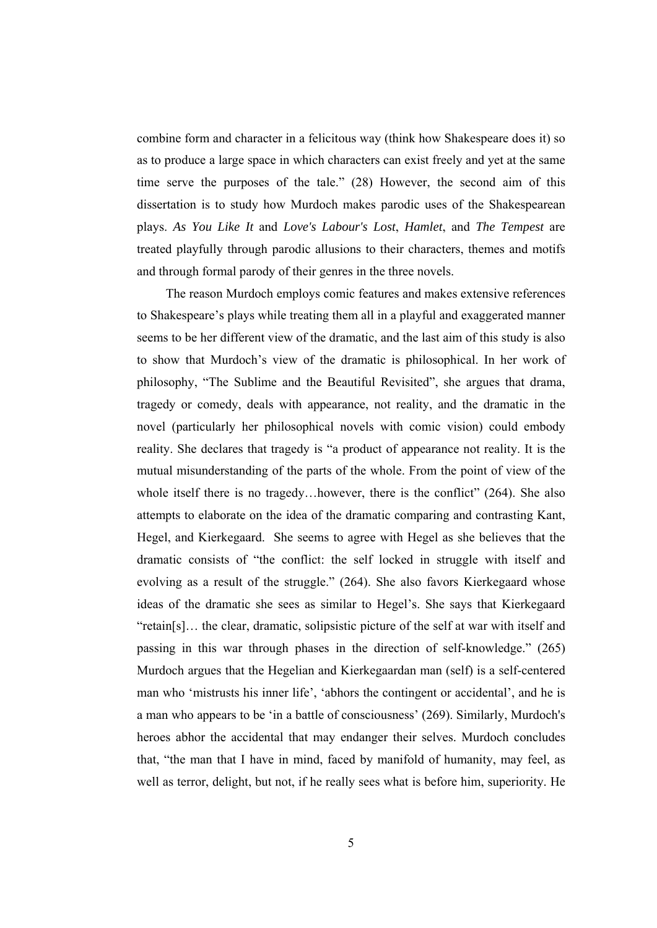combine form and character in a felicitous way (think how Shakespeare does it) so as to produce a large space in which characters can exist freely and yet at the same time serve the purposes of the tale." (28) However, the second aim of this dissertation is to study how Murdoch makes parodic uses of the Shakespearean plays. *As You Like It* and *Love's Labour's Lost*, *Hamlet*, and *The Tempest* are treated playfully through parodic allusions to their characters, themes and motifs and through formal parody of their genres in the three novels.

 The reason Murdoch employs comic features and makes extensive references to Shakespeare's plays while treating them all in a playful and exaggerated manner seems to be her different view of the dramatic, and the last aim of this study is also to show that Murdoch's view of the dramatic is philosophical. In her work of philosophy, "The Sublime and the Beautiful Revisited", she argues that drama, tragedy or comedy, deals with appearance, not reality, and the dramatic in the novel (particularly her philosophical novels with comic vision) could embody reality. She declares that tragedy is "a product of appearance not reality. It is the mutual misunderstanding of the parts of the whole. From the point of view of the whole itself there is no tragedy...however, there is the conflict" (264). She also attempts to elaborate on the idea of the dramatic comparing and contrasting Kant, Hegel, and Kierkegaard. She seems to agree with Hegel as she believes that the dramatic consists of "the conflict: the self locked in struggle with itself and evolving as a result of the struggle." (264). She also favors Kierkegaard whose ideas of the dramatic she sees as similar to Hegel's. She says that Kierkegaard "retain[s]… the clear, dramatic, solipsistic picture of the self at war with itself and passing in this war through phases in the direction of self-knowledge." (265) Murdoch argues that the Hegelian and Kierkegaardan man (self) is a self-centered man who 'mistrusts his inner life', 'abhors the contingent or accidental', and he is a man who appears to be 'in a battle of consciousness' (269). Similarly, Murdoch's heroes abhor the accidental that may endanger their selves. Murdoch concludes that, "the man that I have in mind, faced by manifold of humanity, may feel, as well as terror, delight, but not, if he really sees what is before him, superiority. He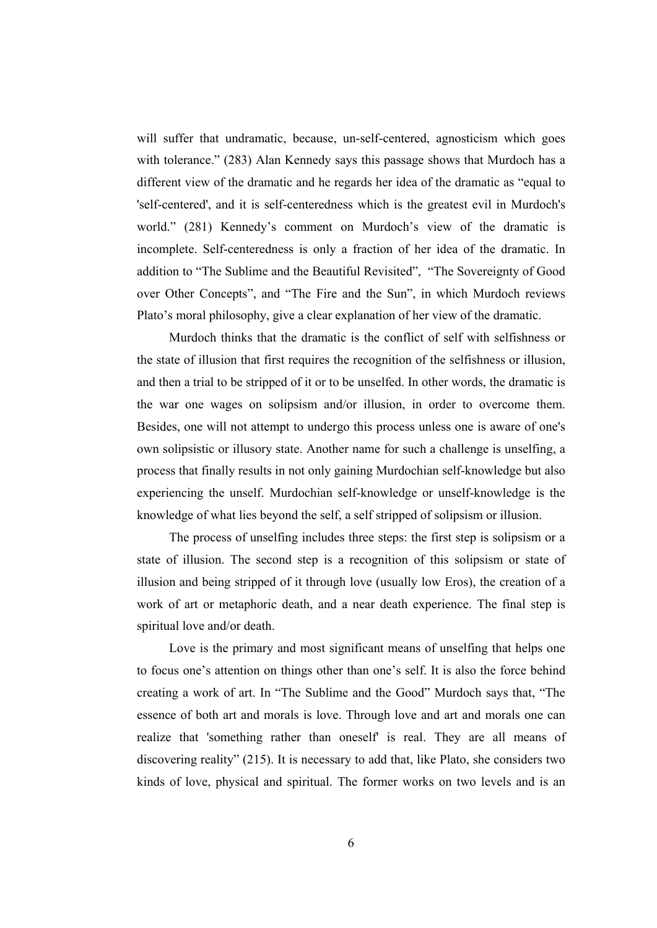will suffer that undramatic, because, un-self-centered, agnosticism which goes with tolerance." (283) Alan Kennedy says this passage shows that Murdoch has a different view of the dramatic and he regards her idea of the dramatic as "equal to 'self-centered', and it is self-centeredness which is the greatest evil in Murdoch's world." (281) Kennedy's comment on Murdoch's view of the dramatic is incomplete. Self-centeredness is only a fraction of her idea of the dramatic. In addition to "The Sublime and the Beautiful Revisited", "The Sovereignty of Good over Other Concepts", and "The Fire and the Sun", in which Murdoch reviews Plato's moral philosophy, give a clear explanation of her view of the dramatic.

 Murdoch thinks that the dramatic is the conflict of self with selfishness or the state of illusion that first requires the recognition of the selfishness or illusion, and then a trial to be stripped of it or to be unselfed. In other words, the dramatic is the war one wages on solipsism and/or illusion, in order to overcome them. Besides, one will not attempt to undergo this process unless one is aware of one's own solipsistic or illusory state. Another name for such a challenge is unselfing, a process that finally results in not only gaining Murdochian self-knowledge but also experiencing the unself. Murdochian self-knowledge or unself-knowledge is the knowledge of what lies beyond the self, a self stripped of solipsism or illusion.

 The process of unselfing includes three steps: the first step is solipsism or a state of illusion. The second step is a recognition of this solipsism or state of illusion and being stripped of it through love (usually low Eros), the creation of a work of art or metaphoric death, and a near death experience. The final step is spiritual love and/or death.

 Love is the primary and most significant means of unselfing that helps one to focus one's attention on things other than one's self. It is also the force behind creating a work of art. In "The Sublime and the Good" Murdoch says that, "The essence of both art and morals is love. Through love and art and morals one can realize that 'something rather than oneself' is real. They are all means of discovering reality" (215). It is necessary to add that, like Plato, she considers two kinds of love, physical and spiritual. The former works on two levels and is an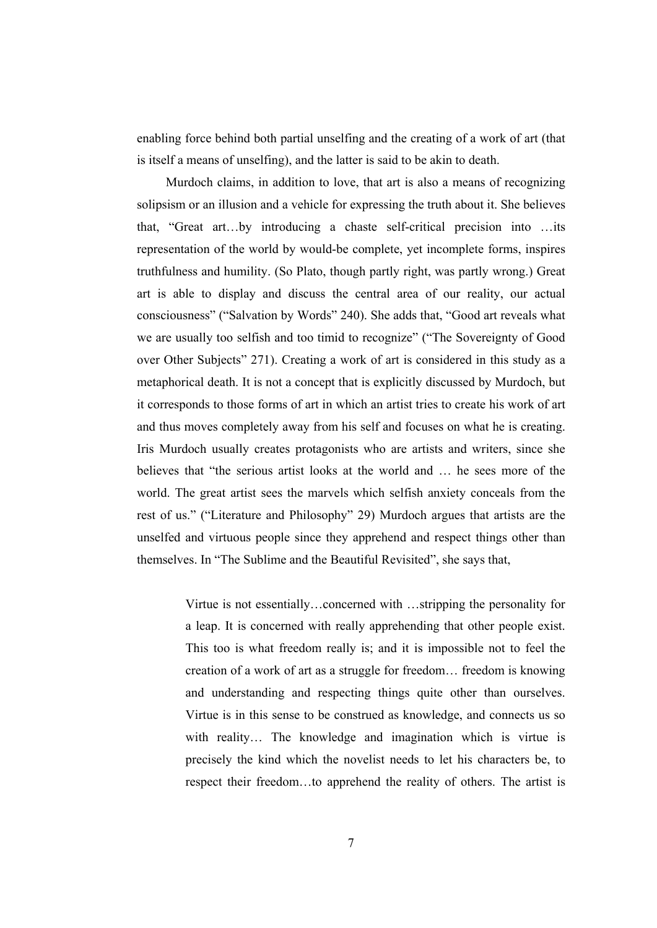enabling force behind both partial unselfing and the creating of a work of art (that is itself a means of unselfing), and the latter is said to be akin to death.

 Murdoch claims, in addition to love, that art is also a means of recognizing solipsism or an illusion and a vehicle for expressing the truth about it. She believes that, "Great art…by introducing a chaste self-critical precision into …its representation of the world by would-be complete, yet incomplete forms, inspires truthfulness and humility. (So Plato, though partly right, was partly wrong.) Great art is able to display and discuss the central area of our reality, our actual consciousness" ("Salvation by Words" 240). She adds that, "Good art reveals what we are usually too selfish and too timid to recognize" ("The Sovereignty of Good over Other Subjects" 271). Creating a work of art is considered in this study as a metaphorical death. It is not a concept that is explicitly discussed by Murdoch, but it corresponds to those forms of art in which an artist tries to create his work of art and thus moves completely away from his self and focuses on what he is creating. Iris Murdoch usually creates protagonists who are artists and writers, since she believes that "the serious artist looks at the world and … he sees more of the world. The great artist sees the marvels which selfish anxiety conceals from the rest of us." ("Literature and Philosophy" 29) Murdoch argues that artists are the unselfed and virtuous people since they apprehend and respect things other than themselves. In "The Sublime and the Beautiful Revisited", she says that,

> Virtue is not essentially…concerned with …stripping the personality for a leap. It is concerned with really apprehending that other people exist. This too is what freedom really is; and it is impossible not to feel the creation of a work of art as a struggle for freedom… freedom is knowing and understanding and respecting things quite other than ourselves. Virtue is in this sense to be construed as knowledge, and connects us so with reality... The knowledge and imagination which is virtue is precisely the kind which the novelist needs to let his characters be, to respect their freedom…to apprehend the reality of others. The artist is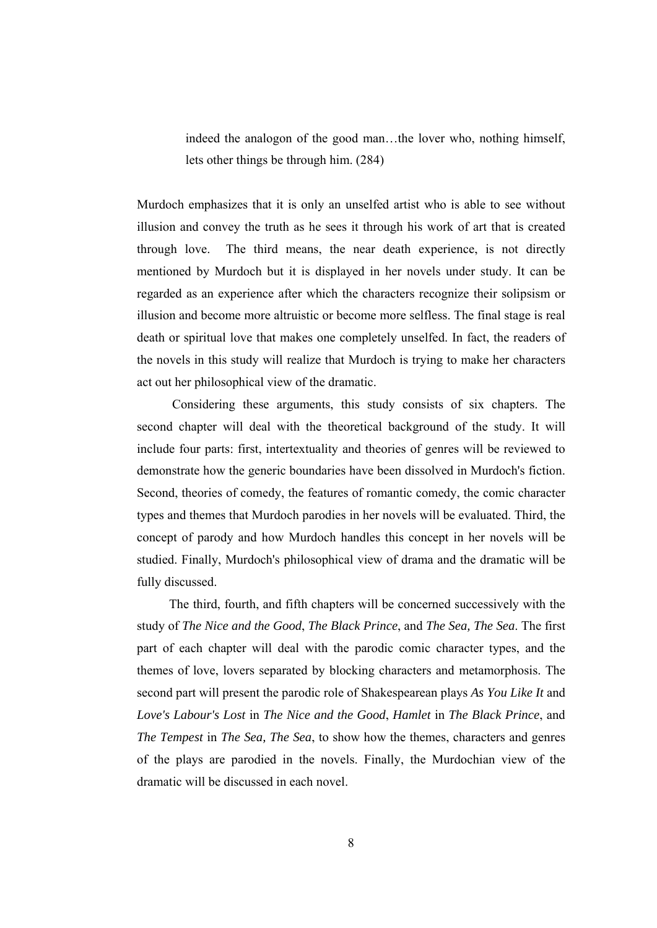indeed the analogon of the good man…the lover who, nothing himself, lets other things be through him. (284)

Murdoch emphasizes that it is only an unselfed artist who is able to see without illusion and convey the truth as he sees it through his work of art that is created through love. The third means, the near death experience, is not directly mentioned by Murdoch but it is displayed in her novels under study. It can be regarded as an experience after which the characters recognize their solipsism or illusion and become more altruistic or become more selfless. The final stage is real death or spiritual love that makes one completely unselfed. In fact, the readers of the novels in this study will realize that Murdoch is trying to make her characters act out her philosophical view of the dramatic.

 Considering these arguments, this study consists of six chapters. The second chapter will deal with the theoretical background of the study. It will include four parts: first, intertextuality and theories of genres will be reviewed to demonstrate how the generic boundaries have been dissolved in Murdoch's fiction. Second, theories of comedy, the features of romantic comedy, the comic character types and themes that Murdoch parodies in her novels will be evaluated. Third, the concept of parody and how Murdoch handles this concept in her novels will be studied. Finally, Murdoch's philosophical view of drama and the dramatic will be fully discussed.

 The third, fourth, and fifth chapters will be concerned successively with the study of *The Nice and the Good*, *The Black Prince*, and *The Sea, The Sea*. The first part of each chapter will deal with the parodic comic character types, and the themes of love, lovers separated by blocking characters and metamorphosis. The second part will present the parodic role of Shakespearean plays *As You Like It* and *Love's Labour's Lost* in *The Nice and the Good*, *Hamlet* in *The Black Prince*, and *The Tempest* in *The Sea, The Sea*, to show how the themes, characters and genres of the plays are parodied in the novels. Finally, the Murdochian view of the dramatic will be discussed in each novel.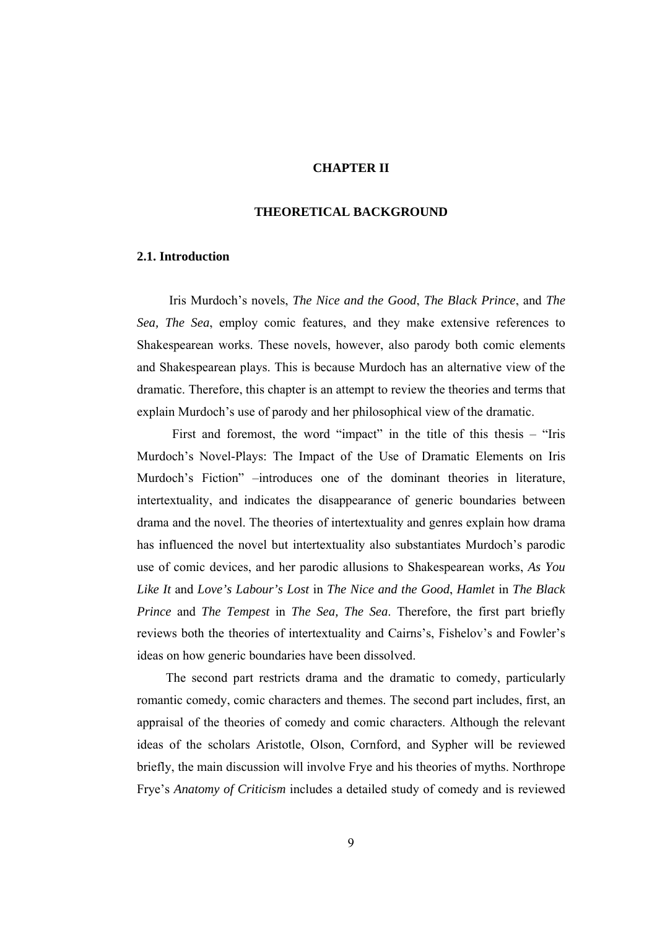#### **CHAPTER II**

### **THEORETICAL BACKGROUND**

#### **2.1. Introduction**

 Iris Murdoch's novels, *The Nice and the Good*, *The Black Prince*, and *The Sea, The Sea*, employ comic features, and they make extensive references to Shakespearean works. These novels, however, also parody both comic elements and Shakespearean plays. This is because Murdoch has an alternative view of the dramatic. Therefore, this chapter is an attempt to review the theories and terms that explain Murdoch's use of parody and her philosophical view of the dramatic.

First and foremost, the word "impact" in the title of this thesis – "Iris" Murdoch's Novel-Plays: The Impact of the Use of Dramatic Elements on Iris Murdoch's Fiction" –introduces one of the dominant theories in literature, intertextuality, and indicates the disappearance of generic boundaries between drama and the novel. The theories of intertextuality and genres explain how drama has influenced the novel but intertextuality also substantiates Murdoch's parodic use of comic devices, and her parodic allusions to Shakespearean works, *As You Like It* and *Love's Labour's Lost* in *The Nice and the Good*, *Hamlet* in *The Black Prince* and *The Tempest* in *The Sea, The Sea*. Therefore, the first part briefly reviews both the theories of intertextuality and Cairns's, Fishelov's and Fowler's ideas on how generic boundaries have been dissolved.

 The second part restricts drama and the dramatic to comedy, particularly romantic comedy, comic characters and themes. The second part includes, first, an appraisal of the theories of comedy and comic characters. Although the relevant ideas of the scholars Aristotle, Olson, Cornford, and Sypher will be reviewed briefly, the main discussion will involve Frye and his theories of myths. Northrope Frye's *Anatomy of Criticism* includes a detailed study of comedy and is reviewed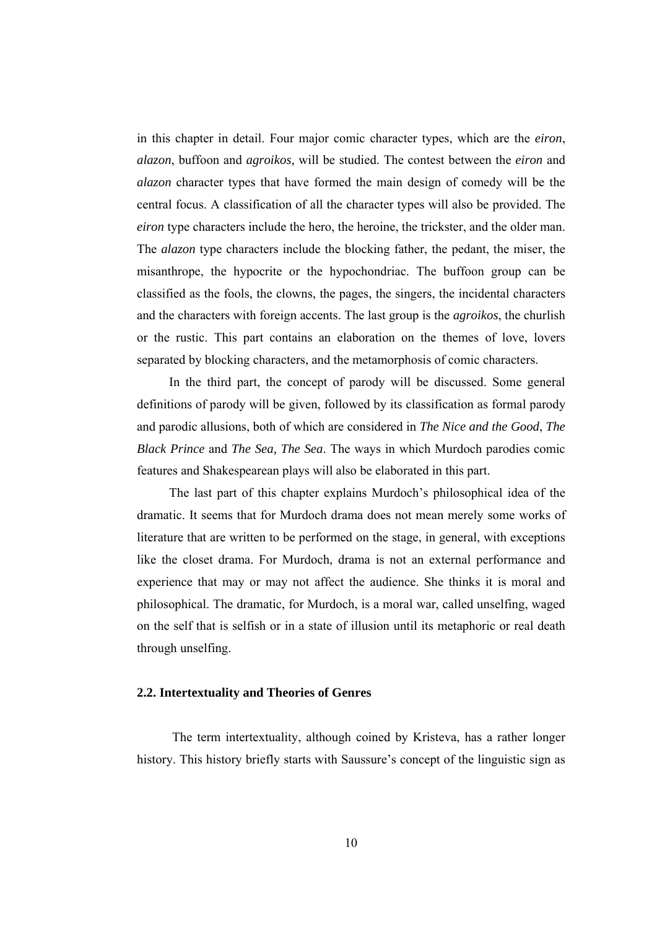in this chapter in detail. Four major comic character types, which are the *eiron*, *alazon*, buffoon and *agroikos,* will be studied. The contest between the *eiron* and *alazon* character types that have formed the main design of comedy will be the central focus. A classification of all the character types will also be provided. The *eiron* type characters include the hero, the heroine, the trickster, and the older man. The *alazon* type characters include the blocking father, the pedant, the miser, the misanthrope, the hypocrite or the hypochondriac. The buffoon group can be classified as the fools, the clowns, the pages, the singers, the incidental characters and the characters with foreign accents. The last group is the *agroikos*, the churlish or the rustic. This part contains an elaboration on the themes of love, lovers separated by blocking characters, and the metamorphosis of comic characters.

 In the third part, the concept of parody will be discussed. Some general definitions of parody will be given, followed by its classification as formal parody and parodic allusions, both of which are considered in *The Nice and the Good*, *The Black Prince* and *The Sea, The Sea*. The ways in which Murdoch parodies comic features and Shakespearean plays will also be elaborated in this part.

 The last part of this chapter explains Murdoch's philosophical idea of the dramatic. It seems that for Murdoch drama does not mean merely some works of literature that are written to be performed on the stage, in general, with exceptions like the closet drama. For Murdoch, drama is not an external performance and experience that may or may not affect the audience. She thinks it is moral and philosophical. The dramatic, for Murdoch, is a moral war, called unselfing, waged on the self that is selfish or in a state of illusion until its metaphoric or real death through unselfing.

#### **2.2. Intertextuality and Theories of Genres**

 The term intertextuality, although coined by Kristeva, has a rather longer history. This history briefly starts with Saussure's concept of the linguistic sign as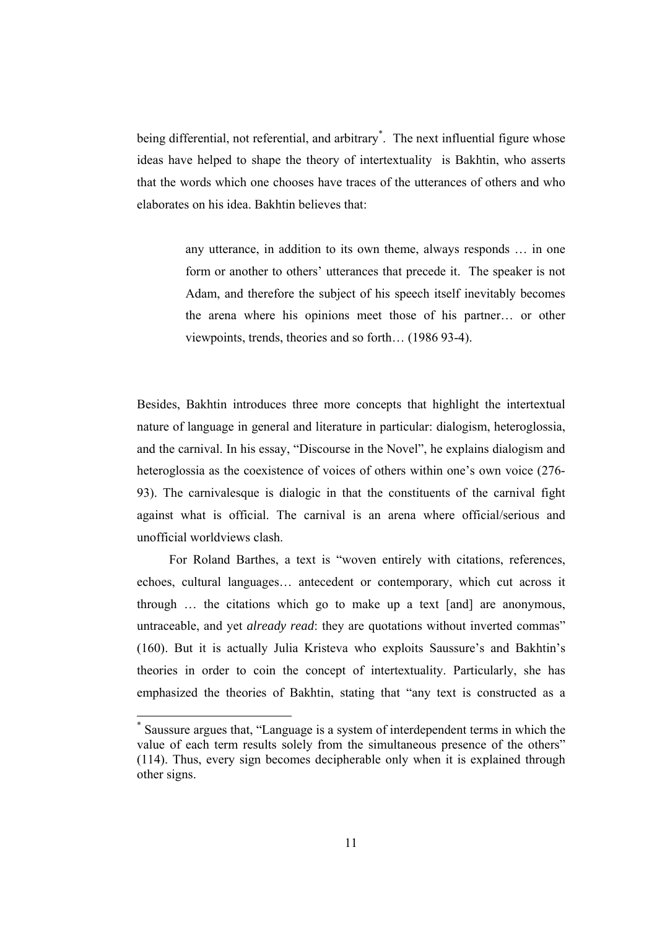being differential, not referential, and arbitrary<sup>\*</sup>. The next influential figure whose ideas have helped to shape the theory of intertextuality is Bakhtin, who asserts that the words which one chooses have traces of the utterances of others and who elaborates on his idea. Bakhtin believes that:

> any utterance, in addition to its own theme, always responds … in one form or another to others' utterances that precede it. The speaker is not Adam, and therefore the subject of his speech itself inevitably becomes the arena where his opinions meet those of his partner… or other viewpoints, trends, theories and so forth… (1986 93-4).

Besides, Bakhtin introduces three more concepts that highlight the intertextual nature of language in general and literature in particular: dialogism, heteroglossia, and the carnival. In his essay, "Discourse in the Novel", he explains dialogism and heteroglossia as the coexistence of voices of others within one's own voice (276-93). The carnivalesque is dialogic in that the constituents of the carnival fight against what is official. The carnival is an arena where official/serious and unofficial worldviews clash.

 For Roland Barthes, a text is "woven entirely with citations, references, echoes, cultural languages… antecedent or contemporary, which cut across it through … the citations which go to make up a text [and] are anonymous, untraceable, and yet *already read*: they are quotations without inverted commas" (160). But it is actually Julia Kristeva who exploits Saussure's and Bakhtin's theories in order to coin the concept of intertextuality. Particularly, she has emphasized the theories of Bakhtin, stating that "any text is constructed as a

-

<sup>\*</sup> Saussure argues that, "Language is a system of interdependent terms in which the value of each term results solely from the simultaneous presence of the others" (114). Thus, every sign becomes decipherable only when it is explained through other signs.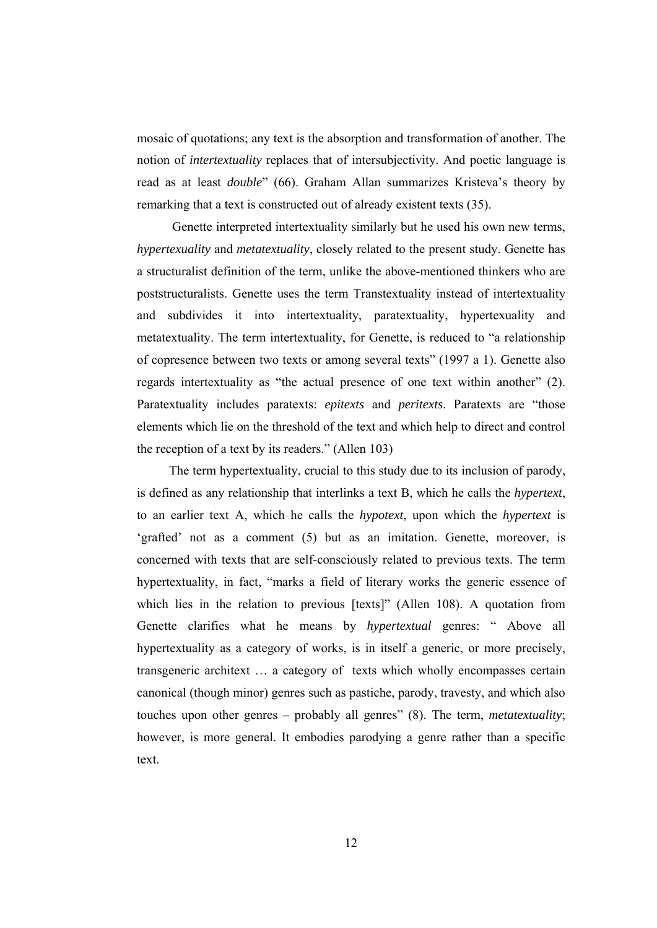mosaic of quotations; any text is the absorption and transformation of another. The notion of *intertextuality* replaces that of intersubjectivity. And poetic language is read as at least *double*" (66). Graham Allan summarizes Kristeva's theory by remarking that a text is constructed out of already existent texts (35).

 Genette interpreted intertextuality similarly but he used his own new terms, *hypertexuality* and *metatextuality*, closely related to the present study. Genette has a structuralist definition of the term, unlike the above-mentioned thinkers who are poststructuralists. Genette uses the term Transtextuality instead of intertextuality and subdivides it into intertextuality, paratextuality, hypertexuality and metatextuality. The term intertextuality, for Genette, is reduced to "a relationship of copresence between two texts or among several texts" (1997 a 1). Genette also regards intertextuality as "the actual presence of one text within another" (2). Paratextuality includes paratexts: *epitexts* and *peritexts*. Paratexts are "those elements which lie on the threshold of the text and which help to direct and control the reception of a text by its readers." (Allen 103)

 The term hypertextuality, crucial to this study due to its inclusion of parody, is defined as any relationship that interlinks a text B, which he calls the *hypertext*, to an earlier text A, which he calls the *hypotext*, upon which the *hypertext* is 'grafted' not as a comment (5) but as an imitation. Genette, moreover, is concerned with texts that are self-consciously related to previous texts. The term hypertextuality, in fact, "marks a field of literary works the generic essence of which lies in the relation to previous [texts]" (Allen 108). A quotation from Genette clarifies what he means by *hypertextual* genres: " Above all hypertextuality as a category of works, is in itself a generic, or more precisely, transgeneric architext … a category of texts which wholly encompasses certain canonical (though minor) genres such as pastiche, parody, travesty, and which also touches upon other genres – probably all genres" (8). The term, *metatextuality*; however, is more general. It embodies parodying a genre rather than a specific text.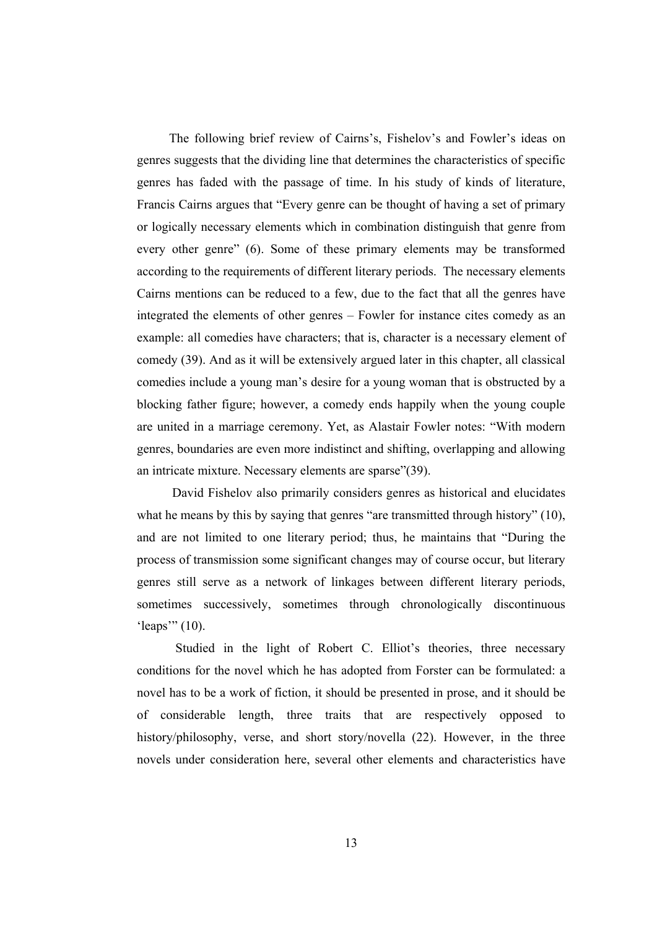The following brief review of Cairns's, Fishelov's and Fowler's ideas on genres suggests that the dividing line that determines the characteristics of specific genres has faded with the passage of time. In his study of kinds of literature, Francis Cairns argues that "Every genre can be thought of having a set of primary or logically necessary elements which in combination distinguish that genre from every other genre" (6). Some of these primary elements may be transformed according to the requirements of different literary periods. The necessary elements Cairns mentions can be reduced to a few, due to the fact that all the genres have integrated the elements of other genres – Fowler for instance cites comedy as an example: all comedies have characters; that is, character is a necessary element of comedy (39). And as it will be extensively argued later in this chapter, all classical comedies include a young man's desire for a young woman that is obstructed by a blocking father figure; however, a comedy ends happily when the young couple are united in a marriage ceremony. Yet, as Alastair Fowler notes: "With modern genres, boundaries are even more indistinct and shifting, overlapping and allowing an intricate mixture. Necessary elements are sparse"(39).

 David Fishelov also primarily considers genres as historical and elucidates what he means by this by saying that genres "are transmitted through history" (10), and are not limited to one literary period; thus, he maintains that "During the process of transmission some significant changes may of course occur, but literary genres still serve as a network of linkages between different literary periods, sometimes successively, sometimes through chronologically discontinuous 'leaps'" (10).

Studied in the light of Robert C. Elliot's theories, three necessary conditions for the novel which he has adopted from Forster can be formulated: a novel has to be a work of fiction, it should be presented in prose, and it should be of considerable length, three traits that are respectively opposed to history/philosophy, verse, and short story/novella (22). However, in the three novels under consideration here, several other elements and characteristics have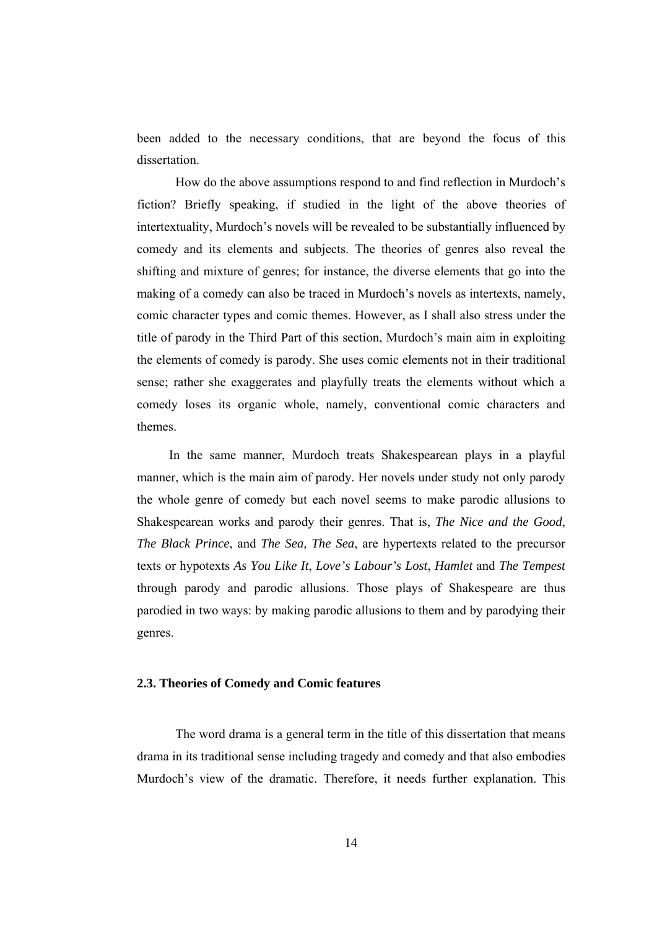been added to the necessary conditions, that are beyond the focus of this dissertation.

 How do the above assumptions respond to and find reflection in Murdoch's fiction? Briefly speaking, if studied in the light of the above theories of intertextuality, Murdoch's novels will be revealed to be substantially influenced by comedy and its elements and subjects. The theories of genres also reveal the shifting and mixture of genres; for instance, the diverse elements that go into the making of a comedy can also be traced in Murdoch's novels as intertexts, namely, comic character types and comic themes. However, as I shall also stress under the title of parody in the Third Part of this section, Murdoch's main aim in exploiting the elements of comedy is parody. She uses comic elements not in their traditional sense; rather she exaggerates and playfully treats the elements without which a comedy loses its organic whole, namely, conventional comic characters and themes.

 In the same manner, Murdoch treats Shakespearean plays in a playful manner, which is the main aim of parody. Her novels under study not only parody the whole genre of comedy but each novel seems to make parodic allusions to Shakespearean works and parody their genres. That is, *The Nice and the Good*, *The Black Prince*, and *The Sea, The Sea*, are hypertexts related to the precursor texts or hypotexts *As You Like It*, *Love's Labour's Lost*, *Hamlet* and *The Tempest* through parody and parodic allusions. Those plays of Shakespeare are thus parodied in two ways: by making parodic allusions to them and by parodying their genres.

#### **2.3. Theories of Comedy and Comic features**

 The word drama is a general term in the title of this dissertation that means drama in its traditional sense including tragedy and comedy and that also embodies Murdoch's view of the dramatic. Therefore, it needs further explanation. This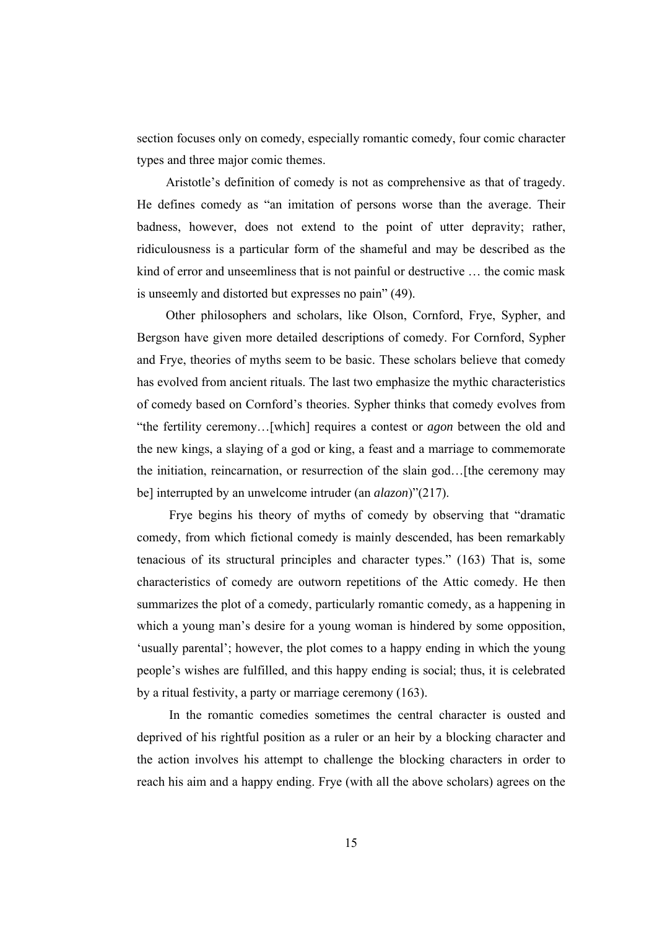section focuses only on comedy, especially romantic comedy, four comic character types and three major comic themes.

 Aristotle's definition of comedy is not as comprehensive as that of tragedy. He defines comedy as "an imitation of persons worse than the average. Their badness, however, does not extend to the point of utter depravity; rather, ridiculousness is a particular form of the shameful and may be described as the kind of error and unseemliness that is not painful or destructive … the comic mask is unseemly and distorted but expresses no pain" (49).

 Other philosophers and scholars, like Olson, Cornford, Frye, Sypher, and Bergson have given more detailed descriptions of comedy. For Cornford, Sypher and Frye, theories of myths seem to be basic. These scholars believe that comedy has evolved from ancient rituals. The last two emphasize the mythic characteristics of comedy based on Cornford's theories. Sypher thinks that comedy evolves from "the fertility ceremony…[which] requires a contest or *agon* between the old and the new kings, a slaying of a god or king, a feast and a marriage to commemorate the initiation, reincarnation, or resurrection of the slain god…[the ceremony may be] interrupted by an unwelcome intruder (an *alazon*)"(217).

 Frye begins his theory of myths of comedy by observing that "dramatic comedy, from which fictional comedy is mainly descended, has been remarkably tenacious of its structural principles and character types." (163) That is, some characteristics of comedy are outworn repetitions of the Attic comedy. He then summarizes the plot of a comedy, particularly romantic comedy, as a happening in which a young man's desire for a young woman is hindered by some opposition, 'usually parental'; however, the plot comes to a happy ending in which the young people's wishes are fulfilled, and this happy ending is social; thus, it is celebrated by a ritual festivity, a party or marriage ceremony (163).

 In the romantic comedies sometimes the central character is ousted and deprived of his rightful position as a ruler or an heir by a blocking character and the action involves his attempt to challenge the blocking characters in order to reach his aim and a happy ending. Frye (with all the above scholars) agrees on the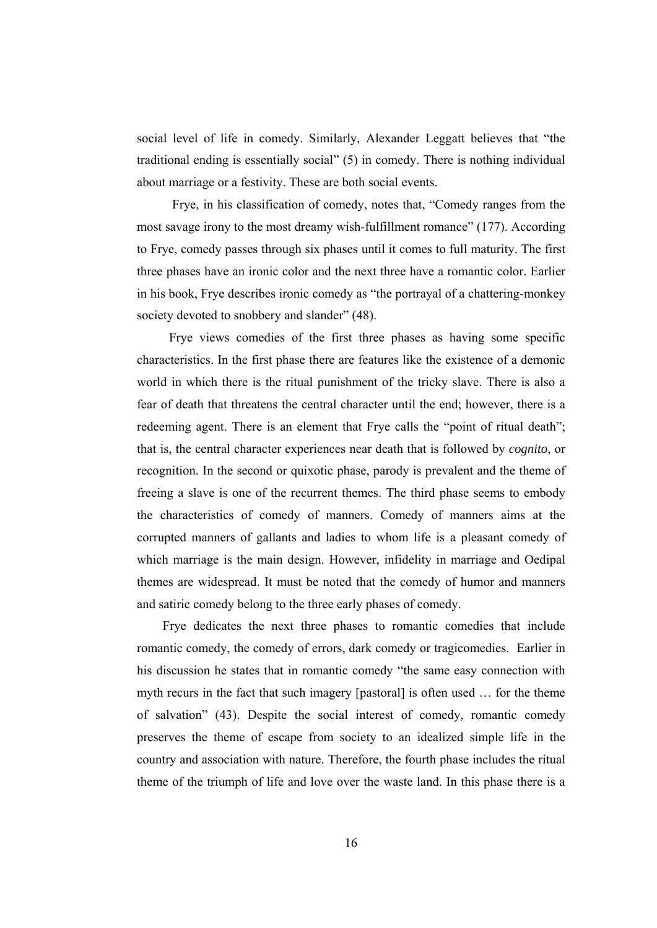social level of life in comedy. Similarly, Alexander Leggatt believes that "the traditional ending is essentially social" (5) in comedy. There is nothing individual about marriage or a festivity. These are both social events.

 Frye, in his classification of comedy, notes that, "Comedy ranges from the most savage irony to the most dreamy wish-fulfillment romance" (177). According to Frye, comedy passes through six phases until it comes to full maturity. The first three phases have an ironic color and the next three have a romantic color. Earlier in his book, Frye describes ironic comedy as "the portrayal of a chattering-monkey society devoted to snobbery and slander"  $(48)$ .

 Frye views comedies of the first three phases as having some specific characteristics. In the first phase there are features like the existence of a demonic world in which there is the ritual punishment of the tricky slave. There is also a fear of death that threatens the central character until the end; however, there is a redeeming agent. There is an element that Frye calls the "point of ritual death"; that is, the central character experiences near death that is followed by *cognito*, or recognition. In the second or quixotic phase, parody is prevalent and the theme of freeing a slave is one of the recurrent themes. The third phase seems to embody the characteristics of comedy of manners. Comedy of manners aims at the corrupted manners of gallants and ladies to whom life is a pleasant comedy of which marriage is the main design. However, infidelity in marriage and Oedipal themes are widespread. It must be noted that the comedy of humor and manners and satiric comedy belong to the three early phases of comedy.

 Frye dedicates the next three phases to romantic comedies that include romantic comedy, the comedy of errors, dark comedy or tragicomedies. Earlier in his discussion he states that in romantic comedy "the same easy connection with myth recurs in the fact that such imagery [pastoral] is often used … for the theme of salvation" (43). Despite the social interest of comedy, romantic comedy preserves the theme of escape from society to an idealized simple life in the country and association with nature. Therefore, the fourth phase includes the ritual theme of the triumph of life and love over the waste land. In this phase there is a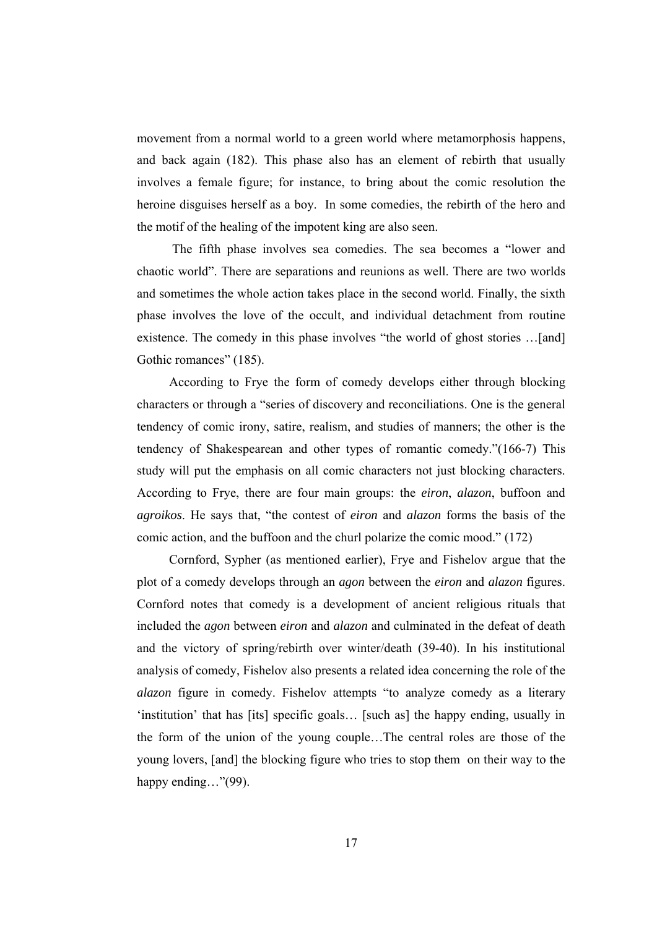movement from a normal world to a green world where metamorphosis happens, and back again (182). This phase also has an element of rebirth that usually involves a female figure; for instance, to bring about the comic resolution the heroine disguises herself as a boy. In some comedies, the rebirth of the hero and the motif of the healing of the impotent king are also seen.

 The fifth phase involves sea comedies. The sea becomes a "lower and chaotic world". There are separations and reunions as well. There are two worlds and sometimes the whole action takes place in the second world. Finally, the sixth phase involves the love of the occult, and individual detachment from routine existence. The comedy in this phase involves "the world of ghost stories …[and] Gothic romances" (185).

 According to Frye the form of comedy develops either through blocking characters or through a "series of discovery and reconciliations. One is the general tendency of comic irony, satire, realism, and studies of manners; the other is the tendency of Shakespearean and other types of romantic comedy."(166-7) This study will put the emphasis on all comic characters not just blocking characters. According to Frye, there are four main groups: the *eiron*, *alazon*, buffoon and *agroikos*. He says that, "the contest of *eiron* and *alazon* forms the basis of the comic action, and the buffoon and the churl polarize the comic mood." (172)

 Cornford, Sypher (as mentioned earlier), Frye and Fishelov argue that the plot of a comedy develops through an *agon* between the *eiron* and *alazon* figures. Cornford notes that comedy is a development of ancient religious rituals that included the *agon* between *eiron* and *alazon* and culminated in the defeat of death and the victory of spring/rebirth over winter/death (39-40). In his institutional analysis of comedy, Fishelov also presents a related idea concerning the role of the *alazon* figure in comedy. Fishelov attempts "to analyze comedy as a literary 'institution' that has [its] specific goals… [such as] the happy ending, usually in the form of the union of the young couple…The central roles are those of the young lovers, [and] the blocking figure who tries to stop them on their way to the happy ending…"(99).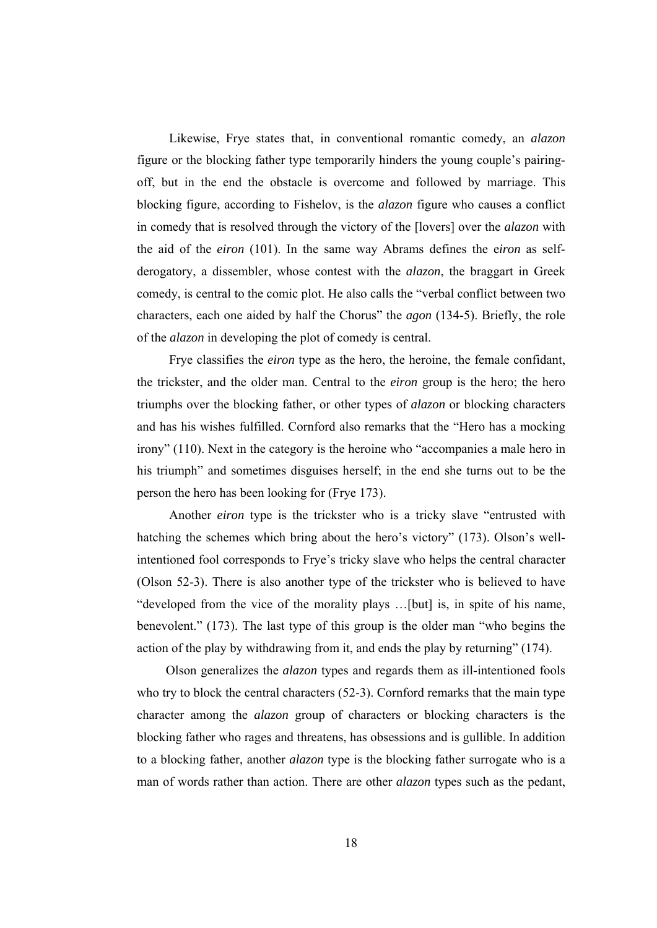Likewise, Frye states that, in conventional romantic comedy, an *alazon* figure or the blocking father type temporarily hinders the young couple's pairingoff, but in the end the obstacle is overcome and followed by marriage. This blocking figure, according to Fishelov, is the *alazon* figure who causes a conflict in comedy that is resolved through the victory of the [lovers] over the *alazon* with the aid of the *eiron* (101). In the same way Abrams defines the e*iron* as selfderogatory, a dissembler, whose contest with the *alazon*, the braggart in Greek comedy, is central to the comic plot. He also calls the "verbal conflict between two characters, each one aided by half the Chorus" the *agon* (134-5). Briefly, the role of the *alazon* in developing the plot of comedy is central.

 Frye classifies the *eiron* type as the hero, the heroine, the female confidant, the trickster, and the older man. Central to the *eiron* group is the hero; the hero triumphs over the blocking father, or other types of *alazon* or blocking characters and has his wishes fulfilled. Cornford also remarks that the "Hero has a mocking irony" (110). Next in the category is the heroine who "accompanies a male hero in his triumph" and sometimes disguises herself; in the end she turns out to be the person the hero has been looking for (Frye 173).

 Another *eiron* type is the trickster who is a tricky slave "entrusted with hatching the schemes which bring about the hero's victory" (173). Olson's wellintentioned fool corresponds to Frye's tricky slave who helps the central character (Olson 52-3). There is also another type of the trickster who is believed to have "developed from the vice of the morality plays …[but] is, in spite of his name, benevolent." (173). The last type of this group is the older man "who begins the action of the play by withdrawing from it, and ends the play by returning" (174).

 Olson generalizes the *alazon* types and regards them as ill-intentioned fools who try to block the central characters (52-3). Cornford remarks that the main type character among the *alazon* group of characters or blocking characters is the blocking father who rages and threatens, has obsessions and is gullible. In addition to a blocking father, another *alazon* type is the blocking father surrogate who is a man of words rather than action. There are other *alazon* types such as the pedant,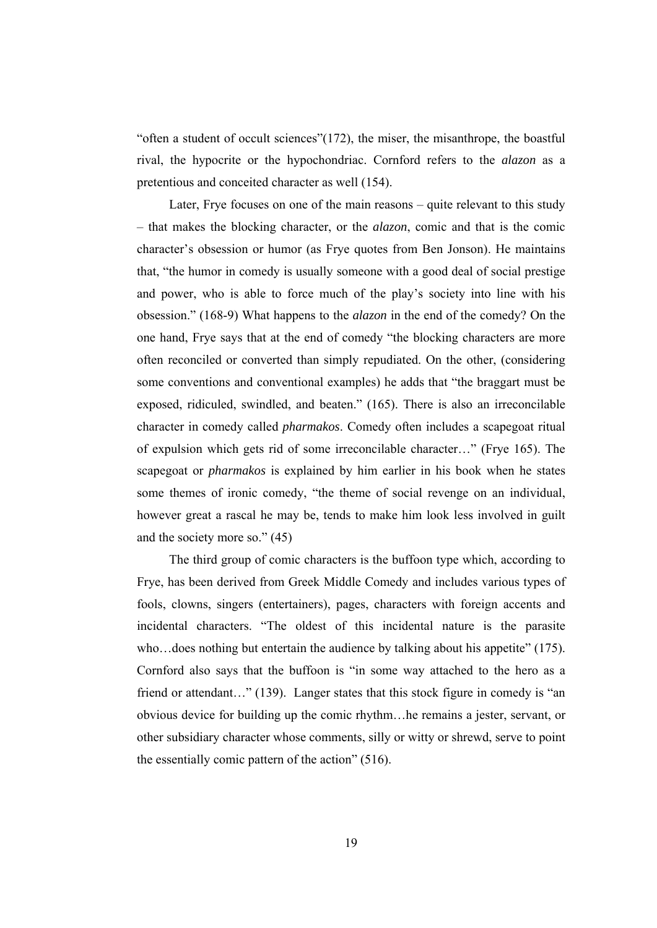"often a student of occult sciences"(172), the miser, the misanthrope, the boastful rival, the hypocrite or the hypochondriac. Cornford refers to the *alazon* as a pretentious and conceited character as well (154).

 Later, Frye focuses on one of the main reasons – quite relevant to this study – that makes the blocking character, or the *alazon*, comic and that is the comic character's obsession or humor (as Frye quotes from Ben Jonson). He maintains that, "the humor in comedy is usually someone with a good deal of social prestige and power, who is able to force much of the play's society into line with his obsession." (168-9) What happens to the *alazon* in the end of the comedy? On the one hand, Frye says that at the end of comedy "the blocking characters are more often reconciled or converted than simply repudiated. On the other, (considering some conventions and conventional examples) he adds that "the braggart must be exposed, ridiculed, swindled, and beaten." (165). There is also an irreconcilable character in comedy called *pharmakos*. Comedy often includes a scapegoat ritual of expulsion which gets rid of some irreconcilable character…" (Frye 165). The scapegoat or *pharmakos* is explained by him earlier in his book when he states some themes of ironic comedy, "the theme of social revenge on an individual, however great a rascal he may be, tends to make him look less involved in guilt and the society more so." (45)

 The third group of comic characters is the buffoon type which, according to Frye, has been derived from Greek Middle Comedy and includes various types of fools, clowns, singers (entertainers), pages, characters with foreign accents and incidental characters. "The oldest of this incidental nature is the parasite who…does nothing but entertain the audience by talking about his appetite" (175). Cornford also says that the buffoon is "in some way attached to the hero as a friend or attendant..." (139). Langer states that this stock figure in comedy is "an obvious device for building up the comic rhythm…he remains a jester, servant, or other subsidiary character whose comments, silly or witty or shrewd, serve to point the essentially comic pattern of the action" (516).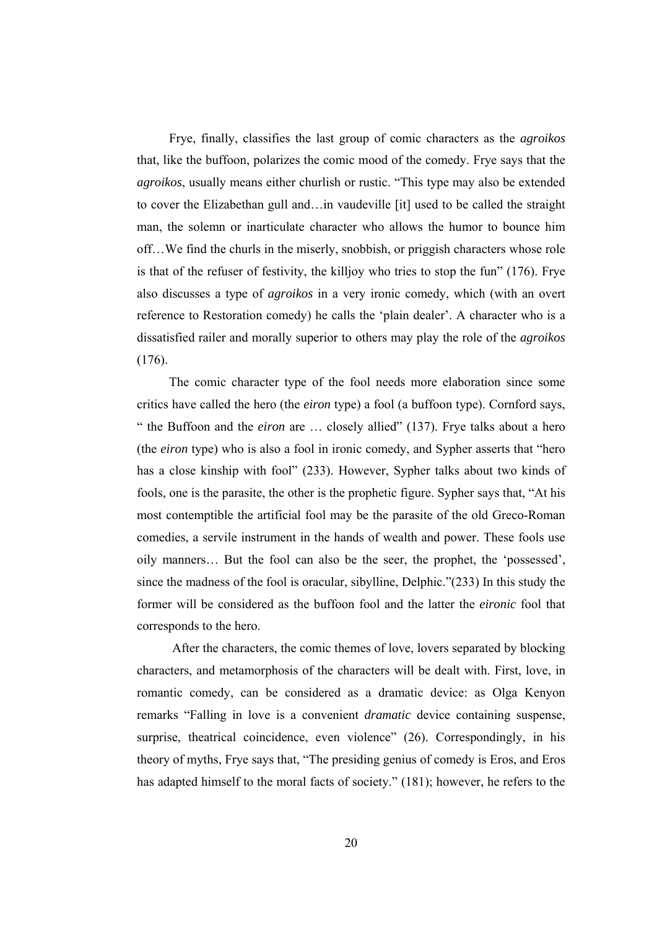Frye, finally, classifies the last group of comic characters as the *agroikos* that, like the buffoon, polarizes the comic mood of the comedy. Frye says that the *agroikos*, usually means either churlish or rustic. "This type may also be extended to cover the Elizabethan gull and…in vaudeville [it] used to be called the straight man, the solemn or inarticulate character who allows the humor to bounce him off…We find the churls in the miserly, snobbish, or priggish characters whose role is that of the refuser of festivity, the killjoy who tries to stop the fun" (176). Frye also discusses a type of *agroikos* in a very ironic comedy, which (with an overt reference to Restoration comedy) he calls the 'plain dealer'. A character who is a dissatisfied railer and morally superior to others may play the role of the *agroikos* (176).

 The comic character type of the fool needs more elaboration since some critics have called the hero (the *eiron* type) a fool (a buffoon type). Cornford says, " the Buffoon and the *eiron* are … closely allied" (137). Frye talks about a hero (the *eiron* type) who is also a fool in ironic comedy, and Sypher asserts that "hero has a close kinship with fool" (233). However, Sypher talks about two kinds of fools, one is the parasite, the other is the prophetic figure. Sypher says that, "At his most contemptible the artificial fool may be the parasite of the old Greco-Roman comedies, a servile instrument in the hands of wealth and power. These fools use oily manners… But the fool can also be the seer, the prophet, the 'possessed', since the madness of the fool is oracular, sibylline, Delphic."(233) In this study the former will be considered as the buffoon fool and the latter the *eironic* fool that corresponds to the hero.

 After the characters, the comic themes of love, lovers separated by blocking characters, and metamorphosis of the characters will be dealt with. First, love, in romantic comedy, can be considered as a dramatic device: as Olga Kenyon remarks "Falling in love is a convenient *dramatic* device containing suspense, surprise, theatrical coincidence, even violence" (26). Correspondingly, in his theory of myths, Frye says that, "The presiding genius of comedy is Eros, and Eros has adapted himself to the moral facts of society." (181); however, he refers to the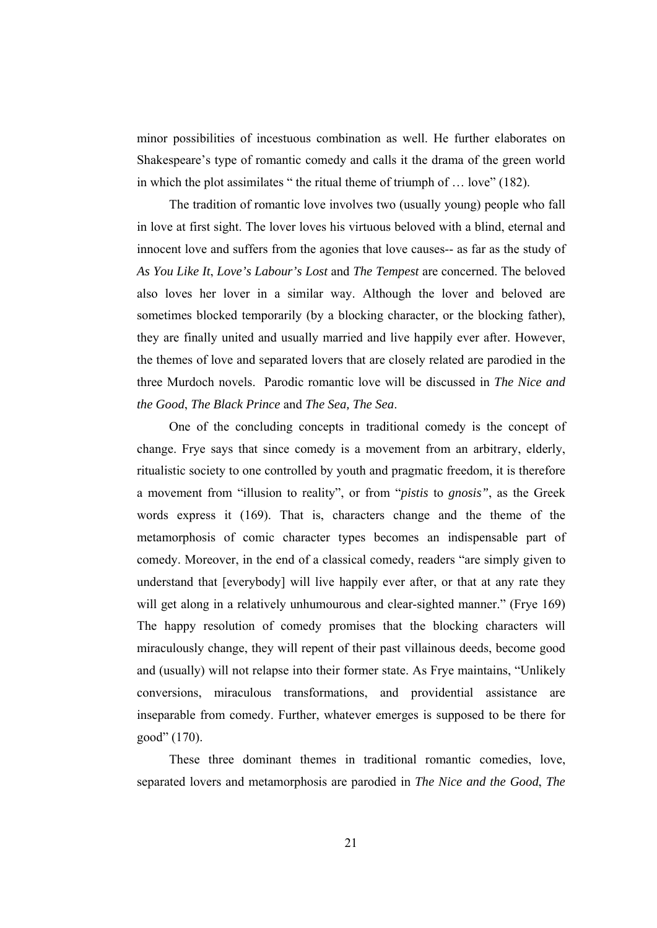minor possibilities of incestuous combination as well. He further elaborates on Shakespeare's type of romantic comedy and calls it the drama of the green world in which the plot assimilates " the ritual theme of triumph of … love" (182).

 The tradition of romantic love involves two (usually young) people who fall in love at first sight. The lover loves his virtuous beloved with a blind, eternal and innocent love and suffers from the agonies that love causes-- as far as the study of *As You Like It*, *Love's Labour's Lost* and *The Tempest* are concerned. The beloved also loves her lover in a similar way. Although the lover and beloved are sometimes blocked temporarily (by a blocking character, or the blocking father), they are finally united and usually married and live happily ever after. However, the themes of love and separated lovers that are closely related are parodied in the three Murdoch novels. Parodic romantic love will be discussed in *The Nice and the Good*, *The Black Prince* and *The Sea, The Sea*.

One of the concluding concepts in traditional comedy is the concept of change. Frye says that since comedy is a movement from an arbitrary, elderly, ritualistic society to one controlled by youth and pragmatic freedom, it is therefore a movement from "illusion to reality", or from "*pistis* to *gnosis"*, as the Greek words express it (169). That is, characters change and the theme of the metamorphosis of comic character types becomes an indispensable part of comedy. Moreover, in the end of a classical comedy, readers "are simply given to understand that [everybody] will live happily ever after, or that at any rate they will get along in a relatively unhumourous and clear-sighted manner." (Frye 169) The happy resolution of comedy promises that the blocking characters will miraculously change, they will repent of their past villainous deeds, become good and (usually) will not relapse into their former state. As Frye maintains, "Unlikely conversions, miraculous transformations, and providential assistance are inseparable from comedy. Further, whatever emerges is supposed to be there for good" (170).

 These three dominant themes in traditional romantic comedies, love, separated lovers and metamorphosis are parodied in *The Nice and the Good*, *The*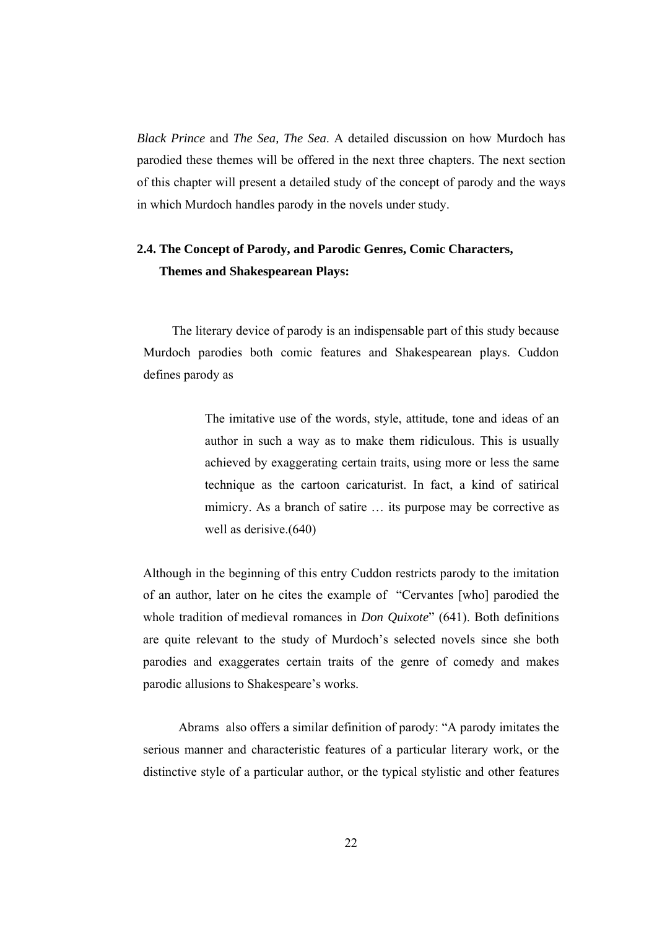*Black Prince* and *The Sea, The Sea*. A detailed discussion on how Murdoch has parodied these themes will be offered in the next three chapters. The next section of this chapter will present a detailed study of the concept of parody and the ways in which Murdoch handles parody in the novels under study.

# **2.4. The Concept of Parody, and Parodic Genres, Comic Characters, Themes and Shakespearean Plays:**

 The literary device of parody is an indispensable part of this study because Murdoch parodies both comic features and Shakespearean plays. Cuddon defines parody as

> The imitative use of the words, style, attitude, tone and ideas of an author in such a way as to make them ridiculous. This is usually achieved by exaggerating certain traits, using more or less the same technique as the cartoon caricaturist. In fact, a kind of satirical mimicry. As a branch of satire … its purpose may be corrective as well as derisive.(640)

Although in the beginning of this entry Cuddon restricts parody to the imitation of an author, later on he cites the example of "Cervantes [who] parodied the whole tradition of medieval romances in *Don Quixote*" (641). Both definitions are quite relevant to the study of Murdoch's selected novels since she both parodies and exaggerates certain traits of the genre of comedy and makes parodic allusions to Shakespeare's works.

 Abrams also offers a similar definition of parody: "A parody imitates the serious manner and characteristic features of a particular literary work, or the distinctive style of a particular author, or the typical stylistic and other features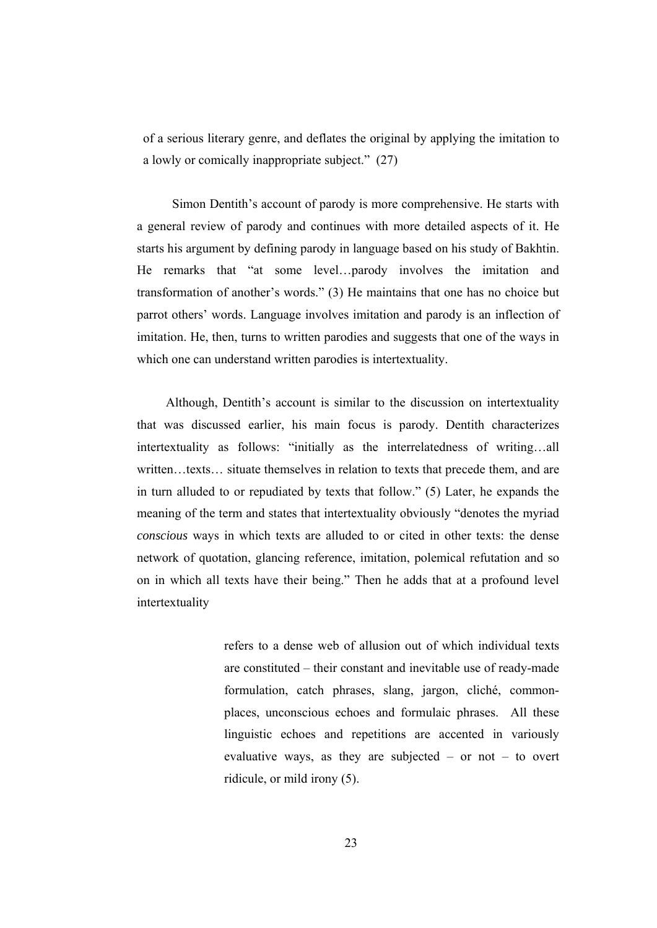of a serious literary genre, and deflates the original by applying the imitation to a lowly or comically inappropriate subject." (27)

 Simon Dentith's account of parody is more comprehensive. He starts with a general review of parody and continues with more detailed aspects of it. He starts his argument by defining parody in language based on his study of Bakhtin. He remarks that "at some level…parody involves the imitation and transformation of another's words." (3) He maintains that one has no choice but parrot others' words. Language involves imitation and parody is an inflection of imitation. He, then, turns to written parodies and suggests that one of the ways in which one can understand written parodies is intertextuality.

 Although, Dentith's account is similar to the discussion on intertextuality that was discussed earlier, his main focus is parody. Dentith characterizes intertextuality as follows: "initially as the interrelatedness of writing…all written…texts… situate themselves in relation to texts that precede them, and are in turn alluded to or repudiated by texts that follow." (5) Later, he expands the meaning of the term and states that intertextuality obviously "denotes the myriad *conscious* ways in which texts are alluded to or cited in other texts: the dense network of quotation, glancing reference, imitation, polemical refutation and so on in which all texts have their being." Then he adds that at a profound level intertextuality

> refers to a dense web of allusion out of which individual texts are constituted – their constant and inevitable use of ready-made formulation, catch phrases, slang, jargon, cliché, commonplaces, unconscious echoes and formulaic phrases. All these linguistic echoes and repetitions are accented in variously evaluative ways, as they are subjected – or not – to overt ridicule, or mild irony (5).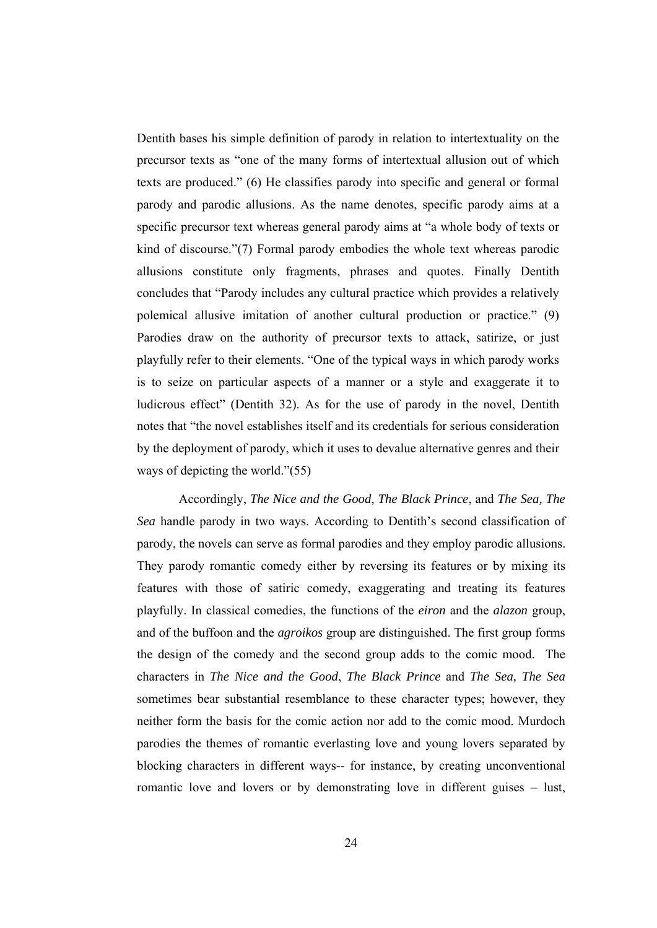Dentith bases his simple definition of parody in relation to intertextuality on the precursor texts as "one of the many forms of intertextual allusion out of which texts are produced." (6) He classifies parody into specific and general or formal parody and parodic allusions. As the name denotes, specific parody aims at a specific precursor text whereas general parody aims at "a whole body of texts or kind of discourse."(7) Formal parody embodies the whole text whereas parodic allusions constitute only fragments, phrases and quotes. Finally Dentith concludes that "Parody includes any cultural practice which provides a relatively polemical allusive imitation of another cultural production or practice." (9) Parodies draw on the authority of precursor texts to attack, satirize, or just playfully refer to their elements. "One of the typical ways in which parody works is to seize on particular aspects of a manner or a style and exaggerate it to ludicrous effect" (Dentith 32). As for the use of parody in the novel, Dentith notes that "the novel establishes itself and its credentials for serious consideration by the deployment of parody, which it uses to devalue alternative genres and their ways of depicting the world."(55)

 Accordingly, *The Nice and the Good*, *The Black Prince*, and *The Sea, The Sea* handle parody in two ways. According to Dentith's second classification of parody, the novels can serve as formal parodies and they employ parodic allusions. They parody romantic comedy either by reversing its features or by mixing its features with those of satiric comedy, exaggerating and treating its features playfully. In classical comedies, the functions of the *eiron* and the *alazon* group, and of the buffoon and the *agroikos* group are distinguished. The first group forms the design of the comedy and the second group adds to the comic mood. The characters in *The Nice and the Good*, *The Black Prince* and *The Sea, The Sea* sometimes bear substantial resemblance to these character types; however, they neither form the basis for the comic action nor add to the comic mood. Murdoch parodies the themes of romantic everlasting love and young lovers separated by blocking characters in different ways-- for instance, by creating unconventional romantic love and lovers or by demonstrating love in different guises – lust,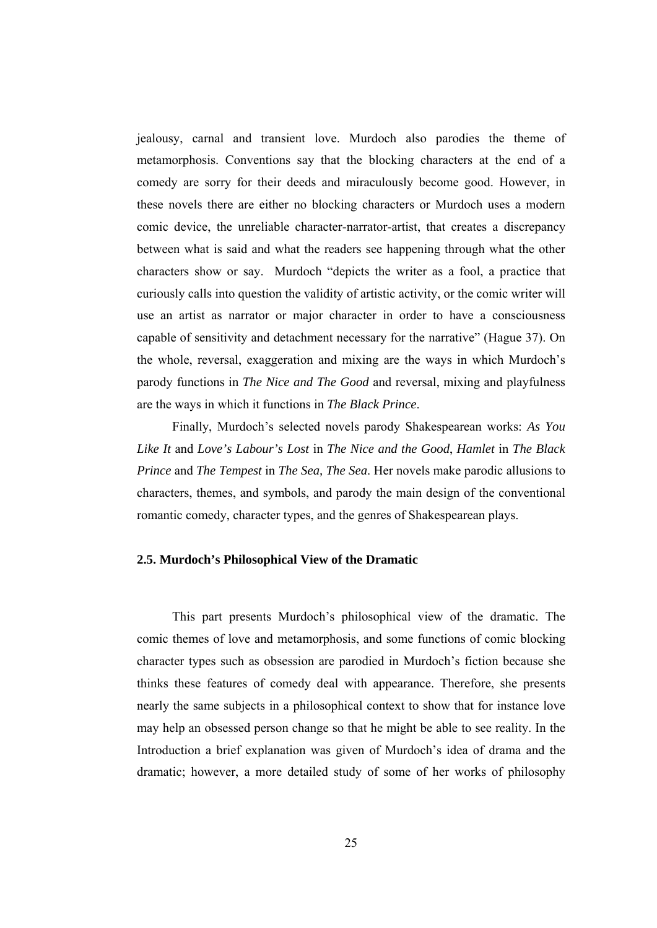jealousy, carnal and transient love. Murdoch also parodies the theme of metamorphosis. Conventions say that the blocking characters at the end of a comedy are sorry for their deeds and miraculously become good. However, in these novels there are either no blocking characters or Murdoch uses a modern comic device, the unreliable character-narrator-artist, that creates a discrepancy between what is said and what the readers see happening through what the other characters show or say. Murdoch "depicts the writer as a fool, a practice that curiously calls into question the validity of artistic activity, or the comic writer will use an artist as narrator or major character in order to have a consciousness capable of sensitivity and detachment necessary for the narrative" (Hague 37). On the whole, reversal, exaggeration and mixing are the ways in which Murdoch's parody functions in *The Nice and The Good* and reversal, mixing and playfulness are the ways in which it functions in *The Black Prince*.

 Finally, Murdoch's selected novels parody Shakespearean works: *As You Like It* and *Love's Labour's Lost* in *The Nice and the Good*, *Hamlet* in *The Black Prince* and *The Tempest* in *The Sea, The Sea*. Her novels make parodic allusions to characters, themes, and symbols, and parody the main design of the conventional romantic comedy, character types, and the genres of Shakespearean plays.

#### **2.5. Murdoch's Philosophical View of the Dramatic**

 This part presents Murdoch's philosophical view of the dramatic. The comic themes of love and metamorphosis, and some functions of comic blocking character types such as obsession are parodied in Murdoch's fiction because she thinks these features of comedy deal with appearance. Therefore, she presents nearly the same subjects in a philosophical context to show that for instance love may help an obsessed person change so that he might be able to see reality. In the Introduction a brief explanation was given of Murdoch's idea of drama and the dramatic; however, a more detailed study of some of her works of philosophy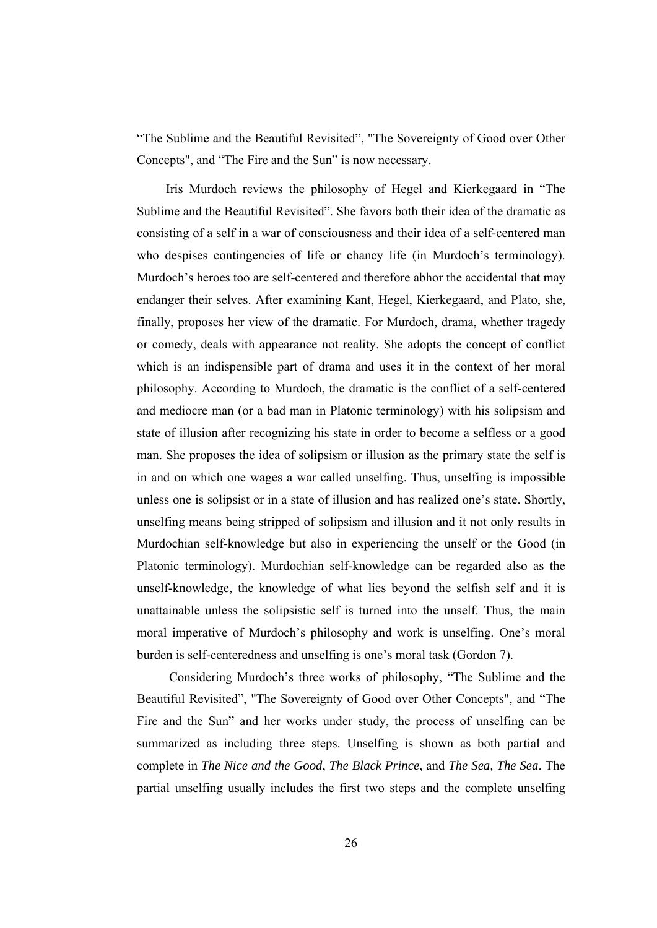"The Sublime and the Beautiful Revisited", "The Sovereignty of Good over Other Concepts", and "The Fire and the Sun" is now necessary.

 Iris Murdoch reviews the philosophy of Hegel and Kierkegaard in "The Sublime and the Beautiful Revisited". She favors both their idea of the dramatic as consisting of a self in a war of consciousness and their idea of a self-centered man who despises contingencies of life or chancy life (in Murdoch's terminology). Murdoch's heroes too are self-centered and therefore abhor the accidental that may endanger their selves. After examining Kant, Hegel, Kierkegaard, and Plato, she, finally, proposes her view of the dramatic. For Murdoch, drama, whether tragedy or comedy, deals with appearance not reality. She adopts the concept of conflict which is an indispensible part of drama and uses it in the context of her moral philosophy. According to Murdoch, the dramatic is the conflict of a self-centered and mediocre man (or a bad man in Platonic terminology) with his solipsism and state of illusion after recognizing his state in order to become a selfless or a good man. She proposes the idea of solipsism or illusion as the primary state the self is in and on which one wages a war called unselfing. Thus, unselfing is impossible unless one is solipsist or in a state of illusion and has realized one's state. Shortly, unselfing means being stripped of solipsism and illusion and it not only results in Murdochian self-knowledge but also in experiencing the unself or the Good (in Platonic terminology). Murdochian self-knowledge can be regarded also as the unself-knowledge, the knowledge of what lies beyond the selfish self and it is unattainable unless the solipsistic self is turned into the unself. Thus, the main moral imperative of Murdoch's philosophy and work is unselfing. One's moral burden is self-centeredness and unselfing is one's moral task (Gordon 7).

 Considering Murdoch's three works of philosophy, "The Sublime and the Beautiful Revisited", "The Sovereignty of Good over Other Concepts", and "The Fire and the Sun" and her works under study, the process of unselfing can be summarized as including three steps. Unselfing is shown as both partial and complete in *The Nice and the Good*, *The Black Prince*, and *The Sea, The Sea*. The partial unselfing usually includes the first two steps and the complete unselfing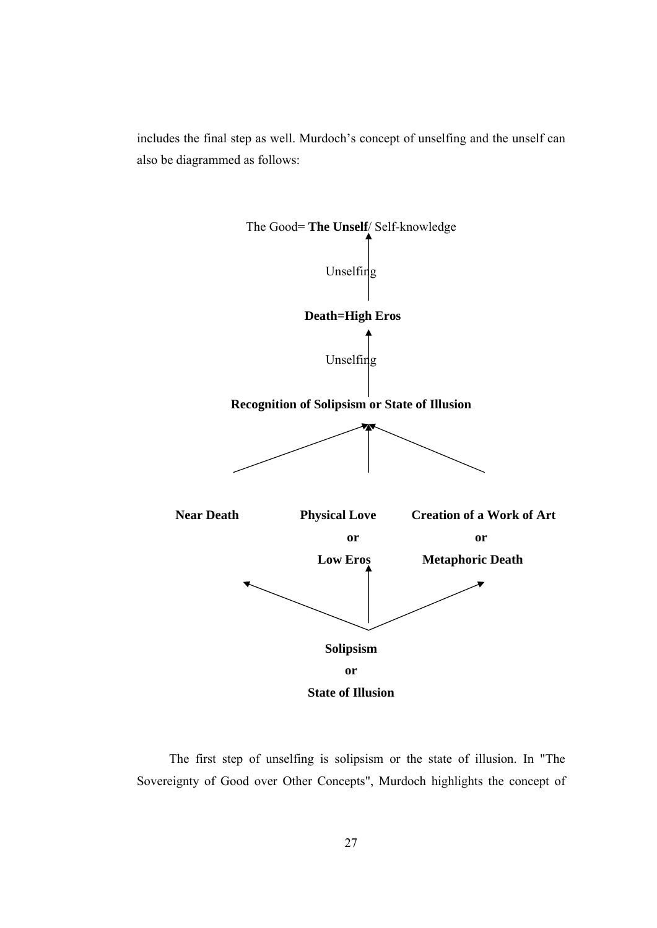includes the final step as well. Murdoch's concept of unselfing and the unself can also be diagrammed as follows:



 The first step of unselfing is solipsism or the state of illusion. In "The Sovereignty of Good over Other Concepts", Murdoch highlights the concept of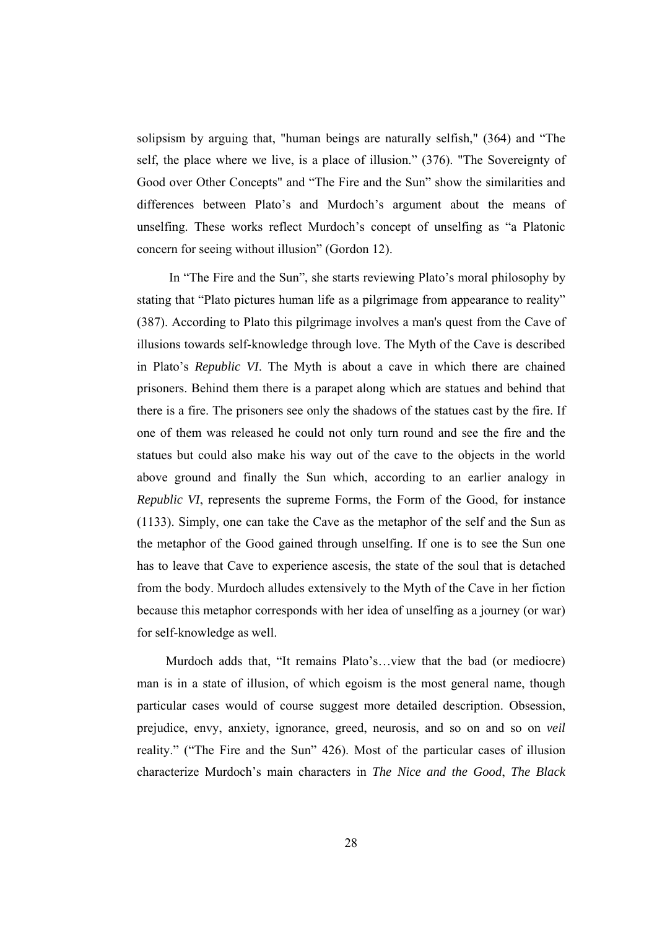solipsism by arguing that, "human beings are naturally selfish," (364) and "The self, the place where we live, is a place of illusion." (376). "The Sovereignty of Good over Other Concepts" and "The Fire and the Sun" show the similarities and differences between Plato's and Murdoch's argument about the means of unselfing. These works reflect Murdoch's concept of unselfing as "a Platonic concern for seeing without illusion" (Gordon 12).

 In "The Fire and the Sun", she starts reviewing Plato's moral philosophy by stating that "Plato pictures human life as a pilgrimage from appearance to reality" (387). According to Plato this pilgrimage involves a man's quest from the Cave of illusions towards self-knowledge through love. The Myth of the Cave is described in Plato's *Republic VI*. The Myth is about a cave in which there are chained prisoners. Behind them there is a parapet along which are statues and behind that there is a fire. The prisoners see only the shadows of the statues cast by the fire. If one of them was released he could not only turn round and see the fire and the statues but could also make his way out of the cave to the objects in the world above ground and finally the Sun which, according to an earlier analogy in *Republic VI*, represents the supreme Forms, the Form of the Good, for instance (1133). Simply, one can take the Cave as the metaphor of the self and the Sun as the metaphor of the Good gained through unselfing. If one is to see the Sun one has to leave that Cave to experience ascesis, the state of the soul that is detached from the body. Murdoch alludes extensively to the Myth of the Cave in her fiction because this metaphor corresponds with her idea of unselfing as a journey (or war) for self-knowledge as well.

 Murdoch adds that, "It remains Plato's…view that the bad (or mediocre) man is in a state of illusion, of which egoism is the most general name, though particular cases would of course suggest more detailed description. Obsession, prejudice, envy, anxiety, ignorance, greed, neurosis, and so on and so on *veil*  reality." ("The Fire and the Sun" 426). Most of the particular cases of illusion characterize Murdoch's main characters in *The Nice and the Good*, *The Black*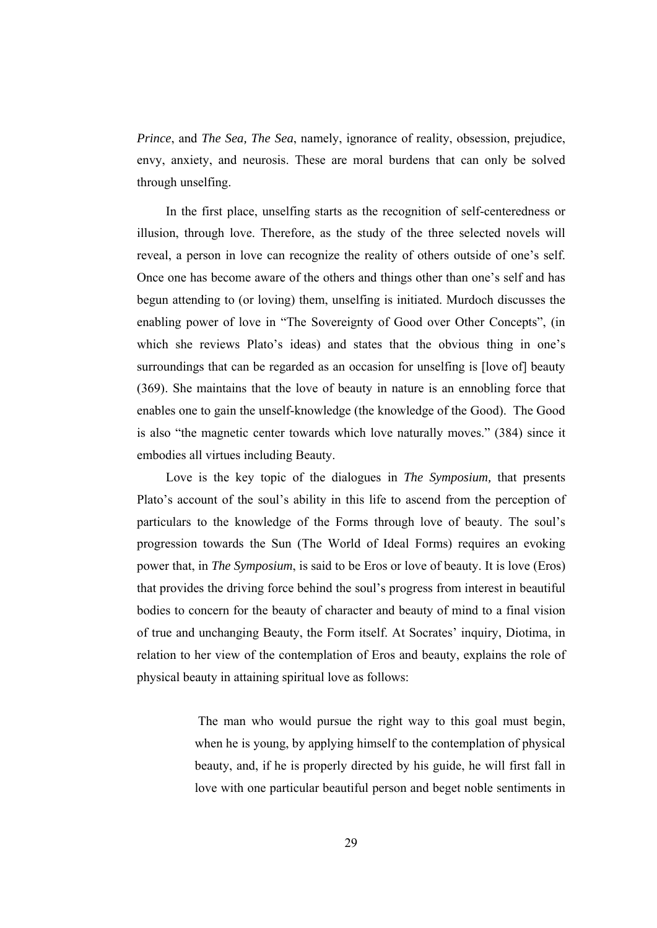*Prince*, and *The Sea, The Sea*, namely, ignorance of reality, obsession, prejudice, envy, anxiety, and neurosis. These are moral burdens that can only be solved through unselfing.

 In the first place, unselfing starts as the recognition of self-centeredness or illusion, through love. Therefore, as the study of the three selected novels will reveal, a person in love can recognize the reality of others outside of one's self. Once one has become aware of the others and things other than one's self and has begun attending to (or loving) them, unselfing is initiated. Murdoch discusses the enabling power of love in "The Sovereignty of Good over Other Concepts", (in which she reviews Plato's ideas) and states that the obvious thing in one's surroundings that can be regarded as an occasion for unselfing is [love of] beauty (369). She maintains that the love of beauty in nature is an ennobling force that enables one to gain the unself-knowledge (the knowledge of the Good). The Good is also "the magnetic center towards which love naturally moves." (384) since it embodies all virtues including Beauty.

 Love is the key topic of the dialogues in *The Symposium,* that presents Plato's account of the soul's ability in this life to ascend from the perception of particulars to the knowledge of the Forms through love of beauty. The soul's progression towards the Sun (The World of Ideal Forms) requires an evoking power that, in *The Symposium*, is said to be Eros or love of beauty. It is love (Eros) that provides the driving force behind the soul's progress from interest in beautiful bodies to concern for the beauty of character and beauty of mind to a final vision of true and unchanging Beauty, the Form itself. At Socrates' inquiry, Diotima, in relation to her view of the contemplation of Eros and beauty, explains the role of physical beauty in attaining spiritual love as follows:

> The man who would pursue the right way to this goal must begin, when he is young, by applying himself to the contemplation of physical beauty, and, if he is properly directed by his guide, he will first fall in love with one particular beautiful person and beget noble sentiments in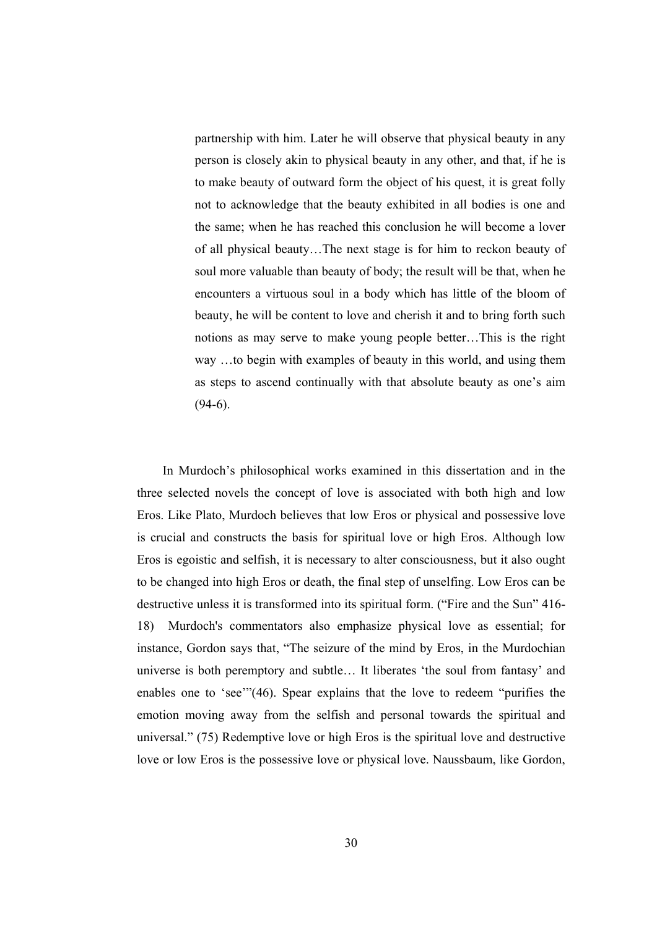partnership with him. Later he will observe that physical beauty in any person is closely akin to physical beauty in any other, and that, if he is to make beauty of outward form the object of his quest, it is great folly not to acknowledge that the beauty exhibited in all bodies is one and the same; when he has reached this conclusion he will become a lover of all physical beauty…The next stage is for him to reckon beauty of soul more valuable than beauty of body; the result will be that, when he encounters a virtuous soul in a body which has little of the bloom of beauty, he will be content to love and cherish it and to bring forth such notions as may serve to make young people better…This is the right way …to begin with examples of beauty in this world, and using them as steps to ascend continually with that absolute beauty as one's aim  $(94-6)$ .

 In Murdoch's philosophical works examined in this dissertation and in the three selected novels the concept of love is associated with both high and low Eros. Like Plato, Murdoch believes that low Eros or physical and possessive love is crucial and constructs the basis for spiritual love or high Eros. Although low Eros is egoistic and selfish, it is necessary to alter consciousness, but it also ought to be changed into high Eros or death, the final step of unselfing. Low Eros can be destructive unless it is transformed into its spiritual form. ("Fire and the Sun" 416- 18) Murdoch's commentators also emphasize physical love as essential; for instance, Gordon says that, "The seizure of the mind by Eros, in the Murdochian universe is both peremptory and subtle… It liberates 'the soul from fantasy' and enables one to 'see'"(46). Spear explains that the love to redeem "purifies the emotion moving away from the selfish and personal towards the spiritual and universal." (75) Redemptive love or high Eros is the spiritual love and destructive love or low Eros is the possessive love or physical love. Naussbaum, like Gordon,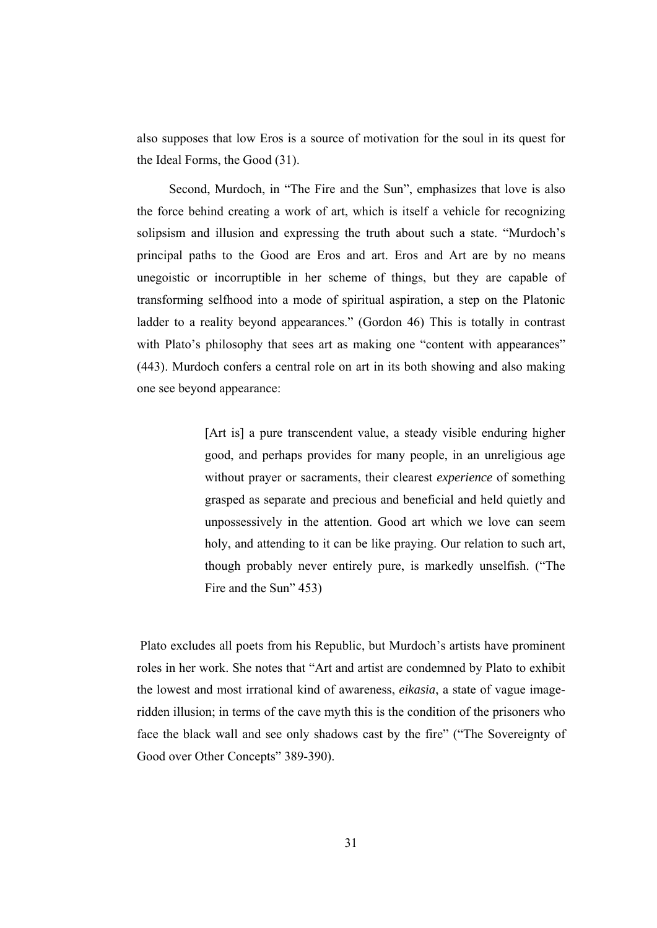also supposes that low Eros is a source of motivation for the soul in its quest for the Ideal Forms, the Good (31).

 Second, Murdoch, in "The Fire and the Sun", emphasizes that love is also the force behind creating a work of art, which is itself a vehicle for recognizing solipsism and illusion and expressing the truth about such a state. "Murdoch's principal paths to the Good are Eros and art. Eros and Art are by no means unegoistic or incorruptible in her scheme of things, but they are capable of transforming selfhood into a mode of spiritual aspiration, a step on the Platonic ladder to a reality beyond appearances." (Gordon 46) This is totally in contrast with Plato's philosophy that sees art as making one "content with appearances" (443). Murdoch confers a central role on art in its both showing and also making one see beyond appearance:

> [Art is] a pure transcendent value, a steady visible enduring higher good, and perhaps provides for many people, in an unreligious age without prayer or sacraments, their clearest *experience* of something grasped as separate and precious and beneficial and held quietly and unpossessively in the attention. Good art which we love can seem holy, and attending to it can be like praying. Our relation to such art, though probably never entirely pure, is markedly unselfish. ("The Fire and the Sun" 453)

 Plato excludes all poets from his Republic, but Murdoch's artists have prominent roles in her work. She notes that "Art and artist are condemned by Plato to exhibit the lowest and most irrational kind of awareness, *eikasia*, a state of vague imageridden illusion; in terms of the cave myth this is the condition of the prisoners who face the black wall and see only shadows cast by the fire" ("The Sovereignty of Good over Other Concepts" 389-390).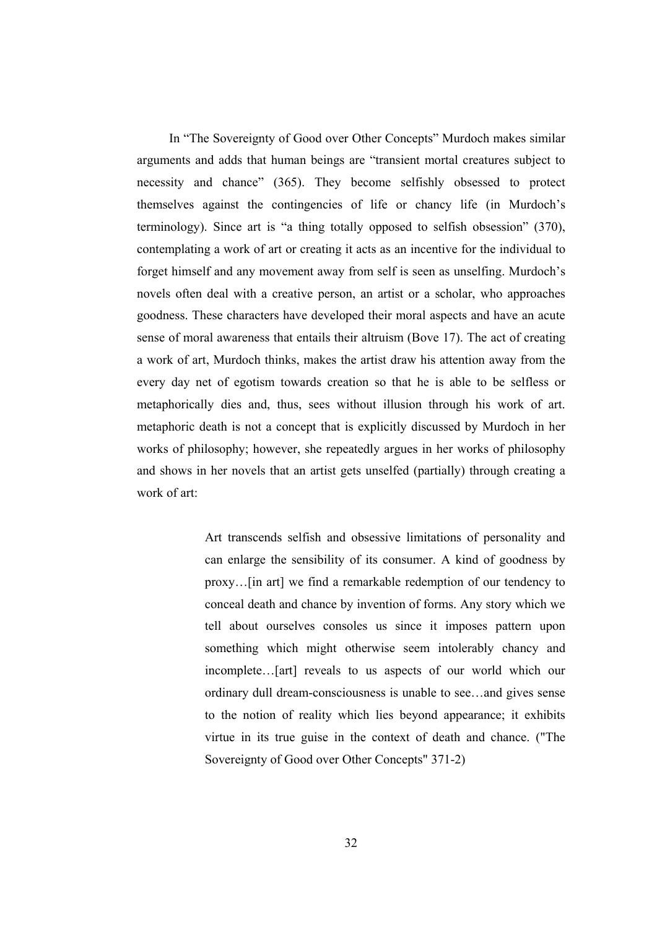In "The Sovereignty of Good over Other Concepts" Murdoch makes similar arguments and adds that human beings are "transient mortal creatures subject to necessity and chance" (365). They become selfishly obsessed to protect themselves against the contingencies of life or chancy life (in Murdoch's terminology). Since art is "a thing totally opposed to selfish obsession" (370), contemplating a work of art or creating it acts as an incentive for the individual to forget himself and any movement away from self is seen as unselfing. Murdoch's novels often deal with a creative person, an artist or a scholar, who approaches goodness. These characters have developed their moral aspects and have an acute sense of moral awareness that entails their altruism (Bove 17). The act of creating a work of art, Murdoch thinks, makes the artist draw his attention away from the every day net of egotism towards creation so that he is able to be selfless or metaphorically dies and, thus, sees without illusion through his work of art. metaphoric death is not a concept that is explicitly discussed by Murdoch in her works of philosophy; however, she repeatedly argues in her works of philosophy and shows in her novels that an artist gets unselfed (partially) through creating a work of art:

> Art transcends selfish and obsessive limitations of personality and can enlarge the sensibility of its consumer. A kind of goodness by proxy…[in art] we find a remarkable redemption of our tendency to conceal death and chance by invention of forms. Any story which we tell about ourselves consoles us since it imposes pattern upon something which might otherwise seem intolerably chancy and incomplete…[art] reveals to us aspects of our world which our ordinary dull dream-consciousness is unable to see…and gives sense to the notion of reality which lies beyond appearance; it exhibits virtue in its true guise in the context of death and chance. ("The Sovereignty of Good over Other Concepts" 371-2)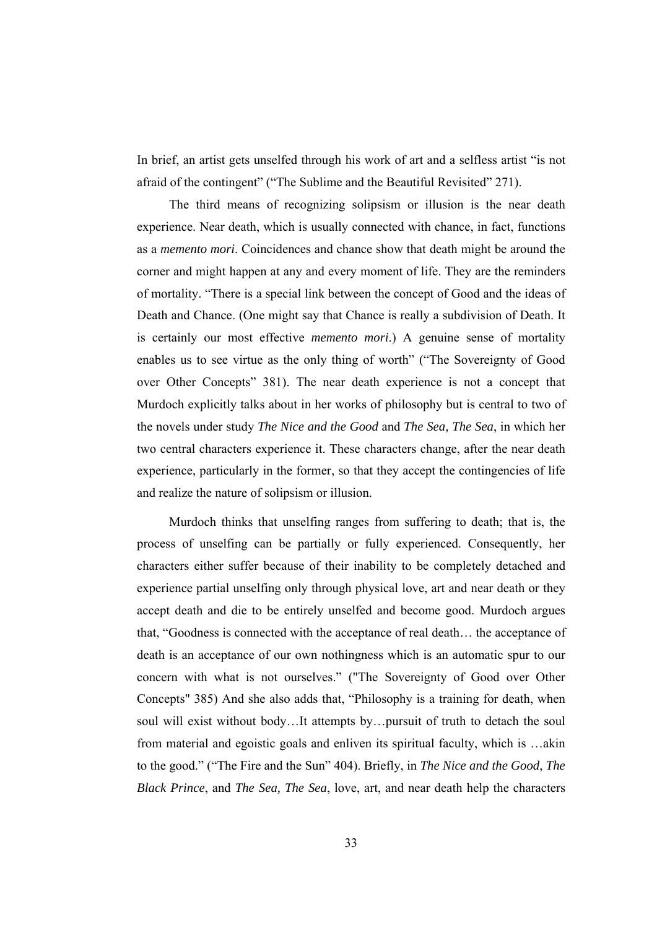In brief, an artist gets unselfed through his work of art and a selfless artist "is not afraid of the contingent" ("The Sublime and the Beautiful Revisited" 271).

 The third means of recognizing solipsism or illusion is the near death experience. Near death, which is usually connected with chance, in fact, functions as a *memento mori*. Coincidences and chance show that death might be around the corner and might happen at any and every moment of life. They are the reminders of mortality. "There is a special link between the concept of Good and the ideas of Death and Chance. (One might say that Chance is really a subdivision of Death. It is certainly our most effective *memento mori*.) A genuine sense of mortality enables us to see virtue as the only thing of worth" ("The Sovereignty of Good over Other Concepts" 381). The near death experience is not a concept that Murdoch explicitly talks about in her works of philosophy but is central to two of the novels under study *The Nice and the Good* and *The Sea, The Sea*, in which her two central characters experience it. These characters change, after the near death experience, particularly in the former, so that they accept the contingencies of life and realize the nature of solipsism or illusion.

 Murdoch thinks that unselfing ranges from suffering to death; that is, the process of unselfing can be partially or fully experienced. Consequently, her characters either suffer because of their inability to be completely detached and experience partial unselfing only through physical love, art and near death or they accept death and die to be entirely unselfed and become good. Murdoch argues that, "Goodness is connected with the acceptance of real death… the acceptance of death is an acceptance of our own nothingness which is an automatic spur to our concern with what is not ourselves." ("The Sovereignty of Good over Other Concepts" 385) And she also adds that, "Philosophy is a training for death, when soul will exist without body…It attempts by…pursuit of truth to detach the soul from material and egoistic goals and enliven its spiritual faculty, which is …akin to the good." ("The Fire and the Sun" 404). Briefly, in *The Nice and the Good*, *The Black Prince*, and *The Sea, The Sea*, love, art, and near death help the characters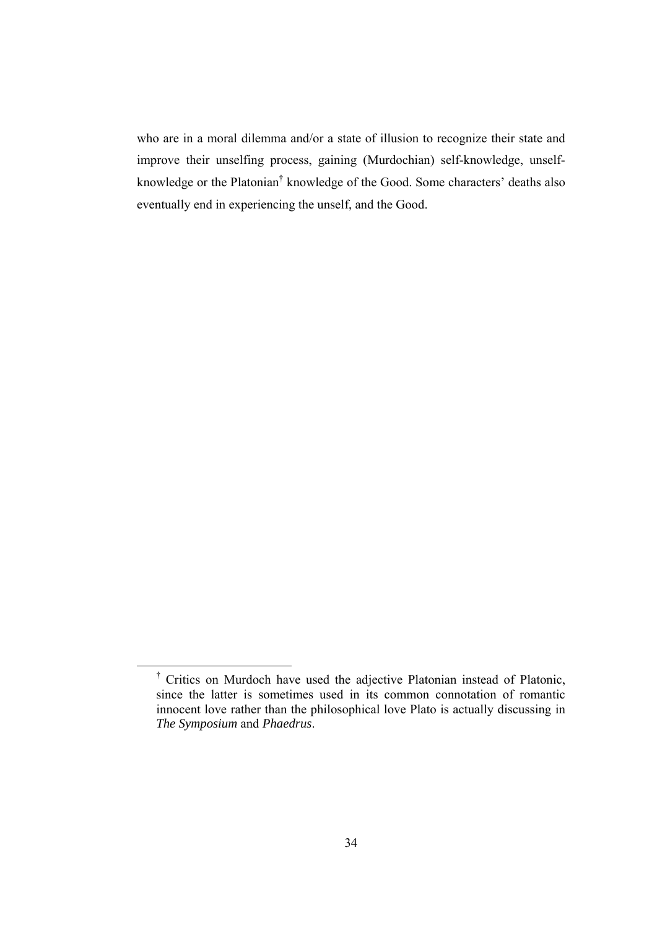who are in a moral dilemma and/or a state of illusion to recognize their state and improve their unselfing process, gaining (Murdochian) self-knowledge, unselfknowledge or the Platonian<sup>†</sup> knowledge of the Good. Some characters' deaths also eventually end in experiencing the unself, and the Good.

 <sup>†</sup> Critics on Murdoch have used the adjective Platonian instead of Platonic, since the latter is sometimes used in its common connotation of romantic innocent love rather than the philosophical love Plato is actually discussing in *The Symposium* and *Phaedrus*.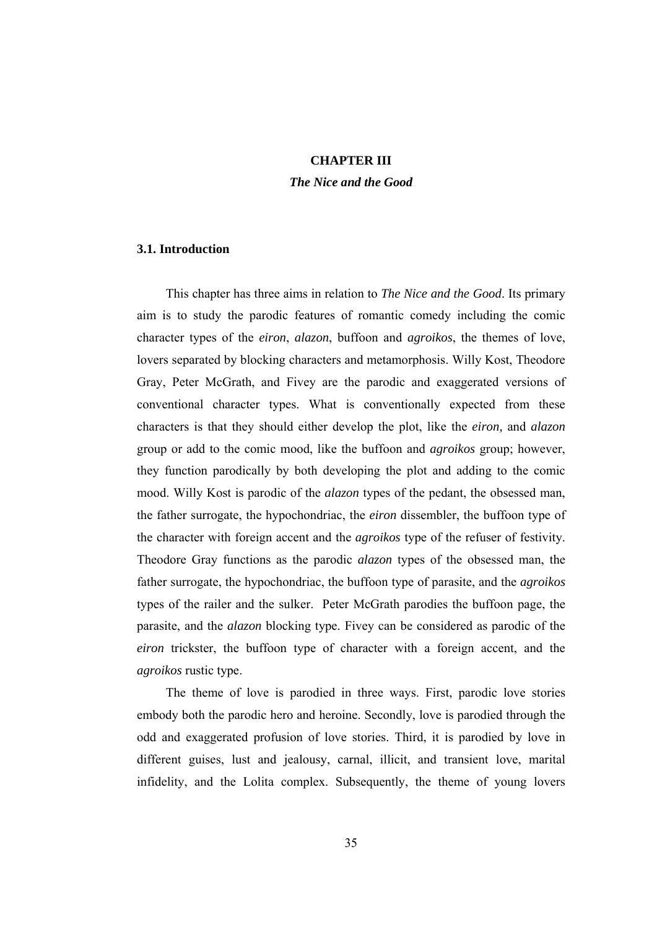## **CHAPTER III**

*The Nice and the Good* 

## **3.1. Introduction**

 This chapter has three aims in relation to *The Nice and the Good*. Its primary aim is to study the parodic features of romantic comedy including the comic character types of the *eiron*, *alazon*, buffoon and *agroikos*, the themes of love, lovers separated by blocking characters and metamorphosis. Willy Kost, Theodore Gray, Peter McGrath, and Fivey are the parodic and exaggerated versions of conventional character types. What is conventionally expected from these characters is that they should either develop the plot, like the *eiron,* and *alazon* group or add to the comic mood, like the buffoon and *agroikos* group; however, they function parodically by both developing the plot and adding to the comic mood. Willy Kost is parodic of the *alazon* types of the pedant, the obsessed man, the father surrogate, the hypochondriac, the *eiron* dissembler, the buffoon type of the character with foreign accent and the *agroikos* type of the refuser of festivity. Theodore Gray functions as the parodic *alazon* types of the obsessed man, the father surrogate, the hypochondriac, the buffoon type of parasite, and the *agroikos* types of the railer and the sulker. Peter McGrath parodies the buffoon page, the parasite, and the *alazon* blocking type. Fivey can be considered as parodic of the *eiron* trickster, the buffoon type of character with a foreign accent, and the *agroikos* rustic type.

 The theme of love is parodied in three ways. First, parodic love stories embody both the parodic hero and heroine. Secondly, love is parodied through the odd and exaggerated profusion of love stories. Third, it is parodied by love in different guises, lust and jealousy, carnal, illicit, and transient love, marital infidelity, and the Lolita complex. Subsequently, the theme of young lovers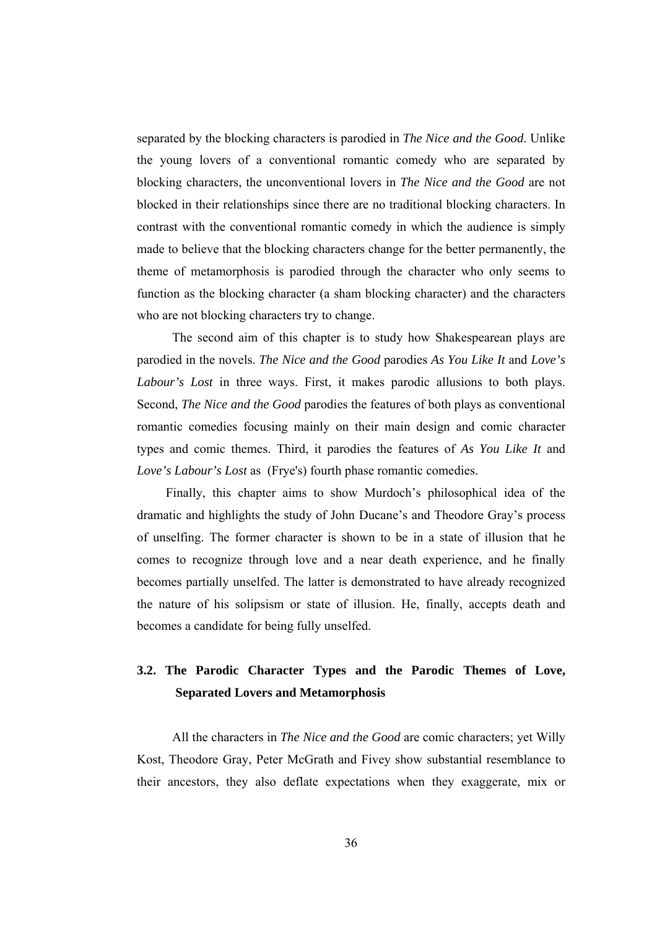separated by the blocking characters is parodied in *The Nice and the Good*. Unlike the young lovers of a conventional romantic comedy who are separated by blocking characters, the unconventional lovers in *The Nice and the Good* are not blocked in their relationships since there are no traditional blocking characters. In contrast with the conventional romantic comedy in which the audience is simply made to believe that the blocking characters change for the better permanently, the theme of metamorphosis is parodied through the character who only seems to function as the blocking character (a sham blocking character) and the characters who are not blocking characters try to change.

 The second aim of this chapter is to study how Shakespearean plays are parodied in the novels. *The Nice and the Good* parodies *As You Like It* and *Love's Labour's Lost* in three ways. First, it makes parodic allusions to both plays. Second, *The Nice and the Good* parodies the features of both plays as conventional romantic comedies focusing mainly on their main design and comic character types and comic themes. Third, it parodies the features of *As You Like It* and *Love's Labour's Lost* as (Frye's) fourth phase romantic comedies.

 Finally, this chapter aims to show Murdoch's philosophical idea of the dramatic and highlights the study of John Ducane's and Theodore Gray's process of unselfing. The former character is shown to be in a state of illusion that he comes to recognize through love and a near death experience, and he finally becomes partially unselfed. The latter is demonstrated to have already recognized the nature of his solipsism or state of illusion. He, finally, accepts death and becomes a candidate for being fully unselfed.

## **3.2. The Parodic Character Types and the Parodic Themes of Love, Separated Lovers and Metamorphosis**

 All the characters in *The Nice and the Good* are comic characters; yet Willy Kost, Theodore Gray, Peter McGrath and Fivey show substantial resemblance to their ancestors, they also deflate expectations when they exaggerate, mix or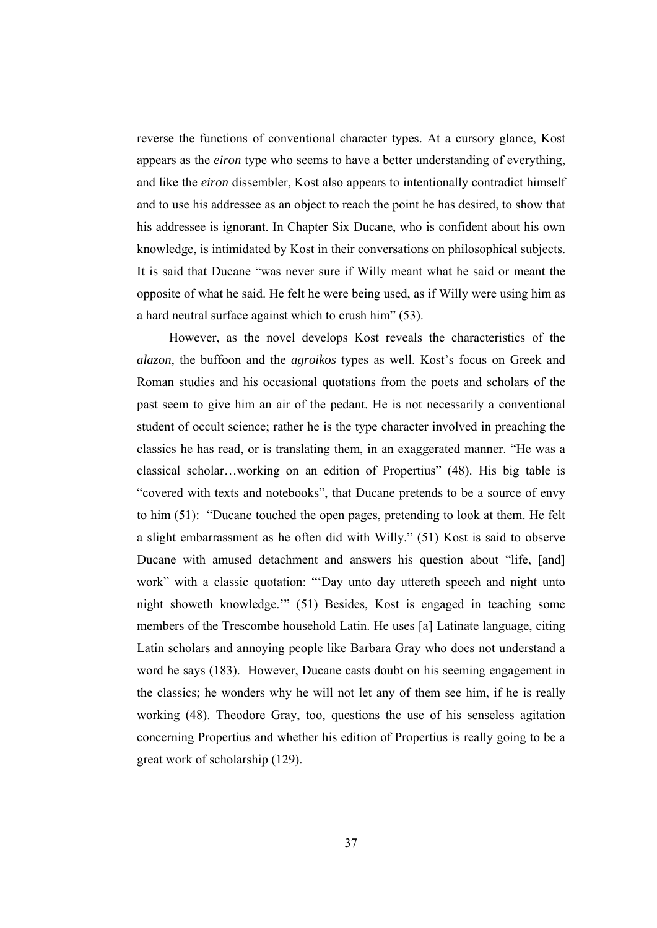reverse the functions of conventional character types. At a cursory glance, Kost appears as the *eiron* type who seems to have a better understanding of everything, and like the *eiron* dissembler, Kost also appears to intentionally contradict himself and to use his addressee as an object to reach the point he has desired, to show that his addressee is ignorant. In Chapter Six Ducane, who is confident about his own knowledge, is intimidated by Kost in their conversations on philosophical subjects. It is said that Ducane "was never sure if Willy meant what he said or meant the opposite of what he said. He felt he were being used, as if Willy were using him as a hard neutral surface against which to crush him" (53).

However, as the novel develops Kost reveals the characteristics of the *alazon*, the buffoon and the *agroikos* types as well. Kost's focus on Greek and Roman studies and his occasional quotations from the poets and scholars of the past seem to give him an air of the pedant. He is not necessarily a conventional student of occult science; rather he is the type character involved in preaching the classics he has read, or is translating them, in an exaggerated manner. "He was a classical scholar…working on an edition of Propertius" (48). His big table is "covered with texts and notebooks", that Ducane pretends to be a source of envy to him (51): "Ducane touched the open pages, pretending to look at them. He felt a slight embarrassment as he often did with Willy." (51) Kost is said to observe Ducane with amused detachment and answers his question about "life, [and] work" with a classic quotation: "'Day unto day uttereth speech and night unto night showeth knowledge.'" (51) Besides, Kost is engaged in teaching some members of the Trescombe household Latin. He uses [a] Latinate language, citing Latin scholars and annoying people like Barbara Gray who does not understand a word he says (183). However, Ducane casts doubt on his seeming engagement in the classics; he wonders why he will not let any of them see him, if he is really working (48). Theodore Gray, too, questions the use of his senseless agitation concerning Propertius and whether his edition of Propertius is really going to be a great work of scholarship (129).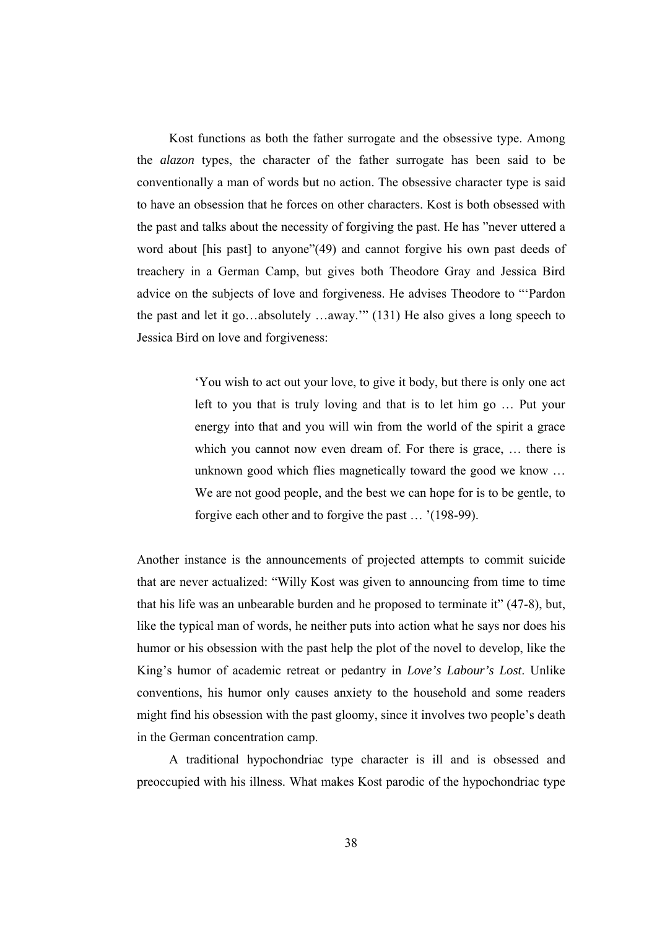Kost functions as both the father surrogate and the obsessive type. Among the *alazon* types, the character of the father surrogate has been said to be conventionally a man of words but no action. The obsessive character type is said to have an obsession that he forces on other characters. Kost is both obsessed with the past and talks about the necessity of forgiving the past. He has "never uttered a word about [his past] to anyone"(49) and cannot forgive his own past deeds of treachery in a German Camp, but gives both Theodore Gray and Jessica Bird advice on the subjects of love and forgiveness. He advises Theodore to "'Pardon the past and let it go…absolutely …away.'" (131) He also gives a long speech to Jessica Bird on love and forgiveness:

> 'You wish to act out your love, to give it body, but there is only one act left to you that is truly loving and that is to let him go … Put your energy into that and you will win from the world of the spirit a grace which you cannot now even dream of. For there is grace, … there is unknown good which flies magnetically toward the good we know … We are not good people, and the best we can hope for is to be gentle, to forgive each other and to forgive the past … '(198-99).

Another instance is the announcements of projected attempts to commit suicide that are never actualized: "Willy Kost was given to announcing from time to time that his life was an unbearable burden and he proposed to terminate it" (47-8), but, like the typical man of words, he neither puts into action what he says nor does his humor or his obsession with the past help the plot of the novel to develop, like the King's humor of academic retreat or pedantry in *Love's Labour's Lost*. Unlike conventions, his humor only causes anxiety to the household and some readers might find his obsession with the past gloomy, since it involves two people's death in the German concentration camp.

 A traditional hypochondriac type character is ill and is obsessed and preoccupied with his illness. What makes Kost parodic of the hypochondriac type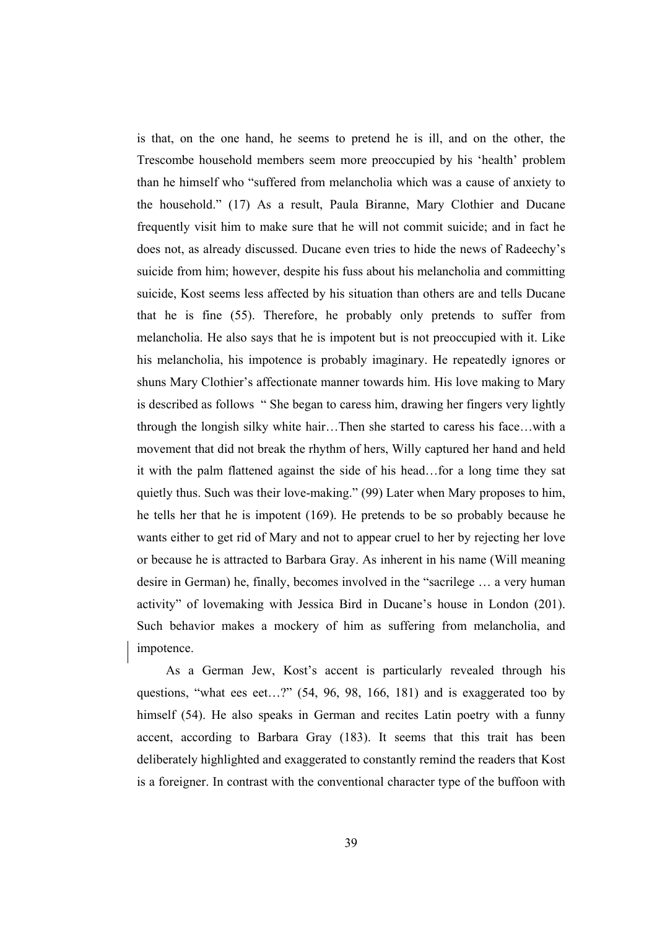is that, on the one hand, he seems to pretend he is ill, and on the other, the Trescombe household members seem more preoccupied by his 'health' problem than he himself who "suffered from melancholia which was a cause of anxiety to the household." (17) As a result, Paula Biranne, Mary Clothier and Ducane frequently visit him to make sure that he will not commit suicide; and in fact he does not, as already discussed. Ducane even tries to hide the news of Radeechy's suicide from him; however, despite his fuss about his melancholia and committing suicide, Kost seems less affected by his situation than others are and tells Ducane that he is fine (55). Therefore, he probably only pretends to suffer from melancholia. He also says that he is impotent but is not preoccupied with it. Like his melancholia, his impotence is probably imaginary. He repeatedly ignores or shuns Mary Clothier's affectionate manner towards him. His love making to Mary is described as follows " She began to caress him, drawing her fingers very lightly through the longish silky white hair…Then she started to caress his face…with a movement that did not break the rhythm of hers, Willy captured her hand and held it with the palm flattened against the side of his head…for a long time they sat quietly thus. Such was their love-making." (99) Later when Mary proposes to him, he tells her that he is impotent (169). He pretends to be so probably because he wants either to get rid of Mary and not to appear cruel to her by rejecting her love or because he is attracted to Barbara Gray. As inherent in his name (Will meaning desire in German) he, finally, becomes involved in the "sacrilege … a very human activity" of lovemaking with Jessica Bird in Ducane's house in London (201). Such behavior makes a mockery of him as suffering from melancholia, and impotence.

 As a German Jew, Kost's accent is particularly revealed through his questions, "what ees eet…?" (54, 96, 98, 166, 181) and is exaggerated too by himself (54). He also speaks in German and recites Latin poetry with a funny accent, according to Barbara Gray (183). It seems that this trait has been deliberately highlighted and exaggerated to constantly remind the readers that Kost is a foreigner. In contrast with the conventional character type of the buffoon with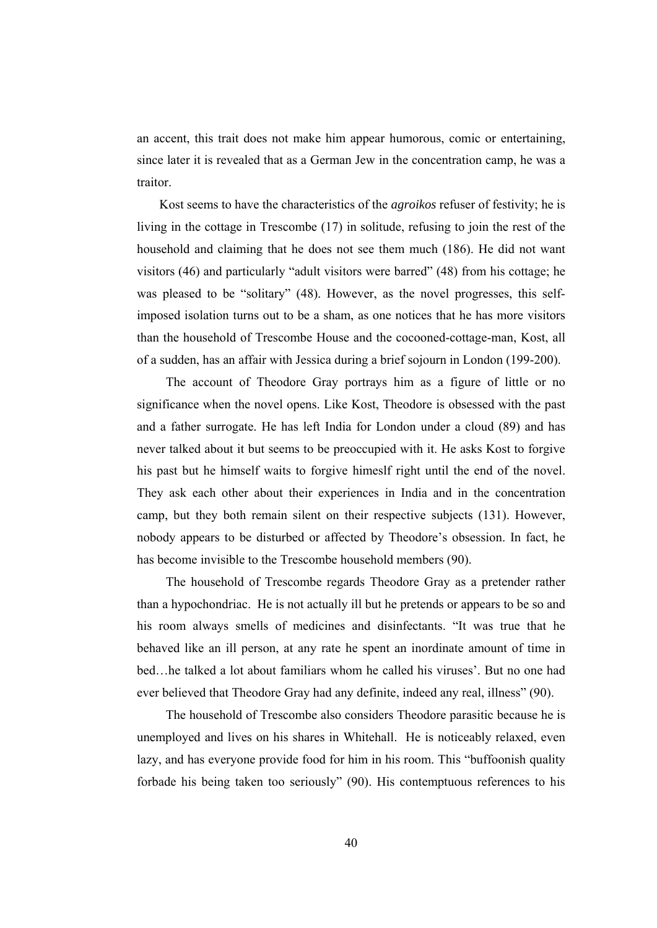an accent, this trait does not make him appear humorous, comic or entertaining, since later it is revealed that as a German Jew in the concentration camp, he was a traitor.

 Kost seems to have the characteristics of the *agroikos* refuser of festivity; he is living in the cottage in Trescombe (17) in solitude, refusing to join the rest of the household and claiming that he does not see them much (186). He did not want visitors (46) and particularly "adult visitors were barred" (48) from his cottage; he was pleased to be "solitary" (48). However, as the novel progresses, this selfimposed isolation turns out to be a sham, as one notices that he has more visitors than the household of Trescombe House and the cocooned-cottage-man, Kost, all of a sudden, has an affair with Jessica during a brief sojourn in London (199-200).

 The account of Theodore Gray portrays him as a figure of little or no significance when the novel opens. Like Kost, Theodore is obsessed with the past and a father surrogate. He has left India for London under a cloud (89) and has never talked about it but seems to be preoccupied with it. He asks Kost to forgive his past but he himself waits to forgive himeslf right until the end of the novel. They ask each other about their experiences in India and in the concentration camp, but they both remain silent on their respective subjects (131). However, nobody appears to be disturbed or affected by Theodore's obsession. In fact, he has become invisible to the Trescombe household members (90).

 The household of Trescombe regards Theodore Gray as a pretender rather than a hypochondriac. He is not actually ill but he pretends or appears to be so and his room always smells of medicines and disinfectants. "It was true that he behaved like an ill person, at any rate he spent an inordinate amount of time in bed…he talked a lot about familiars whom he called his viruses'. But no one had ever believed that Theodore Gray had any definite, indeed any real, illness" (90).

 The household of Trescombe also considers Theodore parasitic because he is unemployed and lives on his shares in Whitehall. He is noticeably relaxed, even lazy, and has everyone provide food for him in his room. This "buffoonish quality forbade his being taken too seriously" (90). His contemptuous references to his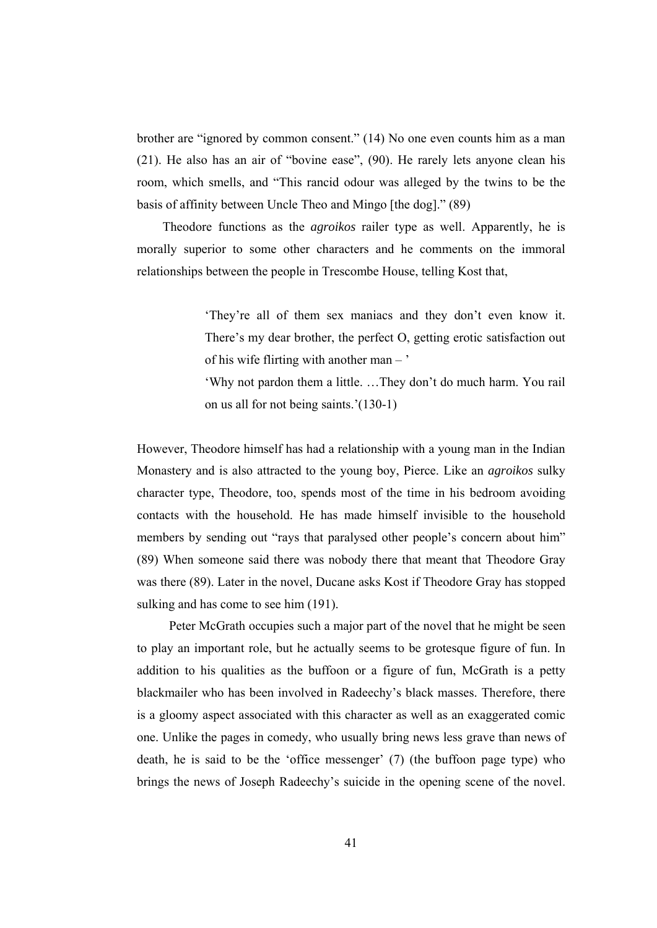brother are "ignored by common consent." (14) No one even counts him as a man (21). He also has an air of "bovine ease", (90). He rarely lets anyone clean his room, which smells, and "This rancid odour was alleged by the twins to be the basis of affinity between Uncle Theo and Mingo [the dog]." (89)

 Theodore functions as the *agroikos* railer type as well. Apparently, he is morally superior to some other characters and he comments on the immoral relationships between the people in Trescombe House, telling Kost that,

> 'They're all of them sex maniacs and they don't even know it. There's my dear brother, the perfect O, getting erotic satisfaction out of his wife flirting with another man – '

> 'Why not pardon them a little. …They don't do much harm. You rail on us all for not being saints.'(130-1)

However, Theodore himself has had a relationship with a young man in the Indian Monastery and is also attracted to the young boy, Pierce. Like an *agroikos* sulky character type, Theodore, too, spends most of the time in his bedroom avoiding contacts with the household. He has made himself invisible to the household members by sending out "rays that paralysed other people's concern about him" (89) When someone said there was nobody there that meant that Theodore Gray was there (89). Later in the novel, Ducane asks Kost if Theodore Gray has stopped sulking and has come to see him  $(191)$ .

 Peter McGrath occupies such a major part of the novel that he might be seen to play an important role, but he actually seems to be grotesque figure of fun. In addition to his qualities as the buffoon or a figure of fun, McGrath is a petty blackmailer who has been involved in Radeechy's black masses. Therefore, there is a gloomy aspect associated with this character as well as an exaggerated comic one. Unlike the pages in comedy, who usually bring news less grave than news of death, he is said to be the 'office messenger' (7) (the buffoon page type) who brings the news of Joseph Radeechy's suicide in the opening scene of the novel.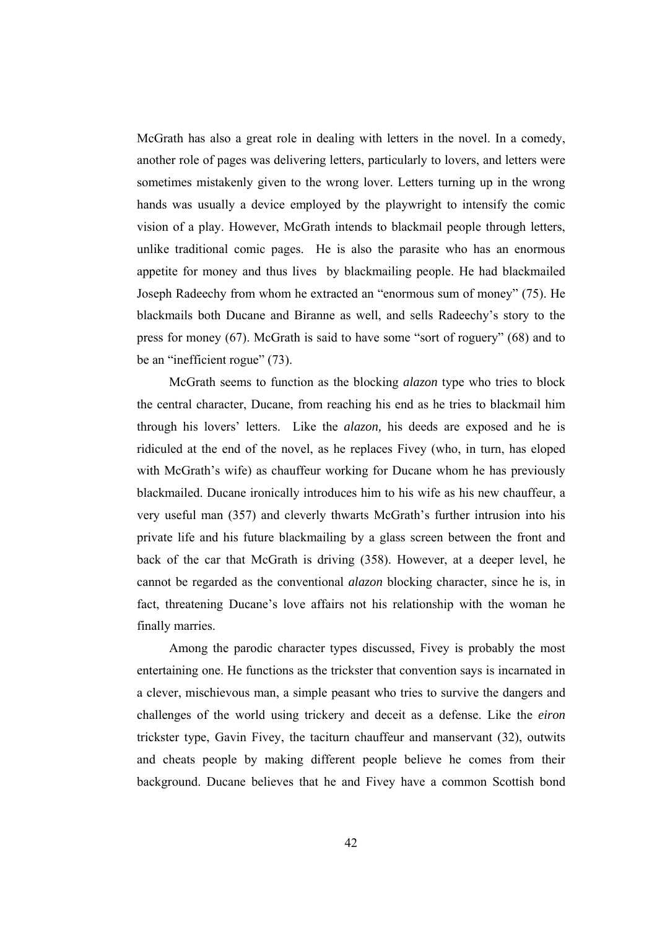McGrath has also a great role in dealing with letters in the novel. In a comedy, another role of pages was delivering letters, particularly to lovers, and letters were sometimes mistakenly given to the wrong lover. Letters turning up in the wrong hands was usually a device employed by the playwright to intensify the comic vision of a play. However, McGrath intends to blackmail people through letters, unlike traditional comic pages. He is also the parasite who has an enormous appetite for money and thus lives by blackmailing people. He had blackmailed Joseph Radeechy from whom he extracted an "enormous sum of money" (75). He blackmails both Ducane and Biranne as well, and sells Radeechy's story to the press for money (67). McGrath is said to have some "sort of roguery" (68) and to be an "inefficient rogue" (73).

 McGrath seems to function as the blocking *alazon* type who tries to block the central character, Ducane, from reaching his end as he tries to blackmail him through his lovers' letters. Like the *alazon,* his deeds are exposed and he is ridiculed at the end of the novel, as he replaces Fivey (who, in turn, has eloped with McGrath's wife) as chauffeur working for Ducane whom he has previously blackmailed. Ducane ironically introduces him to his wife as his new chauffeur, a very useful man (357) and cleverly thwarts McGrath's further intrusion into his private life and his future blackmailing by a glass screen between the front and back of the car that McGrath is driving (358). However, at a deeper level, he cannot be regarded as the conventional *alazon* blocking character, since he is, in fact, threatening Ducane's love affairs not his relationship with the woman he finally marries.

 Among the parodic character types discussed, Fivey is probably the most entertaining one. He functions as the trickster that convention says is incarnated in a clever, mischievous man, a simple peasant who tries to survive the dangers and challenges of the world using trickery and deceit as a defense. Like the *eiron* trickster type, Gavin Fivey, the taciturn chauffeur and manservant (32), outwits and cheats people by making different people believe he comes from their background. Ducane believes that he and Fivey have a common Scottish bond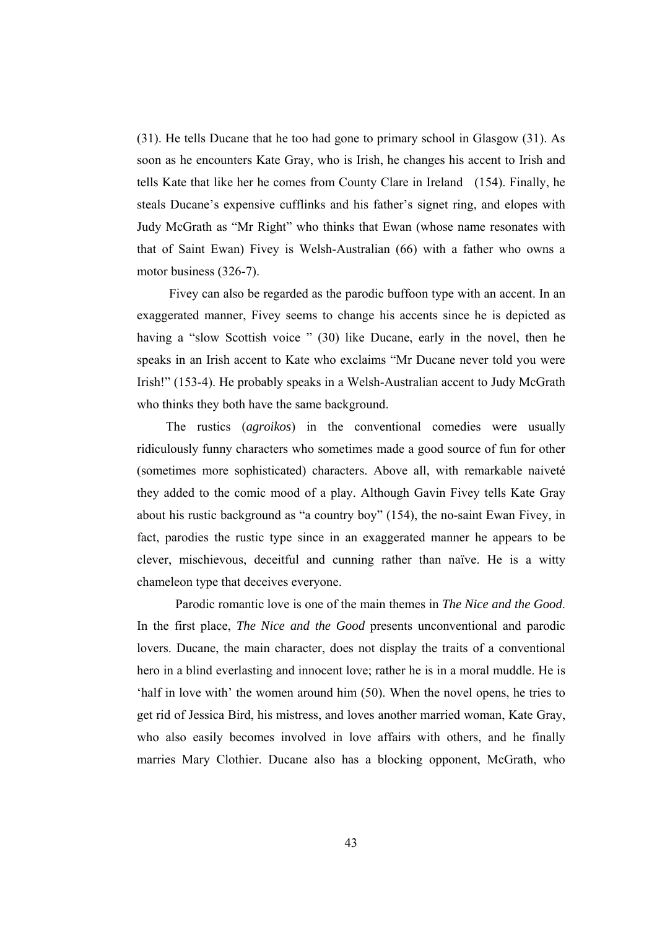(31). He tells Ducane that he too had gone to primary school in Glasgow (31). As soon as he encounters Kate Gray, who is Irish, he changes his accent to Irish and tells Kate that like her he comes from County Clare in Ireland (154). Finally, he steals Ducane's expensive cufflinks and his father's signet ring, and elopes with Judy McGrath as "Mr Right" who thinks that Ewan (whose name resonates with that of Saint Ewan) Fivey is Welsh-Australian (66) with a father who owns a motor business (326-7).

 Fivey can also be regarded as the parodic buffoon type with an accent. In an exaggerated manner, Fivey seems to change his accents since he is depicted as having a "slow Scottish voice " (30) like Ducane, early in the novel, then he speaks in an Irish accent to Kate who exclaims "Mr Ducane never told you were Irish!" (153-4). He probably speaks in a Welsh-Australian accent to Judy McGrath who thinks they both have the same background.

 The rustics (*agroikos*) in the conventional comedies were usually ridiculously funny characters who sometimes made a good source of fun for other (sometimes more sophisticated) characters. Above all, with remarkable naiveté they added to the comic mood of a play. Although Gavin Fivey tells Kate Gray about his rustic background as "a country boy" (154), the no-saint Ewan Fivey, in fact, parodies the rustic type since in an exaggerated manner he appears to be clever, mischievous, deceitful and cunning rather than naïve. He is a witty chameleon type that deceives everyone.

 Parodic romantic love is one of the main themes in *The Nice and the Good*. In the first place, *The Nice and the Good* presents unconventional and parodic lovers. Ducane, the main character, does not display the traits of a conventional hero in a blind everlasting and innocent love; rather he is in a moral muddle. He is 'half in love with' the women around him (50). When the novel opens, he tries to get rid of Jessica Bird, his mistress, and loves another married woman, Kate Gray, who also easily becomes involved in love affairs with others, and he finally marries Mary Clothier. Ducane also has a blocking opponent, McGrath, who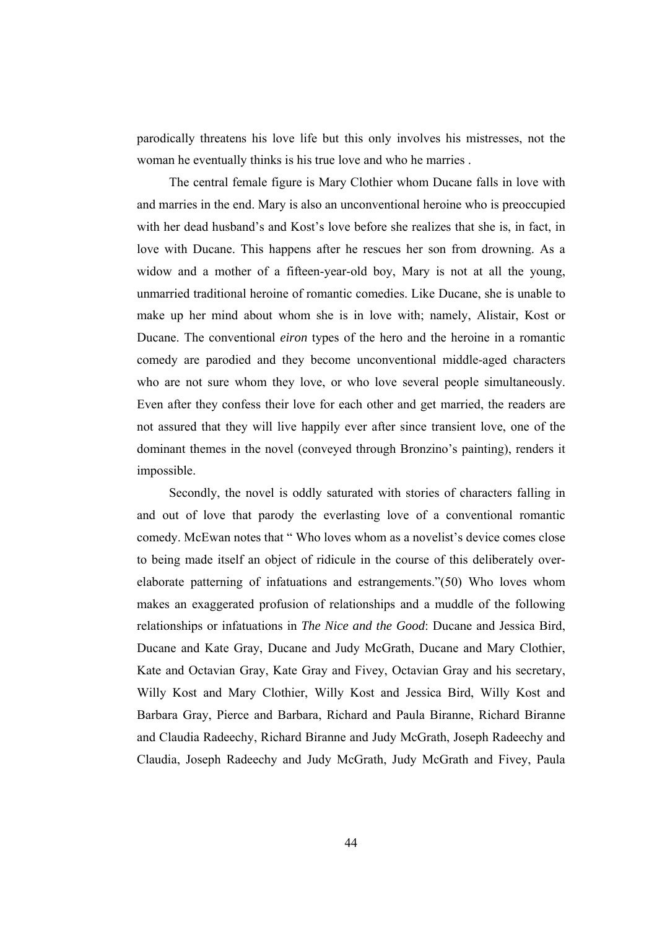parodically threatens his love life but this only involves his mistresses, not the woman he eventually thinks is his true love and who he marries .

 The central female figure is Mary Clothier whom Ducane falls in love with and marries in the end. Mary is also an unconventional heroine who is preoccupied with her dead husband's and Kost's love before she realizes that she is, in fact, in love with Ducane. This happens after he rescues her son from drowning. As a widow and a mother of a fifteen-year-old boy, Mary is not at all the young, unmarried traditional heroine of romantic comedies. Like Ducane, she is unable to make up her mind about whom she is in love with; namely, Alistair, Kost or Ducane. The conventional *eiron* types of the hero and the heroine in a romantic comedy are parodied and they become unconventional middle-aged characters who are not sure whom they love, or who love several people simultaneously. Even after they confess their love for each other and get married, the readers are not assured that they will live happily ever after since transient love, one of the dominant themes in the novel (conveyed through Bronzino's painting), renders it impossible.

 Secondly, the novel is oddly saturated with stories of characters falling in and out of love that parody the everlasting love of a conventional romantic comedy. McEwan notes that " Who loves whom as a novelist's device comes close to being made itself an object of ridicule in the course of this deliberately overelaborate patterning of infatuations and estrangements."(50) Who loves whom makes an exaggerated profusion of relationships and a muddle of the following relationships or infatuations in *The Nice and the Good*: Ducane and Jessica Bird, Ducane and Kate Gray, Ducane and Judy McGrath, Ducane and Mary Clothier, Kate and Octavian Gray, Kate Gray and Fivey, Octavian Gray and his secretary, Willy Kost and Mary Clothier, Willy Kost and Jessica Bird, Willy Kost and Barbara Gray, Pierce and Barbara, Richard and Paula Biranne, Richard Biranne and Claudia Radeechy, Richard Biranne and Judy McGrath, Joseph Radeechy and Claudia, Joseph Radeechy and Judy McGrath, Judy McGrath and Fivey, Paula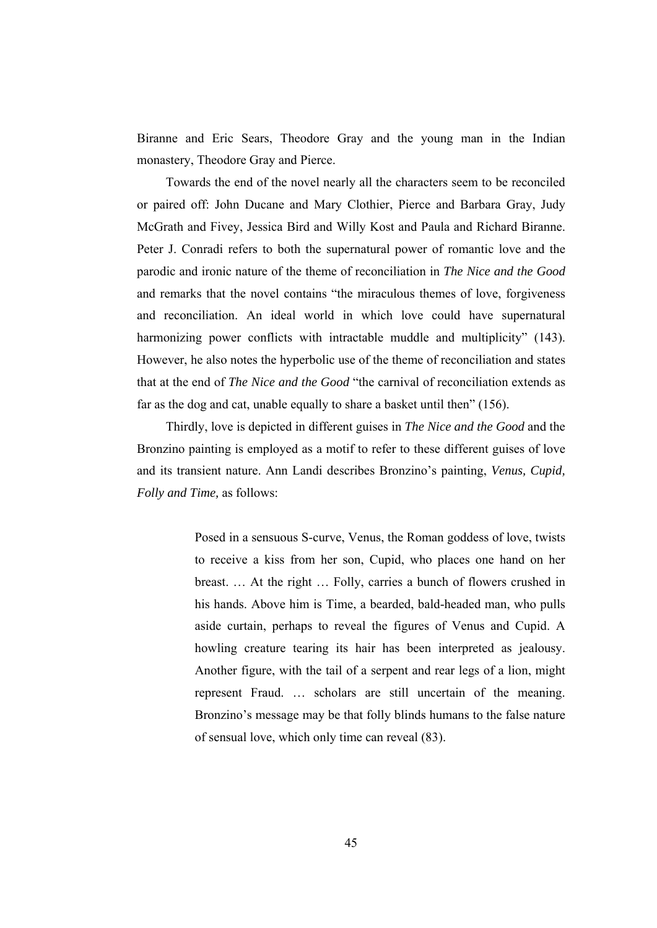Biranne and Eric Sears, Theodore Gray and the young man in the Indian monastery, Theodore Gray and Pierce.

 Towards the end of the novel nearly all the characters seem to be reconciled or paired off: John Ducane and Mary Clothier, Pierce and Barbara Gray, Judy McGrath and Fivey, Jessica Bird and Willy Kost and Paula and Richard Biranne. Peter J. Conradi refers to both the supernatural power of romantic love and the parodic and ironic nature of the theme of reconciliation in *The Nice and the Good* and remarks that the novel contains "the miraculous themes of love, forgiveness and reconciliation. An ideal world in which love could have supernatural harmonizing power conflicts with intractable muddle and multiplicity" (143). However, he also notes the hyperbolic use of the theme of reconciliation and states that at the end of *The Nice and the Good* "the carnival of reconciliation extends as far as the dog and cat, unable equally to share a basket until then" (156).

 Thirdly, love is depicted in different guises in *The Nice and the Good* and the Bronzino painting is employed as a motif to refer to these different guises of love and its transient nature. Ann Landi describes Bronzino's painting, *Venus, Cupid, Folly and Time,* as follows:

> Posed in a sensuous S-curve, Venus, the Roman goddess of love, twists to receive a kiss from her son, Cupid, who places one hand on her breast. … At the right … Folly, carries a bunch of flowers crushed in his hands. Above him is Time, a bearded, bald-headed man, who pulls aside curtain, perhaps to reveal the figures of Venus and Cupid. A howling creature tearing its hair has been interpreted as jealousy. Another figure, with the tail of a serpent and rear legs of a lion, might represent Fraud. … scholars are still uncertain of the meaning. Bronzino's message may be that folly blinds humans to the false nature of sensual love, which only time can reveal (83).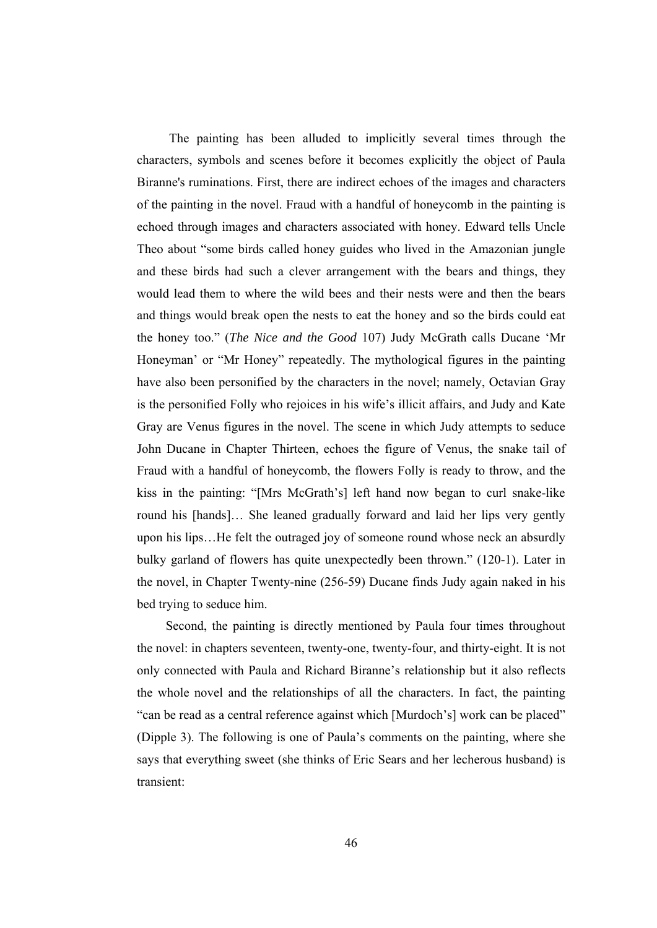The painting has been alluded to implicitly several times through the characters, symbols and scenes before it becomes explicitly the object of Paula Biranne's ruminations. First, there are indirect echoes of the images and characters of the painting in the novel. Fraud with a handful of honeycomb in the painting is echoed through images and characters associated with honey. Edward tells Uncle Theo about "some birds called honey guides who lived in the Amazonian jungle and these birds had such a clever arrangement with the bears and things, they would lead them to where the wild bees and their nests were and then the bears and things would break open the nests to eat the honey and so the birds could eat the honey too." (*The Nice and the Good* 107) Judy McGrath calls Ducane 'Mr Honeyman' or "Mr Honey" repeatedly. The mythological figures in the painting have also been personified by the characters in the novel; namely, Octavian Gray is the personified Folly who rejoices in his wife's illicit affairs, and Judy and Kate Gray are Venus figures in the novel. The scene in which Judy attempts to seduce John Ducane in Chapter Thirteen, echoes the figure of Venus, the snake tail of Fraud with a handful of honeycomb, the flowers Folly is ready to throw, and the kiss in the painting: "[Mrs McGrath's] left hand now began to curl snake-like round his [hands]… She leaned gradually forward and laid her lips very gently upon his lips…He felt the outraged joy of someone round whose neck an absurdly bulky garland of flowers has quite unexpectedly been thrown." (120-1). Later in the novel, in Chapter Twenty-nine (256-59) Ducane finds Judy again naked in his bed trying to seduce him.

Second, the painting is directly mentioned by Paula four times throughout the novel: in chapters seventeen, twenty-one, twenty-four, and thirty-eight. It is not only connected with Paula and Richard Biranne's relationship but it also reflects the whole novel and the relationships of all the characters. In fact, the painting "can be read as a central reference against which [Murdoch's] work can be placed" (Dipple 3). The following is one of Paula's comments on the painting, where she says that everything sweet (she thinks of Eric Sears and her lecherous husband) is transient: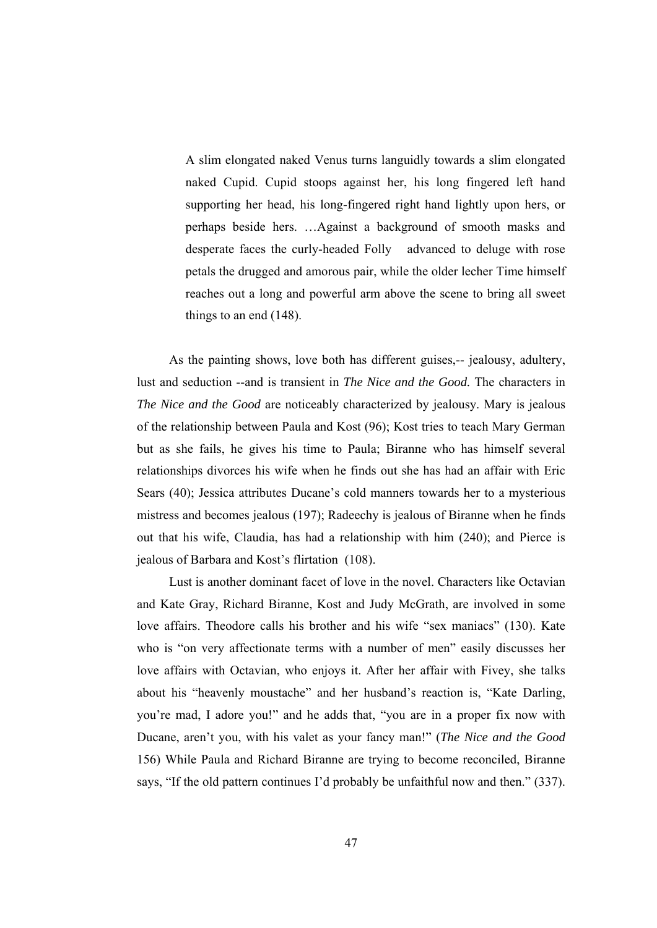A slim elongated naked Venus turns languidly towards a slim elongated naked Cupid. Cupid stoops against her, his long fingered left hand supporting her head, his long-fingered right hand lightly upon hers, or perhaps beside hers. …Against a background of smooth masks and desperate faces the curly-headed Folly advanced to deluge with rose petals the drugged and amorous pair, while the older lecher Time himself reaches out a long and powerful arm above the scene to bring all sweet things to an end (148).

As the painting shows, love both has different guises,-- jealousy, adultery, lust and seduction --and is transient in *The Nice and the Good.* The characters in *The Nice and the Good* are noticeably characterized by jealousy. Mary is jealous of the relationship between Paula and Kost (96); Kost tries to teach Mary German but as she fails, he gives his time to Paula; Biranne who has himself several relationships divorces his wife when he finds out she has had an affair with Eric Sears (40); Jessica attributes Ducane's cold manners towards her to a mysterious mistress and becomes jealous (197); Radeechy is jealous of Biranne when he finds out that his wife, Claudia, has had a relationship with him (240); and Pierce is jealous of Barbara and Kost's flirtation (108).

 Lust is another dominant facet of love in the novel. Characters like Octavian and Kate Gray, Richard Biranne, Kost and Judy McGrath, are involved in some love affairs. Theodore calls his brother and his wife "sex maniacs" (130). Kate who is "on very affectionate terms with a number of men" easily discusses her love affairs with Octavian, who enjoys it. After her affair with Fivey, she talks about his "heavenly moustache" and her husband's reaction is, "Kate Darling, you're mad, I adore you!" and he adds that, "you are in a proper fix now with Ducane, aren't you, with his valet as your fancy man!" (*The Nice and the Good* 156) While Paula and Richard Biranne are trying to become reconciled, Biranne says, "If the old pattern continues I'd probably be unfaithful now and then." (337).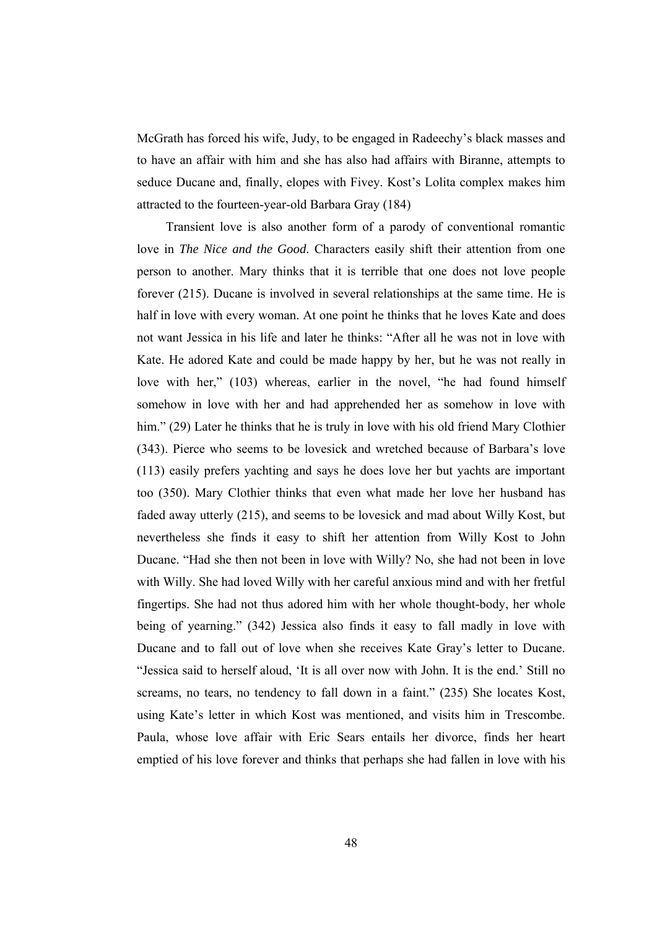McGrath has forced his wife, Judy, to be engaged in Radeechy's black masses and to have an affair with him and she has also had affairs with Biranne, attempts to seduce Ducane and, finally, elopes with Fivey. Kost's Lolita complex makes him attracted to the fourteen-year-old Barbara Gray (184)

 Transient love is also another form of a parody of conventional romantic love in *The Nice and the Good*. Characters easily shift their attention from one person to another. Mary thinks that it is terrible that one does not love people forever (215). Ducane is involved in several relationships at the same time. He is half in love with every woman. At one point he thinks that he loves Kate and does not want Jessica in his life and later he thinks: "After all he was not in love with Kate. He adored Kate and could be made happy by her, but he was not really in love with her," (103) whereas, earlier in the novel, "he had found himself somehow in love with her and had apprehended her as somehow in love with him." (29) Later he thinks that he is truly in love with his old friend Mary Clothier (343). Pierce who seems to be lovesick and wretched because of Barbara's love (113) easily prefers yachting and says he does love her but yachts are important too (350). Mary Clothier thinks that even what made her love her husband has faded away utterly (215), and seems to be lovesick and mad about Willy Kost, but nevertheless she finds it easy to shift her attention from Willy Kost to John Ducane. "Had she then not been in love with Willy? No, she had not been in love with Willy. She had loved Willy with her careful anxious mind and with her fretful fingertips. She had not thus adored him with her whole thought-body, her whole being of yearning." (342) Jessica also finds it easy to fall madly in love with Ducane and to fall out of love when she receives Kate Gray's letter to Ducane. "Jessica said to herself aloud, 'It is all over now with John. It is the end.' Still no screams, no tears, no tendency to fall down in a faint." (235) She locates Kost, using Kate's letter in which Kost was mentioned, and visits him in Trescombe. Paula, whose love affair with Eric Sears entails her divorce, finds her heart emptied of his love forever and thinks that perhaps she had fallen in love with his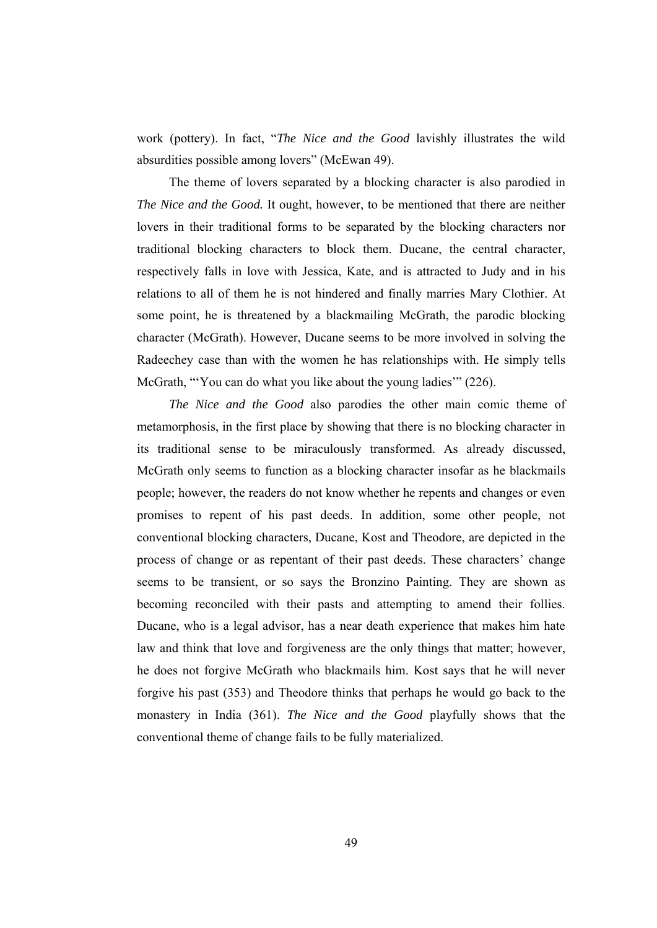work (pottery). In fact, "*The Nice and the Good* lavishly illustrates the wild absurdities possible among lovers" (McEwan 49).

 The theme of lovers separated by a blocking character is also parodied in *The Nice and the Good.* It ought, however, to be mentioned that there are neither lovers in their traditional forms to be separated by the blocking characters nor traditional blocking characters to block them. Ducane, the central character, respectively falls in love with Jessica, Kate, and is attracted to Judy and in his relations to all of them he is not hindered and finally marries Mary Clothier. At some point, he is threatened by a blackmailing McGrath, the parodic blocking character (McGrath). However, Ducane seems to be more involved in solving the Radeechey case than with the women he has relationships with. He simply tells McGrath, "You can do what you like about the young ladies" (226).

 *The Nice and the Good* also parodies the other main comic theme of metamorphosis, in the first place by showing that there is no blocking character in its traditional sense to be miraculously transformed. As already discussed, McGrath only seems to function as a blocking character insofar as he blackmails people; however, the readers do not know whether he repents and changes or even promises to repent of his past deeds. In addition, some other people, not conventional blocking characters, Ducane, Kost and Theodore, are depicted in the process of change or as repentant of their past deeds. These characters' change seems to be transient, or so says the Bronzino Painting. They are shown as becoming reconciled with their pasts and attempting to amend their follies. Ducane, who is a legal advisor, has a near death experience that makes him hate law and think that love and forgiveness are the only things that matter; however, he does not forgive McGrath who blackmails him. Kost says that he will never forgive his past (353) and Theodore thinks that perhaps he would go back to the monastery in India (361). *The Nice and the Good* playfully shows that the conventional theme of change fails to be fully materialized.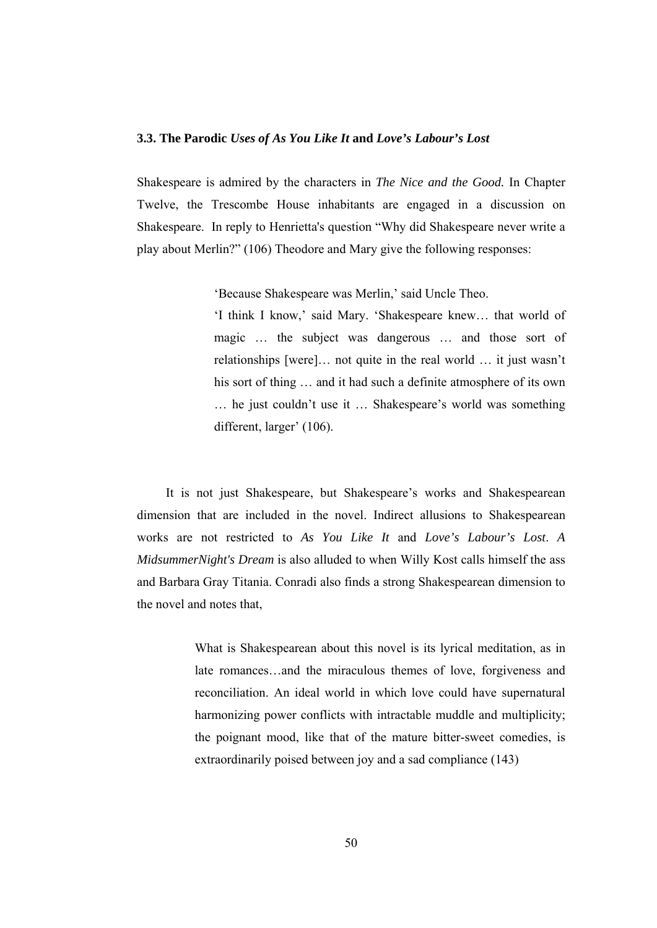## **3.3. The Parodic** *Uses of As You Like It* **and** *Love's Labour's Lost*

Shakespeare is admired by the characters in *The Nice and the Good.* In Chapter Twelve, the Trescombe House inhabitants are engaged in a discussion on Shakespeare. In reply to Henrietta's question "Why did Shakespeare never write a play about Merlin?" (106) Theodore and Mary give the following responses:

'Because Shakespeare was Merlin,' said Uncle Theo.

'I think I know,' said Mary. 'Shakespeare knew… that world of magic … the subject was dangerous … and those sort of relationships [were]… not quite in the real world … it just wasn't his sort of thing ... and it had such a definite atmosphere of its own … he just couldn't use it … Shakespeare's world was something different, larger' (106).

 It is not just Shakespeare, but Shakespeare's works and Shakespearean dimension that are included in the novel. Indirect allusions to Shakespearean works are not restricted to *As You Like It* and *Love's Labour's Lost*. *A MidsummerNight's Dream* is also alluded to when Willy Kost calls himself the ass and Barbara Gray Titania. Conradi also finds a strong Shakespearean dimension to the novel and notes that,

> What is Shakespearean about this novel is its lyrical meditation, as in late romances…and the miraculous themes of love, forgiveness and reconciliation. An ideal world in which love could have supernatural harmonizing power conflicts with intractable muddle and multiplicity; the poignant mood, like that of the mature bitter-sweet comedies, is extraordinarily poised between joy and a sad compliance (143)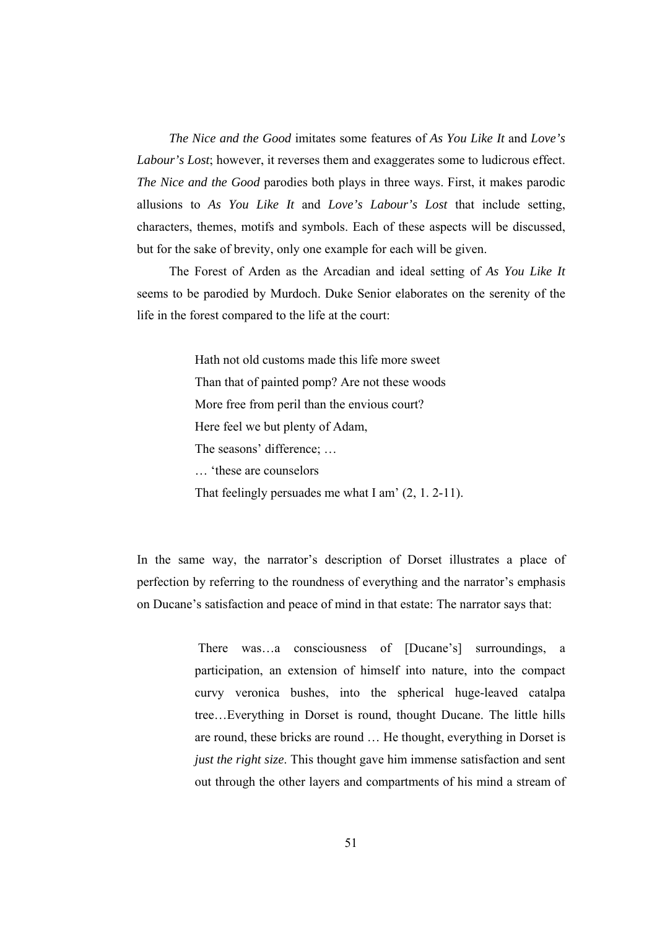*The Nice and the Good* imitates some features of *As You Like It* and *Love's Labour's Lost*; however, it reverses them and exaggerates some to ludicrous effect. *The Nice and the Good* parodies both plays in three ways. First, it makes parodic allusions to *As You Like It* and *Love's Labour's Lost* that include setting, characters, themes, motifs and symbols. Each of these aspects will be discussed, but for the sake of brevity, only one example for each will be given.

 The Forest of Arden as the Arcadian and ideal setting of *As You Like It* seems to be parodied by Murdoch. Duke Senior elaborates on the serenity of the life in the forest compared to the life at the court:

> Hath not old customs made this life more sweet Than that of painted pomp? Are not these woods More free from peril than the envious court? Here feel we but plenty of Adam, The seasons' difference; … … 'these are counselors That feelingly persuades me what I am' (2, 1. 2-11).

In the same way, the narrator's description of Dorset illustrates a place of perfection by referring to the roundness of everything and the narrator's emphasis on Ducane's satisfaction and peace of mind in that estate: The narrator says that:

> There was…a consciousness of [Ducane's] surroundings, a participation, an extension of himself into nature, into the compact curvy veronica bushes, into the spherical huge-leaved catalpa tree…Everything in Dorset is round, thought Ducane. The little hills are round, these bricks are round … He thought, everything in Dorset is *just the right size*. This thought gave him immense satisfaction and sent out through the other layers and compartments of his mind a stream of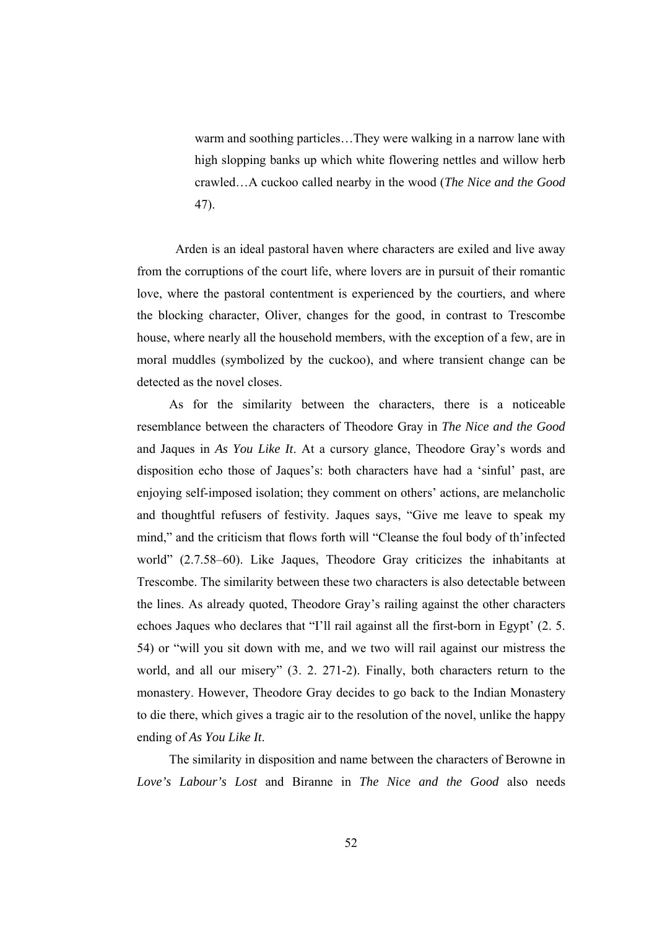warm and soothing particles…They were walking in a narrow lane with high slopping banks up which white flowering nettles and willow herb crawled…A cuckoo called nearby in the wood (*The Nice and the Good* 47).

 Arden is an ideal pastoral haven where characters are exiled and live away from the corruptions of the court life, where lovers are in pursuit of their romantic love, where the pastoral contentment is experienced by the courtiers, and where the blocking character, Oliver, changes for the good, in contrast to Trescombe house, where nearly all the household members, with the exception of a few, are in moral muddles (symbolized by the cuckoo), and where transient change can be detected as the novel closes.

 As for the similarity between the characters, there is a noticeable resemblance between the characters of Theodore Gray in *The Nice and the Good* and Jaques in *As You Like It*. At a cursory glance, Theodore Gray's words and disposition echo those of Jaques's: both characters have had a 'sinful' past, are enjoying self-imposed isolation; they comment on others' actions, are melancholic and thoughtful refusers of festivity. Jaques says, "Give me leave to speak my mind," and the criticism that flows forth will "Cleanse the foul body of th'infected world" (2.7.58–60). Like Jaques, Theodore Gray criticizes the inhabitants at Trescombe. The similarity between these two characters is also detectable between the lines. As already quoted, Theodore Gray's railing against the other characters echoes Jaques who declares that "I'll rail against all the first-born in Egypt' (2. 5. 54) or "will you sit down with me, and we two will rail against our mistress the world, and all our misery" (3. 2. 271-2). Finally, both characters return to the monastery. However, Theodore Gray decides to go back to the Indian Monastery to die there, which gives a tragic air to the resolution of the novel, unlike the happy ending of *As You Like It*.

 The similarity in disposition and name between the characters of Berowne in *Love's Labour's Lost* and Biranne in *The Nice and the Good* also needs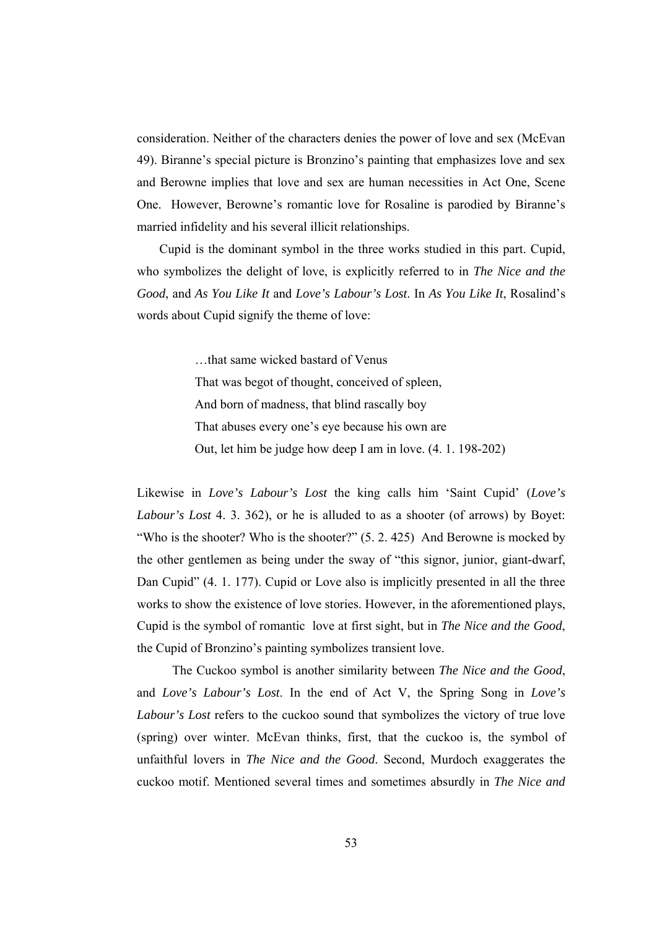consideration. Neither of the characters denies the power of love and sex (McEvan 49). Biranne's special picture is Bronzino's painting that emphasizes love and sex and Berowne implies that love and sex are human necessities in Act One, Scene One. However, Berowne's romantic love for Rosaline is parodied by Biranne's married infidelity and his several illicit relationships.

 Cupid is the dominant symbol in the three works studied in this part. Cupid, who symbolizes the delight of love, is explicitly referred to in *The Nice and the Good*, and *As You Like It* and *Love's Labour's Lost*. In *As You Like It*, Rosalind's words about Cupid signify the theme of love:

> …that same wicked bastard of Venus That was begot of thought, conceived of spleen, And born of madness, that blind rascally boy That abuses every one's eye because his own are Out, let him be judge how deep I am in love. (4. 1. 198-202)

Likewise in *Love's Labour's Lost* the king calls him 'Saint Cupid' (*Love's Labour's Lost* 4. 3. 362), or he is alluded to as a shooter (of arrows) by Boyet: "Who is the shooter? Who is the shooter?" (5. 2. 425) And Berowne is mocked by the other gentlemen as being under the sway of "this signor, junior, giant-dwarf, Dan Cupid" (4. 1. 177). Cupid or Love also is implicitly presented in all the three works to show the existence of love stories. However, in the aforementioned plays, Cupid is the symbol of romantic love at first sight, but in *The Nice and the Good*, the Cupid of Bronzino's painting symbolizes transient love.

 The Cuckoo symbol is another similarity between *The Nice and the Good*, and *Love's Labour's Lost*. In the end of Act V, the Spring Song in *Love's Labour's Lost* refers to the cuckoo sound that symbolizes the victory of true love (spring) over winter. McEvan thinks, first, that the cuckoo is, the symbol of unfaithful lovers in *The Nice and the Good*. Second, Murdoch exaggerates the cuckoo motif. Mentioned several times and sometimes absurdly in *The Nice and*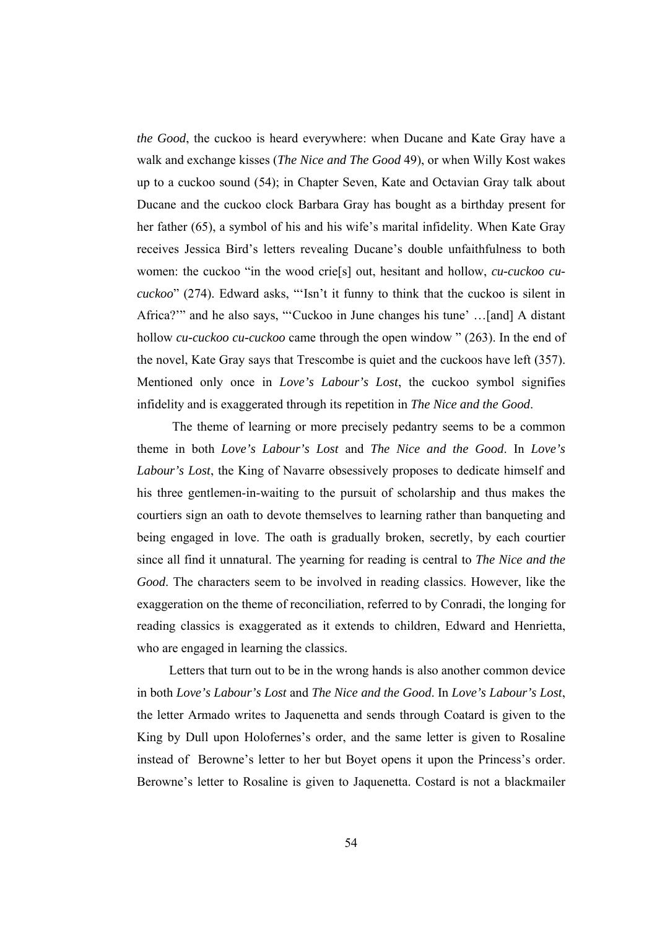*the Good*, the cuckoo is heard everywhere: when Ducane and Kate Gray have a walk and exchange kisses (*The Nice and The Good* 49), or when Willy Kost wakes up to a cuckoo sound (54); in Chapter Seven, Kate and Octavian Gray talk about Ducane and the cuckoo clock Barbara Gray has bought as a birthday present for her father (65), a symbol of his and his wife's marital infidelity. When Kate Gray receives Jessica Bird's letters revealing Ducane's double unfaithfulness to both women: the cuckoo "in the wood crie[s] out, hesitant and hollow, *cu-cuckoo cucuckoo*" (274). Edward asks, "'Isn't it funny to think that the cuckoo is silent in Africa?'" and he also says, "'Cuckoo in June changes his tune' …[and] A distant hollow *cu-cuckoo cu-cuckoo* came through the open window " (263). In the end of the novel, Kate Gray says that Trescombe is quiet and the cuckoos have left (357). Mentioned only once in *Love's Labour's Lost*, the cuckoo symbol signifies infidelity and is exaggerated through its repetition in *The Nice and the Good*.

 The theme of learning or more precisely pedantry seems to be a common theme in both *Love's Labour's Lost* and *The Nice and the Good*. In *Love's Labour's Lost*, the King of Navarre obsessively proposes to dedicate himself and his three gentlemen-in-waiting to the pursuit of scholarship and thus makes the courtiers sign an oath to devote themselves to learning rather than banqueting and being engaged in love. The oath is gradually broken, secretly, by each courtier since all find it unnatural. The yearning for reading is central to *The Nice and the Good*. The characters seem to be involved in reading classics. However, like the exaggeration on the theme of reconciliation, referred to by Conradi, the longing for reading classics is exaggerated as it extends to children, Edward and Henrietta, who are engaged in learning the classics.

 Letters that turn out to be in the wrong hands is also another common device in both *Love's Labour's Lost* and *The Nice and the Good*. In *Love's Labour's Lost*, the letter Armado writes to Jaquenetta and sends through Coatard is given to the King by Dull upon Holofernes's order, and the same letter is given to Rosaline instead of Berowne's letter to her but Boyet opens it upon the Princess's order. Berowne's letter to Rosaline is given to Jaquenetta. Costard is not a blackmailer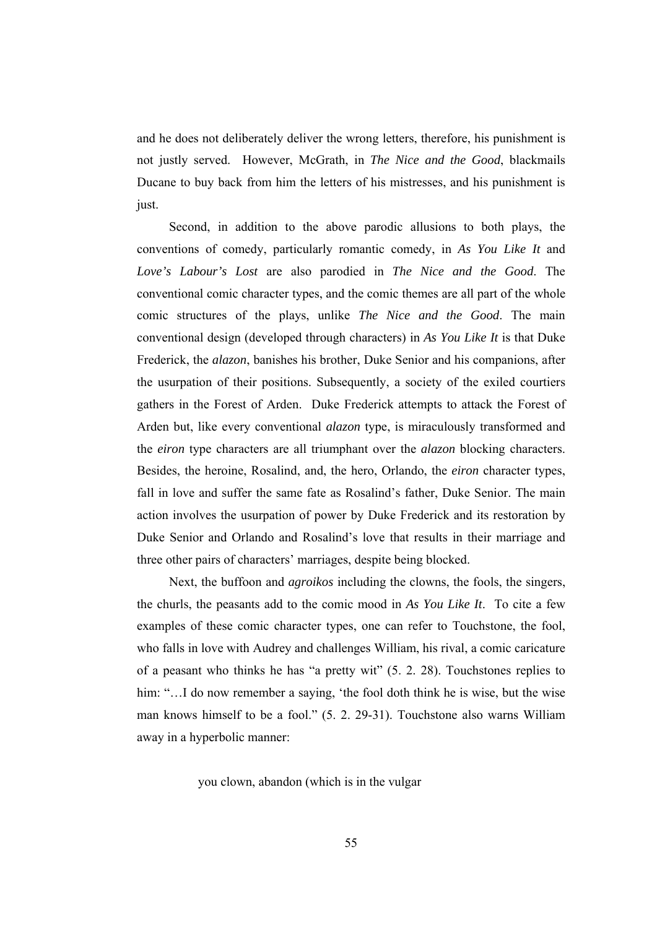and he does not deliberately deliver the wrong letters, therefore, his punishment is not justly served. However, McGrath, in *The Nice and the Good*, blackmails Ducane to buy back from him the letters of his mistresses, and his punishment is just.

 Second, in addition to the above parodic allusions to both plays, the conventions of comedy, particularly romantic comedy, in *As You Like It* and *Love's Labour's Lost* are also parodied in *The Nice and the Good*. The conventional comic character types, and the comic themes are all part of the whole comic structures of the plays, unlike *The Nice and the Good*. The main conventional design (developed through characters) in *As You Like It* is that Duke Frederick, the *alazon*, banishes his brother, Duke Senior and his companions, after the usurpation of their positions. Subsequently, a society of the exiled courtiers gathers in the Forest of Arden. Duke Frederick attempts to attack the Forest of Arden but, like every conventional *alazon* type, is miraculously transformed and the *eiron* type characters are all triumphant over the *alazon* blocking characters. Besides, the heroine, Rosalind, and, the hero, Orlando, the *eiron* character types, fall in love and suffer the same fate as Rosalind's father, Duke Senior. The main action involves the usurpation of power by Duke Frederick and its restoration by Duke Senior and Orlando and Rosalind's love that results in their marriage and three other pairs of characters' marriages, despite being blocked.

 Next, the buffoon and *agroikos* including the clowns, the fools, the singers, the churls, the peasants add to the comic mood in *As You Like It*. To cite a few examples of these comic character types, one can refer to Touchstone, the fool, who falls in love with Audrey and challenges William, his rival, a comic caricature of a peasant who thinks he has "a pretty wit" (5. 2. 28). Touchstones replies to him: "...I do now remember a saying, 'the fool doth think he is wise, but the wise man knows himself to be a fool." (5. 2. 29-31). Touchstone also warns William away in a hyperbolic manner:

you clown, abandon (which is in the vulgar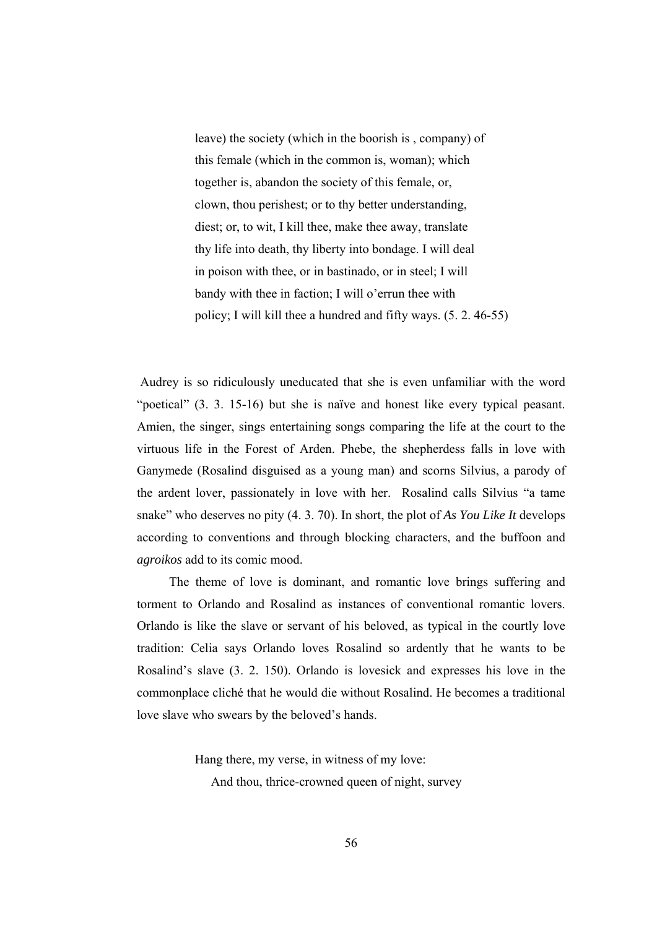leave) the society (which in the boorish is , company) of this female (which in the common is, woman); which together is, abandon the society of this female, or, clown, thou perishest; or to thy better understanding, diest; or, to wit, I kill thee, make thee away, translate thy life into death, thy liberty into bondage. I will deal in poison with thee, or in bastinado, or in steel; I will bandy with thee in faction; I will o'errun thee with policy; I will kill thee a hundred and fifty ways. (5. 2. 46-55)

 Audrey is so ridiculously uneducated that she is even unfamiliar with the word "poetical" (3. 3. 15-16) but she is naïve and honest like every typical peasant. Amien, the singer, sings entertaining songs comparing the life at the court to the virtuous life in the Forest of Arden. Phebe, the shepherdess falls in love with Ganymede (Rosalind disguised as a young man) and scorns Silvius, a parody of the ardent lover, passionately in love with her. Rosalind calls Silvius "a tame snake" who deserves no pity (4. 3. 70). In short, the plot of *As You Like It* develops according to conventions and through blocking characters, and the buffoon and *agroikos* add to its comic mood.

 The theme of love is dominant, and romantic love brings suffering and torment to Orlando and Rosalind as instances of conventional romantic lovers. Orlando is like the slave or servant of his beloved, as typical in the courtly love tradition: Celia says Orlando loves Rosalind so ardently that he wants to be Rosalind's slave (3. 2. 150). Orlando is lovesick and expresses his love in the commonplace cliché that he would die without Rosalind. He becomes a traditional love slave who swears by the beloved's hands.

> Hang there, my verse, in witness of my love: And thou, thrice-crowned queen of night, survey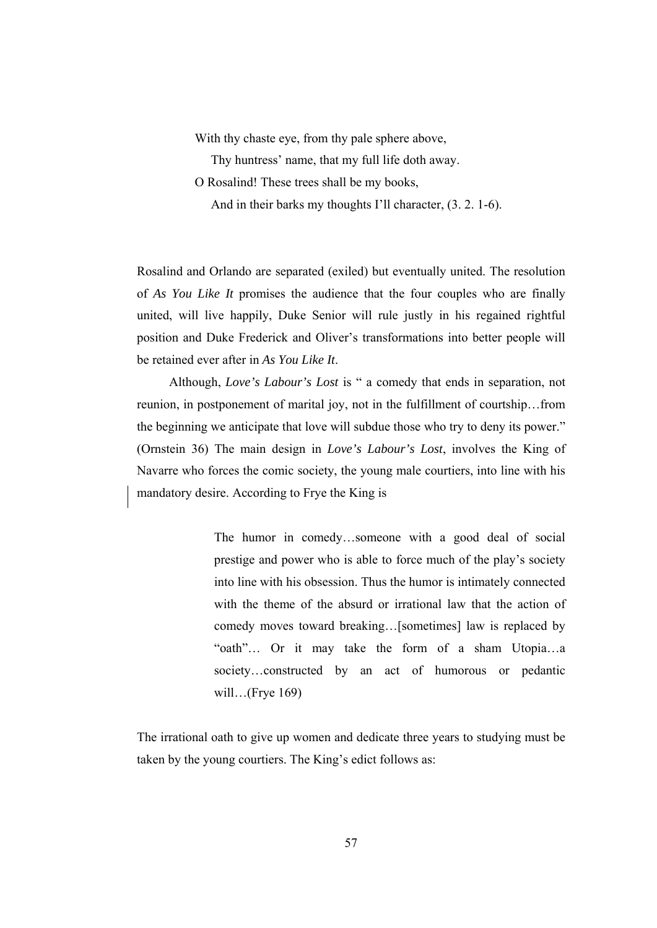With thy chaste eye, from thy pale sphere above,

Thy huntress' name, that my full life doth away.

O Rosalind! These trees shall be my books,

And in their barks my thoughts I'll character, (3. 2. 1-6).

Rosalind and Orlando are separated (exiled) but eventually united. The resolution of *As You Like It* promises the audience that the four couples who are finally united, will live happily, Duke Senior will rule justly in his regained rightful position and Duke Frederick and Oliver's transformations into better people will be retained ever after in *As You Like It*.

 Although, *Love's Labour's Lost* is " a comedy that ends in separation, not reunion, in postponement of marital joy, not in the fulfillment of courtship…from the beginning we anticipate that love will subdue those who try to deny its power." (Ornstein 36) The main design in *Love's Labour's Lost*, involves the King of Navarre who forces the comic society, the young male courtiers, into line with his mandatory desire. According to Frye the King is

> The humor in comedy…someone with a good deal of social prestige and power who is able to force much of the play's society into line with his obsession. Thus the humor is intimately connected with the theme of the absurd or irrational law that the action of comedy moves toward breaking…[sometimes] law is replaced by "oath"… Or it may take the form of a sham Utopia…a society…constructed by an act of humorous or pedantic will…(Frye 169)

The irrational oath to give up women and dedicate three years to studying must be taken by the young courtiers. The King's edict follows as: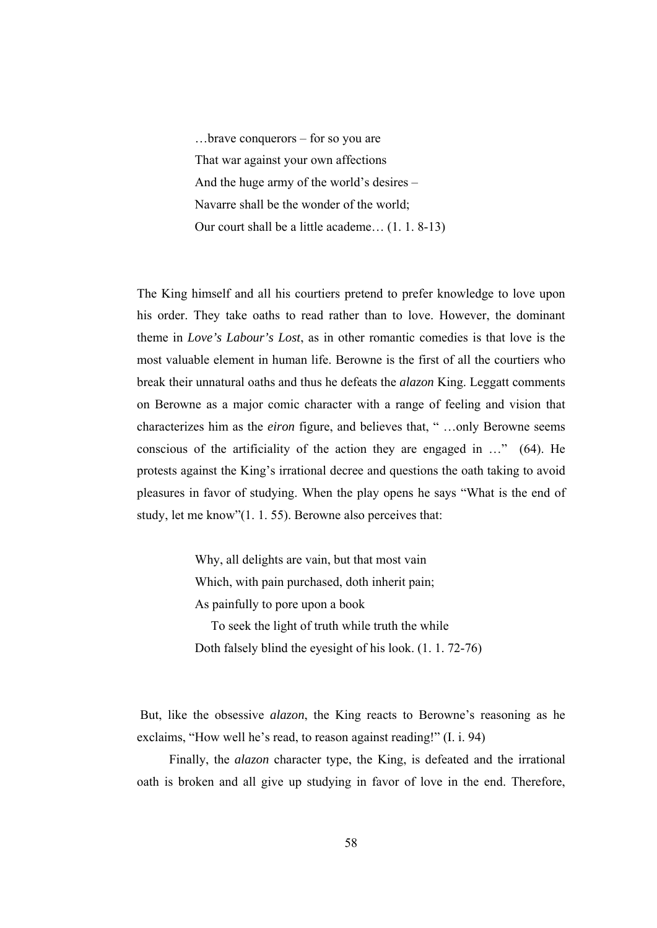…brave conquerors – for so you are That war against your own affections And the huge army of the world's desires – Navarre shall be the wonder of the world; Our court shall be a little academe… (1. 1. 8-13)

The King himself and all his courtiers pretend to prefer knowledge to love upon his order. They take oaths to read rather than to love. However, the dominant theme in *Love's Labour's Lost*, as in other romantic comedies is that love is the most valuable element in human life. Berowne is the first of all the courtiers who break their unnatural oaths and thus he defeats the *alazon* King. Leggatt comments on Berowne as a major comic character with a range of feeling and vision that characterizes him as the *eiron* figure, and believes that, " …only Berowne seems conscious of the artificiality of the action they are engaged in …" (64). He protests against the King's irrational decree and questions the oath taking to avoid pleasures in favor of studying. When the play opens he says "What is the end of study, let me know"(1. 1. 55). Berowne also perceives that:

> Why, all delights are vain, but that most vain Which, with pain purchased, doth inherit pain; As painfully to pore upon a book To seek the light of truth while truth the while

Doth falsely blind the eyesight of his look. (1. 1. 72-76)

 But, like the obsessive *alazon*, the King reacts to Berowne's reasoning as he exclaims, "How well he's read, to reason against reading!" (I. i. 94)

 Finally, the *alazon* character type, the King, is defeated and the irrational oath is broken and all give up studying in favor of love in the end. Therefore,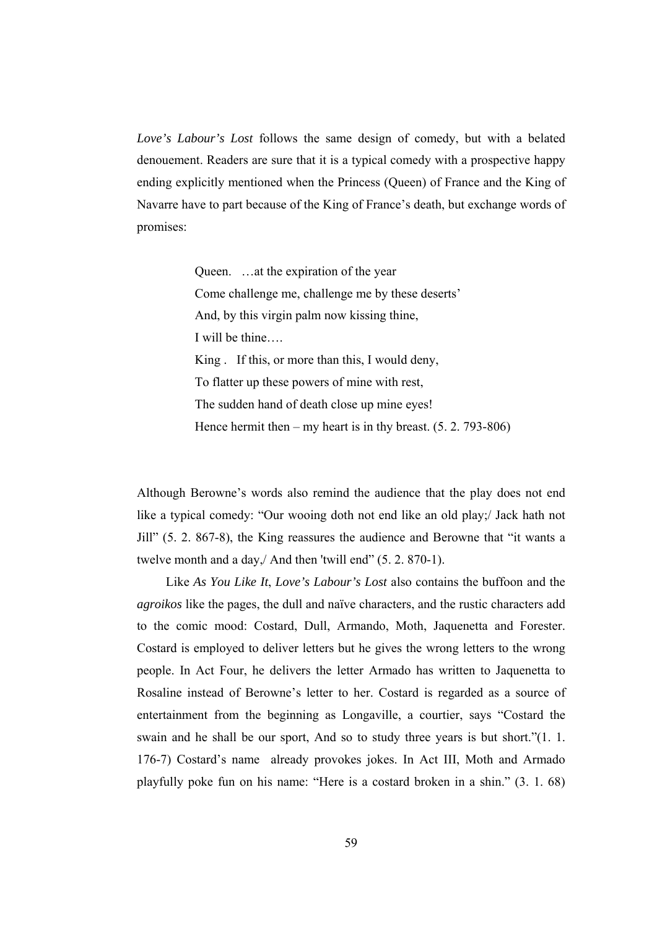*Love's Labour's Lost* follows the same design of comedy, but with a belated denouement. Readers are sure that it is a typical comedy with a prospective happy ending explicitly mentioned when the Princess (Queen) of France and the King of Navarre have to part because of the King of France's death, but exchange words of promises:

> Queen. …at the expiration of the year Come challenge me, challenge me by these deserts' And, by this virgin palm now kissing thine, I will be thine…. King . If this, or more than this, I would deny, To flatter up these powers of mine with rest, The sudden hand of death close up mine eyes! Hence hermit then – my heart is in thy breast.  $(5, 2, 793-806)$

Although Berowne's words also remind the audience that the play does not end like a typical comedy: "Our wooing doth not end like an old play;/ Jack hath not Jill" (5. 2. 867-8), the King reassures the audience and Berowne that "it wants a twelve month and a day,/ And then 'twill end" (5. 2. 870-1).

 Like *As You Like It*, *Love's Labour's Lost* also contains the buffoon and the *agroikos* like the pages, the dull and naïve characters, and the rustic characters add to the comic mood: Costard, Dull, Armando, Moth, Jaquenetta and Forester. Costard is employed to deliver letters but he gives the wrong letters to the wrong people. In Act Four, he delivers the letter Armado has written to Jaquenetta to Rosaline instead of Berowne's letter to her. Costard is regarded as a source of entertainment from the beginning as Longaville, a courtier, says "Costard the swain and he shall be our sport, And so to study three years is but short."(1. 1. 176-7) Costard's name already provokes jokes. In Act III, Moth and Armado playfully poke fun on his name: "Here is a costard broken in a shin." (3. 1. 68)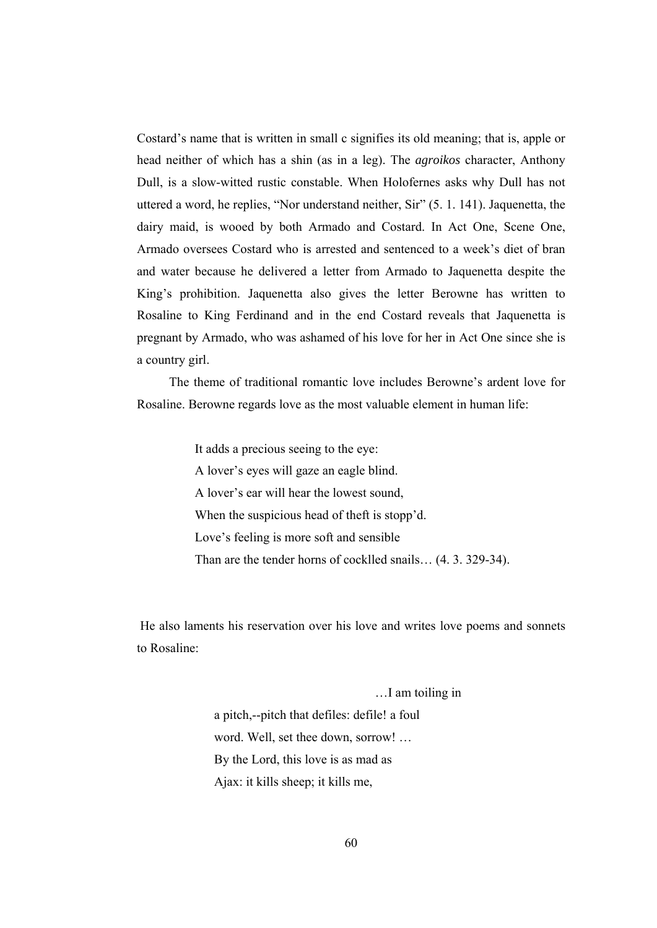Costard's name that is written in small c signifies its old meaning; that is, apple or head neither of which has a shin (as in a leg). The *agroikos* character, Anthony Dull, is a slow-witted rustic constable. When Holofernes asks why Dull has not uttered a word, he replies, "Nor understand neither, Sir" (5. 1. 141). Jaquenetta, the dairy maid, is wooed by both Armado and Costard. In Act One, Scene One, Armado oversees Costard who is arrested and sentenced to a week's diet of bran and water because he delivered a letter from Armado to Jaquenetta despite the King's prohibition. Jaquenetta also gives the letter Berowne has written to Rosaline to King Ferdinand and in the end Costard reveals that Jaquenetta is pregnant by Armado, who was ashamed of his love for her in Act One since she is a country girl.

 The theme of traditional romantic love includes Berowne's ardent love for Rosaline. Berowne regards love as the most valuable element in human life:

> It adds a precious seeing to the eye: A lover's eyes will gaze an eagle blind. A lover's ear will hear the lowest sound, When the suspicious head of theft is stopp'd. Love's feeling is more soft and sensible Than are the tender horns of cocklled snails… (4. 3. 329-34).

 He also laments his reservation over his love and writes love poems and sonnets to Rosaline:

> …I am toiling in a pitch,--pitch that defiles: defile! a foul word. Well, set thee down, sorrow! … By the Lord, this love is as mad as Ajax: it kills sheep; it kills me,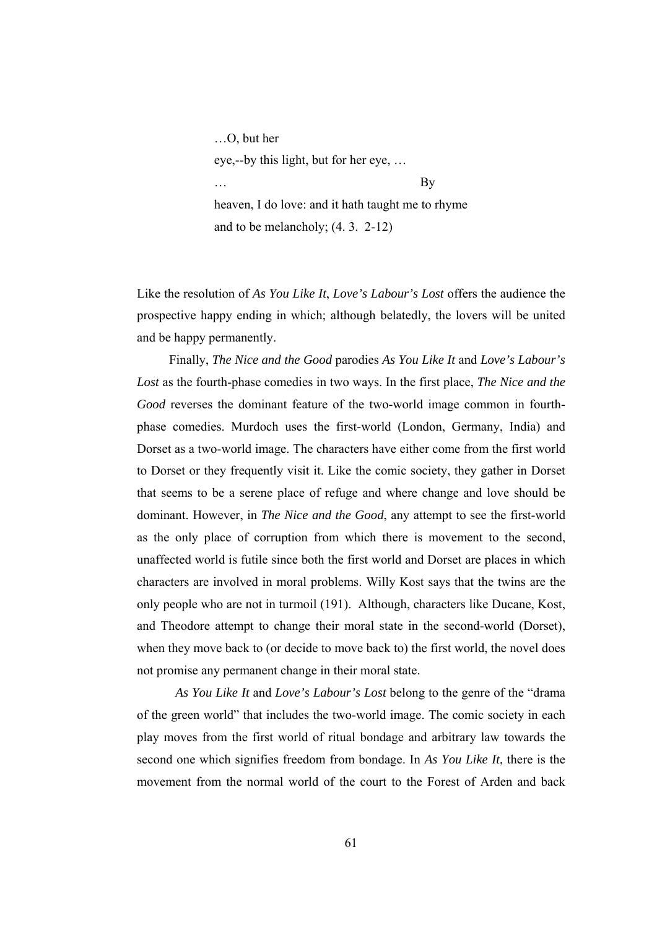…O, but her eye,--by this light, but for her eye, … … By heaven, I do love: and it hath taught me to rhyme and to be melancholy; (4. 3. 2-12)

Like the resolution of *As You Like It*, *Love's Labour's Lost* offers the audience the prospective happy ending in which; although belatedly, the lovers will be united and be happy permanently.

 Finally, *The Nice and the Good* parodies *As You Like It* and *Love's Labour's Lost* as the fourth-phase comedies in two ways. In the first place, *The Nice and the Good* reverses the dominant feature of the two-world image common in fourthphase comedies. Murdoch uses the first-world (London, Germany, India) and Dorset as a two-world image. The characters have either come from the first world to Dorset or they frequently visit it. Like the comic society, they gather in Dorset that seems to be a serene place of refuge and where change and love should be dominant. However, in *The Nice and the Good*, any attempt to see the first-world as the only place of corruption from which there is movement to the second, unaffected world is futile since both the first world and Dorset are places in which characters are involved in moral problems. Willy Kost says that the twins are the only people who are not in turmoil (191). Although, characters like Ducane, Kost, and Theodore attempt to change their moral state in the second-world (Dorset), when they move back to (or decide to move back to) the first world, the novel does not promise any permanent change in their moral state.

 *As You Like It* and *Love's Labour's Lost* belong to the genre of the "drama of the green world" that includes the two-world image. The comic society in each play moves from the first world of ritual bondage and arbitrary law towards the second one which signifies freedom from bondage. In *As You Like It*, there is the movement from the normal world of the court to the Forest of Arden and back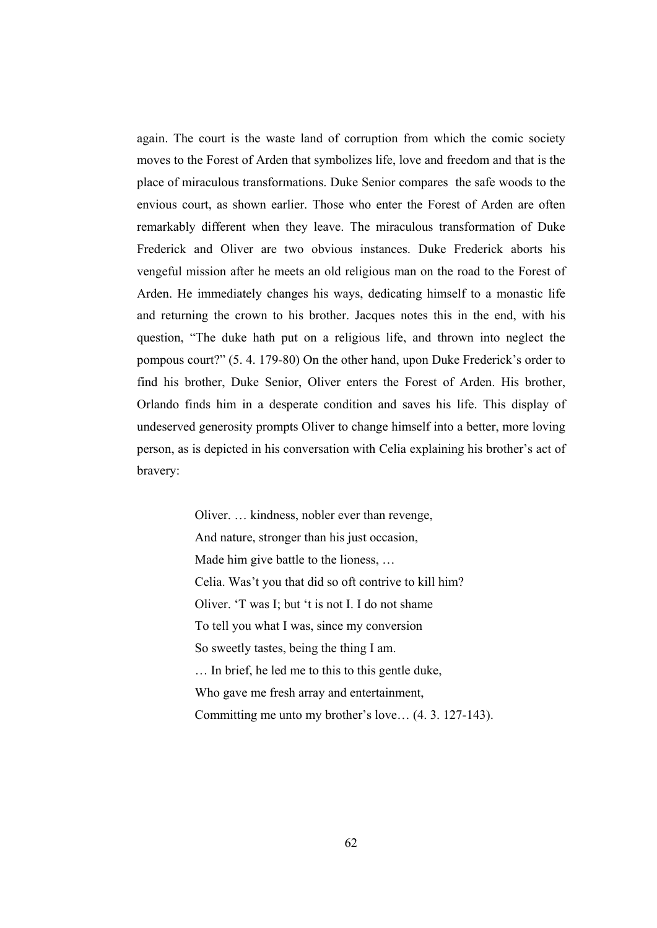again. The court is the waste land of corruption from which the comic society moves to the Forest of Arden that symbolizes life, love and freedom and that is the place of miraculous transformations. Duke Senior compares the safe woods to the envious court, as shown earlier. Those who enter the Forest of Arden are often remarkably different when they leave. The miraculous transformation of Duke Frederick and Oliver are two obvious instances. Duke Frederick aborts his vengeful mission after he meets an old religious man on the road to the Forest of Arden. He immediately changes his ways, dedicating himself to a monastic life and returning the crown to his brother. Jacques notes this in the end, with his question, "The duke hath put on a religious life, and thrown into neglect the pompous court?" (5. 4. 179-80) On the other hand, upon Duke Frederick's order to find his brother, Duke Senior, Oliver enters the Forest of Arden. His brother, Orlando finds him in a desperate condition and saves his life. This display of undeserved generosity prompts Oliver to change himself into a better, more loving person, as is depicted in his conversation with Celia explaining his brother's act of bravery:

> Oliver. … kindness, nobler ever than revenge, And nature, stronger than his just occasion, Made him give battle to the lioness, … Celia. Was't you that did so oft contrive to kill him? Oliver. 'T was I; but 't is not I. I do not shame To tell you what I was, since my conversion So sweetly tastes, being the thing I am. … In brief, he led me to this to this gentle duke, Who gave me fresh array and entertainment, Committing me unto my brother's love… (4. 3. 127-143).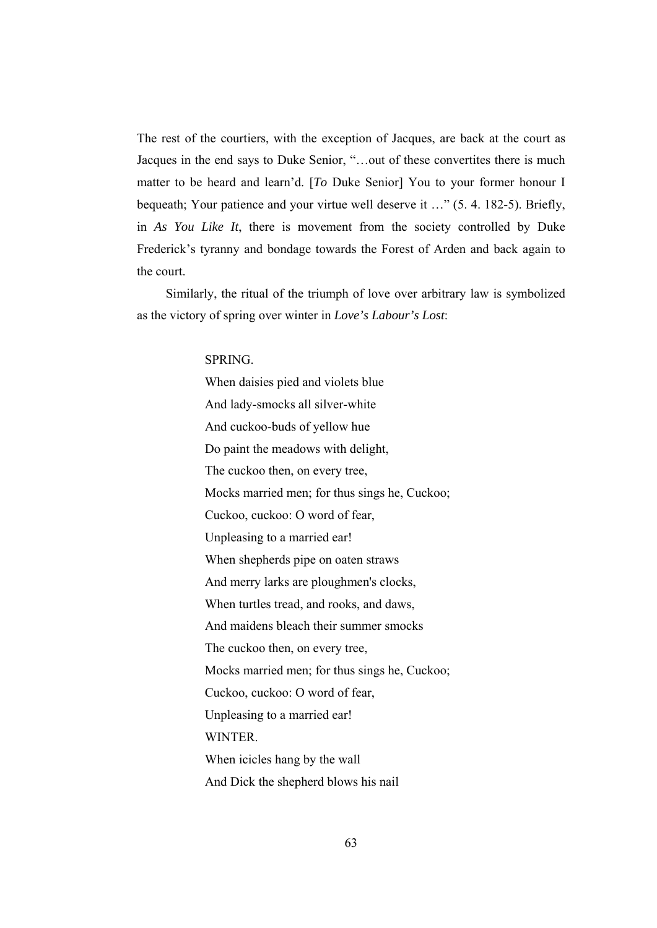The rest of the courtiers, with the exception of Jacques, are back at the court as Jacques in the end says to Duke Senior, "…out of these convertites there is much matter to be heard and learn'd. [*To* Duke Senior] You to your former honour I bequeath; Your patience and your virtue well deserve it …" (5. 4. 182-5). Briefly, in *As You Like It*, there is movement from the society controlled by Duke Frederick's tyranny and bondage towards the Forest of Arden and back again to the court.

 Similarly, the ritual of the triumph of love over arbitrary law is symbolized as the victory of spring over winter in *Love's Labour's Lost*:

SPRING.

When daisies pied and violets blue And lady-smocks all silver-white And cuckoo-buds of yellow hue Do paint the meadows with delight, The cuckoo then, on every tree, Mocks married men; for thus sings he, Cuckoo; Cuckoo, cuckoo: O word of fear, Unpleasing to a married ear! When shepherds pipe on oaten straws And merry larks are ploughmen's clocks, When turtles tread, and rooks, and daws, And maidens bleach their summer smocks The cuckoo then, on every tree, Mocks married men; for thus sings he, Cuckoo; Cuckoo, cuckoo: O word of fear, Unpleasing to a married ear! **WINTER** When icicles hang by the wall And Dick the shepherd blows his nail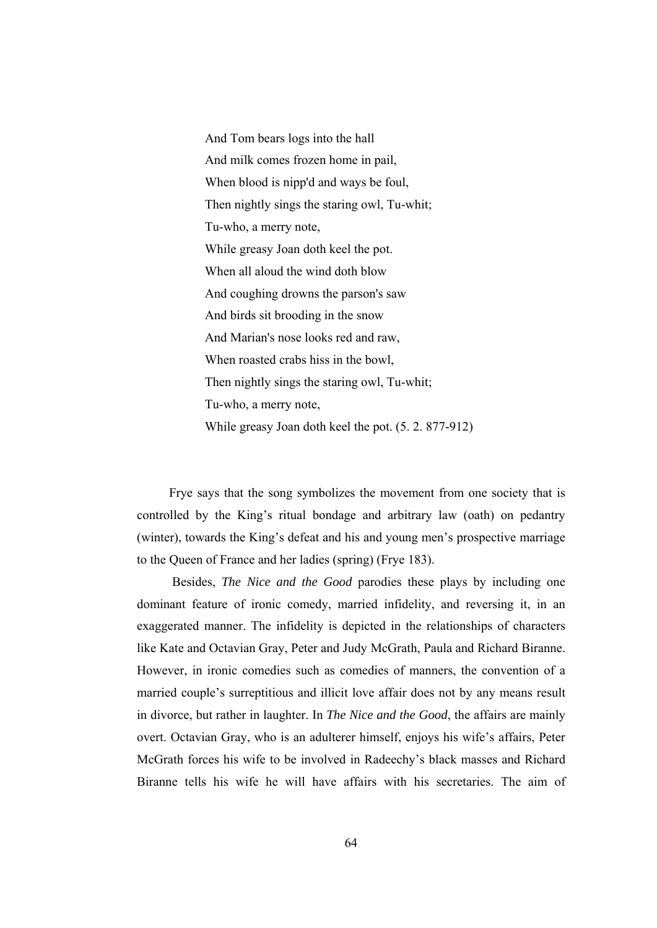And Tom bears logs into the hall And milk comes frozen home in pail, When blood is nipp'd and ways be foul, Then nightly sings the staring owl, Tu-whit; Tu-who, a merry note, While greasy Joan doth keel the pot. When all aloud the wind doth blow And coughing drowns the parson's saw And birds sit brooding in the snow And Marian's nose looks red and raw, When roasted crabs hiss in the bowl, Then nightly sings the staring owl, Tu-whit; Tu-who, a merry note, While greasy Joan doth keel the pot. (5. 2. 877-912)

 Frye says that the song symbolizes the movement from one society that is controlled by the King's ritual bondage and arbitrary law (oath) on pedantry (winter), towards the King's defeat and his and young men's prospective marriage to the Queen of France and her ladies (spring) (Frye 183).

 Besides, *The Nice and the Good* parodies these plays by including one dominant feature of ironic comedy, married infidelity, and reversing it, in an exaggerated manner. The infidelity is depicted in the relationships of characters like Kate and Octavian Gray, Peter and Judy McGrath, Paula and Richard Biranne. However, in ironic comedies such as comedies of manners, the convention of a married couple's surreptitious and illicit love affair does not by any means result in divorce, but rather in laughter. In *The Nice and the Good*, the affairs are mainly overt. Octavian Gray, who is an adulterer himself, enjoys his wife's affairs, Peter McGrath forces his wife to be involved in Radeechy's black masses and Richard Biranne tells his wife he will have affairs with his secretaries. The aim of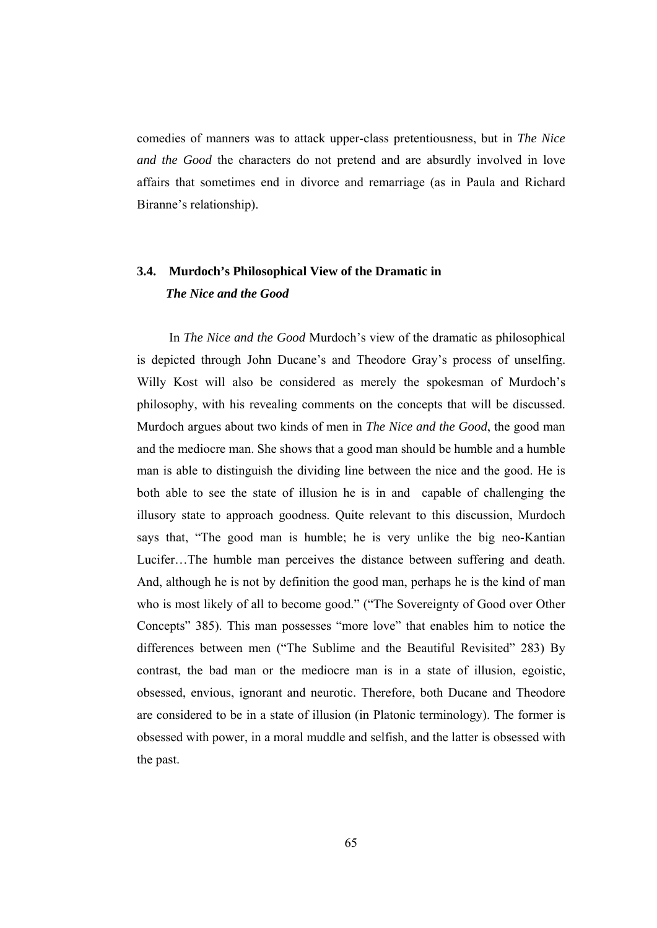comedies of manners was to attack upper-class pretentiousness, but in *The Nice and the Good* the characters do not pretend and are absurdly involved in love affairs that sometimes end in divorce and remarriage (as in Paula and Richard Biranne's relationship).

# **3.4. Murdoch's Philosophical View of the Dramatic in**   *The Nice and the Good*

 In *The Nice and the Good* Murdoch's view of the dramatic as philosophical is depicted through John Ducane's and Theodore Gray's process of unselfing. Willy Kost will also be considered as merely the spokesman of Murdoch's philosophy, with his revealing comments on the concepts that will be discussed. Murdoch argues about two kinds of men in *The Nice and the Good*, the good man and the mediocre man. She shows that a good man should be humble and a humble man is able to distinguish the dividing line between the nice and the good. He is both able to see the state of illusion he is in and capable of challenging the illusory state to approach goodness. Quite relevant to this discussion, Murdoch says that, "The good man is humble; he is very unlike the big neo-Kantian Lucifer…The humble man perceives the distance between suffering and death. And, although he is not by definition the good man, perhaps he is the kind of man who is most likely of all to become good." ("The Sovereignty of Good over Other Concepts" 385). This man possesses "more love" that enables him to notice the differences between men ("The Sublime and the Beautiful Revisited" 283) By contrast, the bad man or the mediocre man is in a state of illusion, egoistic, obsessed, envious, ignorant and neurotic. Therefore, both Ducane and Theodore are considered to be in a state of illusion (in Platonic terminology). The former is obsessed with power, in a moral muddle and selfish, and the latter is obsessed with the past.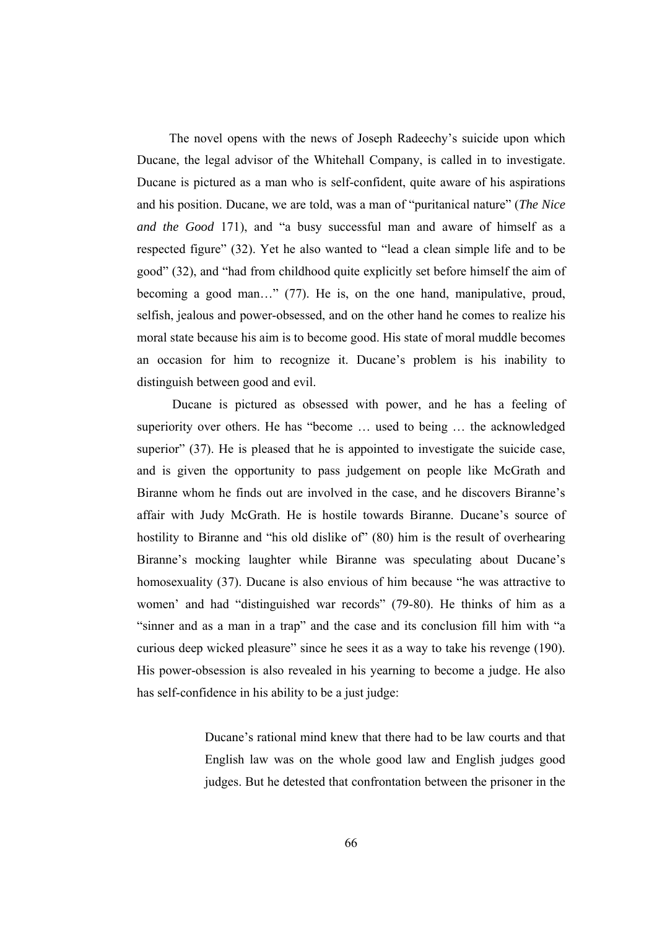The novel opens with the news of Joseph Radeechy's suicide upon which Ducane, the legal advisor of the Whitehall Company, is called in to investigate. Ducane is pictured as a man who is self-confident, quite aware of his aspirations and his position. Ducane, we are told, was a man of "puritanical nature" (*The Nice and the Good* 171), and "a busy successful man and aware of himself as a respected figure" (32). Yet he also wanted to "lead a clean simple life and to be good" (32), and "had from childhood quite explicitly set before himself the aim of becoming a good man..." (77). He is, on the one hand, manipulative, proud, selfish, jealous and power-obsessed, and on the other hand he comes to realize his moral state because his aim is to become good. His state of moral muddle becomes an occasion for him to recognize it. Ducane's problem is his inability to distinguish between good and evil.

 Ducane is pictured as obsessed with power, and he has a feeling of superiority over others. He has "become … used to being … the acknowledged superior" (37). He is pleased that he is appointed to investigate the suicide case, and is given the opportunity to pass judgement on people like McGrath and Biranne whom he finds out are involved in the case, and he discovers Biranne's affair with Judy McGrath. He is hostile towards Biranne. Ducane's source of hostility to Biranne and "his old dislike of" (80) him is the result of overhearing Biranne's mocking laughter while Biranne was speculating about Ducane's homosexuality (37). Ducane is also envious of him because "he was attractive to women' and had "distinguished war records" (79-80). He thinks of him as a "sinner and as a man in a trap" and the case and its conclusion fill him with "a curious deep wicked pleasure" since he sees it as a way to take his revenge (190). His power-obsession is also revealed in his yearning to become a judge. He also has self-confidence in his ability to be a just judge:

> Ducane's rational mind knew that there had to be law courts and that English law was on the whole good law and English judges good judges. But he detested that confrontation between the prisoner in the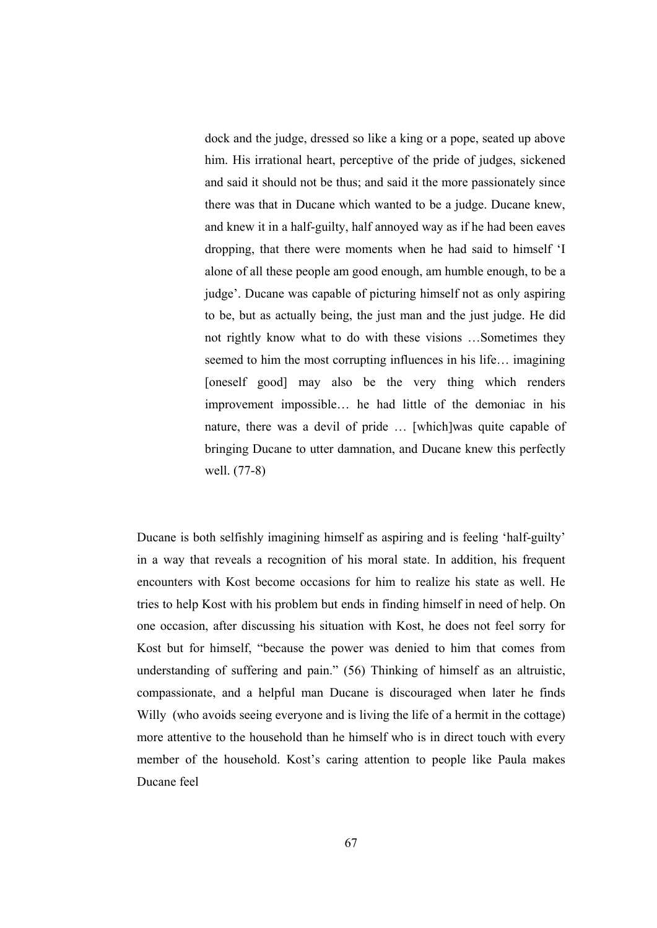dock and the judge, dressed so like a king or a pope, seated up above him. His irrational heart, perceptive of the pride of judges, sickened and said it should not be thus; and said it the more passionately since there was that in Ducane which wanted to be a judge. Ducane knew, and knew it in a half-guilty, half annoyed way as if he had been eaves dropping, that there were moments when he had said to himself 'I alone of all these people am good enough, am humble enough, to be a judge'. Ducane was capable of picturing himself not as only aspiring to be, but as actually being, the just man and the just judge. He did not rightly know what to do with these visions …Sometimes they seemed to him the most corrupting influences in his life… imagining [oneself good] may also be the very thing which renders improvement impossible… he had little of the demoniac in his nature, there was a devil of pride … [which]was quite capable of bringing Ducane to utter damnation, and Ducane knew this perfectly well. (77-8)

Ducane is both selfishly imagining himself as aspiring and is feeling 'half-guilty' in a way that reveals a recognition of his moral state. In addition, his frequent encounters with Kost become occasions for him to realize his state as well. He tries to help Kost with his problem but ends in finding himself in need of help. On one occasion, after discussing his situation with Kost, he does not feel sorry for Kost but for himself, "because the power was denied to him that comes from understanding of suffering and pain." (56) Thinking of himself as an altruistic, compassionate, and a helpful man Ducane is discouraged when later he finds Willy (who avoids seeing everyone and is living the life of a hermit in the cottage) more attentive to the household than he himself who is in direct touch with every member of the household. Kost's caring attention to people like Paula makes Ducane feel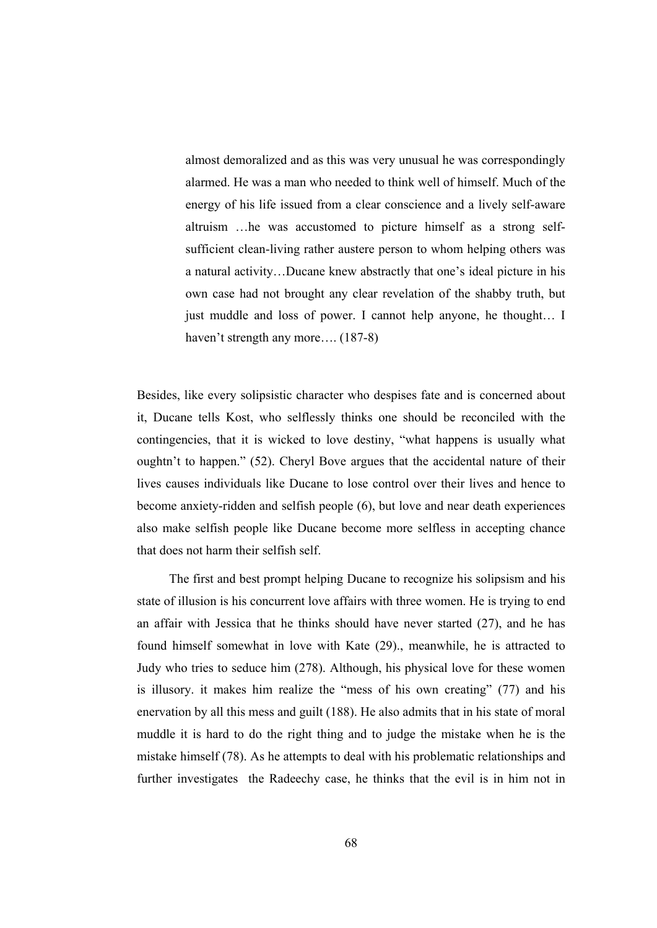almost demoralized and as this was very unusual he was correspondingly alarmed. He was a man who needed to think well of himself. Much of the energy of his life issued from a clear conscience and a lively self-aware altruism …he was accustomed to picture himself as a strong selfsufficient clean-living rather austere person to whom helping others was a natural activity…Ducane knew abstractly that one's ideal picture in his own case had not brought any clear revelation of the shabby truth, but just muddle and loss of power. I cannot help anyone, he thought… I haven't strength any more.... (187-8)

Besides, like every solipsistic character who despises fate and is concerned about it, Ducane tells Kost, who selflessly thinks one should be reconciled with the contingencies, that it is wicked to love destiny, "what happens is usually what oughtn't to happen." (52). Cheryl Bove argues that the accidental nature of their lives causes individuals like Ducane to lose control over their lives and hence to become anxiety-ridden and selfish people (6), but love and near death experiences also make selfish people like Ducane become more selfless in accepting chance that does not harm their selfish self.

 The first and best prompt helping Ducane to recognize his solipsism and his state of illusion is his concurrent love affairs with three women. He is trying to end an affair with Jessica that he thinks should have never started (27), and he has found himself somewhat in love with Kate (29)., meanwhile, he is attracted to Judy who tries to seduce him (278). Although, his physical love for these women is illusory. it makes him realize the "mess of his own creating" (77) and his enervation by all this mess and guilt (188). He also admits that in his state of moral muddle it is hard to do the right thing and to judge the mistake when he is the mistake himself (78). As he attempts to deal with his problematic relationships and further investigates the Radeechy case, he thinks that the evil is in him not in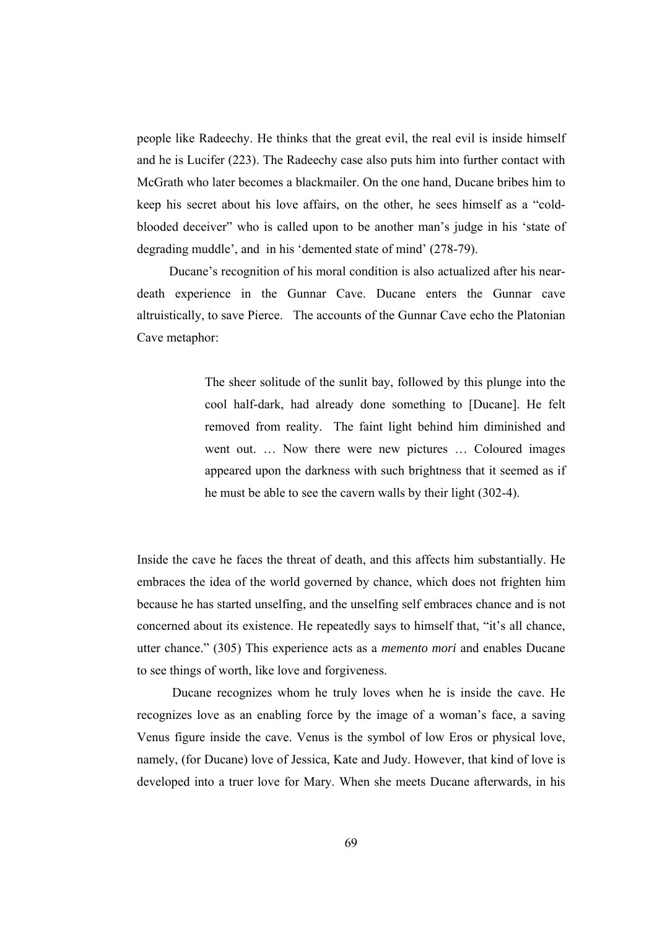people like Radeechy. He thinks that the great evil, the real evil is inside himself and he is Lucifer (223). The Radeechy case also puts him into further contact with McGrath who later becomes a blackmailer. On the one hand, Ducane bribes him to keep his secret about his love affairs, on the other, he sees himself as a "coldblooded deceiver" who is called upon to be another man's judge in his 'state of degrading muddle', and in his 'demented state of mind' (278-79).

 Ducane's recognition of his moral condition is also actualized after his neardeath experience in the Gunnar Cave. Ducane enters the Gunnar cave altruistically, to save Pierce. The accounts of the Gunnar Cave echo the Platonian Cave metaphor:

> The sheer solitude of the sunlit bay, followed by this plunge into the cool half-dark, had already done something to [Ducane]. He felt removed from reality. The faint light behind him diminished and went out. … Now there were new pictures … Coloured images appeared upon the darkness with such brightness that it seemed as if he must be able to see the cavern walls by their light (302-4).

Inside the cave he faces the threat of death, and this affects him substantially. He embraces the idea of the world governed by chance, which does not frighten him because he has started unselfing, and the unselfing self embraces chance and is not concerned about its existence. He repeatedly says to himself that, "it's all chance, utter chance." (305) This experience acts as a *memento mori* and enables Ducane to see things of worth, like love and forgiveness.

 Ducane recognizes whom he truly loves when he is inside the cave. He recognizes love as an enabling force by the image of a woman's face, a saving Venus figure inside the cave. Venus is the symbol of low Eros or physical love, namely, (for Ducane) love of Jessica, Kate and Judy. However, that kind of love is developed into a truer love for Mary. When she meets Ducane afterwards, in his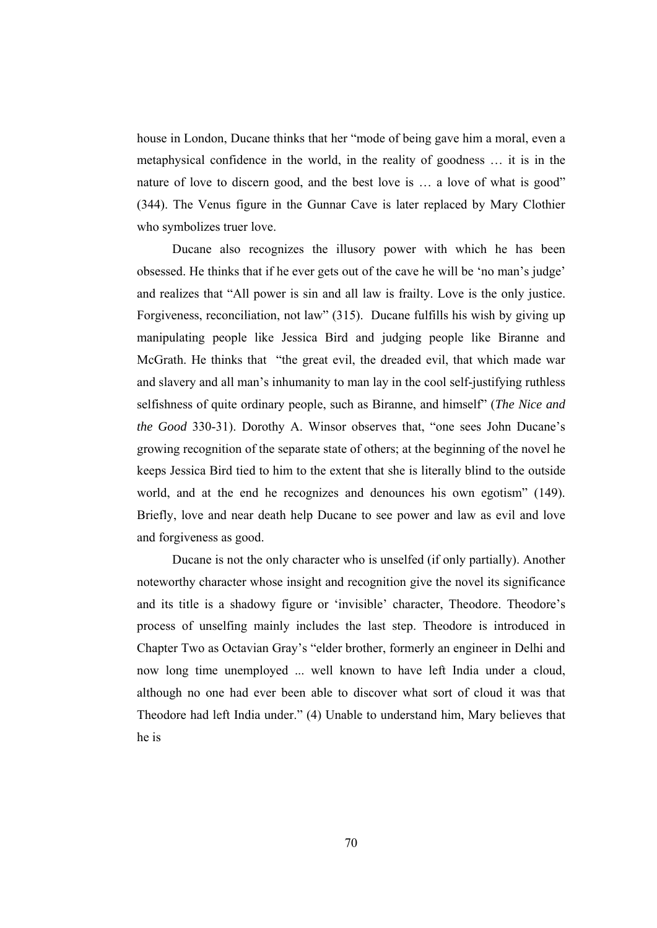house in London, Ducane thinks that her "mode of being gave him a moral, even a metaphysical confidence in the world, in the reality of goodness … it is in the nature of love to discern good, and the best love is … a love of what is good" (344). The Venus figure in the Gunnar Cave is later replaced by Mary Clothier who symbolizes truer love.

 Ducane also recognizes the illusory power with which he has been obsessed. He thinks that if he ever gets out of the cave he will be 'no man's judge' and realizes that "All power is sin and all law is frailty. Love is the only justice. Forgiveness, reconciliation, not law" (315). Ducane fulfills his wish by giving up manipulating people like Jessica Bird and judging people like Biranne and McGrath. He thinks that "the great evil, the dreaded evil, that which made war and slavery and all man's inhumanity to man lay in the cool self-justifying ruthless selfishness of quite ordinary people, such as Biranne, and himself" (*The Nice and the Good* 330-31). Dorothy A. Winsor observes that, "one sees John Ducane's growing recognition of the separate state of others; at the beginning of the novel he keeps Jessica Bird tied to him to the extent that she is literally blind to the outside world, and at the end he recognizes and denounces his own egotism" (149). Briefly, love and near death help Ducane to see power and law as evil and love and forgiveness as good.

 Ducane is not the only character who is unselfed (if only partially). Another noteworthy character whose insight and recognition give the novel its significance and its title is a shadowy figure or 'invisible' character, Theodore. Theodore's process of unselfing mainly includes the last step. Theodore is introduced in Chapter Two as Octavian Gray's "elder brother, formerly an engineer in Delhi and now long time unemployed ... well known to have left India under a cloud, although no one had ever been able to discover what sort of cloud it was that Theodore had left India under." (4) Unable to understand him, Mary believes that he is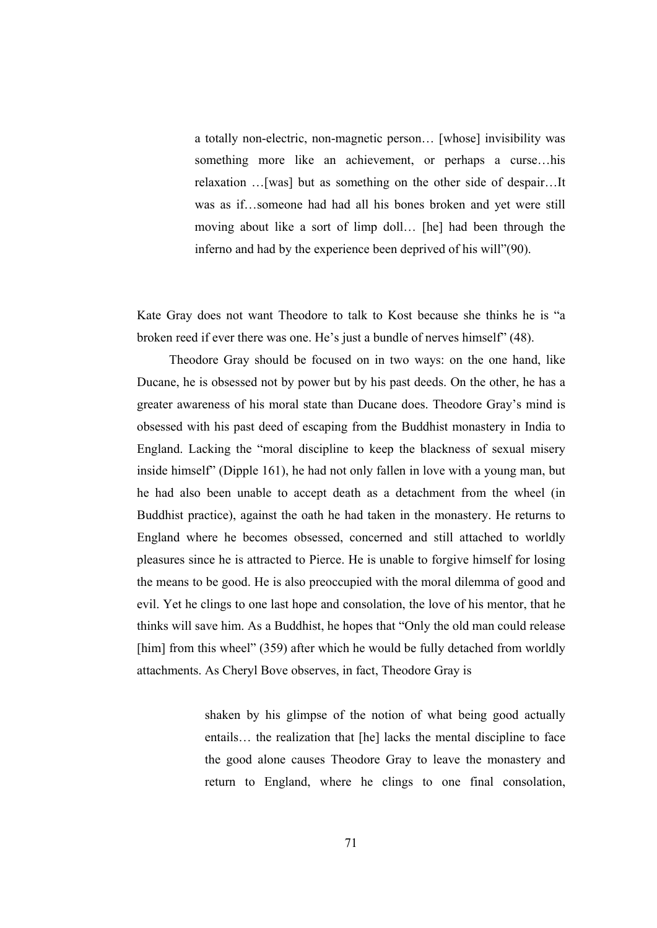a totally non-electric, non-magnetic person… [whose] invisibility was something more like an achievement, or perhaps a curse…his relaxation …[was] but as something on the other side of despair…It was as if…someone had had all his bones broken and yet were still moving about like a sort of limp doll… [he] had been through the inferno and had by the experience been deprived of his will"(90).

Kate Gray does not want Theodore to talk to Kost because she thinks he is "a broken reed if ever there was one. He's just a bundle of nerves himself" (48).

 Theodore Gray should be focused on in two ways: on the one hand, like Ducane, he is obsessed not by power but by his past deeds. On the other, he has a greater awareness of his moral state than Ducane does. Theodore Gray's mind is obsessed with his past deed of escaping from the Buddhist monastery in India to England. Lacking the "moral discipline to keep the blackness of sexual misery inside himself" (Dipple 161), he had not only fallen in love with a young man, but he had also been unable to accept death as a detachment from the wheel (in Buddhist practice), against the oath he had taken in the monastery. He returns to England where he becomes obsessed, concerned and still attached to worldly pleasures since he is attracted to Pierce. He is unable to forgive himself for losing the means to be good. He is also preoccupied with the moral dilemma of good and evil. Yet he clings to one last hope and consolation, the love of his mentor, that he thinks will save him. As a Buddhist, he hopes that "Only the old man could release [him] from this wheel" (359) after which he would be fully detached from worldly attachments. As Cheryl Bove observes, in fact, Theodore Gray is

> shaken by his glimpse of the notion of what being good actually entails… the realization that [he] lacks the mental discipline to face the good alone causes Theodore Gray to leave the monastery and return to England, where he clings to one final consolation,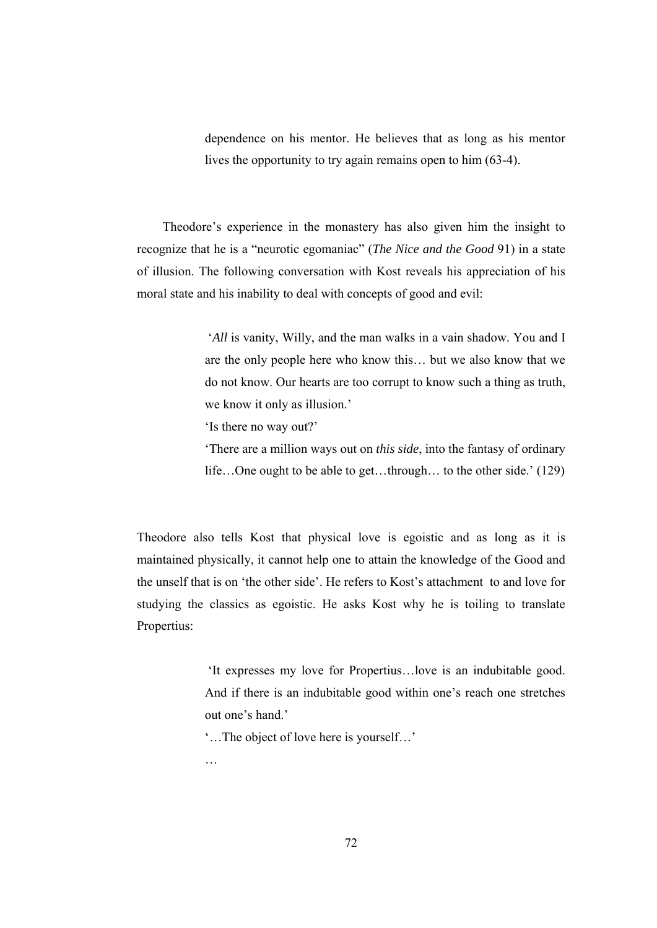dependence on his mentor. He believes that as long as his mentor lives the opportunity to try again remains open to him (63-4).

 Theodore's experience in the monastery has also given him the insight to recognize that he is a "neurotic egomaniac" (*The Nice and the Good* 91) in a state of illusion. The following conversation with Kost reveals his appreciation of his moral state and his inability to deal with concepts of good and evil:

> '*All* is vanity, Willy, and the man walks in a vain shadow. You and I are the only people here who know this… but we also know that we do not know. Our hearts are too corrupt to know such a thing as truth, we know it only as illusion.'

'Is there no way out?'

'There are a million ways out on *this side*, into the fantasy of ordinary life…One ought to be able to get…through… to the other side.' (129)

Theodore also tells Kost that physical love is egoistic and as long as it is maintained physically, it cannot help one to attain the knowledge of the Good and the unself that is on 'the other side'. He refers to Kost's attachment to and love for studying the classics as egoistic. He asks Kost why he is toiling to translate Propertius:

> 'It expresses my love for Propertius…love is an indubitable good. And if there is an indubitable good within one's reach one stretches out one's hand.

'…The object of love here is yourself…'

…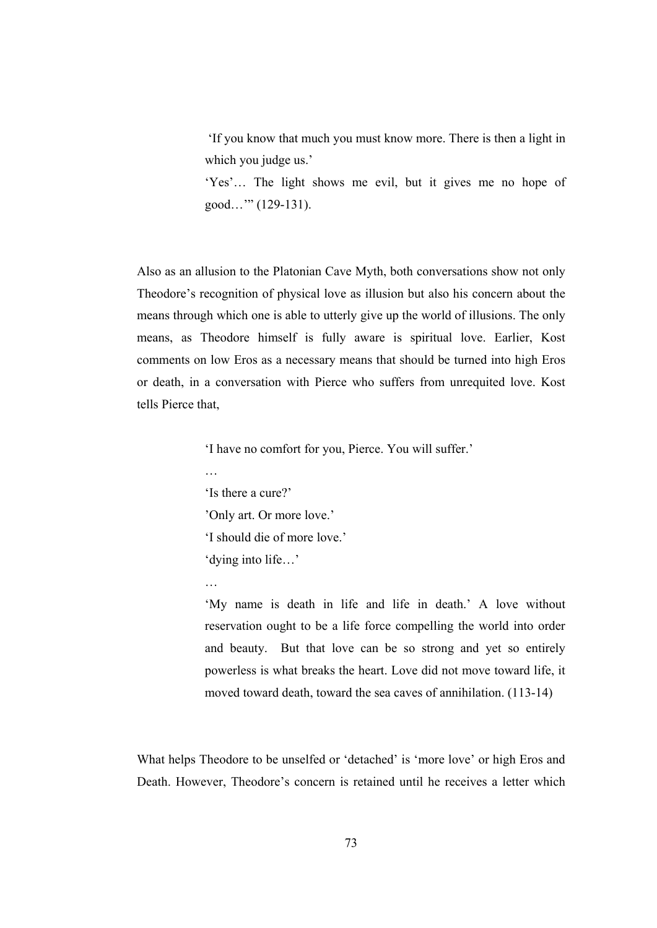'If you know that much you must know more. There is then a light in which you judge us.'

'Yes'… The light shows me evil, but it gives me no hope of good…'" (129-131).

Also as an allusion to the Platonian Cave Myth, both conversations show not only Theodore's recognition of physical love as illusion but also his concern about the means through which one is able to utterly give up the world of illusions. The only means, as Theodore himself is fully aware is spiritual love. Earlier, Kost comments on low Eros as a necessary means that should be turned into high Eros or death, in a conversation with Pierce who suffers from unrequited love. Kost tells Pierce that,

'I have no comfort for you, Pierce. You will suffer.'

'Is there a cure?' 'Only art. Or more love.' 'I should die of more love.' 'dying into life…'

…

…

'My name is death in life and life in death.' A love without reservation ought to be a life force compelling the world into order and beauty. But that love can be so strong and yet so entirely powerless is what breaks the heart. Love did not move toward life, it moved toward death, toward the sea caves of annihilation. (113-14)

What helps Theodore to be unselfed or 'detached' is 'more love' or high Eros and Death. However, Theodore's concern is retained until he receives a letter which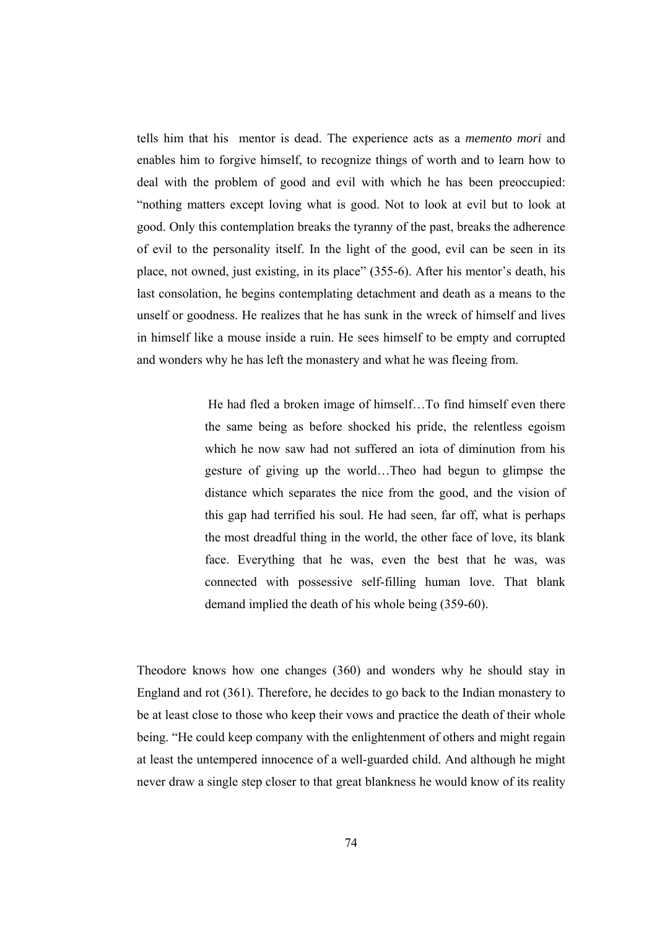tells him that his mentor is dead. The experience acts as a *memento mori* and enables him to forgive himself, to recognize things of worth and to learn how to deal with the problem of good and evil with which he has been preoccupied: "nothing matters except loving what is good. Not to look at evil but to look at good. Only this contemplation breaks the tyranny of the past, breaks the adherence of evil to the personality itself. In the light of the good, evil can be seen in its place, not owned, just existing, in its place" (355-6). After his mentor's death, his last consolation, he begins contemplating detachment and death as a means to the unself or goodness. He realizes that he has sunk in the wreck of himself and lives in himself like a mouse inside a ruin. He sees himself to be empty and corrupted and wonders why he has left the monastery and what he was fleeing from.

> He had fled a broken image of himself…To find himself even there the same being as before shocked his pride, the relentless egoism which he now saw had not suffered an iota of diminution from his gesture of giving up the world…Theo had begun to glimpse the distance which separates the nice from the good, and the vision of this gap had terrified his soul. He had seen, far off, what is perhaps the most dreadful thing in the world, the other face of love, its blank face. Everything that he was, even the best that he was, was connected with possessive self-filling human love. That blank demand implied the death of his whole being (359-60).

Theodore knows how one changes (360) and wonders why he should stay in England and rot (361). Therefore, he decides to go back to the Indian monastery to be at least close to those who keep their vows and practice the death of their whole being. "He could keep company with the enlightenment of others and might regain at least the untempered innocence of a well-guarded child. And although he might never draw a single step closer to that great blankness he would know of its reality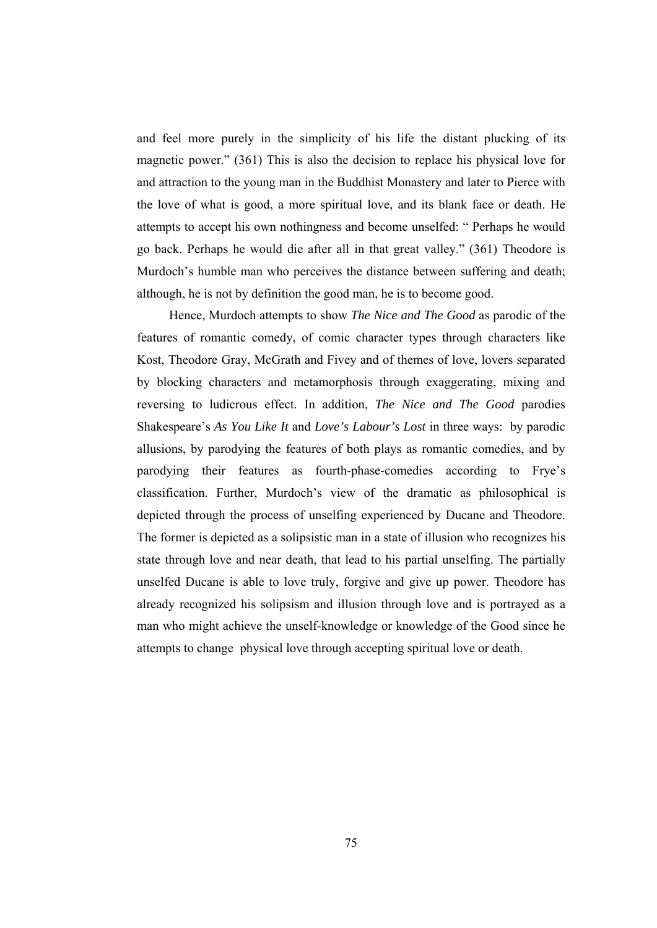and feel more purely in the simplicity of his life the distant plucking of its magnetic power." (361) This is also the decision to replace his physical love for and attraction to the young man in the Buddhist Monastery and later to Pierce with the love of what is good, a more spiritual love, and its blank face or death. He attempts to accept his own nothingness and become unselfed: " Perhaps he would go back. Perhaps he would die after all in that great valley." (361) Theodore is Murdoch's humble man who perceives the distance between suffering and death; although, he is not by definition the good man, he is to become good.

 Hence, Murdoch attempts to show *The Nice and The Good* as parodic of the features of romantic comedy, of comic character types through characters like Kost, Theodore Gray, McGrath and Fivey and of themes of love, lovers separated by blocking characters and metamorphosis through exaggerating, mixing and reversing to ludicrous effect. In addition, *The Nice and The Good* parodies Shakespeare's *As You Like It* and *Love's Labour's Lost* in three ways: by parodic allusions, by parodying the features of both plays as romantic comedies, and by parodying their features as fourth-phase-comedies according to Frye's classification. Further, Murdoch's view of the dramatic as philosophical is depicted through the process of unselfing experienced by Ducane and Theodore. The former is depicted as a solipsistic man in a state of illusion who recognizes his state through love and near death, that lead to his partial unselfing. The partially unselfed Ducane is able to love truly, forgive and give up power. Theodore has already recognized his solipsism and illusion through love and is portrayed as a man who might achieve the unself-knowledge or knowledge of the Good since he attempts to change physical love through accepting spiritual love or death.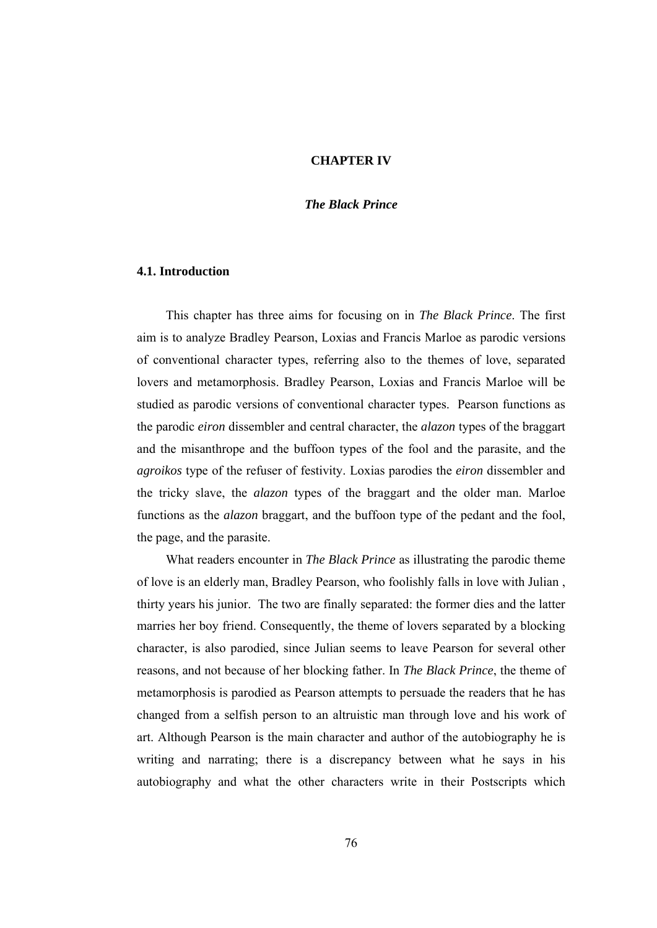#### **CHAPTER IV**

## *The Black Prince*

## **4.1. Introduction**

 This chapter has three aims for focusing on in *The Black Prince*. The first aim is to analyze Bradley Pearson, Loxias and Francis Marloe as parodic versions of conventional character types, referring also to the themes of love, separated lovers and metamorphosis. Bradley Pearson, Loxias and Francis Marloe will be studied as parodic versions of conventional character types. Pearson functions as the parodic *eiron* dissembler and central character, the *alazon* types of the braggart and the misanthrope and the buffoon types of the fool and the parasite, and the *agroikos* type of the refuser of festivity. Loxias parodies the *eiron* dissembler and the tricky slave, the *alazon* types of the braggart and the older man. Marloe functions as the *alazon* braggart, and the buffoon type of the pedant and the fool, the page, and the parasite.

 What readers encounter in *The Black Prince* as illustrating the parodic theme of love is an elderly man, Bradley Pearson, who foolishly falls in love with Julian , thirty years his junior. The two are finally separated: the former dies and the latter marries her boy friend. Consequently, the theme of lovers separated by a blocking character, is also parodied, since Julian seems to leave Pearson for several other reasons, and not because of her blocking father. In *The Black Prince*, the theme of metamorphosis is parodied as Pearson attempts to persuade the readers that he has changed from a selfish person to an altruistic man through love and his work of art. Although Pearson is the main character and author of the autobiography he is writing and narrating; there is a discrepancy between what he says in his autobiography and what the other characters write in their Postscripts which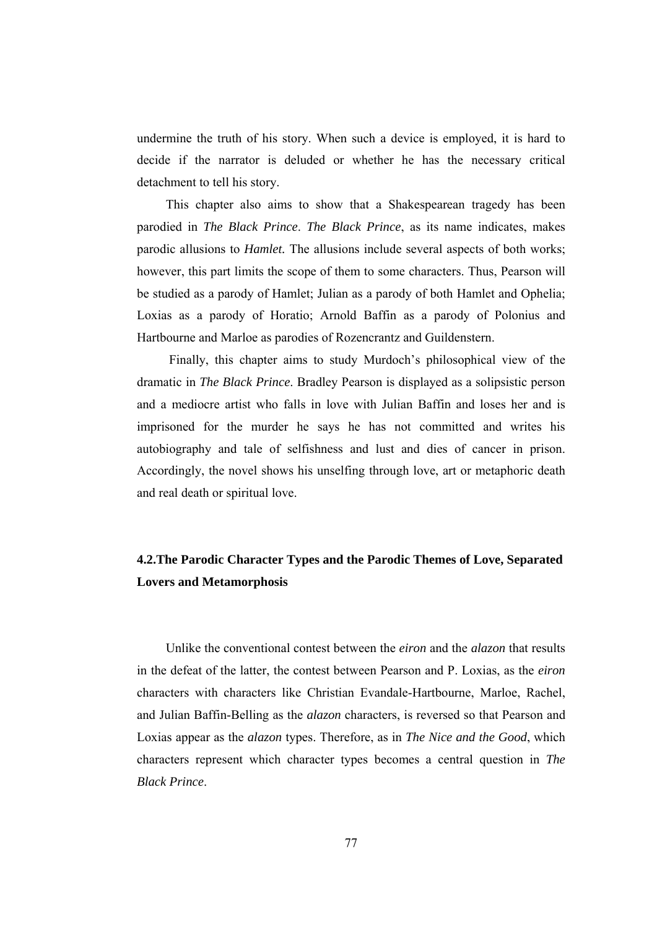undermine the truth of his story. When such a device is employed, it is hard to decide if the narrator is deluded or whether he has the necessary critical detachment to tell his story.

 This chapter also aims to show that a Shakespearean tragedy has been parodied in *The Black Prince*. *The Black Prince*, as its name indicates, makes parodic allusions to *Hamlet.* The allusions include several aspects of both works; however, this part limits the scope of them to some characters. Thus, Pearson will be studied as a parody of Hamlet; Julian as a parody of both Hamlet and Ophelia; Loxias as a parody of Horatio; Arnold Baffin as a parody of Polonius and Hartbourne and Marloe as parodies of Rozencrantz and Guildenstern.

 Finally, this chapter aims to study Murdoch's philosophical view of the dramatic in *The Black Prince*. Bradley Pearson is displayed as a solipsistic person and a mediocre artist who falls in love with Julian Baffin and loses her and is imprisoned for the murder he says he has not committed and writes his autobiography and tale of selfishness and lust and dies of cancer in prison. Accordingly, the novel shows his unselfing through love, art or metaphoric death and real death or spiritual love.

# **4.2.The Parodic Character Types and the Parodic Themes of Love, Separated Lovers and Metamorphosis**

 Unlike the conventional contest between the *eiron* and the *alazon* that results in the defeat of the latter, the contest between Pearson and P. Loxias, as the *eiron* characters with characters like Christian Evandale-Hartbourne, Marloe, Rachel, and Julian Baffin-Belling as the *alazon* characters, is reversed so that Pearson and Loxias appear as the *alazon* types. Therefore, as in *The Nice and the Good*, which characters represent which character types becomes a central question in *The Black Prince*.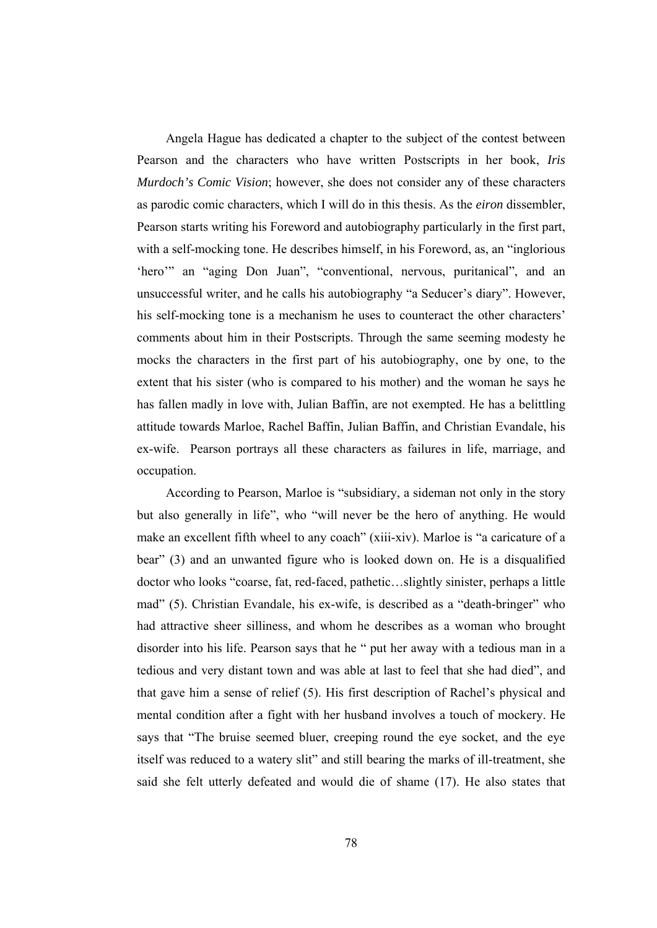Angela Hague has dedicated a chapter to the subject of the contest between Pearson and the characters who have written Postscripts in her book, *Iris Murdoch's Comic Vision*; however, she does not consider any of these characters as parodic comic characters, which I will do in this thesis. As the *eiron* dissembler, Pearson starts writing his Foreword and autobiography particularly in the first part, with a self-mocking tone. He describes himself, in his Foreword, as, an "inglorious" 'hero'" an "aging Don Juan", "conventional, nervous, puritanical", and an unsuccessful writer, and he calls his autobiography "a Seducer's diary". However, his self-mocking tone is a mechanism he uses to counteract the other characters' comments about him in their Postscripts. Through the same seeming modesty he mocks the characters in the first part of his autobiography, one by one, to the extent that his sister (who is compared to his mother) and the woman he says he has fallen madly in love with, Julian Baffin, are not exempted. He has a belittling attitude towards Marloe, Rachel Baffin, Julian Baffin, and Christian Evandale, his ex-wife. Pearson portrays all these characters as failures in life, marriage, and occupation.

 According to Pearson, Marloe is "subsidiary, a sideman not only in the story but also generally in life", who "will never be the hero of anything. He would make an excellent fifth wheel to any coach" (xiii-xiv). Marloe is "a caricature of a bear" (3) and an unwanted figure who is looked down on. He is a disqualified doctor who looks "coarse, fat, red-faced, pathetic…slightly sinister, perhaps a little mad" (5). Christian Evandale, his ex-wife, is described as a "death-bringer" who had attractive sheer silliness, and whom he describes as a woman who brought disorder into his life. Pearson says that he " put her away with a tedious man in a tedious and very distant town and was able at last to feel that she had died", and that gave him a sense of relief (5). His first description of Rachel's physical and mental condition after a fight with her husband involves a touch of mockery. He says that "The bruise seemed bluer, creeping round the eye socket, and the eye itself was reduced to a watery slit" and still bearing the marks of ill-treatment, she said she felt utterly defeated and would die of shame (17). He also states that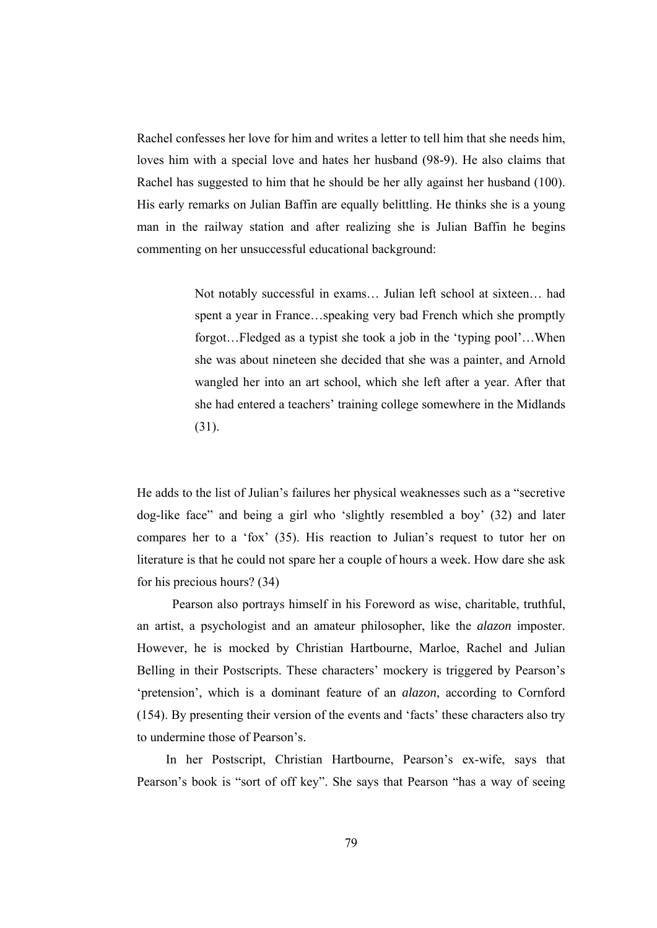Rachel confesses her love for him and writes a letter to tell him that she needs him, loves him with a special love and hates her husband (98-9). He also claims that Rachel has suggested to him that he should be her ally against her husband (100). His early remarks on Julian Baffin are equally belittling. He thinks she is a young man in the railway station and after realizing she is Julian Baffin he begins commenting on her unsuccessful educational background:

> Not notably successful in exams… Julian left school at sixteen… had spent a year in France…speaking very bad French which she promptly forgot…Fledged as a typist she took a job in the 'typing pool'…When she was about nineteen she decided that she was a painter, and Arnold wangled her into an art school, which she left after a year. After that she had entered a teachers' training college somewhere in the Midlands (31).

He adds to the list of Julian's failures her physical weaknesses such as a "secretive dog-like face" and being a girl who 'slightly resembled a boy' (32) and later compares her to a 'fox' (35). His reaction to Julian's request to tutor her on literature is that he could not spare her a couple of hours a week. How dare she ask for his precious hours? (34)

 Pearson also portrays himself in his Foreword as wise, charitable, truthful, an artist, a psychologist and an amateur philosopher, like the *alazon* imposter. However, he is mocked by Christian Hartbourne, Marloe, Rachel and Julian Belling in their Postscripts. These characters' mockery is triggered by Pearson's 'pretension', which is a dominant feature of an *alazon*, according to Cornford (154). By presenting their version of the events and 'facts' these characters also try to undermine those of Pearson's.

 In her Postscript, Christian Hartbourne, Pearson's ex-wife, says that Pearson's book is "sort of off key". She says that Pearson "has a way of seeing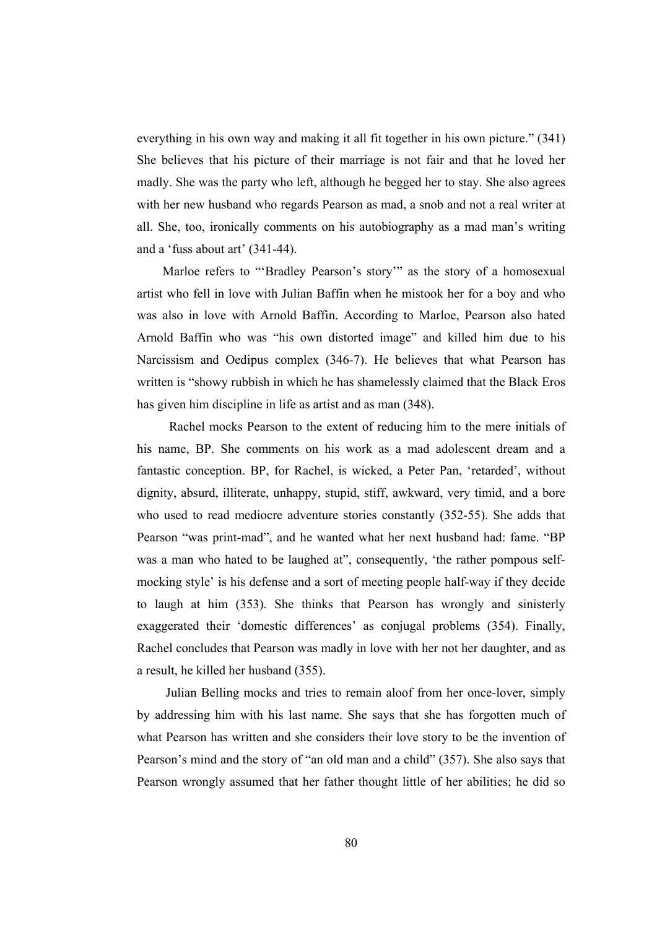everything in his own way and making it all fit together in his own picture." (341) She believes that his picture of their marriage is not fair and that he loved her madly. She was the party who left, although he begged her to stay. She also agrees with her new husband who regards Pearson as mad, a snob and not a real writer at all. She, too, ironically comments on his autobiography as a mad man's writing and a 'fuss about art' (341-44).

 Marloe refers to "'Bradley Pearson's story'" as the story of a homosexual artist who fell in love with Julian Baffin when he mistook her for a boy and who was also in love with Arnold Baffin. According to Marloe, Pearson also hated Arnold Baffin who was "his own distorted image" and killed him due to his Narcissism and Oedipus complex (346-7). He believes that what Pearson has written is "showy rubbish in which he has shamelessly claimed that the Black Eros has given him discipline in life as artist and as man (348).

 Rachel mocks Pearson to the extent of reducing him to the mere initials of his name, BP. She comments on his work as a mad adolescent dream and a fantastic conception. BP, for Rachel, is wicked, a Peter Pan, 'retarded', without dignity, absurd, illiterate, unhappy, stupid, stiff, awkward, very timid, and a bore who used to read mediocre adventure stories constantly (352-55). She adds that Pearson "was print-mad", and he wanted what her next husband had: fame. "BP was a man who hated to be laughed at", consequently, 'the rather pompous selfmocking style' is his defense and a sort of meeting people half-way if they decide to laugh at him (353). She thinks that Pearson has wrongly and sinisterly exaggerated their 'domestic differences' as conjugal problems (354). Finally, Rachel concludes that Pearson was madly in love with her not her daughter, and as a result, he killed her husband (355).

 Julian Belling mocks and tries to remain aloof from her once-lover, simply by addressing him with his last name. She says that she has forgotten much of what Pearson has written and she considers their love story to be the invention of Pearson's mind and the story of "an old man and a child" (357). She also says that Pearson wrongly assumed that her father thought little of her abilities; he did so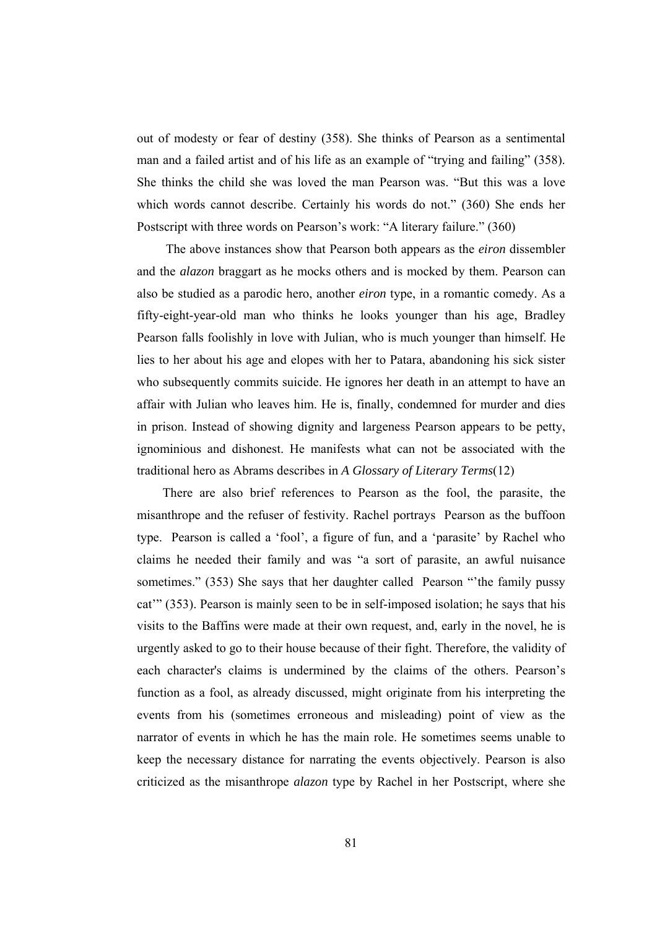out of modesty or fear of destiny (358). She thinks of Pearson as a sentimental man and a failed artist and of his life as an example of "trying and failing" (358). She thinks the child she was loved the man Pearson was. "But this was a love which words cannot describe. Certainly his words do not." (360) She ends her Postscript with three words on Pearson's work: "A literary failure." (360)

 The above instances show that Pearson both appears as the *eiron* dissembler and the *alazon* braggart as he mocks others and is mocked by them. Pearson can also be studied as a parodic hero, another *eiron* type, in a romantic comedy. As a fifty-eight-year-old man who thinks he looks younger than his age, Bradley Pearson falls foolishly in love with Julian, who is much younger than himself. He lies to her about his age and elopes with her to Patara, abandoning his sick sister who subsequently commits suicide. He ignores her death in an attempt to have an affair with Julian who leaves him. He is, finally, condemned for murder and dies in prison. Instead of showing dignity and largeness Pearson appears to be petty, ignominious and dishonest. He manifests what can not be associated with the traditional hero as Abrams describes in *A Glossary of Literary Terms*(12)

 There are also brief references to Pearson as the fool, the parasite, the misanthrope and the refuser of festivity. Rachel portrays Pearson as the buffoon type. Pearson is called a 'fool', a figure of fun, and a 'parasite' by Rachel who claims he needed their family and was "a sort of parasite, an awful nuisance sometimes." (353) She says that her daughter called Pearson "the family pussy cat'" (353). Pearson is mainly seen to be in self-imposed isolation; he says that his visits to the Baffins were made at their own request, and, early in the novel, he is urgently asked to go to their house because of their fight. Therefore, the validity of each character's claims is undermined by the claims of the others. Pearson's function as a fool, as already discussed, might originate from his interpreting the events from his (sometimes erroneous and misleading) point of view as the narrator of events in which he has the main role. He sometimes seems unable to keep the necessary distance for narrating the events objectively. Pearson is also criticized as the misanthrope *alazon* type by Rachel in her Postscript, where she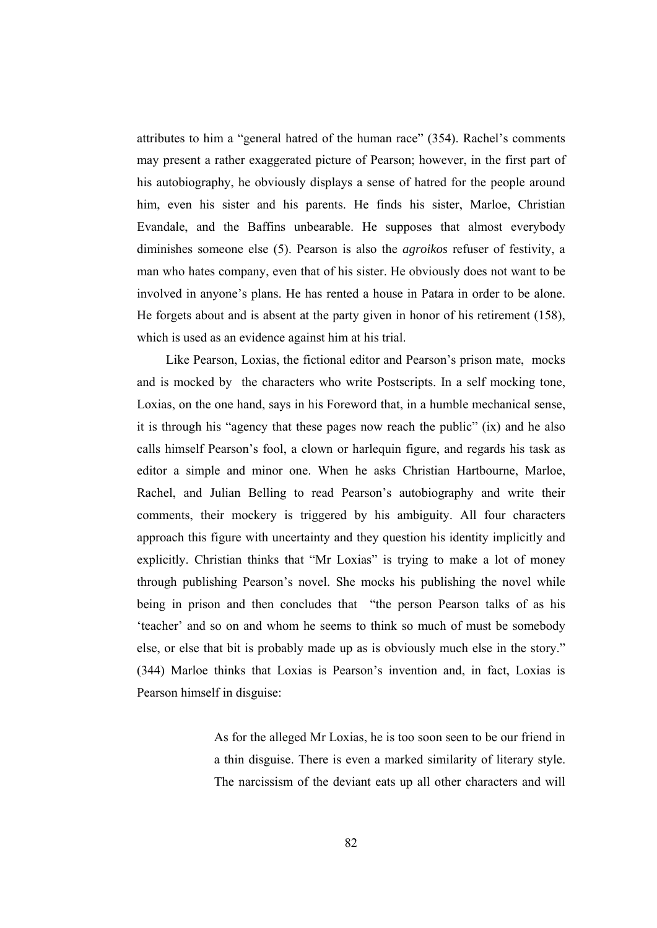attributes to him a "general hatred of the human race" (354). Rachel's comments may present a rather exaggerated picture of Pearson; however, in the first part of his autobiography, he obviously displays a sense of hatred for the people around him, even his sister and his parents. He finds his sister, Marloe, Christian Evandale, and the Baffins unbearable. He supposes that almost everybody diminishes someone else (5). Pearson is also the *agroikos* refuser of festivity, a man who hates company, even that of his sister. He obviously does not want to be involved in anyone's plans. He has rented a house in Patara in order to be alone. He forgets about and is absent at the party given in honor of his retirement (158), which is used as an evidence against him at his trial.

 Like Pearson, Loxias, the fictional editor and Pearson's prison mate, mocks and is mocked by the characters who write Postscripts. In a self mocking tone, Loxias, on the one hand, says in his Foreword that, in a humble mechanical sense, it is through his "agency that these pages now reach the public" (ix) and he also calls himself Pearson's fool, a clown or harlequin figure, and regards his task as editor a simple and minor one. When he asks Christian Hartbourne, Marloe, Rachel, and Julian Belling to read Pearson's autobiography and write their comments, their mockery is triggered by his ambiguity. All four characters approach this figure with uncertainty and they question his identity implicitly and explicitly. Christian thinks that "Mr Loxias" is trying to make a lot of money through publishing Pearson's novel. She mocks his publishing the novel while being in prison and then concludes that "the person Pearson talks of as his 'teacher' and so on and whom he seems to think so much of must be somebody else, or else that bit is probably made up as is obviously much else in the story." (344) Marloe thinks that Loxias is Pearson's invention and, in fact, Loxias is Pearson himself in disguise:

> As for the alleged Mr Loxias, he is too soon seen to be our friend in a thin disguise. There is even a marked similarity of literary style. The narcissism of the deviant eats up all other characters and will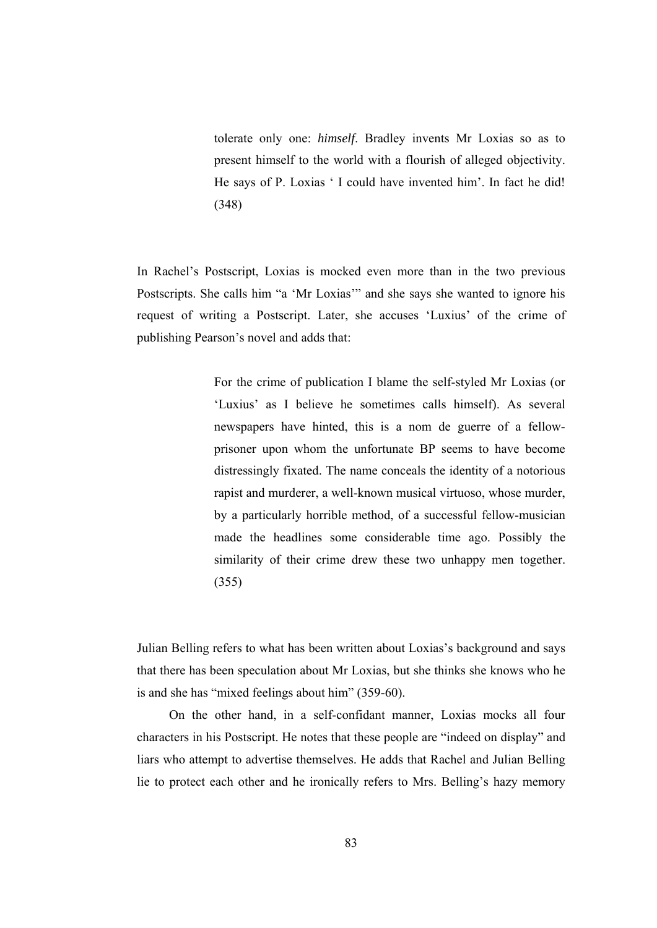tolerate only one: *himself*. Bradley invents Mr Loxias so as to present himself to the world with a flourish of alleged objectivity. He says of P. Loxias ' I could have invented him'. In fact he did! (348)

In Rachel's Postscript, Loxias is mocked even more than in the two previous Postscripts. She calls him "a 'Mr Loxias'" and she says she wanted to ignore his request of writing a Postscript. Later, she accuses 'Luxius' of the crime of publishing Pearson's novel and adds that:

> For the crime of publication I blame the self-styled Mr Loxias (or 'Luxius' as I believe he sometimes calls himself). As several newspapers have hinted, this is a nom de guerre of a fellowprisoner upon whom the unfortunate BP seems to have become distressingly fixated. The name conceals the identity of a notorious rapist and murderer, a well-known musical virtuoso, whose murder, by a particularly horrible method, of a successful fellow-musician made the headlines some considerable time ago. Possibly the similarity of their crime drew these two unhappy men together. (355)

Julian Belling refers to what has been written about Loxias's background and says that there has been speculation about Mr Loxias, but she thinks she knows who he is and she has "mixed feelings about him" (359-60).

 On the other hand, in a self-confidant manner, Loxias mocks all four characters in his Postscript. He notes that these people are "indeed on display" and liars who attempt to advertise themselves. He adds that Rachel and Julian Belling lie to protect each other and he ironically refers to Mrs. Belling's hazy memory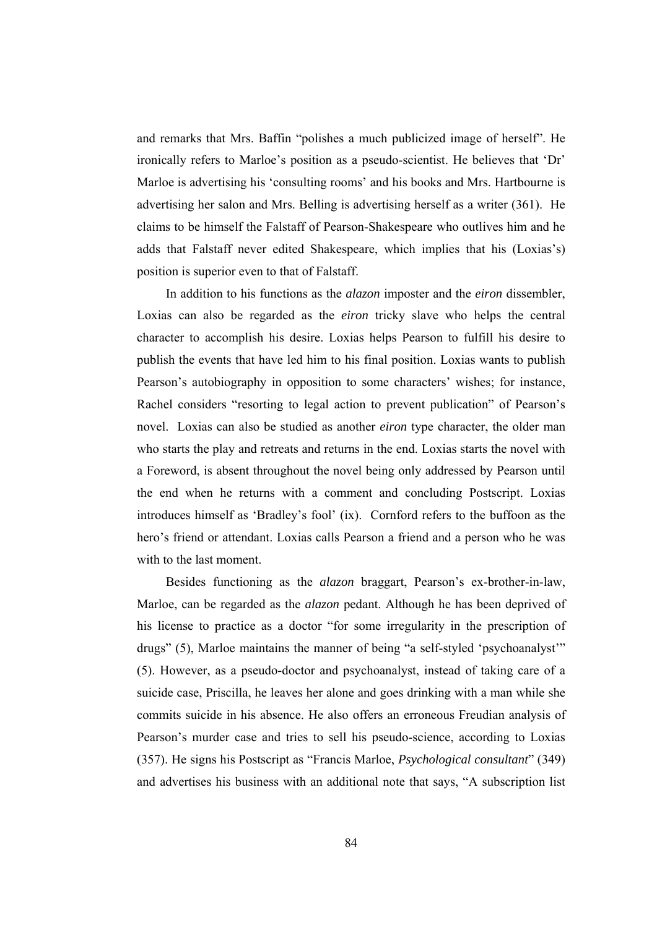and remarks that Mrs. Baffin "polishes a much publicized image of herself". He ironically refers to Marloe's position as a pseudo-scientist. He believes that 'Dr' Marloe is advertising his 'consulting rooms' and his books and Mrs. Hartbourne is advertising her salon and Mrs. Belling is advertising herself as a writer (361). He claims to be himself the Falstaff of Pearson-Shakespeare who outlives him and he adds that Falstaff never edited Shakespeare, which implies that his (Loxias's) position is superior even to that of Falstaff.

 In addition to his functions as the *alazon* imposter and the *eiron* dissembler, Loxias can also be regarded as the *eiron* tricky slave who helps the central character to accomplish his desire. Loxias helps Pearson to fulfill his desire to publish the events that have led him to his final position. Loxias wants to publish Pearson's autobiography in opposition to some characters' wishes; for instance, Rachel considers "resorting to legal action to prevent publication" of Pearson's novel. Loxias can also be studied as another *eiron* type character, the older man who starts the play and retreats and returns in the end. Loxias starts the novel with a Foreword, is absent throughout the novel being only addressed by Pearson until the end when he returns with a comment and concluding Postscript. Loxias introduces himself as 'Bradley's fool' (ix). Cornford refers to the buffoon as the hero's friend or attendant. Loxias calls Pearson a friend and a person who he was with to the last moment.

 Besides functioning as the *alazon* braggart, Pearson's ex-brother-in-law, Marloe, can be regarded as the *alazon* pedant. Although he has been deprived of his license to practice as a doctor "for some irregularity in the prescription of drugs" (5), Marloe maintains the manner of being "a self-styled 'psychoanalyst'" (5). However, as a pseudo-doctor and psychoanalyst, instead of taking care of a suicide case, Priscilla, he leaves her alone and goes drinking with a man while she commits suicide in his absence. He also offers an erroneous Freudian analysis of Pearson's murder case and tries to sell his pseudo-science, according to Loxias (357). He signs his Postscript as "Francis Marloe, *Psychological consultant*" (349) and advertises his business with an additional note that says, "A subscription list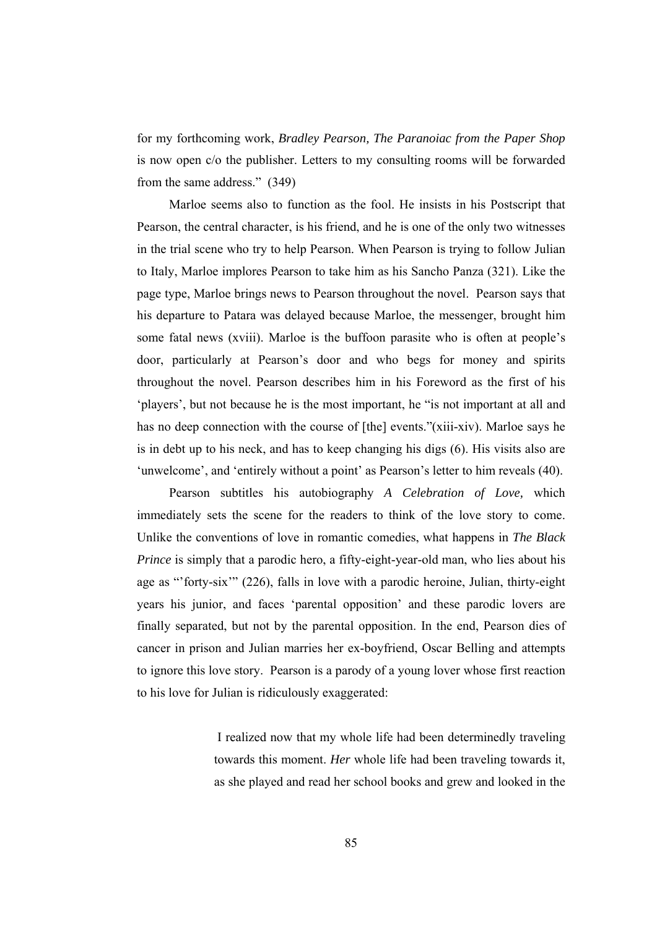for my forthcoming work, *Bradley Pearson, The Paranoiac from the Paper Shop* is now open c/o the publisher. Letters to my consulting rooms will be forwarded from the same address." (349)

 Marloe seems also to function as the fool. He insists in his Postscript that Pearson, the central character, is his friend, and he is one of the only two witnesses in the trial scene who try to help Pearson. When Pearson is trying to follow Julian to Italy, Marloe implores Pearson to take him as his Sancho Panza (321). Like the page type, Marloe brings news to Pearson throughout the novel. Pearson says that his departure to Patara was delayed because Marloe, the messenger, brought him some fatal news (xviii). Marloe is the buffoon parasite who is often at people's door, particularly at Pearson's door and who begs for money and spirits throughout the novel. Pearson describes him in his Foreword as the first of his 'players', but not because he is the most important, he "is not important at all and has no deep connection with the course of [the] events."(xiii-xiv). Marloe says he is in debt up to his neck, and has to keep changing his digs (6). His visits also are 'unwelcome', and 'entirely without a point' as Pearson's letter to him reveals (40).

 Pearson subtitles his autobiography *A Celebration of Love,* which immediately sets the scene for the readers to think of the love story to come. Unlike the conventions of love in romantic comedies, what happens in *The Black Prince* is simply that a parodic hero, a fifty-eight-year-old man, who lies about his age as "'forty-six'" (226), falls in love with a parodic heroine, Julian, thirty-eight years his junior, and faces 'parental opposition' and these parodic lovers are finally separated, but not by the parental opposition. In the end, Pearson dies of cancer in prison and Julian marries her ex-boyfriend, Oscar Belling and attempts to ignore this love story. Pearson is a parody of a young lover whose first reaction to his love for Julian is ridiculously exaggerated:

> I realized now that my whole life had been determinedly traveling towards this moment. *Her* whole life had been traveling towards it, as she played and read her school books and grew and looked in the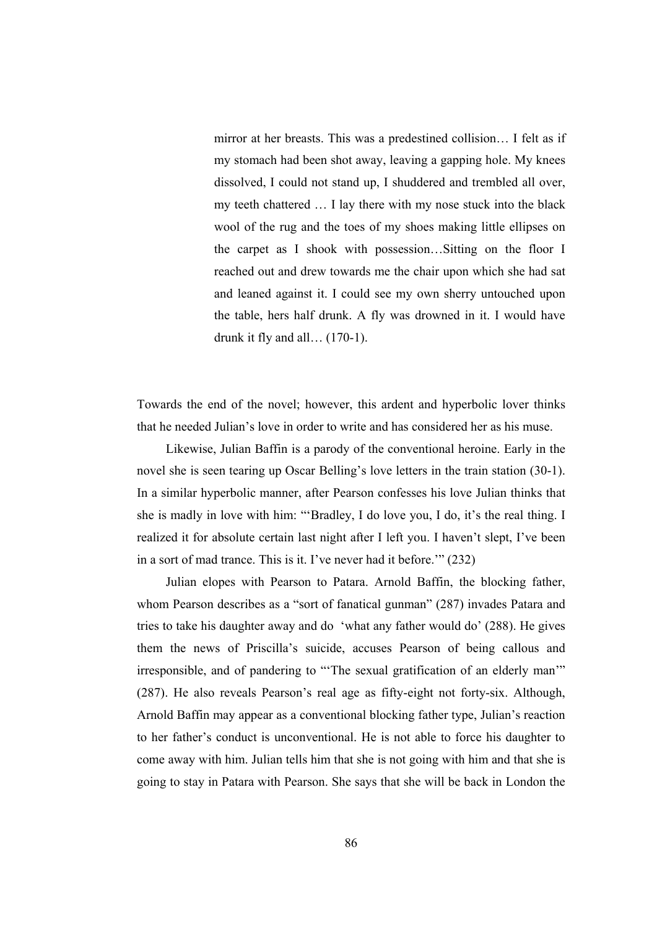mirror at her breasts. This was a predestined collision… I felt as if my stomach had been shot away, leaving a gapping hole. My knees dissolved, I could not stand up, I shuddered and trembled all over, my teeth chattered … I lay there with my nose stuck into the black wool of the rug and the toes of my shoes making little ellipses on the carpet as I shook with possession…Sitting on the floor I reached out and drew towards me the chair upon which she had sat and leaned against it. I could see my own sherry untouched upon the table, hers half drunk. A fly was drowned in it. I would have drunk it fly and all… (170-1).

Towards the end of the novel; however, this ardent and hyperbolic lover thinks that he needed Julian's love in order to write and has considered her as his muse.

 Likewise, Julian Baffin is a parody of the conventional heroine. Early in the novel she is seen tearing up Oscar Belling's love letters in the train station (30-1). In a similar hyperbolic manner, after Pearson confesses his love Julian thinks that she is madly in love with him: "'Bradley, I do love you, I do, it's the real thing. I realized it for absolute certain last night after I left you. I haven't slept, I've been in a sort of mad trance. This is it. I've never had it before.'" (232)

 Julian elopes with Pearson to Patara. Arnold Baffin, the blocking father, whom Pearson describes as a "sort of fanatical gunman" (287) invades Patara and tries to take his daughter away and do 'what any father would do' (288). He gives them the news of Priscilla's suicide, accuses Pearson of being callous and irresponsible, and of pandering to "'The sexual gratification of an elderly man'" (287). He also reveals Pearson's real age as fifty-eight not forty-six. Although, Arnold Baffin may appear as a conventional blocking father type, Julian's reaction to her father's conduct is unconventional. He is not able to force his daughter to come away with him. Julian tells him that she is not going with him and that she is going to stay in Patara with Pearson. She says that she will be back in London the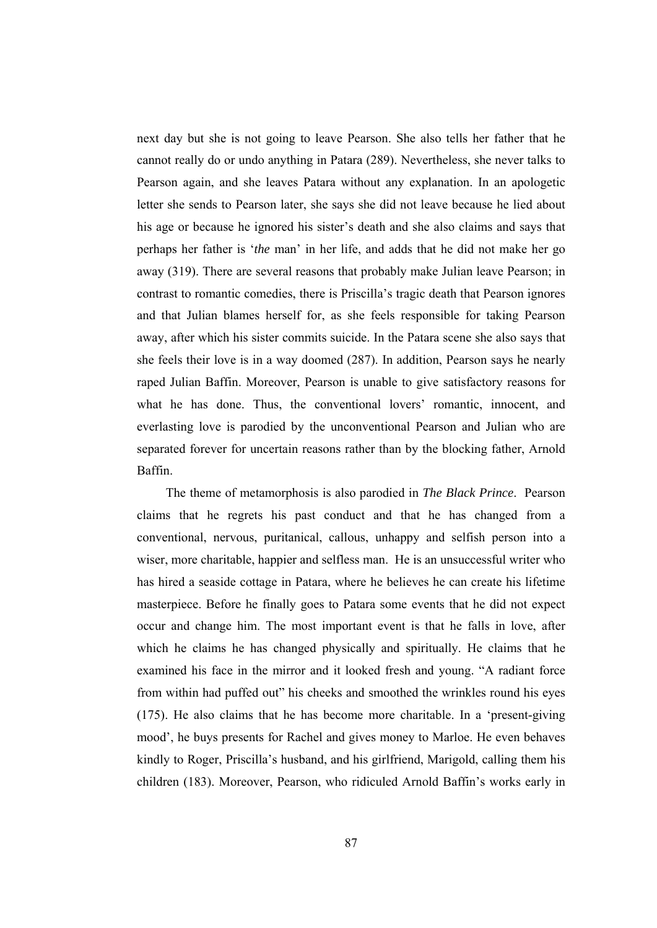next day but she is not going to leave Pearson. She also tells her father that he cannot really do or undo anything in Patara (289). Nevertheless, she never talks to Pearson again, and she leaves Patara without any explanation. In an apologetic letter she sends to Pearson later, she says she did not leave because he lied about his age or because he ignored his sister's death and she also claims and says that perhaps her father is '*the* man' in her life, and adds that he did not make her go away (319). There are several reasons that probably make Julian leave Pearson; in contrast to romantic comedies, there is Priscilla's tragic death that Pearson ignores and that Julian blames herself for, as she feels responsible for taking Pearson away, after which his sister commits suicide. In the Patara scene she also says that she feels their love is in a way doomed (287). In addition, Pearson says he nearly raped Julian Baffin. Moreover, Pearson is unable to give satisfactory reasons for what he has done. Thus, the conventional lovers' romantic, innocent, and everlasting love is parodied by the unconventional Pearson and Julian who are separated forever for uncertain reasons rather than by the blocking father, Arnold Baffin.

 The theme of metamorphosis is also parodied in *The Black Prince*. Pearson claims that he regrets his past conduct and that he has changed from a conventional, nervous, puritanical, callous, unhappy and selfish person into a wiser, more charitable, happier and selfless man. He is an unsuccessful writer who has hired a seaside cottage in Patara, where he believes he can create his lifetime masterpiece. Before he finally goes to Patara some events that he did not expect occur and change him. The most important event is that he falls in love, after which he claims he has changed physically and spiritually. He claims that he examined his face in the mirror and it looked fresh and young. "A radiant force from within had puffed out" his cheeks and smoothed the wrinkles round his eyes (175). He also claims that he has become more charitable. In a 'present-giving mood', he buys presents for Rachel and gives money to Marloe. He even behaves kindly to Roger, Priscilla's husband, and his girlfriend, Marigold, calling them his children (183). Moreover, Pearson, who ridiculed Arnold Baffin's works early in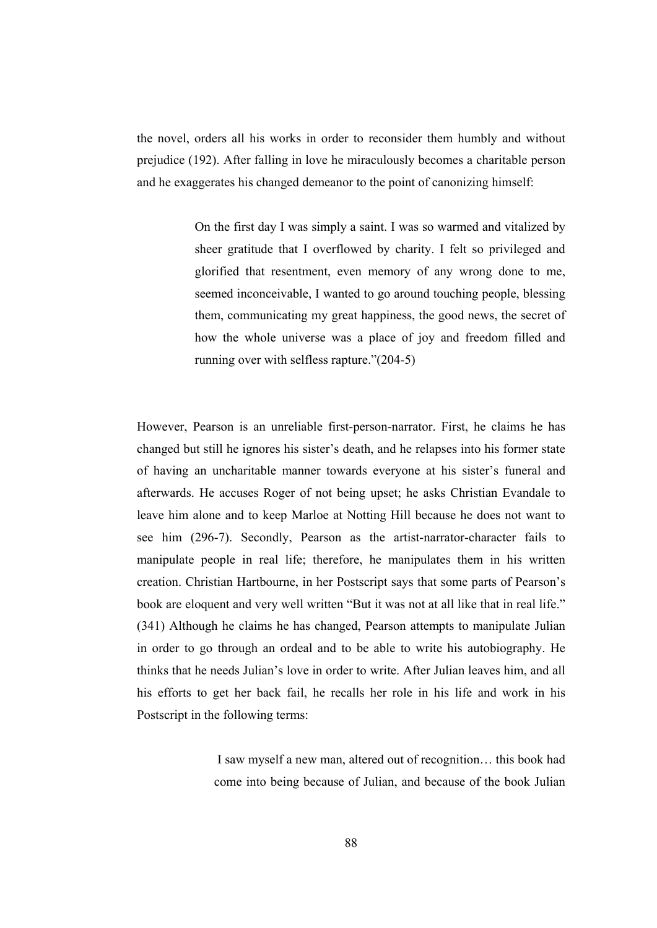the novel, orders all his works in order to reconsider them humbly and without prejudice (192). After falling in love he miraculously becomes a charitable person and he exaggerates his changed demeanor to the point of canonizing himself:

> On the first day I was simply a saint. I was so warmed and vitalized by sheer gratitude that I overflowed by charity. I felt so privileged and glorified that resentment, even memory of any wrong done to me, seemed inconceivable, I wanted to go around touching people, blessing them, communicating my great happiness, the good news, the secret of how the whole universe was a place of joy and freedom filled and running over with selfless rapture."(204-5)

However, Pearson is an unreliable first-person-narrator. First, he claims he has changed but still he ignores his sister's death, and he relapses into his former state of having an uncharitable manner towards everyone at his sister's funeral and afterwards. He accuses Roger of not being upset; he asks Christian Evandale to leave him alone and to keep Marloe at Notting Hill because he does not want to see him (296-7). Secondly, Pearson as the artist-narrator-character fails to manipulate people in real life; therefore, he manipulates them in his written creation. Christian Hartbourne, in her Postscript says that some parts of Pearson's book are eloquent and very well written "But it was not at all like that in real life." (341) Although he claims he has changed, Pearson attempts to manipulate Julian in order to go through an ordeal and to be able to write his autobiography. He thinks that he needs Julian's love in order to write. After Julian leaves him, and all his efforts to get her back fail, he recalls her role in his life and work in his Postscript in the following terms:

> I saw myself a new man, altered out of recognition… this book had come into being because of Julian, and because of the book Julian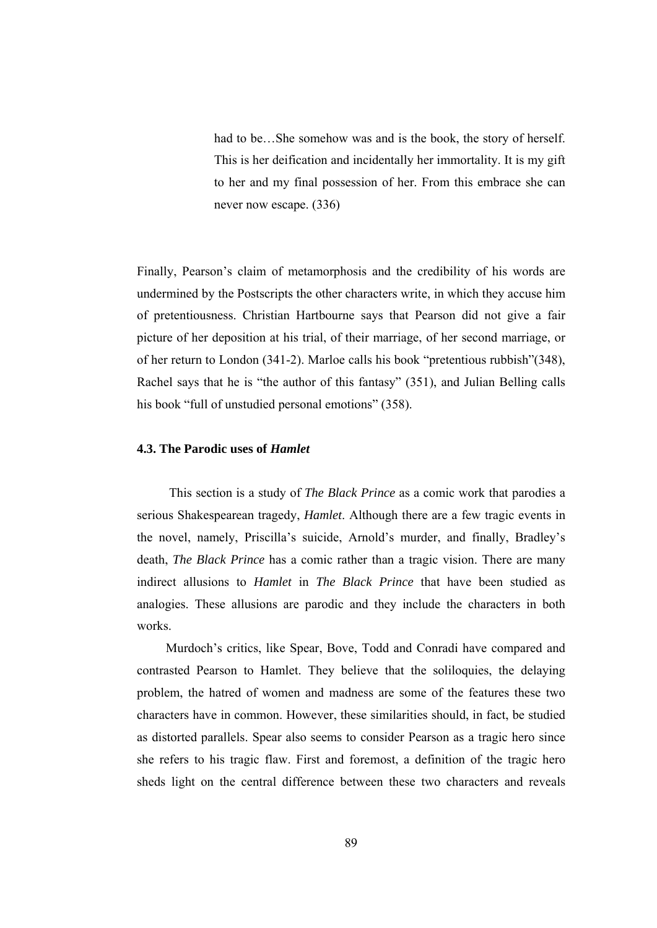had to be...She somehow was and is the book, the story of herself. This is her deification and incidentally her immortality. It is my gift to her and my final possession of her. From this embrace she can never now escape. (336)

Finally, Pearson's claim of metamorphosis and the credibility of his words are undermined by the Postscripts the other characters write, in which they accuse him of pretentiousness. Christian Hartbourne says that Pearson did not give a fair picture of her deposition at his trial, of their marriage, of her second marriage, or of her return to London (341-2). Marloe calls his book "pretentious rubbish"(348), Rachel says that he is "the author of this fantasy" (351), and Julian Belling calls his book "full of unstudied personal emotions" (358).

### **4.3. The Parodic uses of** *Hamlet*

 This section is a study of *The Black Prince* as a comic work that parodies a serious Shakespearean tragedy, *Hamlet*. Although there are a few tragic events in the novel, namely, Priscilla's suicide, Arnold's murder, and finally, Bradley's death, *The Black Prince* has a comic rather than a tragic vision. There are many indirect allusions to *Hamlet* in *The Black Prince* that have been studied as analogies. These allusions are parodic and they include the characters in both works.

 Murdoch's critics, like Spear, Bove, Todd and Conradi have compared and contrasted Pearson to Hamlet. They believe that the soliloquies, the delaying problem, the hatred of women and madness are some of the features these two characters have in common. However, these similarities should, in fact, be studied as distorted parallels. Spear also seems to consider Pearson as a tragic hero since she refers to his tragic flaw. First and foremost, a definition of the tragic hero sheds light on the central difference between these two characters and reveals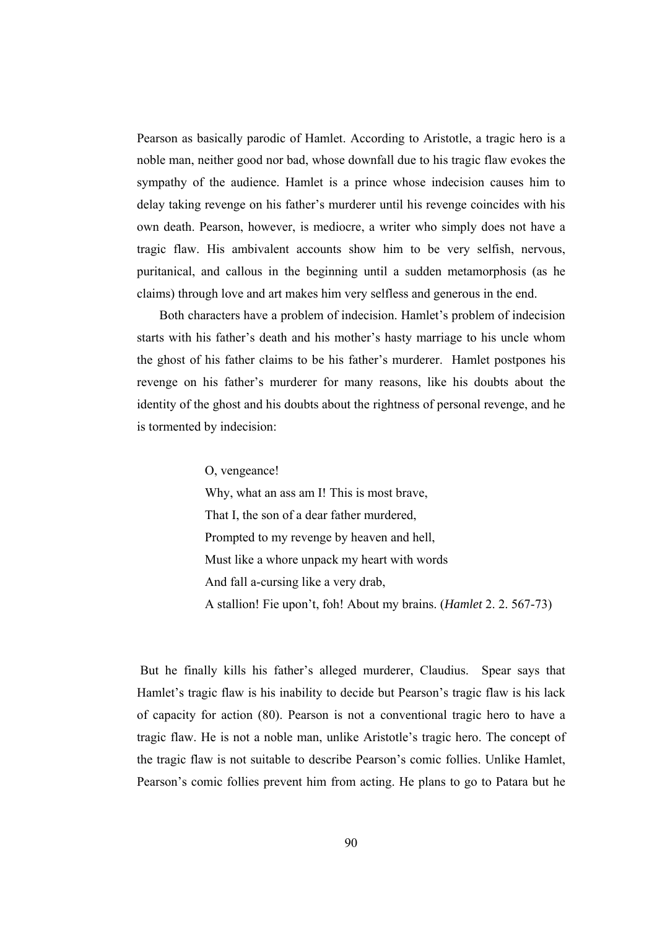Pearson as basically parodic of Hamlet. According to Aristotle, a tragic hero is a noble man, neither good nor bad, whose downfall due to his tragic flaw evokes the sympathy of the audience. Hamlet is a prince whose indecision causes him to delay taking revenge on his father's murderer until his revenge coincides with his own death. Pearson, however, is mediocre, a writer who simply does not have a tragic flaw. His ambivalent accounts show him to be very selfish, nervous, puritanical, and callous in the beginning until a sudden metamorphosis (as he claims) through love and art makes him very selfless and generous in the end.

 Both characters have a problem of indecision. Hamlet's problem of indecision starts with his father's death and his mother's hasty marriage to his uncle whom the ghost of his father claims to be his father's murderer. Hamlet postpones his revenge on his father's murderer for many reasons, like his doubts about the identity of the ghost and his doubts about the rightness of personal revenge, and he is tormented by indecision:

O, vengeance!

Why, what an ass am I! This is most brave, That I, the son of a dear father murdered, Prompted to my revenge by heaven and hell, Must like a whore unpack my heart with words And fall a-cursing like a very drab, A stallion! Fie upon't, foh! About my brains. (*Hamlet* 2. 2. 567-73)

 But he finally kills his father's alleged murderer, Claudius. Spear says that Hamlet's tragic flaw is his inability to decide but Pearson's tragic flaw is his lack of capacity for action (80). Pearson is not a conventional tragic hero to have a tragic flaw. He is not a noble man, unlike Aristotle's tragic hero. The concept of the tragic flaw is not suitable to describe Pearson's comic follies. Unlike Hamlet, Pearson's comic follies prevent him from acting. He plans to go to Patara but he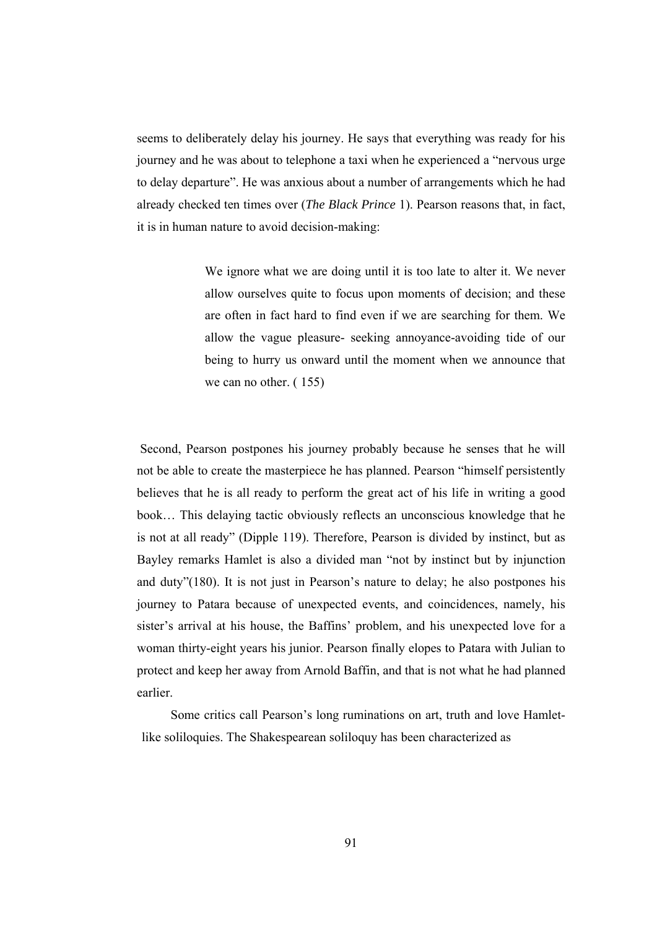seems to deliberately delay his journey. He says that everything was ready for his journey and he was about to telephone a taxi when he experienced a "nervous urge to delay departure". He was anxious about a number of arrangements which he had already checked ten times over (*The Black Prince* 1). Pearson reasons that, in fact, it is in human nature to avoid decision-making:

> We ignore what we are doing until it is too late to alter it. We never allow ourselves quite to focus upon moments of decision; and these are often in fact hard to find even if we are searching for them. We allow the vague pleasure- seeking annoyance-avoiding tide of our being to hurry us onward until the moment when we announce that we can no other. ( 155)

 Second, Pearson postpones his journey probably because he senses that he will not be able to create the masterpiece he has planned. Pearson "himself persistently believes that he is all ready to perform the great act of his life in writing a good book… This delaying tactic obviously reflects an unconscious knowledge that he is not at all ready" (Dipple 119). Therefore, Pearson is divided by instinct, but as Bayley remarks Hamlet is also a divided man "not by instinct but by injunction and duty"(180). It is not just in Pearson's nature to delay; he also postpones his journey to Patara because of unexpected events, and coincidences, namely, his sister's arrival at his house, the Baffins' problem, and his unexpected love for a woman thirty-eight years his junior. Pearson finally elopes to Patara with Julian to protect and keep her away from Arnold Baffin, and that is not what he had planned earlier.

 Some critics call Pearson's long ruminations on art, truth and love Hamletlike soliloquies. The Shakespearean soliloquy has been characterized as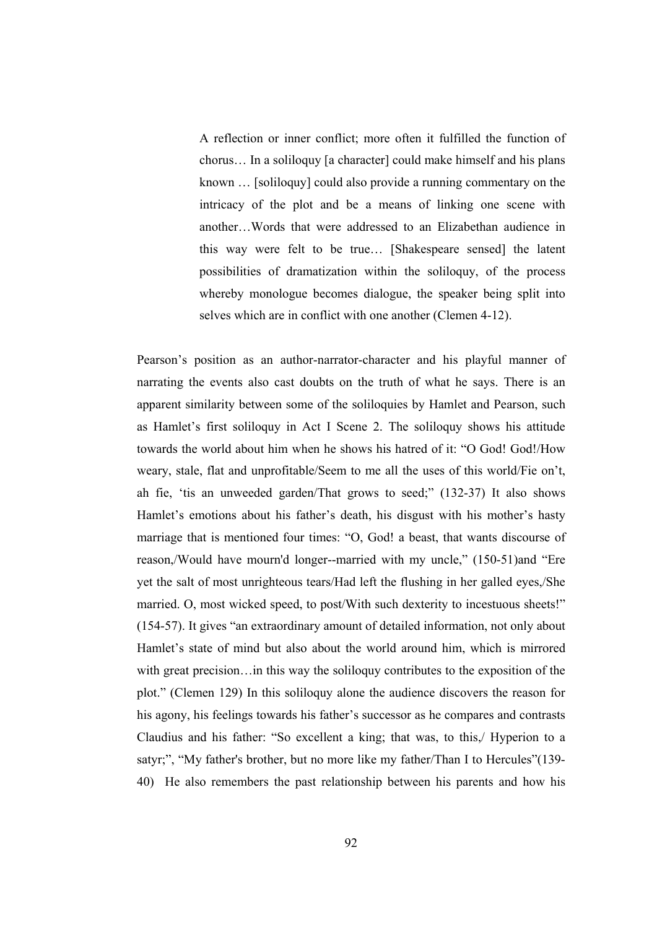A reflection or inner conflict; more often it fulfilled the function of chorus… In a soliloquy [a character] could make himself and his plans known … [soliloquy] could also provide a running commentary on the intricacy of the plot and be a means of linking one scene with another…Words that were addressed to an Elizabethan audience in this way were felt to be true… [Shakespeare sensed] the latent possibilities of dramatization within the soliloquy, of the process whereby monologue becomes dialogue, the speaker being split into selves which are in conflict with one another (Clemen 4-12).

Pearson's position as an author-narrator-character and his playful manner of narrating the events also cast doubts on the truth of what he says. There is an apparent similarity between some of the soliloquies by Hamlet and Pearson, such as Hamlet's first soliloquy in Act I Scene 2. The soliloquy shows his attitude towards the world about him when he shows his hatred of it: "O God! God!/How weary, stale, flat and unprofitable/Seem to me all the uses of this world/Fie on't, ah fie, 'tis an unweeded garden/That grows to seed;" (132-37) It also shows Hamlet's emotions about his father's death, his disgust with his mother's hasty marriage that is mentioned four times: "O, God! a beast, that wants discourse of reason,/Would have mourn'd longer--married with my uncle," (150-51)and "Ere yet the salt of most unrighteous tears/Had left the flushing in her galled eyes,/She married. O, most wicked speed, to post/With such dexterity to incestuous sheets!" (154-57). It gives "an extraordinary amount of detailed information, not only about Hamlet's state of mind but also about the world around him, which is mirrored with great precision…in this way the soliloquy contributes to the exposition of the plot." (Clemen 129) In this soliloquy alone the audience discovers the reason for his agony, his feelings towards his father's successor as he compares and contrasts Claudius and his father: "So excellent a king; that was, to this,/ Hyperion to a satyr;", "My father's brother, but no more like my father/Than I to Hercules"(139- 40) He also remembers the past relationship between his parents and how his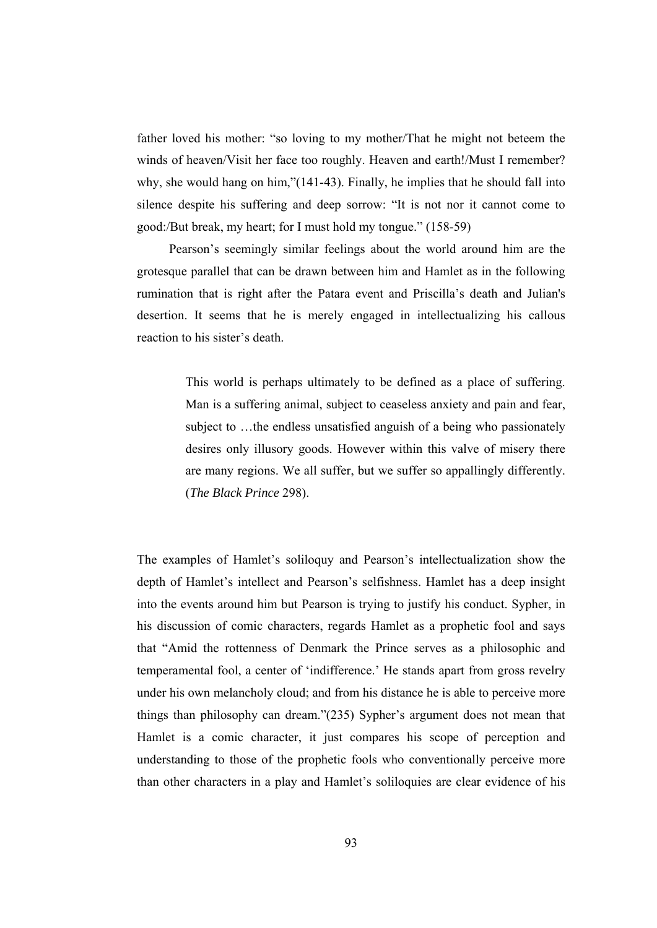father loved his mother: "so loving to my mother/That he might not beteem the winds of heaven/Visit her face too roughly. Heaven and earth!/Must I remember? why, she would hang on him,"(141-43). Finally, he implies that he should fall into silence despite his suffering and deep sorrow: "It is not nor it cannot come to good:/But break, my heart; for I must hold my tongue." (158-59)

 Pearson's seemingly similar feelings about the world around him are the grotesque parallel that can be drawn between him and Hamlet as in the following rumination that is right after the Patara event and Priscilla's death and Julian's desertion. It seems that he is merely engaged in intellectualizing his callous reaction to his sister's death.

> This world is perhaps ultimately to be defined as a place of suffering. Man is a suffering animal, subject to ceaseless anxiety and pain and fear, subject to …the endless unsatisfied anguish of a being who passionately desires only illusory goods. However within this valve of misery there are many regions. We all suffer, but we suffer so appallingly differently. (*The Black Prince* 298).

The examples of Hamlet's soliloquy and Pearson's intellectualization show the depth of Hamlet's intellect and Pearson's selfishness. Hamlet has a deep insight into the events around him but Pearson is trying to justify his conduct. Sypher, in his discussion of comic characters, regards Hamlet as a prophetic fool and says that "Amid the rottenness of Denmark the Prince serves as a philosophic and temperamental fool, a center of 'indifference.' He stands apart from gross revelry under his own melancholy cloud; and from his distance he is able to perceive more things than philosophy can dream."(235) Sypher's argument does not mean that Hamlet is a comic character, it just compares his scope of perception and understanding to those of the prophetic fools who conventionally perceive more than other characters in a play and Hamlet's soliloquies are clear evidence of his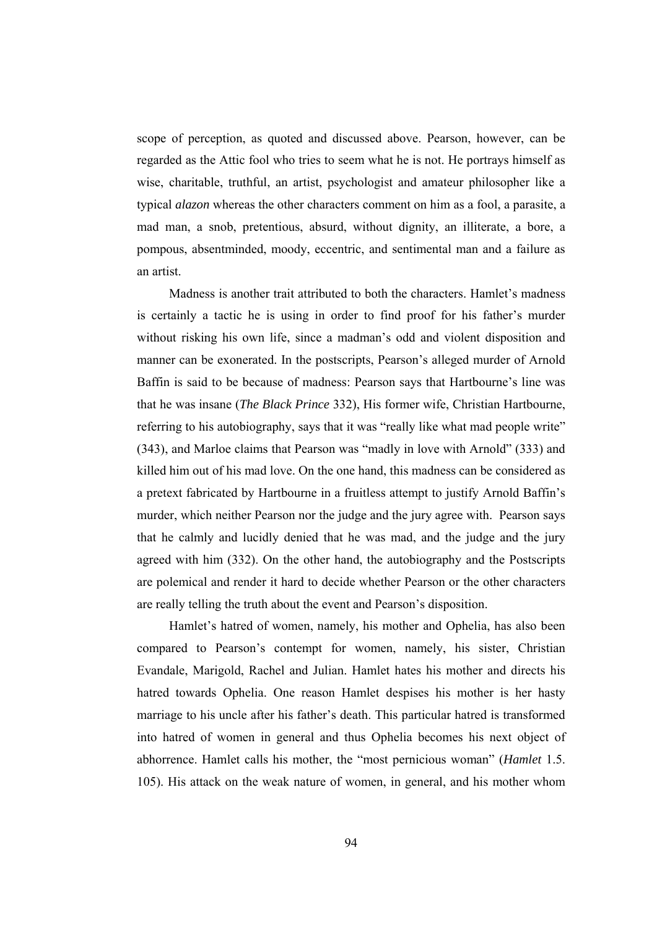scope of perception, as quoted and discussed above. Pearson, however, can be regarded as the Attic fool who tries to seem what he is not. He portrays himself as wise, charitable, truthful, an artist, psychologist and amateur philosopher like a typical *alazon* whereas the other characters comment on him as a fool, a parasite, a mad man, a snob, pretentious, absurd, without dignity, an illiterate, a bore, a pompous, absentminded, moody, eccentric, and sentimental man and a failure as an artist.

 Madness is another trait attributed to both the characters. Hamlet's madness is certainly a tactic he is using in order to find proof for his father's murder without risking his own life, since a madman's odd and violent disposition and manner can be exonerated. In the postscripts, Pearson's alleged murder of Arnold Baffin is said to be because of madness: Pearson says that Hartbourne's line was that he was insane (*The Black Prince* 332), His former wife, Christian Hartbourne, referring to his autobiography, says that it was "really like what mad people write" (343), and Marloe claims that Pearson was "madly in love with Arnold" (333) and killed him out of his mad love. On the one hand, this madness can be considered as a pretext fabricated by Hartbourne in a fruitless attempt to justify Arnold Baffin's murder, which neither Pearson nor the judge and the jury agree with. Pearson says that he calmly and lucidly denied that he was mad, and the judge and the jury agreed with him (332). On the other hand, the autobiography and the Postscripts are polemical and render it hard to decide whether Pearson or the other characters are really telling the truth about the event and Pearson's disposition.

 Hamlet's hatred of women, namely, his mother and Ophelia, has also been compared to Pearson's contempt for women, namely, his sister, Christian Evandale, Marigold, Rachel and Julian. Hamlet hates his mother and directs his hatred towards Ophelia. One reason Hamlet despises his mother is her hasty marriage to his uncle after his father's death. This particular hatred is transformed into hatred of women in general and thus Ophelia becomes his next object of abhorrence. Hamlet calls his mother, the "most pernicious woman" (*Hamlet* 1.5. 105). His attack on the weak nature of women, in general, and his mother whom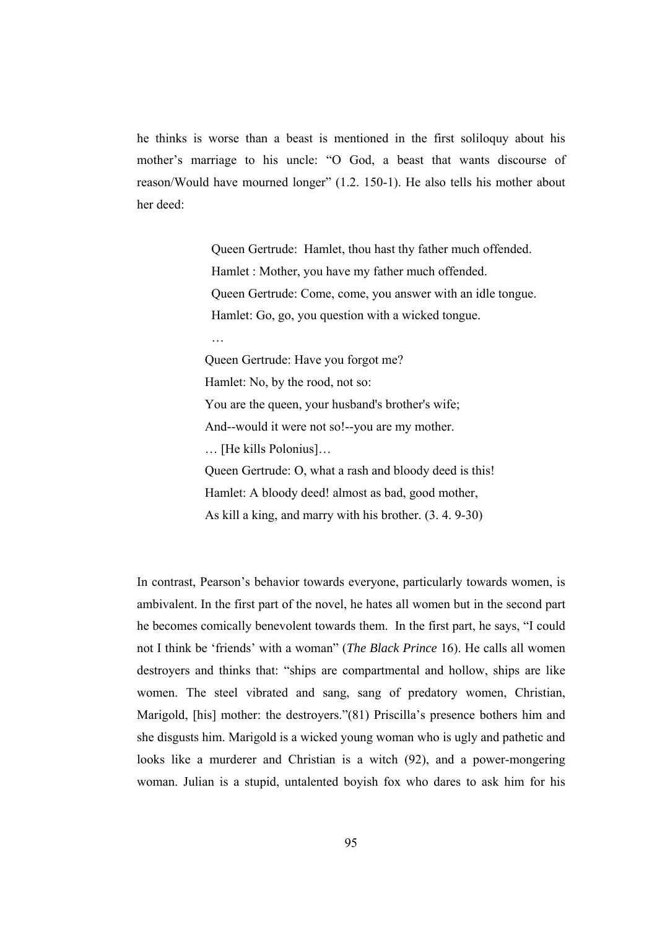he thinks is worse than a beast is mentioned in the first soliloquy about his mother's marriage to his uncle: "O God, a beast that wants discourse of reason/Would have mourned longer" (1.2. 150-1). He also tells his mother about her deed:

> Queen Gertrude: Hamlet, thou hast thy father much offended. Hamlet : Mother, you have my father much offended. Queen Gertrude: Come, come, you answer with an idle tongue. Hamlet: Go, go, you question with a wicked tongue.

…

Queen Gertrude: Have you forgot me? Hamlet: No, by the rood, not so: You are the queen, your husband's brother's wife; And--would it were not so!--you are my mother. … [He kills Polonius]… Queen Gertrude: O, what a rash and bloody deed is this! Hamlet: A bloody deed! almost as bad, good mother, As kill a king, and marry with his brother. (3. 4. 9-30)

In contrast, Pearson's behavior towards everyone, particularly towards women, is ambivalent. In the first part of the novel, he hates all women but in the second part he becomes comically benevolent towards them. In the first part, he says, "I could not I think be 'friends' with a woman" (*The Black Prince* 16). He calls all women destroyers and thinks that: "ships are compartmental and hollow, ships are like women. The steel vibrated and sang, sang of predatory women, Christian, Marigold, [his] mother: the destroyers."(81) Priscilla's presence bothers him and she disgusts him. Marigold is a wicked young woman who is ugly and pathetic and looks like a murderer and Christian is a witch (92), and a power-mongering woman. Julian is a stupid, untalented boyish fox who dares to ask him for his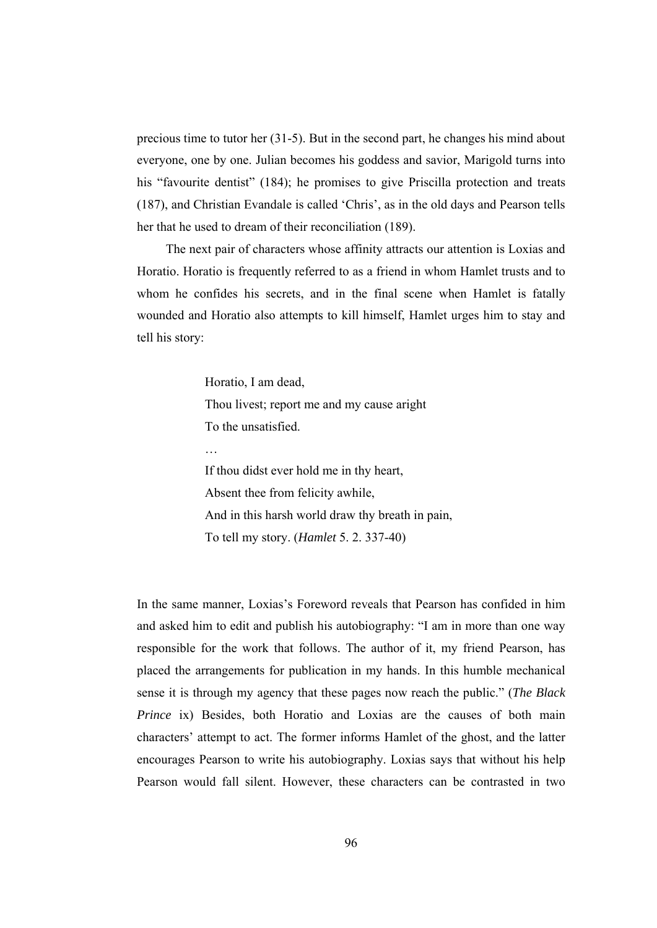precious time to tutor her (31-5). But in the second part, he changes his mind about everyone, one by one. Julian becomes his goddess and savior, Marigold turns into his "favourite dentist" (184); he promises to give Priscilla protection and treats (187), and Christian Evandale is called 'Chris', as in the old days and Pearson tells her that he used to dream of their reconciliation (189).

 The next pair of characters whose affinity attracts our attention is Loxias and Horatio. Horatio is frequently referred to as a friend in whom Hamlet trusts and to whom he confides his secrets, and in the final scene when Hamlet is fatally wounded and Horatio also attempts to kill himself, Hamlet urges him to stay and tell his story:

> Horatio, I am dead, Thou livest; report me and my cause aright To the unsatisfied.

If thou didst ever hold me in thy heart, Absent thee from felicity awhile, And in this harsh world draw thy breath in pain, To tell my story. (*Hamlet* 5. 2. 337-40)

In the same manner, Loxias's Foreword reveals that Pearson has confided in him and asked him to edit and publish his autobiography: "I am in more than one way responsible for the work that follows. The author of it, my friend Pearson, has placed the arrangements for publication in my hands. In this humble mechanical sense it is through my agency that these pages now reach the public." (*The Black Prince* ix) Besides, both Horatio and Loxias are the causes of both main characters' attempt to act. The former informs Hamlet of the ghost, and the latter encourages Pearson to write his autobiography. Loxias says that without his help Pearson would fall silent. However, these characters can be contrasted in two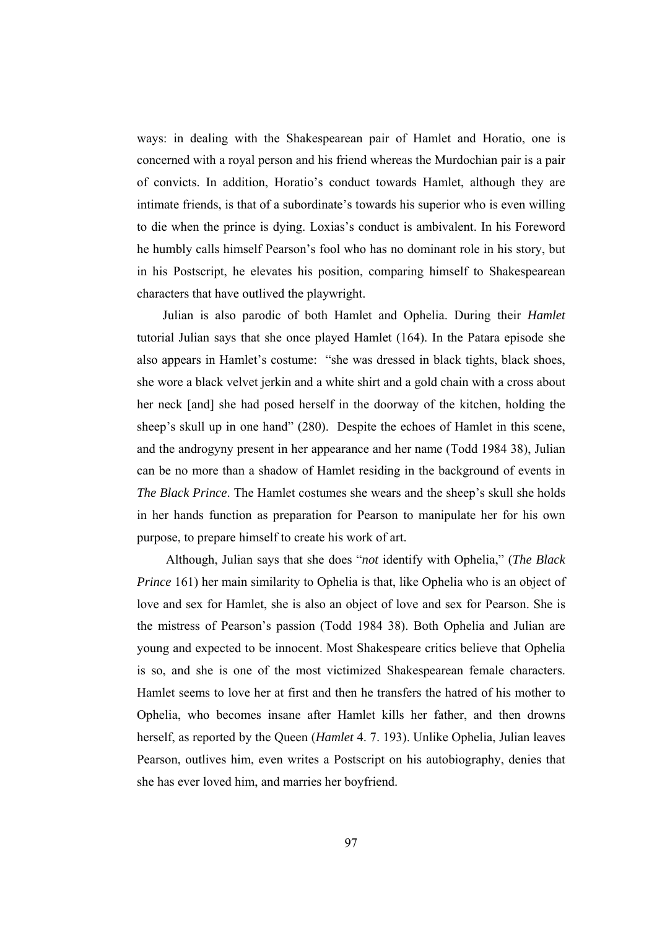ways: in dealing with the Shakespearean pair of Hamlet and Horatio, one is concerned with a royal person and his friend whereas the Murdochian pair is a pair of convicts. In addition, Horatio's conduct towards Hamlet, although they are intimate friends, is that of a subordinate's towards his superior who is even willing to die when the prince is dying. Loxias's conduct is ambivalent. In his Foreword he humbly calls himself Pearson's fool who has no dominant role in his story, but in his Postscript, he elevates his position, comparing himself to Shakespearean characters that have outlived the playwright.

 Julian is also parodic of both Hamlet and Ophelia. During their *Hamlet* tutorial Julian says that she once played Hamlet (164). In the Patara episode she also appears in Hamlet's costume: "she was dressed in black tights, black shoes, she wore a black velvet jerkin and a white shirt and a gold chain with a cross about her neck [and] she had posed herself in the doorway of the kitchen, holding the sheep's skull up in one hand" (280). Despite the echoes of Hamlet in this scene, and the androgyny present in her appearance and her name (Todd 1984 38), Julian can be no more than a shadow of Hamlet residing in the background of events in *The Black Prince*. The Hamlet costumes she wears and the sheep's skull she holds in her hands function as preparation for Pearson to manipulate her for his own purpose, to prepare himself to create his work of art.

 Although, Julian says that she does "*not* identify with Ophelia," (*The Black Prince* 161) her main similarity to Ophelia is that, like Ophelia who is an object of love and sex for Hamlet, she is also an object of love and sex for Pearson. She is the mistress of Pearson's passion (Todd 1984 38). Both Ophelia and Julian are young and expected to be innocent. Most Shakespeare critics believe that Ophelia is so, and she is one of the most victimized Shakespearean female characters. Hamlet seems to love her at first and then he transfers the hatred of his mother to Ophelia, who becomes insane after Hamlet kills her father, and then drowns herself, as reported by the Queen (*Hamlet* 4. 7. 193). Unlike Ophelia, Julian leaves Pearson, outlives him, even writes a Postscript on his autobiography, denies that she has ever loved him, and marries her boyfriend.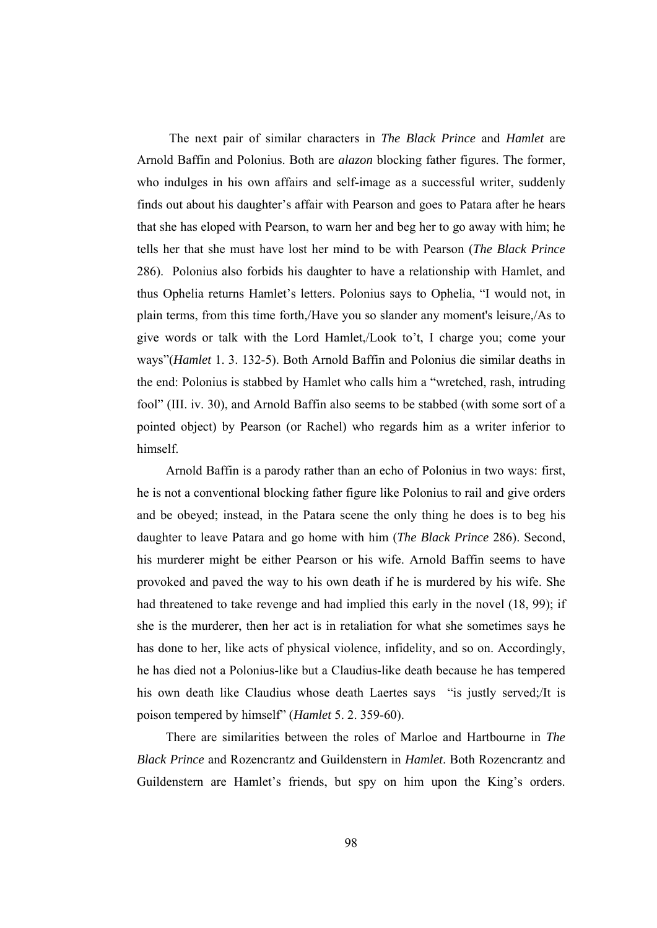The next pair of similar characters in *The Black Prince* and *Hamlet* are Arnold Baffin and Polonius. Both are *alazon* blocking father figures. The former, who indulges in his own affairs and self-image as a successful writer, suddenly finds out about his daughter's affair with Pearson and goes to Patara after he hears that she has eloped with Pearson, to warn her and beg her to go away with him; he tells her that she must have lost her mind to be with Pearson (*The Black Prince* 286). Polonius also forbids his daughter to have a relationship with Hamlet, and thus Ophelia returns Hamlet's letters. Polonius says to Ophelia, "I would not, in plain terms, from this time forth,/Have you so slander any moment's leisure,/As to give words or talk with the Lord Hamlet,/Look to't, I charge you; come your ways"(*Hamlet* 1. 3. 132-5). Both Arnold Baffin and Polonius die similar deaths in the end: Polonius is stabbed by Hamlet who calls him a "wretched, rash, intruding fool" (III. iv. 30), and Arnold Baffin also seems to be stabbed (with some sort of a pointed object) by Pearson (or Rachel) who regards him as a writer inferior to himself.

 Arnold Baffin is a parody rather than an echo of Polonius in two ways: first, he is not a conventional blocking father figure like Polonius to rail and give orders and be obeyed; instead, in the Patara scene the only thing he does is to beg his daughter to leave Patara and go home with him (*The Black Prince* 286). Second, his murderer might be either Pearson or his wife. Arnold Baffin seems to have provoked and paved the way to his own death if he is murdered by his wife. She had threatened to take revenge and had implied this early in the novel (18, 99); if she is the murderer, then her act is in retaliation for what she sometimes says he has done to her, like acts of physical violence, infidelity, and so on. Accordingly, he has died not a Polonius-like but a Claudius-like death because he has tempered his own death like Claudius whose death Laertes says "is justly served;/It is poison tempered by himself" (*Hamlet* 5. 2. 359-60).

 There are similarities between the roles of Marloe and Hartbourne in *The Black Prince* and Rozencrantz and Guildenstern in *Hamlet*. Both Rozencrantz and Guildenstern are Hamlet's friends, but spy on him upon the King's orders.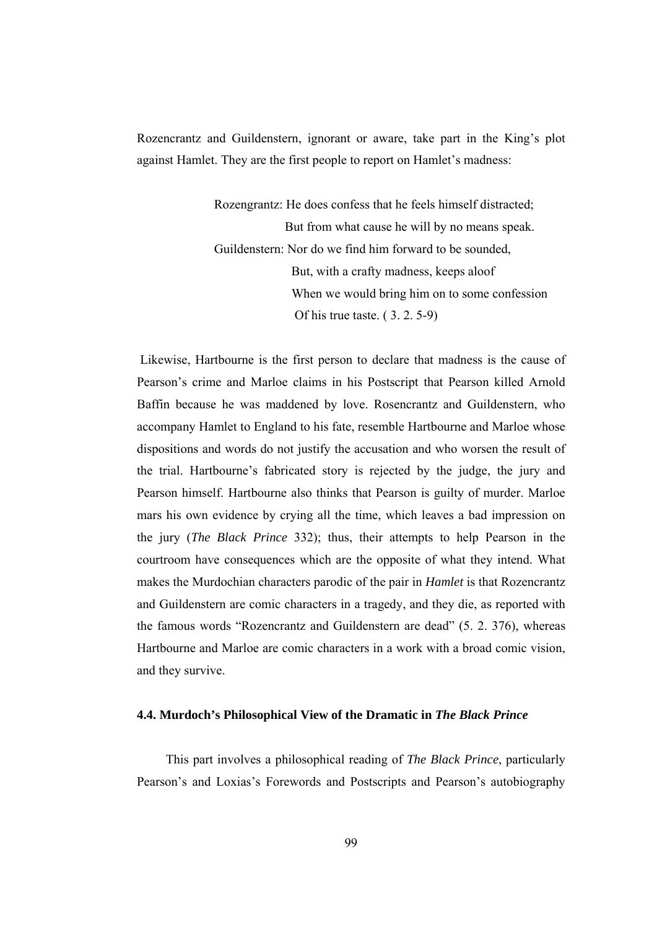Rozencrantz and Guildenstern, ignorant or aware, take part in the King's plot against Hamlet. They are the first people to report on Hamlet's madness:

> Rozengrantz: He does confess that he feels himself distracted; But from what cause he will by no means speak. Guildenstern: Nor do we find him forward to be sounded, But, with a crafty madness, keeps aloof When we would bring him on to some confession Of his true taste. ( 3. 2. 5-9)

 Likewise, Hartbourne is the first person to declare that madness is the cause of Pearson's crime and Marloe claims in his Postscript that Pearson killed Arnold Baffin because he was maddened by love. Rosencrantz and Guildenstern, who accompany Hamlet to England to his fate, resemble Hartbourne and Marloe whose dispositions and words do not justify the accusation and who worsen the result of the trial. Hartbourne's fabricated story is rejected by the judge, the jury and Pearson himself. Hartbourne also thinks that Pearson is guilty of murder. Marloe mars his own evidence by crying all the time, which leaves a bad impression on the jury (*The Black Prince* 332); thus, their attempts to help Pearson in the courtroom have consequences which are the opposite of what they intend. What makes the Murdochian characters parodic of the pair in *Hamlet* is that Rozencrantz and Guildenstern are comic characters in a tragedy, and they die, as reported with the famous words "Rozencrantz and Guildenstern are dead" (5. 2. 376), whereas Hartbourne and Marloe are comic characters in a work with a broad comic vision, and they survive.

#### **4.4. Murdoch's Philosophical View of the Dramatic in** *The Black Prince*

 This part involves a philosophical reading of *The Black Prince*, particularly Pearson's and Loxias's Forewords and Postscripts and Pearson's autobiography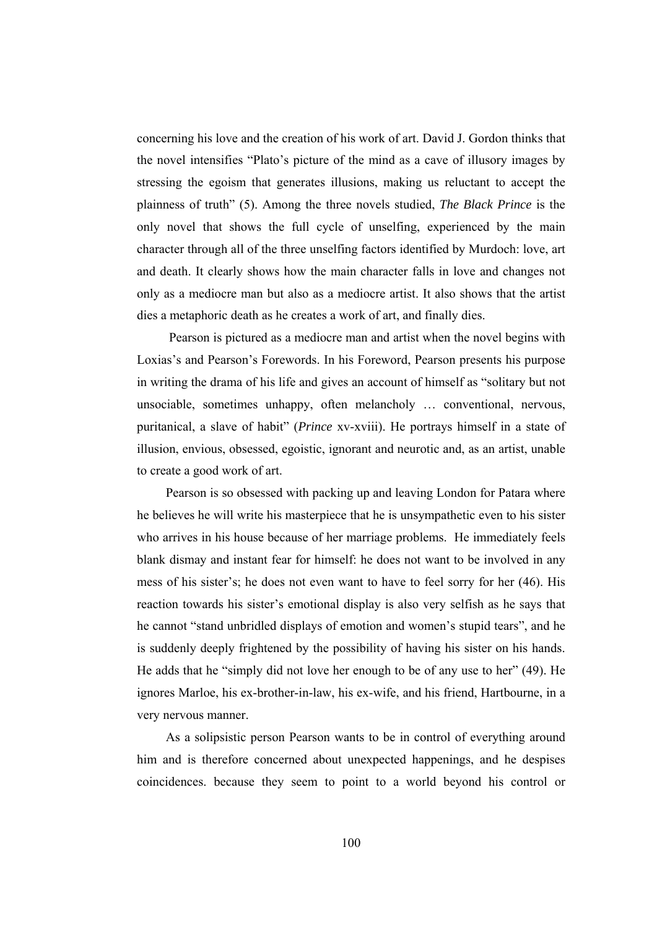concerning his love and the creation of his work of art. David J. Gordon thinks that the novel intensifies "Plato's picture of the mind as a cave of illusory images by stressing the egoism that generates illusions, making us reluctant to accept the plainness of truth" (5). Among the three novels studied, *The Black Prince* is the only novel that shows the full cycle of unselfing, experienced by the main character through all of the three unselfing factors identified by Murdoch: love, art and death. It clearly shows how the main character falls in love and changes not only as a mediocre man but also as a mediocre artist. It also shows that the artist dies a metaphoric death as he creates a work of art, and finally dies.

 Pearson is pictured as a mediocre man and artist when the novel begins with Loxias's and Pearson's Forewords. In his Foreword, Pearson presents his purpose in writing the drama of his life and gives an account of himself as "solitary but not unsociable, sometimes unhappy, often melancholy … conventional, nervous, puritanical, a slave of habit" (*Prince* xv-xviii). He portrays himself in a state of illusion, envious, obsessed, egoistic, ignorant and neurotic and, as an artist, unable to create a good work of art.

 Pearson is so obsessed with packing up and leaving London for Patara where he believes he will write his masterpiece that he is unsympathetic even to his sister who arrives in his house because of her marriage problems. He immediately feels blank dismay and instant fear for himself: he does not want to be involved in any mess of his sister's; he does not even want to have to feel sorry for her (46). His reaction towards his sister's emotional display is also very selfish as he says that he cannot "stand unbridled displays of emotion and women's stupid tears", and he is suddenly deeply frightened by the possibility of having his sister on his hands. He adds that he "simply did not love her enough to be of any use to her" (49). He ignores Marloe, his ex-brother-in-law, his ex-wife, and his friend, Hartbourne, in a very nervous manner.

 As a solipsistic person Pearson wants to be in control of everything around him and is therefore concerned about unexpected happenings, and he despises coincidences. because they seem to point to a world beyond his control or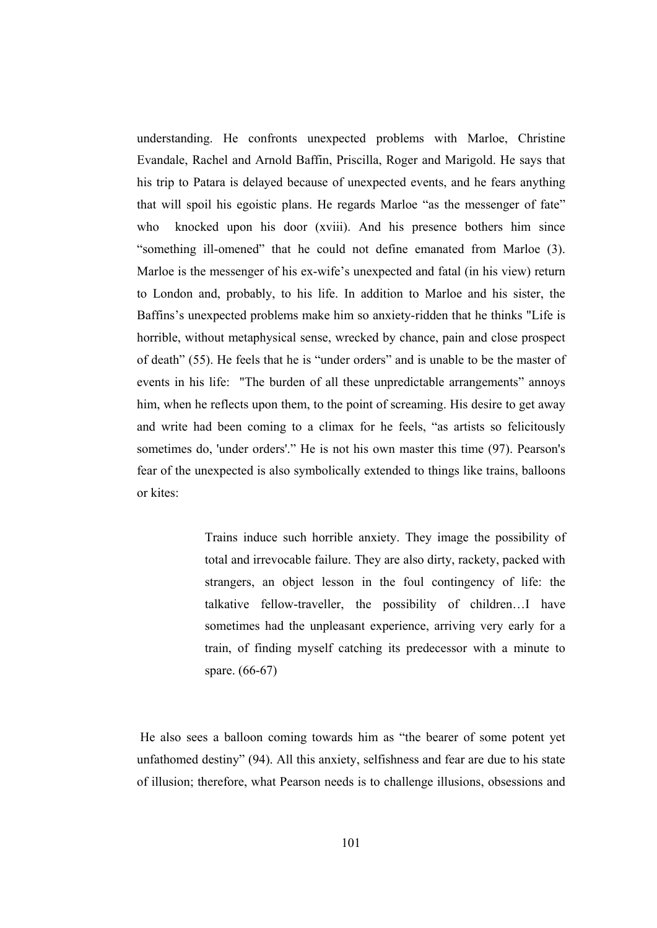understanding. He confronts unexpected problems with Marloe, Christine Evandale, Rachel and Arnold Baffin, Priscilla, Roger and Marigold. He says that his trip to Patara is delayed because of unexpected events, and he fears anything that will spoil his egoistic plans. He regards Marloe "as the messenger of fate" who knocked upon his door (xviii). And his presence bothers him since "something ill-omened" that he could not define emanated from Marloe (3). Marloe is the messenger of his ex-wife's unexpected and fatal (in his view) return to London and, probably, to his life. In addition to Marloe and his sister, the Baffins's unexpected problems make him so anxiety-ridden that he thinks "Life is horrible, without metaphysical sense, wrecked by chance, pain and close prospect of death" (55). He feels that he is "under orders" and is unable to be the master of events in his life: "The burden of all these unpredictable arrangements" annoys him, when he reflects upon them, to the point of screaming. His desire to get away and write had been coming to a climax for he feels, "as artists so felicitously sometimes do, 'under orders'." He is not his own master this time (97). Pearson's fear of the unexpected is also symbolically extended to things like trains, balloons or kites:

> Trains induce such horrible anxiety. They image the possibility of total and irrevocable failure. They are also dirty, rackety, packed with strangers, an object lesson in the foul contingency of life: the talkative fellow-traveller, the possibility of children…I have sometimes had the unpleasant experience, arriving very early for a train, of finding myself catching its predecessor with a minute to spare. (66-67)

 He also sees a balloon coming towards him as "the bearer of some potent yet unfathomed destiny" (94). All this anxiety, selfishness and fear are due to his state of illusion; therefore, what Pearson needs is to challenge illusions, obsessions and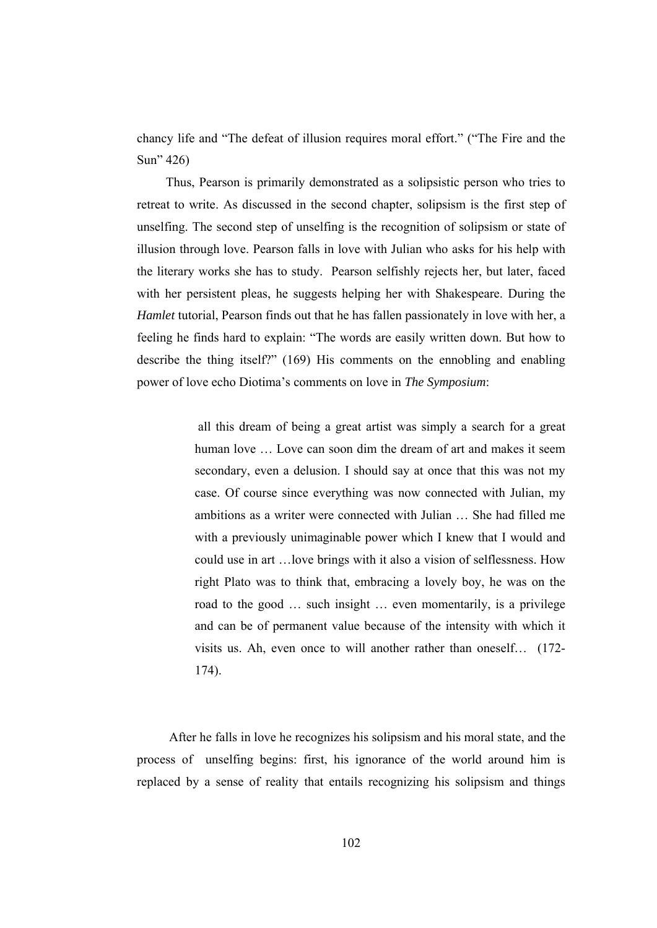chancy life and "The defeat of illusion requires moral effort." ("The Fire and the Sun" 426)

 Thus, Pearson is primarily demonstrated as a solipsistic person who tries to retreat to write. As discussed in the second chapter, solipsism is the first step of unselfing. The second step of unselfing is the recognition of solipsism or state of illusion through love. Pearson falls in love with Julian who asks for his help with the literary works she has to study. Pearson selfishly rejects her, but later, faced with her persistent pleas, he suggests helping her with Shakespeare. During the *Hamlet* tutorial, Pearson finds out that he has fallen passionately in love with her, a feeling he finds hard to explain: "The words are easily written down. But how to describe the thing itself?" (169) His comments on the ennobling and enabling power of love echo Diotima's comments on love in *The Symposium*:

> all this dream of being a great artist was simply a search for a great human love … Love can soon dim the dream of art and makes it seem secondary, even a delusion. I should say at once that this was not my case. Of course since everything was now connected with Julian, my ambitions as a writer were connected with Julian … She had filled me with a previously unimaginable power which I knew that I would and could use in art …love brings with it also a vision of selflessness. How right Plato was to think that, embracing a lovely boy, he was on the road to the good … such insight … even momentarily, is a privilege and can be of permanent value because of the intensity with which it visits us. Ah, even once to will another rather than oneself… (172- 174).

 After he falls in love he recognizes his solipsism and his moral state, and the process of unselfing begins: first, his ignorance of the world around him is replaced by a sense of reality that entails recognizing his solipsism and things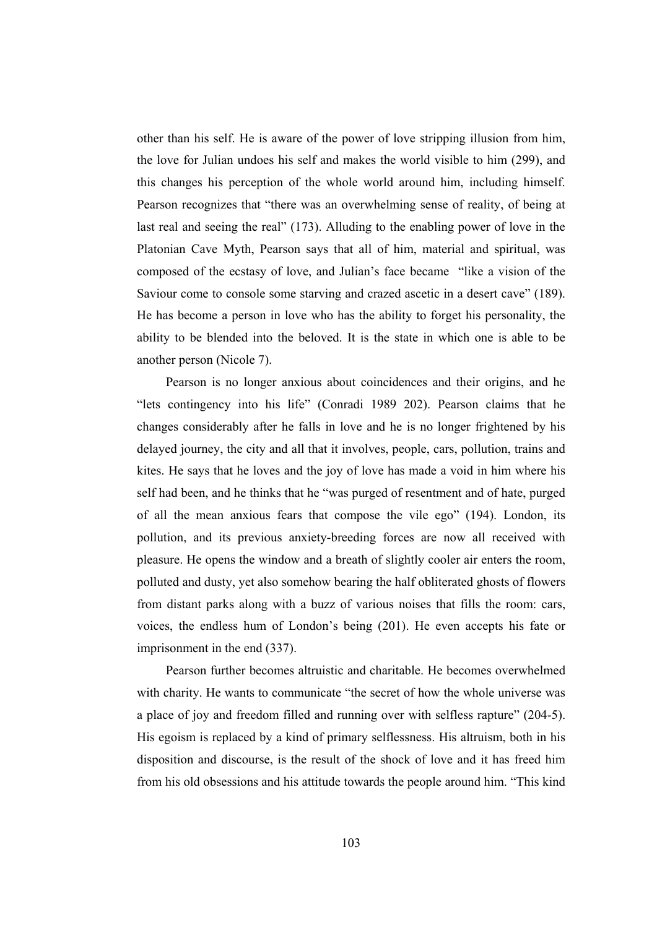other than his self. He is aware of the power of love stripping illusion from him, the love for Julian undoes his self and makes the world visible to him (299), and this changes his perception of the whole world around him, including himself. Pearson recognizes that "there was an overwhelming sense of reality, of being at last real and seeing the real" (173). Alluding to the enabling power of love in the Platonian Cave Myth, Pearson says that all of him, material and spiritual, was composed of the ecstasy of love, and Julian's face became "like a vision of the Saviour come to console some starving and crazed ascetic in a desert cave" (189). He has become a person in love who has the ability to forget his personality, the ability to be blended into the beloved. It is the state in which one is able to be another person (Nicole 7).

 Pearson is no longer anxious about coincidences and their origins, and he "lets contingency into his life" (Conradi 1989 202). Pearson claims that he changes considerably after he falls in love and he is no longer frightened by his delayed journey, the city and all that it involves, people, cars, pollution, trains and kites. He says that he loves and the joy of love has made a void in him where his self had been, and he thinks that he "was purged of resentment and of hate, purged of all the mean anxious fears that compose the vile ego" (194). London, its pollution, and its previous anxiety-breeding forces are now all received with pleasure. He opens the window and a breath of slightly cooler air enters the room, polluted and dusty, yet also somehow bearing the half obliterated ghosts of flowers from distant parks along with a buzz of various noises that fills the room: cars, voices, the endless hum of London's being (201). He even accepts his fate or imprisonment in the end (337).

 Pearson further becomes altruistic and charitable. He becomes overwhelmed with charity. He wants to communicate "the secret of how the whole universe was a place of joy and freedom filled and running over with selfless rapture" (204-5). His egoism is replaced by a kind of primary selflessness. His altruism, both in his disposition and discourse, is the result of the shock of love and it has freed him from his old obsessions and his attitude towards the people around him. "This kind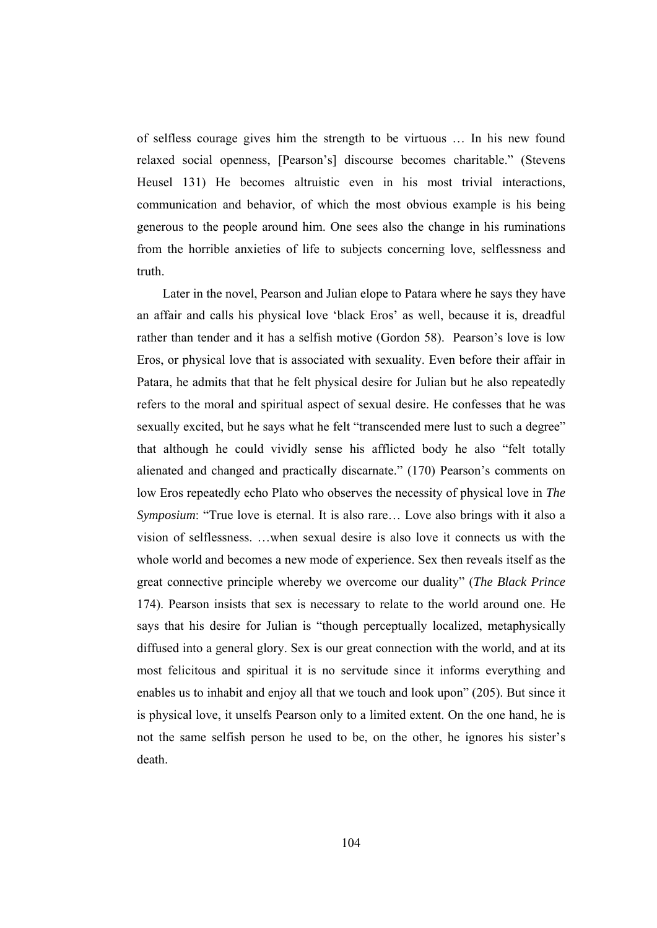of selfless courage gives him the strength to be virtuous … In his new found relaxed social openness, [Pearson's] discourse becomes charitable." (Stevens Heusel 131) He becomes altruistic even in his most trivial interactions, communication and behavior, of which the most obvious example is his being generous to the people around him. One sees also the change in his ruminations from the horrible anxieties of life to subjects concerning love, selflessness and truth.

 Later in the novel, Pearson and Julian elope to Patara where he says they have an affair and calls his physical love 'black Eros' as well, because it is, dreadful rather than tender and it has a selfish motive (Gordon 58). Pearson's love is low Eros, or physical love that is associated with sexuality. Even before their affair in Patara, he admits that that he felt physical desire for Julian but he also repeatedly refers to the moral and spiritual aspect of sexual desire. He confesses that he was sexually excited, but he says what he felt "transcended mere lust to such a degree" that although he could vividly sense his afflicted body he also "felt totally alienated and changed and practically discarnate." (170) Pearson's comments on low Eros repeatedly echo Plato who observes the necessity of physical love in *The Symposium*: "True love is eternal. It is also rare… Love also brings with it also a vision of selflessness. …when sexual desire is also love it connects us with the whole world and becomes a new mode of experience. Sex then reveals itself as the great connective principle whereby we overcome our duality" (*The Black Prince* 174). Pearson insists that sex is necessary to relate to the world around one. He says that his desire for Julian is "though perceptually localized, metaphysically diffused into a general glory. Sex is our great connection with the world, and at its most felicitous and spiritual it is no servitude since it informs everything and enables us to inhabit and enjoy all that we touch and look upon" (205). But since it is physical love, it unselfs Pearson only to a limited extent. On the one hand, he is not the same selfish person he used to be, on the other, he ignores his sister's death.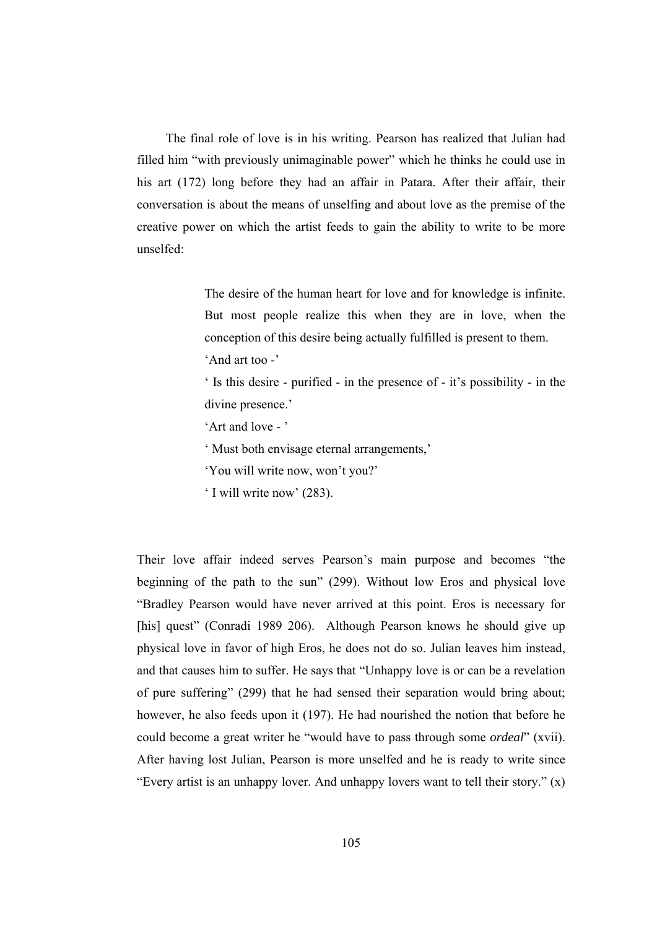The final role of love is in his writing. Pearson has realized that Julian had filled him "with previously unimaginable power" which he thinks he could use in his art (172) long before they had an affair in Patara. After their affair, their conversation is about the means of unselfing and about love as the premise of the creative power on which the artist feeds to gain the ability to write to be more unselfed:

> The desire of the human heart for love and for knowledge is infinite. But most people realize this when they are in love, when the conception of this desire being actually fulfilled is present to them. 'And art too -'

> ' Is this desire - purified - in the presence of - it's possibility - in the divine presence.'

- 'Art and love '
- ' Must both envisage eternal arrangements,'
- 'You will write now, won't you?'
- ' I will write now' (283).

Their love affair indeed serves Pearson's main purpose and becomes "the beginning of the path to the sun" (299). Without low Eros and physical love "Bradley Pearson would have never arrived at this point. Eros is necessary for [his] quest" (Conradi 1989 206). Although Pearson knows he should give up physical love in favor of high Eros, he does not do so. Julian leaves him instead, and that causes him to suffer. He says that "Unhappy love is or can be a revelation of pure suffering" (299) that he had sensed their separation would bring about; however, he also feeds upon it (197). He had nourished the notion that before he could become a great writer he "would have to pass through some *ordeal*" (xvii). After having lost Julian, Pearson is more unselfed and he is ready to write since "Every artist is an unhappy lover. And unhappy lovers want to tell their story." (x)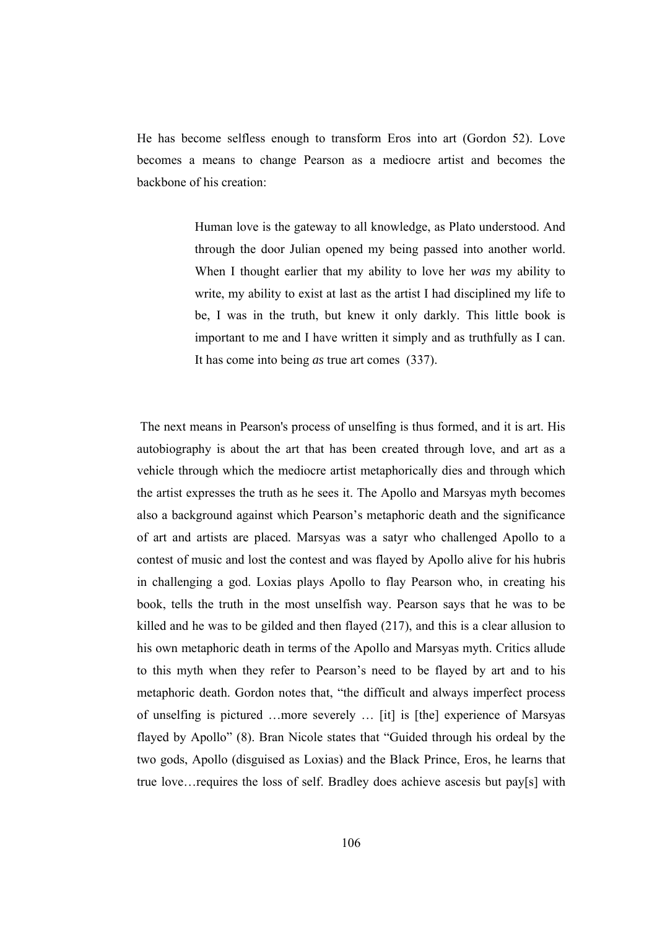He has become selfless enough to transform Eros into art (Gordon 52). Love becomes a means to change Pearson as a mediocre artist and becomes the backbone of his creation:

> Human love is the gateway to all knowledge, as Plato understood. And through the door Julian opened my being passed into another world. When I thought earlier that my ability to love her *was* my ability to write, my ability to exist at last as the artist I had disciplined my life to be, I was in the truth, but knew it only darkly. This little book is important to me and I have written it simply and as truthfully as I can. It has come into being *as* true art comes (337).

 The next means in Pearson's process of unselfing is thus formed, and it is art. His autobiography is about the art that has been created through love, and art as a vehicle through which the mediocre artist metaphorically dies and through which the artist expresses the truth as he sees it. The Apollo and Marsyas myth becomes also a background against which Pearson's metaphoric death and the significance of art and artists are placed. Marsyas was a satyr who challenged Apollo to a contest of music and lost the contest and was flayed by Apollo alive for his hubris in challenging a god. Loxias plays Apollo to flay Pearson who, in creating his book, tells the truth in the most unselfish way. Pearson says that he was to be killed and he was to be gilded and then flayed (217), and this is a clear allusion to his own metaphoric death in terms of the Apollo and Marsyas myth. Critics allude to this myth when they refer to Pearson's need to be flayed by art and to his metaphoric death. Gordon notes that, "the difficult and always imperfect process of unselfing is pictured …more severely … [it] is [the] experience of Marsyas flayed by Apollo" (8). Bran Nicole states that "Guided through his ordeal by the two gods, Apollo (disguised as Loxias) and the Black Prince, Eros, he learns that true love…requires the loss of self. Bradley does achieve ascesis but pay[s] with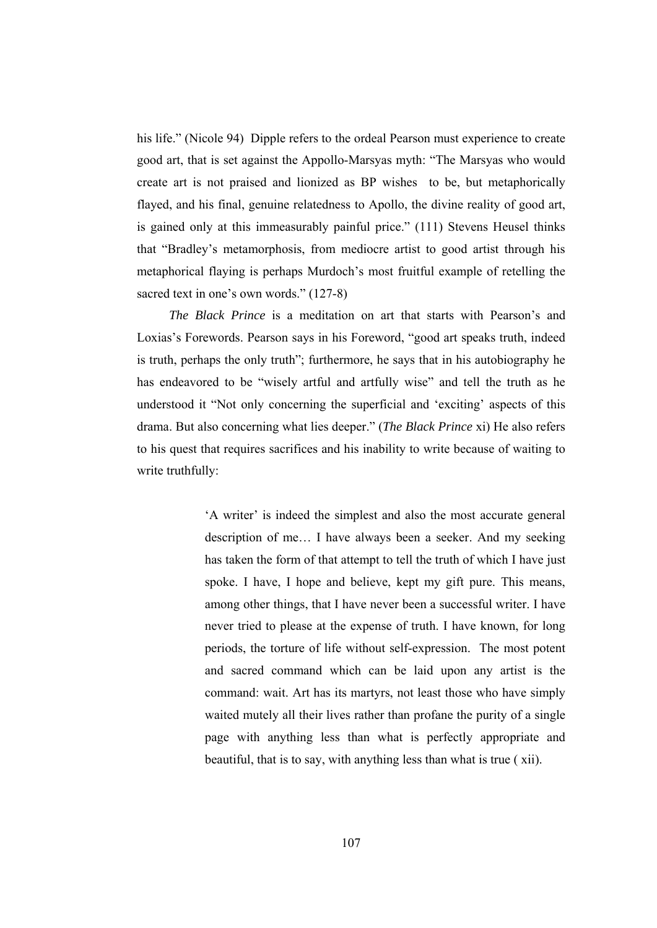his life." (Nicole 94) Dipple refers to the ordeal Pearson must experience to create good art, that is set against the Appollo-Marsyas myth: "The Marsyas who would create art is not praised and lionized as BP wishes to be, but metaphorically flayed, and his final, genuine relatedness to Apollo, the divine reality of good art, is gained only at this immeasurably painful price." (111) Stevens Heusel thinks that "Bradley's metamorphosis, from mediocre artist to good artist through his metaphorical flaying is perhaps Murdoch's most fruitful example of retelling the sacred text in one's own words." (127-8)

 *The Black Prince* is a meditation on art that starts with Pearson's and Loxias's Forewords. Pearson says in his Foreword, "good art speaks truth, indeed is truth, perhaps the only truth"; furthermore, he says that in his autobiography he has endeavored to be "wisely artful and artfully wise" and tell the truth as he understood it "Not only concerning the superficial and 'exciting' aspects of this drama. But also concerning what lies deeper." (*The Black Prince* xi) He also refers to his quest that requires sacrifices and his inability to write because of waiting to write truthfully:

> 'A writer' is indeed the simplest and also the most accurate general description of me… I have always been a seeker. And my seeking has taken the form of that attempt to tell the truth of which I have just spoke. I have, I hope and believe, kept my gift pure. This means, among other things, that I have never been a successful writer. I have never tried to please at the expense of truth. I have known, for long periods, the torture of life without self-expression. The most potent and sacred command which can be laid upon any artist is the command: wait. Art has its martyrs, not least those who have simply waited mutely all their lives rather than profane the purity of a single page with anything less than what is perfectly appropriate and beautiful, that is to say, with anything less than what is true ( xii).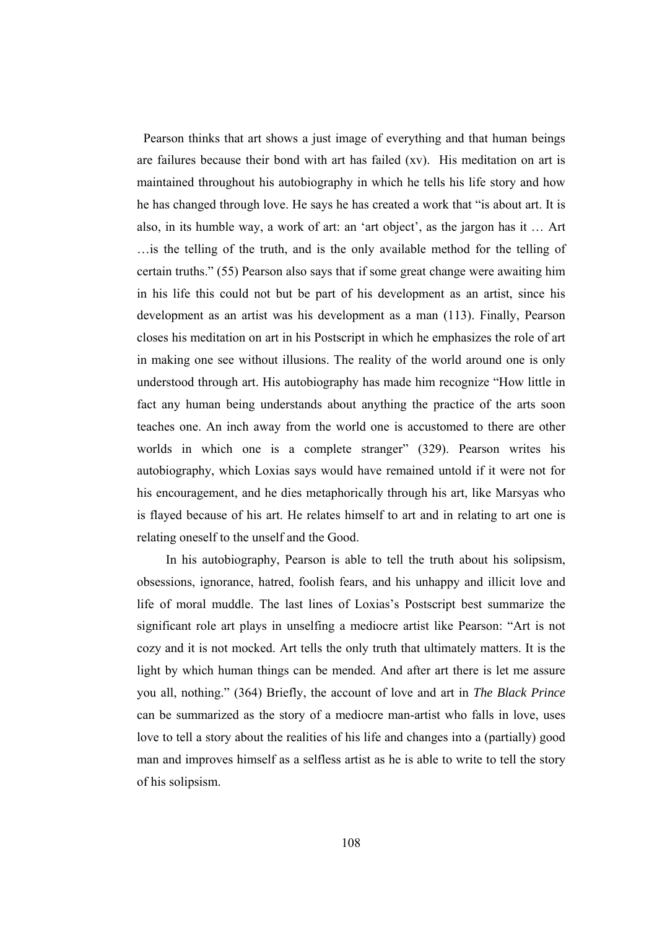Pearson thinks that art shows a just image of everything and that human beings are failures because their bond with art has failed (xv). His meditation on art is maintained throughout his autobiography in which he tells his life story and how he has changed through love. He says he has created a work that "is about art. It is also, in its humble way, a work of art: an 'art object', as the jargon has it … Art …is the telling of the truth, and is the only available method for the telling of certain truths." (55) Pearson also says that if some great change were awaiting him in his life this could not but be part of his development as an artist, since his development as an artist was his development as a man (113). Finally, Pearson closes his meditation on art in his Postscript in which he emphasizes the role of art in making one see without illusions. The reality of the world around one is only understood through art. His autobiography has made him recognize "How little in fact any human being understands about anything the practice of the arts soon teaches one. An inch away from the world one is accustomed to there are other worlds in which one is a complete stranger" (329). Pearson writes his autobiography, which Loxias says would have remained untold if it were not for his encouragement, and he dies metaphorically through his art, like Marsyas who is flayed because of his art. He relates himself to art and in relating to art one is relating oneself to the unself and the Good.

 In his autobiography, Pearson is able to tell the truth about his solipsism, obsessions, ignorance, hatred, foolish fears, and his unhappy and illicit love and life of moral muddle. The last lines of Loxias's Postscript best summarize the significant role art plays in unselfing a mediocre artist like Pearson: "Art is not cozy and it is not mocked. Art tells the only truth that ultimately matters. It is the light by which human things can be mended. And after art there is let me assure you all, nothing." (364) Briefly, the account of love and art in *The Black Prince* can be summarized as the story of a mediocre man-artist who falls in love, uses love to tell a story about the realities of his life and changes into a (partially) good man and improves himself as a selfless artist as he is able to write to tell the story of his solipsism.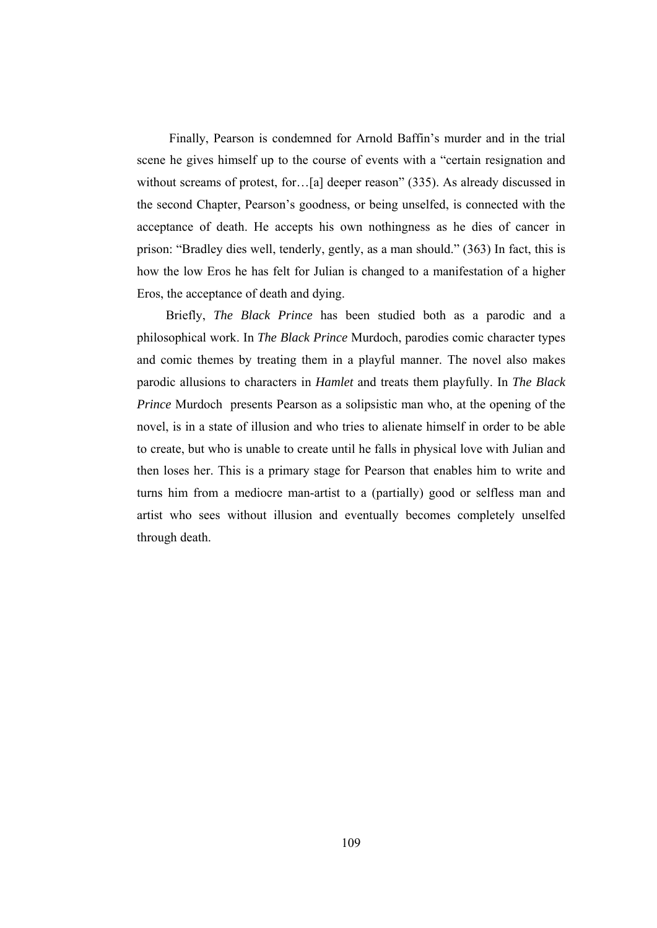Finally, Pearson is condemned for Arnold Baffin's murder and in the trial scene he gives himself up to the course of events with a "certain resignation and without screams of protest, for…[a] deeper reason" (335). As already discussed in the second Chapter, Pearson's goodness, or being unselfed, is connected with the acceptance of death. He accepts his own nothingness as he dies of cancer in prison: "Bradley dies well, tenderly, gently, as a man should." (363) In fact, this is how the low Eros he has felt for Julian is changed to a manifestation of a higher Eros, the acceptance of death and dying.

 Briefly, *The Black Prince* has been studied both as a parodic and a philosophical work. In *The Black Prince* Murdoch, parodies comic character types and comic themes by treating them in a playful manner. The novel also makes parodic allusions to characters in *Hamlet* and treats them playfully. In *The Black Prince* Murdoch presents Pearson as a solipsistic man who, at the opening of the novel, is in a state of illusion and who tries to alienate himself in order to be able to create, but who is unable to create until he falls in physical love with Julian and then loses her. This is a primary stage for Pearson that enables him to write and turns him from a mediocre man-artist to a (partially) good or selfless man and artist who sees without illusion and eventually becomes completely unselfed through death.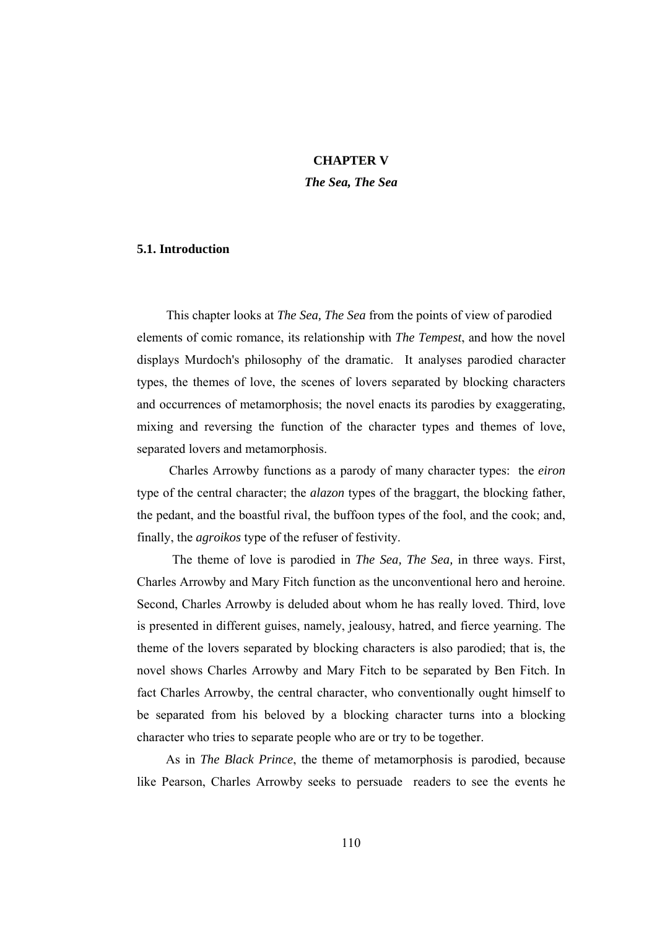## **CHAPTER V**

*The Sea, The Sea* 

## **5.1. Introduction**

 This chapter looks at *The Sea, The Sea* from the points of view of parodied elements of comic romance, its relationship with *The Tempest*, and how the novel displays Murdoch's philosophy of the dramatic. It analyses parodied character types, the themes of love, the scenes of lovers separated by blocking characters and occurrences of metamorphosis; the novel enacts its parodies by exaggerating, mixing and reversing the function of the character types and themes of love, separated lovers and metamorphosis.

 Charles Arrowby functions as a parody of many character types: the *eiron* type of the central character; the *alazon* types of the braggart, the blocking father, the pedant, and the boastful rival, the buffoon types of the fool, and the cook; and, finally, the *agroikos* type of the refuser of festivity.

 The theme of love is parodied in *The Sea, The Sea,* in three ways. First, Charles Arrowby and Mary Fitch function as the unconventional hero and heroine. Second, Charles Arrowby is deluded about whom he has really loved. Third, love is presented in different guises, namely, jealousy, hatred, and fierce yearning. The theme of the lovers separated by blocking characters is also parodied; that is, the novel shows Charles Arrowby and Mary Fitch to be separated by Ben Fitch. In fact Charles Arrowby, the central character, who conventionally ought himself to be separated from his beloved by a blocking character turns into a blocking character who tries to separate people who are or try to be together.

 As in *The Black Prince*, the theme of metamorphosis is parodied, because like Pearson, Charles Arrowby seeks to persuade readers to see the events he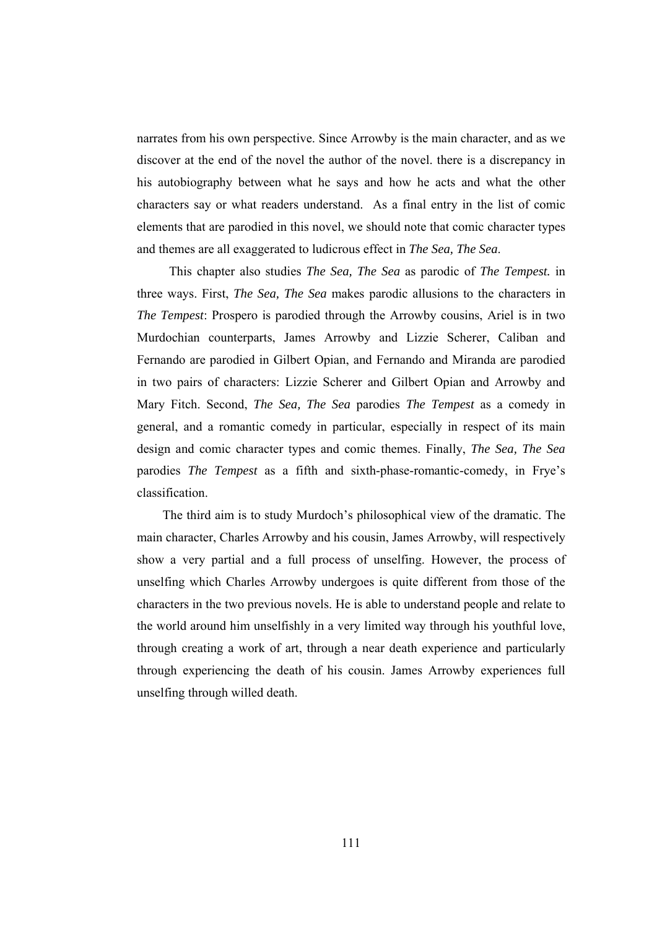narrates from his own perspective. Since Arrowby is the main character, and as we discover at the end of the novel the author of the novel. there is a discrepancy in his autobiography between what he says and how he acts and what the other characters say or what readers understand. As a final entry in the list of comic elements that are parodied in this novel, we should note that comic character types and themes are all exaggerated to ludicrous effect in *The Sea, The Sea*.

 This chapter also studies *The Sea, The Sea* as parodic of *The Tempest.* in three ways. First, *The Sea, The Sea* makes parodic allusions to the characters in *The Tempest*: Prospero is parodied through the Arrowby cousins, Ariel is in two Murdochian counterparts, James Arrowby and Lizzie Scherer, Caliban and Fernando are parodied in Gilbert Opian, and Fernando and Miranda are parodied in two pairs of characters: Lizzie Scherer and Gilbert Opian and Arrowby and Mary Fitch. Second, *The Sea, The Sea* parodies *The Tempest* as a comedy in general, and a romantic comedy in particular, especially in respect of its main design and comic character types and comic themes. Finally, *The Sea, The Sea* parodies *The Tempest* as a fifth and sixth-phase-romantic-comedy, in Frye's classification.

 The third aim is to study Murdoch's philosophical view of the dramatic. The main character, Charles Arrowby and his cousin, James Arrowby, will respectively show a very partial and a full process of unselfing. However, the process of unselfing which Charles Arrowby undergoes is quite different from those of the characters in the two previous novels. He is able to understand people and relate to the world around him unselfishly in a very limited way through his youthful love, through creating a work of art, through a near death experience and particularly through experiencing the death of his cousin. James Arrowby experiences full unselfing through willed death.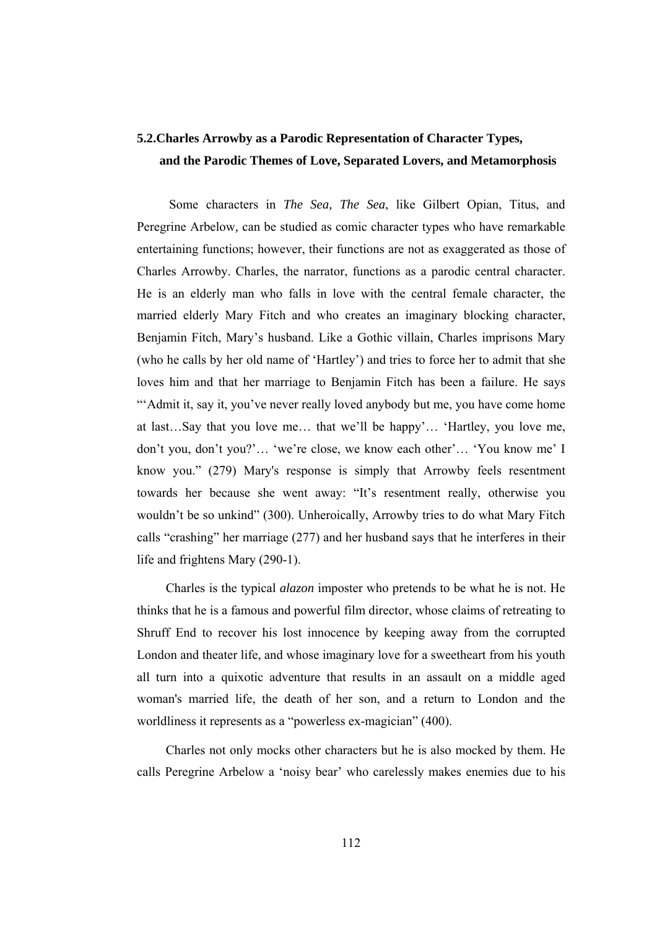# **5.2.Charles Arrowby as a Parodic Representation of Character Types, and the Parodic Themes of Love, Separated Lovers, and Metamorphosis**

 Some characters in *The Sea, The Sea*, like Gilbert Opian, Titus, and Peregrine Arbelow*,* can be studied as comic character types who have remarkable entertaining functions; however, their functions are not as exaggerated as those of Charles Arrowby. Charles, the narrator, functions as a parodic central character. He is an elderly man who falls in love with the central female character, the married elderly Mary Fitch and who creates an imaginary blocking character, Benjamin Fitch, Mary's husband. Like a Gothic villain, Charles imprisons Mary (who he calls by her old name of 'Hartley') and tries to force her to admit that she loves him and that her marriage to Benjamin Fitch has been a failure. He says "'Admit it, say it, you've never really loved anybody but me, you have come home at last…Say that you love me… that we'll be happy'… 'Hartley, you love me, don't you, don't you?'… 'we're close, we know each other'… 'You know me' I know you." (279) Mary's response is simply that Arrowby feels resentment towards her because she went away: "It's resentment really, otherwise you wouldn't be so unkind" (300). Unheroically, Arrowby tries to do what Mary Fitch calls "crashing" her marriage (277) and her husband says that he interferes in their life and frightens Mary (290-1).

 Charles is the typical *alazon* imposter who pretends to be what he is not. He thinks that he is a famous and powerful film director, whose claims of retreating to Shruff End to recover his lost innocence by keeping away from the corrupted London and theater life, and whose imaginary love for a sweetheart from his youth all turn into a quixotic adventure that results in an assault on a middle aged woman's married life, the death of her son, and a return to London and the worldliness it represents as a "powerless ex-magician" (400).

 Charles not only mocks other characters but he is also mocked by them. He calls Peregrine Arbelow a 'noisy bear' who carelessly makes enemies due to his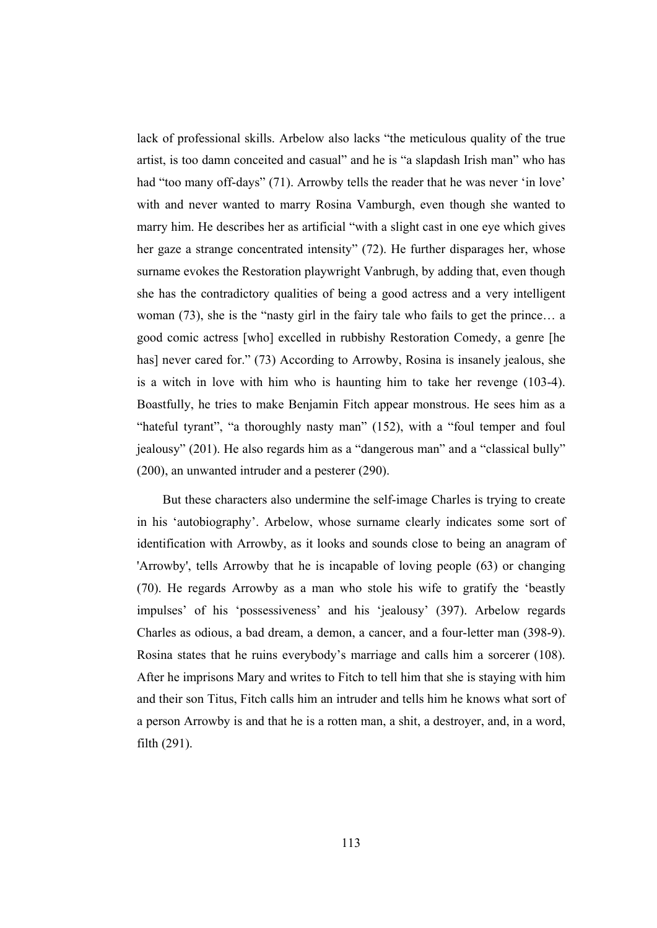lack of professional skills. Arbelow also lacks "the meticulous quality of the true artist, is too damn conceited and casual" and he is "a slapdash Irish man" who has had "too many off-days" (71). Arrowby tells the reader that he was never 'in love' with and never wanted to marry Rosina Vamburgh, even though she wanted to marry him. He describes her as artificial "with a slight cast in one eye which gives her gaze a strange concentrated intensity" (72). He further disparages her, whose surname evokes the Restoration playwright Vanbrugh, by adding that, even though she has the contradictory qualities of being a good actress and a very intelligent woman (73), she is the "nasty girl in the fairy tale who fails to get the prince… a good comic actress [who] excelled in rubbishy Restoration Comedy, a genre [he has] never cared for." (73) According to Arrowby, Rosina is insanely jealous, she is a witch in love with him who is haunting him to take her revenge (103-4). Boastfully, he tries to make Benjamin Fitch appear monstrous. He sees him as a "hateful tyrant", "a thoroughly nasty man" (152), with a "foul temper and foul jealousy" (201). He also regards him as a "dangerous man" and a "classical bully" (200), an unwanted intruder and a pesterer (290).

But these characters also undermine the self-image Charles is trying to create in his 'autobiography'. Arbelow, whose surname clearly indicates some sort of identification with Arrowby, as it looks and sounds close to being an anagram of 'Arrowby', tells Arrowby that he is incapable of loving people (63) or changing (70). He regards Arrowby as a man who stole his wife to gratify the 'beastly impulses' of his 'possessiveness' and his 'jealousy' (397). Arbelow regards Charles as odious, a bad dream, a demon, a cancer, and a four-letter man (398-9). Rosina states that he ruins everybody's marriage and calls him a sorcerer (108). After he imprisons Mary and writes to Fitch to tell him that she is staying with him and their son Titus, Fitch calls him an intruder and tells him he knows what sort of a person Arrowby is and that he is a rotten man, a shit, a destroyer, and, in a word, filth (291).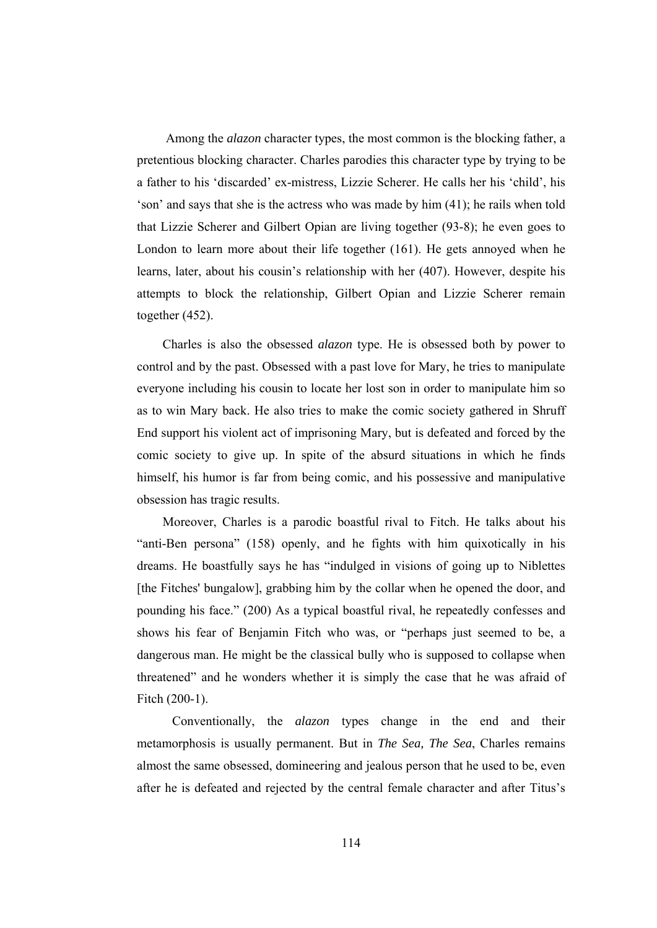Among the *alazon* character types, the most common is the blocking father, a pretentious blocking character. Charles parodies this character type by trying to be a father to his 'discarded' ex-mistress, Lizzie Scherer. He calls her his 'child', his 'son' and says that she is the actress who was made by him (41); he rails when told that Lizzie Scherer and Gilbert Opian are living together (93-8); he even goes to London to learn more about their life together (161). He gets annoyed when he learns, later, about his cousin's relationship with her (407). However, despite his attempts to block the relationship, Gilbert Opian and Lizzie Scherer remain together (452).

 Charles is also the obsessed *alazon* type. He is obsessed both by power to control and by the past. Obsessed with a past love for Mary, he tries to manipulate everyone including his cousin to locate her lost son in order to manipulate him so as to win Mary back. He also tries to make the comic society gathered in Shruff End support his violent act of imprisoning Mary, but is defeated and forced by the comic society to give up. In spite of the absurd situations in which he finds himself, his humor is far from being comic, and his possessive and manipulative obsession has tragic results.

 Moreover, Charles is a parodic boastful rival to Fitch. He talks about his "anti-Ben persona" (158) openly, and he fights with him quixotically in his dreams. He boastfully says he has "indulged in visions of going up to Niblettes [the Fitches' bungalow], grabbing him by the collar when he opened the door, and pounding his face." (200) As a typical boastful rival, he repeatedly confesses and shows his fear of Benjamin Fitch who was, or "perhaps just seemed to be, a dangerous man. He might be the classical bully who is supposed to collapse when threatened" and he wonders whether it is simply the case that he was afraid of Fitch (200-1).

 Conventionally, the *alazon* types change in the end and their metamorphosis is usually permanent. But in *The Sea, The Sea*, Charles remains almost the same obsessed, domineering and jealous person that he used to be, even after he is defeated and rejected by the central female character and after Titus's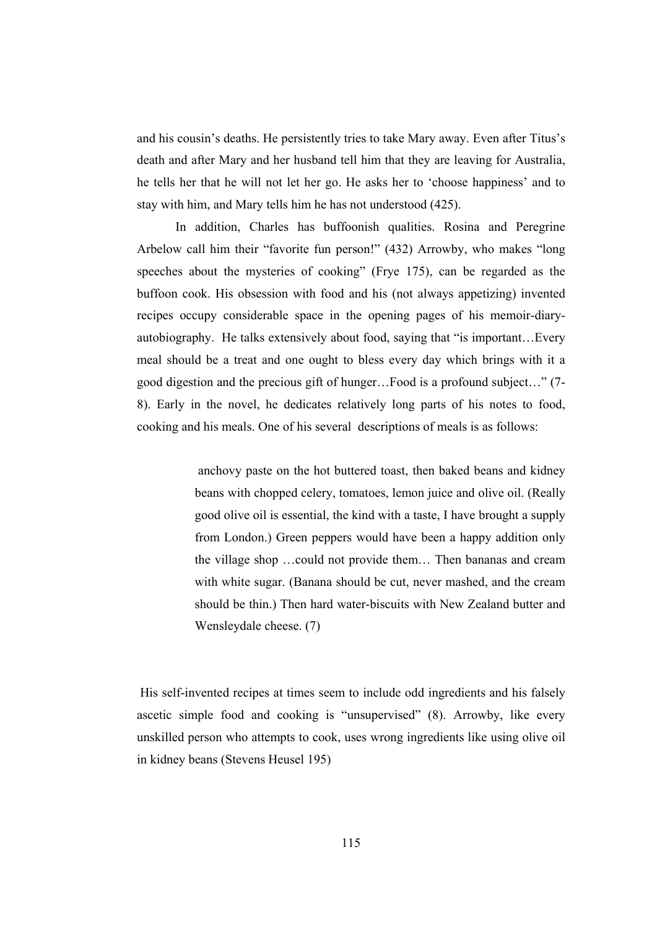and his cousin's deaths. He persistently tries to take Mary away. Even after Titus's death and after Mary and her husband tell him that they are leaving for Australia, he tells her that he will not let her go. He asks her to 'choose happiness' and to stay with him, and Mary tells him he has not understood (425).

 In addition, Charles has buffoonish qualities. Rosina and Peregrine Arbelow call him their "favorite fun person!" (432) Arrowby, who makes "long speeches about the mysteries of cooking" (Frye 175), can be regarded as the buffoon cook. His obsession with food and his (not always appetizing) invented recipes occupy considerable space in the opening pages of his memoir-diaryautobiography. He talks extensively about food, saying that "is important…Every meal should be a treat and one ought to bless every day which brings with it a good digestion and the precious gift of hunger…Food is a profound subject…" (7- 8). Early in the novel, he dedicates relatively long parts of his notes to food, cooking and his meals. One of his several descriptions of meals is as follows:

> anchovy paste on the hot buttered toast, then baked beans and kidney beans with chopped celery, tomatoes, lemon juice and olive oil. (Really good olive oil is essential, the kind with a taste, I have brought a supply from London.) Green peppers would have been a happy addition only the village shop …could not provide them… Then bananas and cream with white sugar. (Banana should be cut, never mashed, and the cream should be thin.) Then hard water-biscuits with New Zealand butter and Wensleydale cheese. (7)

 His self-invented recipes at times seem to include odd ingredients and his falsely ascetic simple food and cooking is "unsupervised" (8). Arrowby, like every unskilled person who attempts to cook, uses wrong ingredients like using olive oil in kidney beans (Stevens Heusel 195)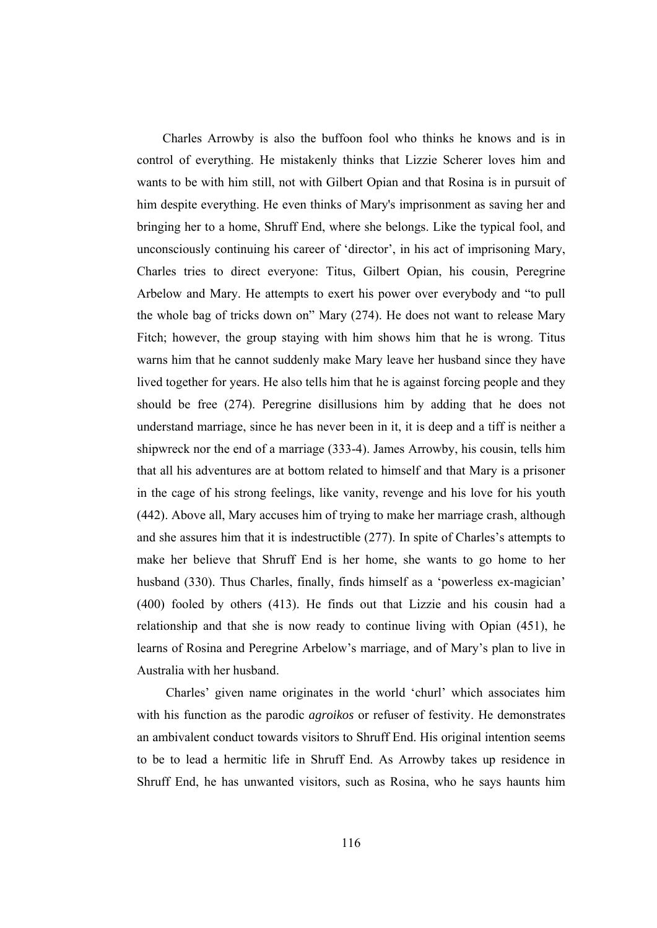Charles Arrowby is also the buffoon fool who thinks he knows and is in control of everything. He mistakenly thinks that Lizzie Scherer loves him and wants to be with him still, not with Gilbert Opian and that Rosina is in pursuit of him despite everything. He even thinks of Mary's imprisonment as saving her and bringing her to a home, Shruff End, where she belongs. Like the typical fool, and unconsciously continuing his career of 'director', in his act of imprisoning Mary, Charles tries to direct everyone: Titus, Gilbert Opian, his cousin, Peregrine Arbelow and Mary. He attempts to exert his power over everybody and "to pull the whole bag of tricks down on" Mary (274). He does not want to release Mary Fitch; however, the group staying with him shows him that he is wrong. Titus warns him that he cannot suddenly make Mary leave her husband since they have lived together for years. He also tells him that he is against forcing people and they should be free (274). Peregrine disillusions him by adding that he does not understand marriage, since he has never been in it, it is deep and a tiff is neither a shipwreck nor the end of a marriage (333-4). James Arrowby, his cousin, tells him that all his adventures are at bottom related to himself and that Mary is a prisoner in the cage of his strong feelings, like vanity, revenge and his love for his youth (442). Above all, Mary accuses him of trying to make her marriage crash, although and she assures him that it is indestructible (277). In spite of Charles's attempts to make her believe that Shruff End is her home, she wants to go home to her husband (330). Thus Charles, finally, finds himself as a 'powerless ex-magician' (400) fooled by others (413). He finds out that Lizzie and his cousin had a relationship and that she is now ready to continue living with Opian (451), he learns of Rosina and Peregrine Arbelow's marriage, and of Mary's plan to live in Australia with her husband.

 Charles' given name originates in the world 'churl' which associates him with his function as the parodic *agroikos* or refuser of festivity. He demonstrates an ambivalent conduct towards visitors to Shruff End. His original intention seems to be to lead a hermitic life in Shruff End. As Arrowby takes up residence in Shruff End, he has unwanted visitors, such as Rosina, who he says haunts him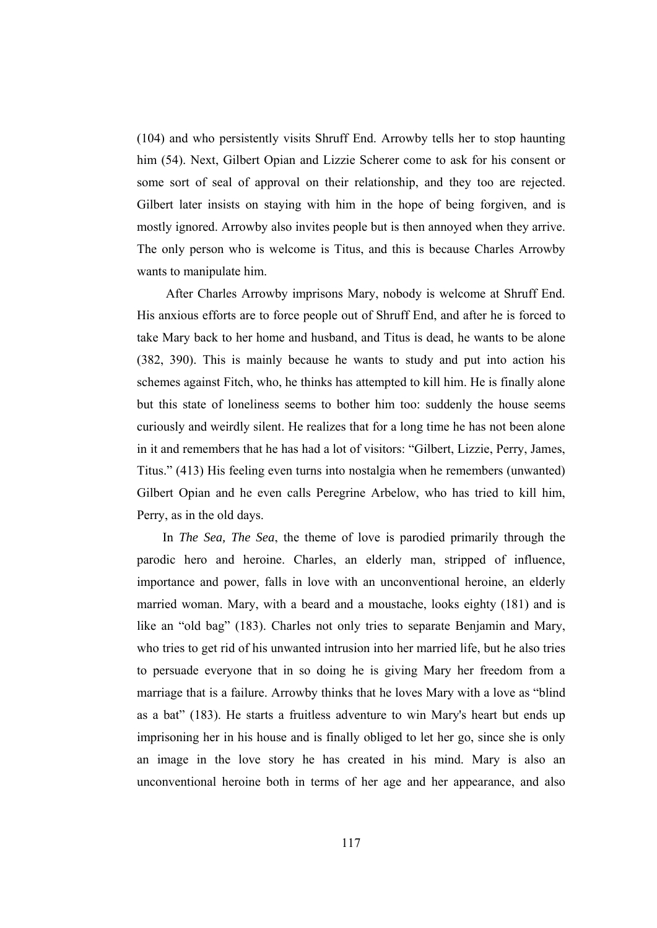(104) and who persistently visits Shruff End. Arrowby tells her to stop haunting him (54). Next, Gilbert Opian and Lizzie Scherer come to ask for his consent or some sort of seal of approval on their relationship, and they too are rejected. Gilbert later insists on staying with him in the hope of being forgiven, and is mostly ignored. Arrowby also invites people but is then annoyed when they arrive. The only person who is welcome is Titus, and this is because Charles Arrowby wants to manipulate him.

 After Charles Arrowby imprisons Mary, nobody is welcome at Shruff End. His anxious efforts are to force people out of Shruff End, and after he is forced to take Mary back to her home and husband, and Titus is dead, he wants to be alone (382, 390). This is mainly because he wants to study and put into action his schemes against Fitch, who, he thinks has attempted to kill him. He is finally alone but this state of loneliness seems to bother him too: suddenly the house seems curiously and weirdly silent. He realizes that for a long time he has not been alone in it and remembers that he has had a lot of visitors: "Gilbert, Lizzie, Perry, James, Titus." (413) His feeling even turns into nostalgia when he remembers (unwanted) Gilbert Opian and he even calls Peregrine Arbelow, who has tried to kill him, Perry, as in the old days.

 In *The Sea, The Sea*, the theme of love is parodied primarily through the parodic hero and heroine. Charles, an elderly man, stripped of influence, importance and power, falls in love with an unconventional heroine, an elderly married woman. Mary, with a beard and a moustache, looks eighty (181) and is like an "old bag" (183). Charles not only tries to separate Benjamin and Mary, who tries to get rid of his unwanted intrusion into her married life, but he also tries to persuade everyone that in so doing he is giving Mary her freedom from a marriage that is a failure. Arrowby thinks that he loves Mary with a love as "blind as a bat" (183). He starts a fruitless adventure to win Mary's heart but ends up imprisoning her in his house and is finally obliged to let her go, since she is only an image in the love story he has created in his mind. Mary is also an unconventional heroine both in terms of her age and her appearance, and also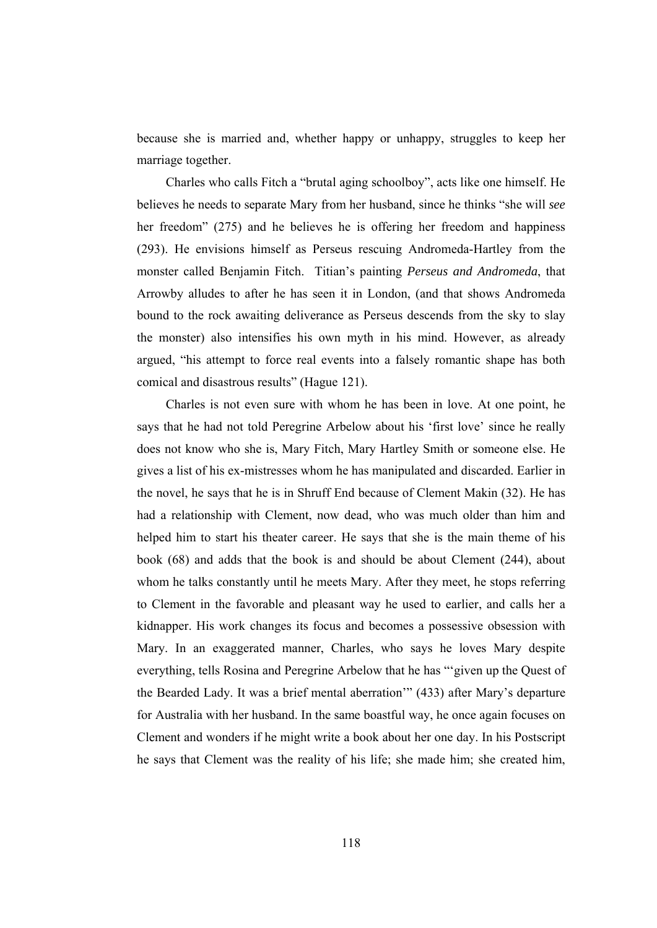because she is married and, whether happy or unhappy, struggles to keep her marriage together.

 Charles who calls Fitch a "brutal aging schoolboy", acts like one himself. He believes he needs to separate Mary from her husband, since he thinks "she will *see* her freedom" (275) and he believes he is offering her freedom and happiness (293). He envisions himself as Perseus rescuing Andromeda-Hartley from the monster called Benjamin Fitch. Titian's painting *Perseus and Andromeda*, that Arrowby alludes to after he has seen it in London, (and that shows Andromeda bound to the rock awaiting deliverance as Perseus descends from the sky to slay the monster) also intensifies his own myth in his mind. However, as already argued, "his attempt to force real events into a falsely romantic shape has both comical and disastrous results" (Hague 121).

 Charles is not even sure with whom he has been in love. At one point, he says that he had not told Peregrine Arbelow about his 'first love' since he really does not know who she is, Mary Fitch, Mary Hartley Smith or someone else. He gives a list of his ex-mistresses whom he has manipulated and discarded. Earlier in the novel, he says that he is in Shruff End because of Clement Makin (32). He has had a relationship with Clement, now dead, who was much older than him and helped him to start his theater career. He says that she is the main theme of his book (68) and adds that the book is and should be about Clement (244), about whom he talks constantly until he meets Mary. After they meet, he stops referring to Clement in the favorable and pleasant way he used to earlier, and calls her a kidnapper. His work changes its focus and becomes a possessive obsession with Mary. In an exaggerated manner, Charles, who says he loves Mary despite everything, tells Rosina and Peregrine Arbelow that he has "'given up the Quest of the Bearded Lady. It was a brief mental aberration'" (433) after Mary's departure for Australia with her husband. In the same boastful way, he once again focuses on Clement and wonders if he might write a book about her one day. In his Postscript he says that Clement was the reality of his life; she made him; she created him,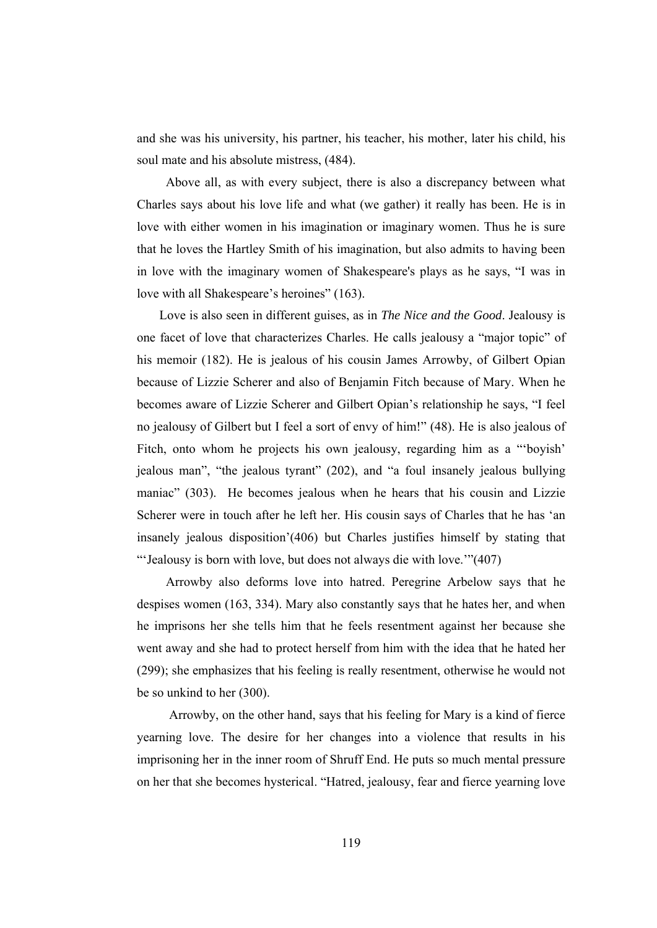and she was his university, his partner, his teacher, his mother, later his child, his soul mate and his absolute mistress, (484).

 Above all, as with every subject, there is also a discrepancy between what Charles says about his love life and what (we gather) it really has been. He is in love with either women in his imagination or imaginary women. Thus he is sure that he loves the Hartley Smith of his imagination, but also admits to having been in love with the imaginary women of Shakespeare's plays as he says, "I was in love with all Shakespeare's heroines" (163).

 Love is also seen in different guises, as in *The Nice and the Good*. Jealousy is one facet of love that characterizes Charles. He calls jealousy a "major topic" of his memoir (182). He is jealous of his cousin James Arrowby, of Gilbert Opian because of Lizzie Scherer and also of Benjamin Fitch because of Mary. When he becomes aware of Lizzie Scherer and Gilbert Opian's relationship he says, "I feel no jealousy of Gilbert but I feel a sort of envy of him!" (48). He is also jealous of Fitch, onto whom he projects his own jealousy, regarding him as a "'boyish' jealous man", "the jealous tyrant" (202), and "a foul insanely jealous bullying maniac" (303). He becomes jealous when he hears that his cousin and Lizzie Scherer were in touch after he left her. His cousin says of Charles that he has 'an insanely jealous disposition'(406) but Charles justifies himself by stating that "'Jealousy is born with love, but does not always die with love.'"(407)

 Arrowby also deforms love into hatred. Peregrine Arbelow says that he despises women (163, 334). Mary also constantly says that he hates her, and when he imprisons her she tells him that he feels resentment against her because she went away and she had to protect herself from him with the idea that he hated her (299); she emphasizes that his feeling is really resentment, otherwise he would not be so unkind to her (300).

 Arrowby, on the other hand, says that his feeling for Mary is a kind of fierce yearning love. The desire for her changes into a violence that results in his imprisoning her in the inner room of Shruff End. He puts so much mental pressure on her that she becomes hysterical. "Hatred, jealousy, fear and fierce yearning love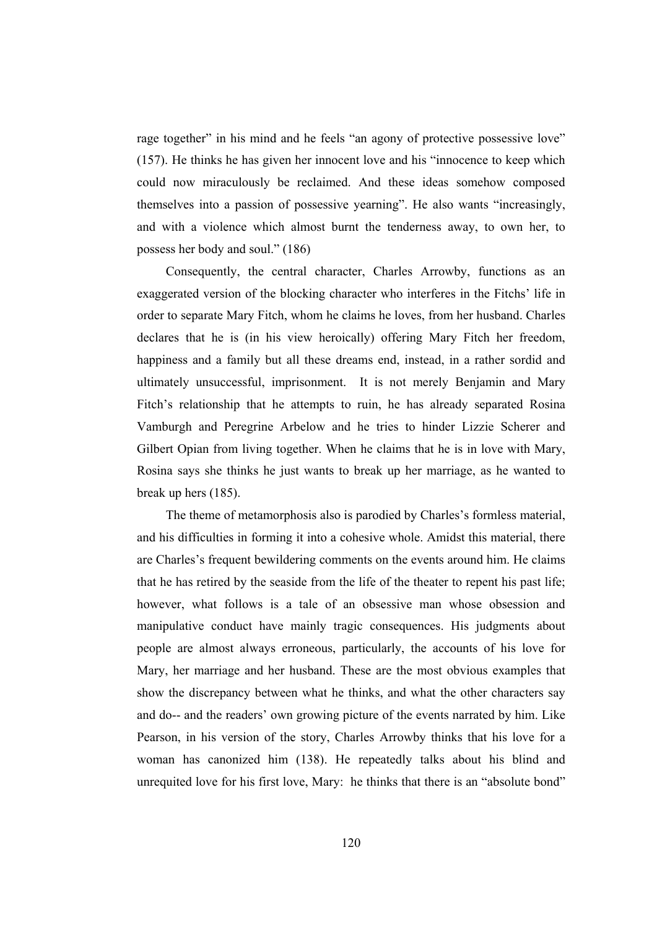rage together" in his mind and he feels "an agony of protective possessive love" (157). He thinks he has given her innocent love and his "innocence to keep which could now miraculously be reclaimed. And these ideas somehow composed themselves into a passion of possessive yearning". He also wants "increasingly, and with a violence which almost burnt the tenderness away, to own her, to possess her body and soul." (186)

 Consequently, the central character, Charles Arrowby, functions as an exaggerated version of the blocking character who interferes in the Fitchs' life in order to separate Mary Fitch, whom he claims he loves, from her husband. Charles declares that he is (in his view heroically) offering Mary Fitch her freedom, happiness and a family but all these dreams end, instead, in a rather sordid and ultimately unsuccessful, imprisonment. It is not merely Benjamin and Mary Fitch's relationship that he attempts to ruin, he has already separated Rosina Vamburgh and Peregrine Arbelow and he tries to hinder Lizzie Scherer and Gilbert Opian from living together. When he claims that he is in love with Mary, Rosina says she thinks he just wants to break up her marriage, as he wanted to break up hers (185).

 The theme of metamorphosis also is parodied by Charles's formless material, and his difficulties in forming it into a cohesive whole. Amidst this material, there are Charles's frequent bewildering comments on the events around him. He claims that he has retired by the seaside from the life of the theater to repent his past life; however, what follows is a tale of an obsessive man whose obsession and manipulative conduct have mainly tragic consequences. His judgments about people are almost always erroneous, particularly, the accounts of his love for Mary, her marriage and her husband. These are the most obvious examples that show the discrepancy between what he thinks, and what the other characters say and do-- and the readers' own growing picture of the events narrated by him. Like Pearson, in his version of the story, Charles Arrowby thinks that his love for a woman has canonized him (138). He repeatedly talks about his blind and unrequited love for his first love, Mary: he thinks that there is an "absolute bond"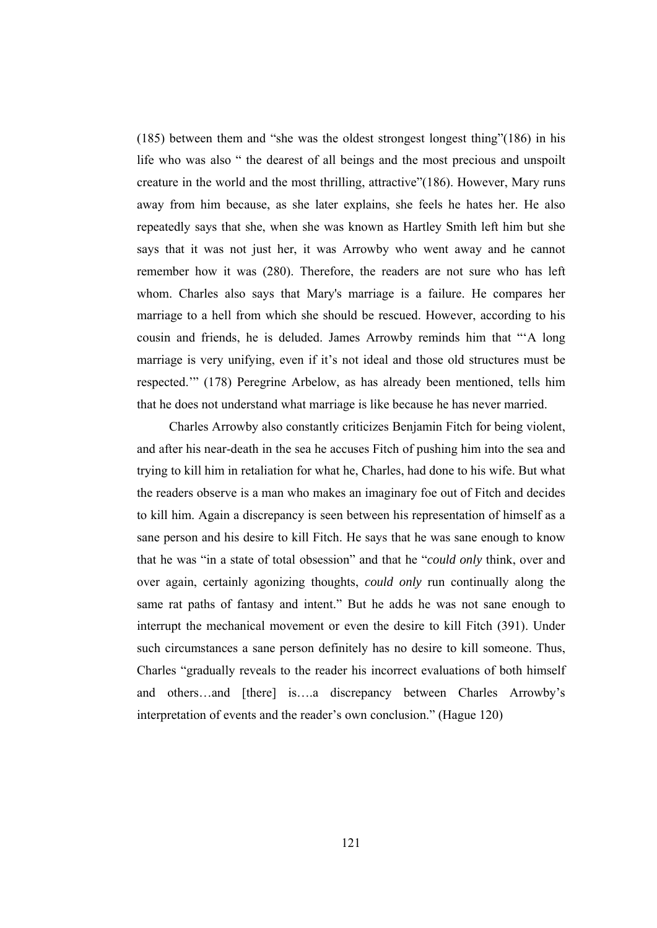(185) between them and "she was the oldest strongest longest thing"(186) in his life who was also " the dearest of all beings and the most precious and unspoilt creature in the world and the most thrilling, attractive"(186). However, Mary runs away from him because, as she later explains, she feels he hates her. He also repeatedly says that she, when she was known as Hartley Smith left him but she says that it was not just her, it was Arrowby who went away and he cannot remember how it was (280). Therefore, the readers are not sure who has left whom. Charles also says that Mary's marriage is a failure. He compares her marriage to a hell from which she should be rescued. However, according to his cousin and friends, he is deluded. James Arrowby reminds him that "'A long marriage is very unifying, even if it's not ideal and those old structures must be respected.'" (178) Peregrine Arbelow, as has already been mentioned, tells him that he does not understand what marriage is like because he has never married.

 Charles Arrowby also constantly criticizes Benjamin Fitch for being violent, and after his near-death in the sea he accuses Fitch of pushing him into the sea and trying to kill him in retaliation for what he, Charles, had done to his wife. But what the readers observe is a man who makes an imaginary foe out of Fitch and decides to kill him. Again a discrepancy is seen between his representation of himself as a sane person and his desire to kill Fitch. He says that he was sane enough to know that he was "in a state of total obsession" and that he "*could only* think, over and over again, certainly agonizing thoughts, *could only* run continually along the same rat paths of fantasy and intent." But he adds he was not sane enough to interrupt the mechanical movement or even the desire to kill Fitch (391). Under such circumstances a sane person definitely has no desire to kill someone. Thus, Charles "gradually reveals to the reader his incorrect evaluations of both himself and others…and [there] is….a discrepancy between Charles Arrowby's interpretation of events and the reader's own conclusion." (Hague 120)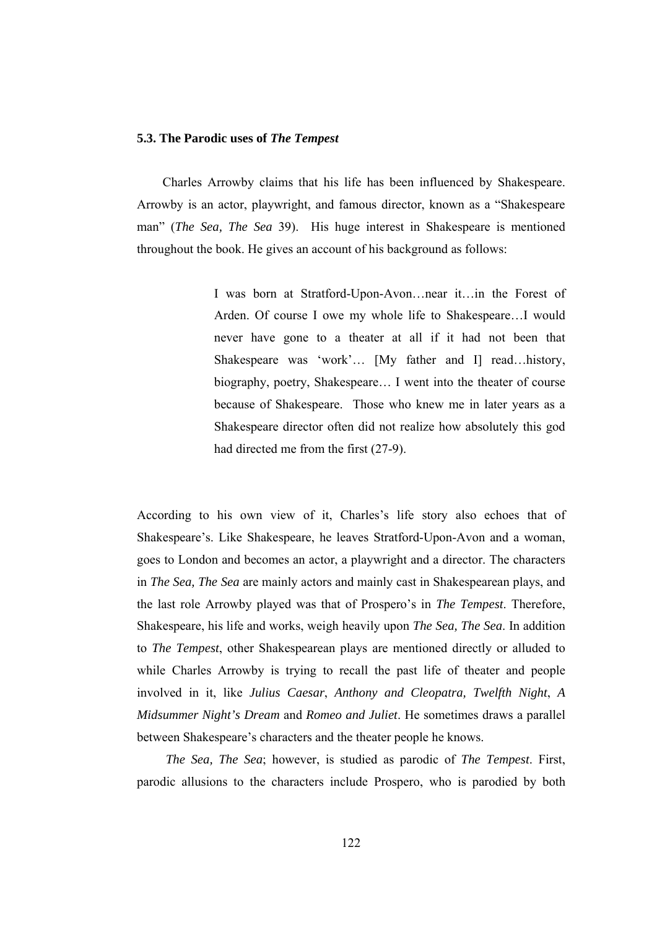## **5.3. The Parodic uses of** *The Tempest*

 Charles Arrowby claims that his life has been influenced by Shakespeare. Arrowby is an actor, playwright, and famous director, known as a "Shakespeare man" (*The Sea, The Sea* 39). His huge interest in Shakespeare is mentioned throughout the book. He gives an account of his background as follows:

> I was born at Stratford-Upon-Avon…near it…in the Forest of Arden. Of course I owe my whole life to Shakespeare…I would never have gone to a theater at all if it had not been that Shakespeare was 'work'… [My father and I] read…history, biography, poetry, Shakespeare… I went into the theater of course because of Shakespeare. Those who knew me in later years as a Shakespeare director often did not realize how absolutely this god had directed me from the first (27-9).

According to his own view of it, Charles's life story also echoes that of Shakespeare's. Like Shakespeare, he leaves Stratford-Upon-Avon and a woman, goes to London and becomes an actor, a playwright and a director. The characters in *The Sea, The Sea* are mainly actors and mainly cast in Shakespearean plays, and the last role Arrowby played was that of Prospero's in *The Tempest*. Therefore, Shakespeare, his life and works, weigh heavily upon *The Sea, The Sea*. In addition to *The Tempest*, other Shakespearean plays are mentioned directly or alluded to while Charles Arrowby is trying to recall the past life of theater and people involved in it, like *Julius Caesar*, *Anthony and Cleopatra, Twelfth Night*, *A Midsummer Night's Dream* and *Romeo and Juliet*. He sometimes draws a parallel between Shakespeare's characters and the theater people he knows.

 *The Sea, The Sea*; however, is studied as parodic of *The Tempest*. First, parodic allusions to the characters include Prospero, who is parodied by both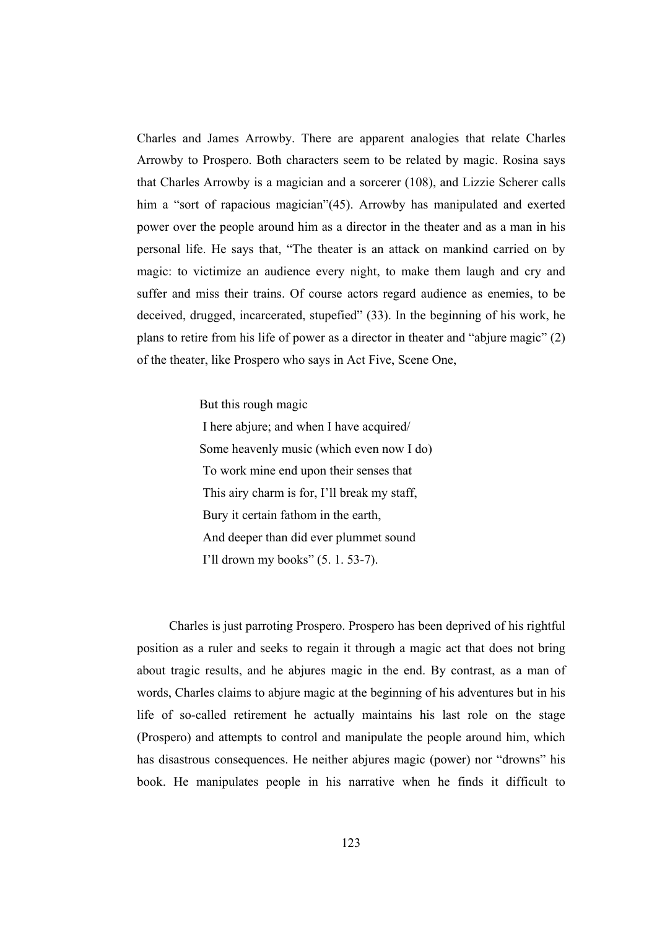Charles and James Arrowby. There are apparent analogies that relate Charles Arrowby to Prospero. Both characters seem to be related by magic. Rosina says that Charles Arrowby is a magician and a sorcerer (108), and Lizzie Scherer calls him a "sort of rapacious magician"(45). Arrowby has manipulated and exerted power over the people around him as a director in the theater and as a man in his personal life. He says that, "The theater is an attack on mankind carried on by magic: to victimize an audience every night, to make them laugh and cry and suffer and miss their trains. Of course actors regard audience as enemies, to be deceived, drugged, incarcerated, stupefied" (33). In the beginning of his work, he plans to retire from his life of power as a director in theater and "abjure magic" (2) of the theater, like Prospero who says in Act Five, Scene One,

But this rough magic

 I here abjure; and when I have acquired/ Some heavenly music (which even now I do) To work mine end upon their senses that This airy charm is for, I'll break my staff, Bury it certain fathom in the earth, And deeper than did ever plummet sound I'll drown my books" (5. 1. 53-7).

 Charles is just parroting Prospero. Prospero has been deprived of his rightful position as a ruler and seeks to regain it through a magic act that does not bring about tragic results, and he abjures magic in the end. By contrast, as a man of words, Charles claims to abjure magic at the beginning of his adventures but in his life of so-called retirement he actually maintains his last role on the stage (Prospero) and attempts to control and manipulate the people around him, which has disastrous consequences. He neither abjures magic (power) nor "drowns" his book. He manipulates people in his narrative when he finds it difficult to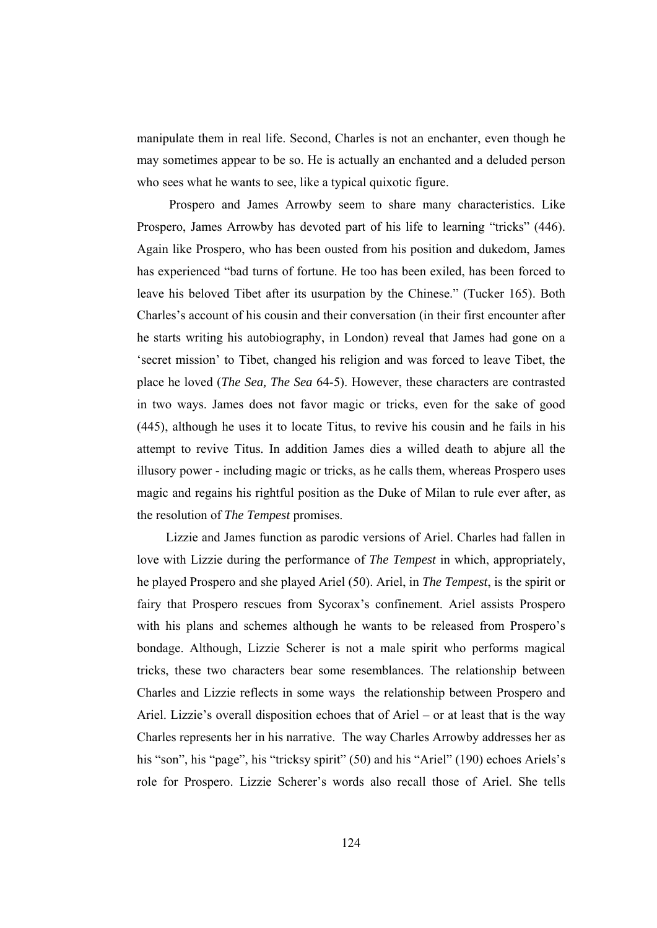manipulate them in real life. Second, Charles is not an enchanter, even though he may sometimes appear to be so. He is actually an enchanted and a deluded person who sees what he wants to see, like a typical quixotic figure.

 Prospero and James Arrowby seem to share many characteristics. Like Prospero, James Arrowby has devoted part of his life to learning "tricks" (446). Again like Prospero, who has been ousted from his position and dukedom, James has experienced "bad turns of fortune. He too has been exiled, has been forced to leave his beloved Tibet after its usurpation by the Chinese." (Tucker 165). Both Charles's account of his cousin and their conversation (in their first encounter after he starts writing his autobiography, in London) reveal that James had gone on a 'secret mission' to Tibet, changed his religion and was forced to leave Tibet, the place he loved (*The Sea, The Sea* 64-5). However, these characters are contrasted in two ways. James does not favor magic or tricks, even for the sake of good (445), although he uses it to locate Titus, to revive his cousin and he fails in his attempt to revive Titus*.* In addition James dies a willed death to abjure all the illusory power - including magic or tricks, as he calls them, whereas Prospero uses magic and regains his rightful position as the Duke of Milan to rule ever after, as the resolution of *The Tempest* promises.

 Lizzie and James function as parodic versions of Ariel. Charles had fallen in love with Lizzie during the performance of *The Tempest* in which, appropriately, he played Prospero and she played Ariel (50). Ariel, in *The Tempest*, is the spirit or fairy that Prospero rescues from Sycorax's confinement. Ariel assists Prospero with his plans and schemes although he wants to be released from Prospero's bondage. Although, Lizzie Scherer is not a male spirit who performs magical tricks, these two characters bear some resemblances. The relationship between Charles and Lizzie reflects in some ways the relationship between Prospero and Ariel. Lizzie's overall disposition echoes that of Ariel – or at least that is the way Charles represents her in his narrative. The way Charles Arrowby addresses her as his "son", his "page", his "tricksy spirit" (50) and his "Ariel" (190) echoes Ariels's role for Prospero. Lizzie Scherer's words also recall those of Ariel. She tells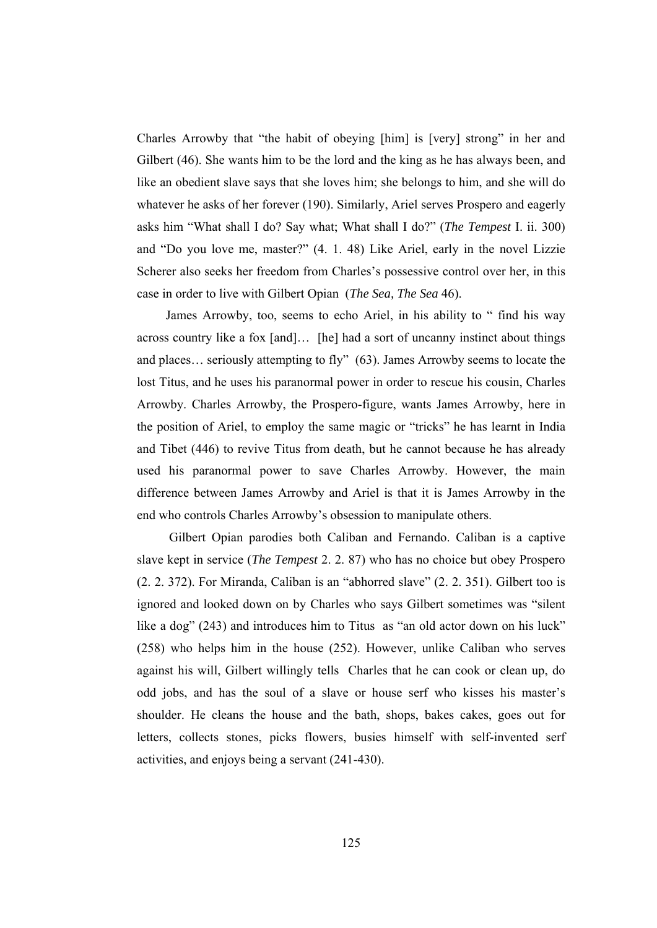Charles Arrowby that "the habit of obeying [him] is [very] strong" in her and Gilbert (46). She wants him to be the lord and the king as he has always been, and like an obedient slave says that she loves him; she belongs to him, and she will do whatever he asks of her forever (190). Similarly, Ariel serves Prospero and eagerly asks him "What shall I do? Say what; What shall I do?" (*The Tempest* I. ii. 300) and "Do you love me, master?" (4. 1. 48) Like Ariel, early in the novel Lizzie Scherer also seeks her freedom from Charles's possessive control over her, in this case in order to live with Gilbert Opian (*The Sea, The Sea* 46).

 James Arrowby, too, seems to echo Ariel, in his ability to " find his way across country like a fox [and]… [he] had a sort of uncanny instinct about things and places… seriously attempting to fly" (63). James Arrowby seems to locate the lost Titus, and he uses his paranormal power in order to rescue his cousin, Charles Arrowby. Charles Arrowby, the Prospero-figure, wants James Arrowby, here in the position of Ariel, to employ the same magic or "tricks" he has learnt in India and Tibet (446) to revive Titus from death, but he cannot because he has already used his paranormal power to save Charles Arrowby. However, the main difference between James Arrowby and Ariel is that it is James Arrowby in the end who controls Charles Arrowby's obsession to manipulate others.

 Gilbert Opian parodies both Caliban and Fernando. Caliban is a captive slave kept in service (*The Tempest* 2. 2. 87) who has no choice but obey Prospero (2. 2. 372). For Miranda, Caliban is an "abhorred slave" (2. 2. 351). Gilbert too is ignored and looked down on by Charles who says Gilbert sometimes was "silent like a dog" (243) and introduces him to Titus as "an old actor down on his luck" (258) who helps him in the house (252). However, unlike Caliban who serves against his will, Gilbert willingly tells Charles that he can cook or clean up, do odd jobs, and has the soul of a slave or house serf who kisses his master's shoulder. He cleans the house and the bath, shops, bakes cakes, goes out for letters, collects stones, picks flowers, busies himself with self-invented serf activities, and enjoys being a servant (241-430).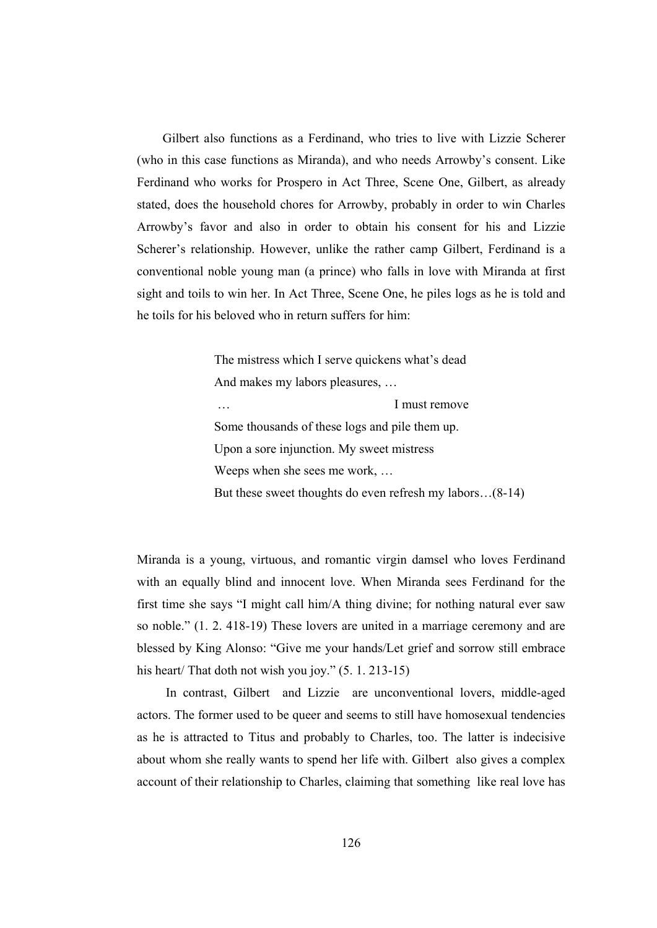Gilbert also functions as a Ferdinand, who tries to live with Lizzie Scherer (who in this case functions as Miranda), and who needs Arrowby's consent. Like Ferdinand who works for Prospero in Act Three, Scene One, Gilbert, as already stated, does the household chores for Arrowby, probably in order to win Charles Arrowby's favor and also in order to obtain his consent for his and Lizzie Scherer's relationship. However, unlike the rather camp Gilbert, Ferdinand is a conventional noble young man (a prince) who falls in love with Miranda at first sight and toils to win her. In Act Three, Scene One, he piles logs as he is told and he toils for his beloved who in return suffers for him:

> The mistress which I serve quickens what's dead And makes my labors pleasures, … I must remove Some thousands of these logs and pile them up. Upon a sore injunction. My sweet mistress Weeps when she sees me work, … But these sweet thoughts do even refresh my labors…(8-14)

Miranda is a young, virtuous, and romantic virgin damsel who loves Ferdinand with an equally blind and innocent love. When Miranda sees Ferdinand for the first time she says "I might call him/A thing divine; for nothing natural ever saw so noble." (1. 2. 418-19) These lovers are united in a marriage ceremony and are blessed by King Alonso: "Give me your hands/Let grief and sorrow still embrace his heart/ That doth not wish you joy."  $(5. 1. 213-15)$ 

 In contrast, Gilbert and Lizzie are unconventional lovers, middle-aged actors. The former used to be queer and seems to still have homosexual tendencies as he is attracted to Titus and probably to Charles, too. The latter is indecisive about whom she really wants to spend her life with. Gilbert also gives a complex account of their relationship to Charles, claiming that something like real love has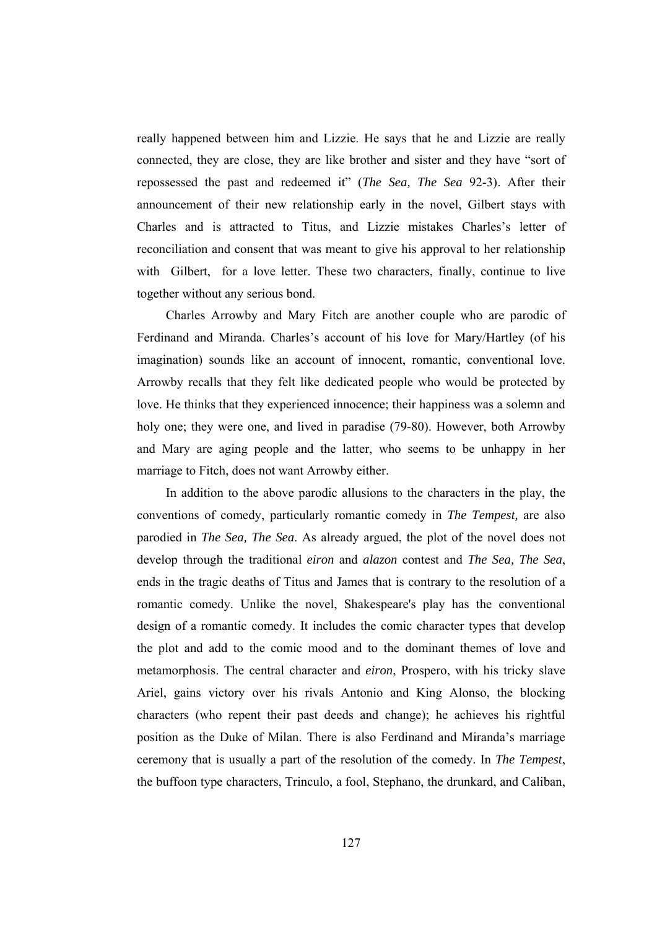really happened between him and Lizzie. He says that he and Lizzie are really connected, they are close, they are like brother and sister and they have "sort of repossessed the past and redeemed it" (*The Sea, The Sea* 92-3). After their announcement of their new relationship early in the novel, Gilbert stays with Charles and is attracted to Titus, and Lizzie mistakes Charles's letter of reconciliation and consent that was meant to give his approval to her relationship with Gilbert, for a love letter. These two characters, finally, continue to live together without any serious bond.

 Charles Arrowby and Mary Fitch are another couple who are parodic of Ferdinand and Miranda. Charles's account of his love for Mary/Hartley (of his imagination) sounds like an account of innocent, romantic, conventional love. Arrowby recalls that they felt like dedicated people who would be protected by love. He thinks that they experienced innocence; their happiness was a solemn and holy one; they were one, and lived in paradise (79-80). However, both Arrowby and Mary are aging people and the latter, who seems to be unhappy in her marriage to Fitch, does not want Arrowby either.

 In addition to the above parodic allusions to the characters in the play, the conventions of comedy, particularly romantic comedy in *The Tempest,* are also parodied in *The Sea, The Sea*. As already argued, the plot of the novel does not develop through the traditional *eiron* and *alazon* contest and *The Sea, The Sea*, ends in the tragic deaths of Titus and James that is contrary to the resolution of a romantic comedy. Unlike the novel, Shakespeare's play has the conventional design of a romantic comedy. It includes the comic character types that develop the plot and add to the comic mood and to the dominant themes of love and metamorphosis. The central character and *eiron*, Prospero, with his tricky slave Ariel, gains victory over his rivals Antonio and King Alonso, the blocking characters (who repent their past deeds and change); he achieves his rightful position as the Duke of Milan. There is also Ferdinand and Miranda's marriage ceremony that is usually a part of the resolution of the comedy. In *The Tempest*, the buffoon type characters, Trinculo, a fool, Stephano, the drunkard, and Caliban,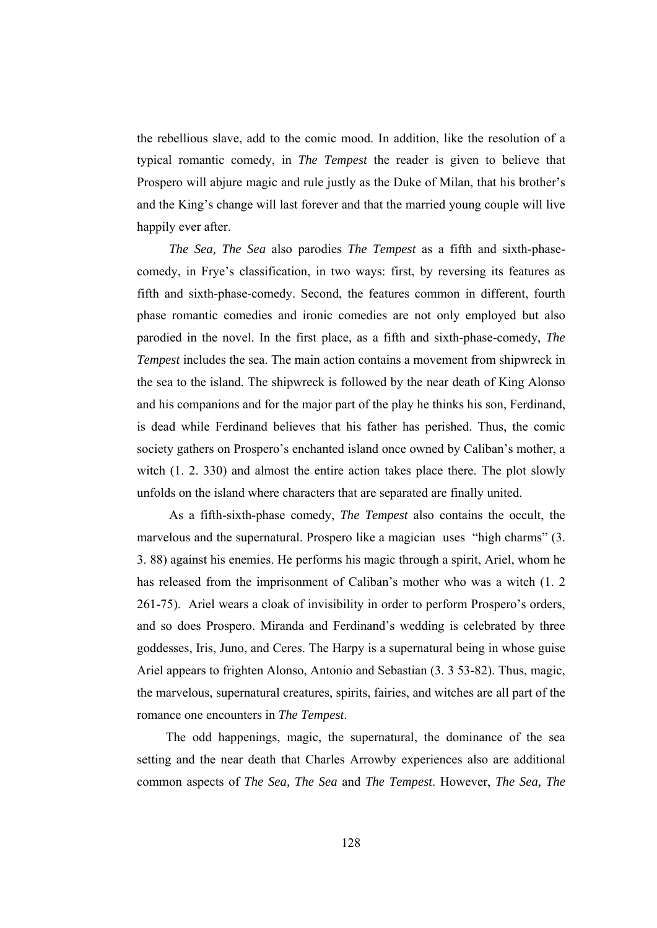the rebellious slave, add to the comic mood. In addition, like the resolution of a typical romantic comedy, in *The Tempest* the reader is given to believe that Prospero will abjure magic and rule justly as the Duke of Milan, that his brother's and the King's change will last forever and that the married young couple will live happily ever after.

 *The Sea, The Sea* also parodies *The Tempest* as a fifth and sixth-phasecomedy, in Frye's classification, in two ways: first, by reversing its features as fifth and sixth-phase-comedy. Second, the features common in different, fourth phase romantic comedies and ironic comedies are not only employed but also parodied in the novel. In the first place, as a fifth and sixth-phase-comedy, *The Tempest* includes the sea. The main action contains a movement from shipwreck in the sea to the island. The shipwreck is followed by the near death of King Alonso and his companions and for the major part of the play he thinks his son, Ferdinand, is dead while Ferdinand believes that his father has perished. Thus, the comic society gathers on Prospero's enchanted island once owned by Caliban's mother, a witch  $(1, 2, 330)$  and almost the entire action takes place there. The plot slowly unfolds on the island where characters that are separated are finally united.

 As a fifth-sixth-phase comedy, *The Tempest* also contains the occult, the marvelous and the supernatural. Prospero like a magician uses "high charms" (3. 3. 88) against his enemies. He performs his magic through a spirit, Ariel, whom he has released from the imprisonment of Caliban's mother who was a witch (1. 2 261-75). Ariel wears a cloak of invisibility in order to perform Prospero's orders, and so does Prospero. Miranda and Ferdinand's wedding is celebrated by three goddesses, Iris, Juno, and Ceres. The Harpy is a supernatural being in whose guise Ariel appears to frighten Alonso, Antonio and Sebastian (3. 3 53-82). Thus, magic, the marvelous, supernatural creatures, spirits, fairies, and witches are all part of the romance one encounters in *The Tempest*.

 The odd happenings, magic, the supernatural, the dominance of the sea setting and the near death that Charles Arrowby experiences also are additional common aspects of *The Sea, The Sea* and *The Tempest*. However, *The Sea, The*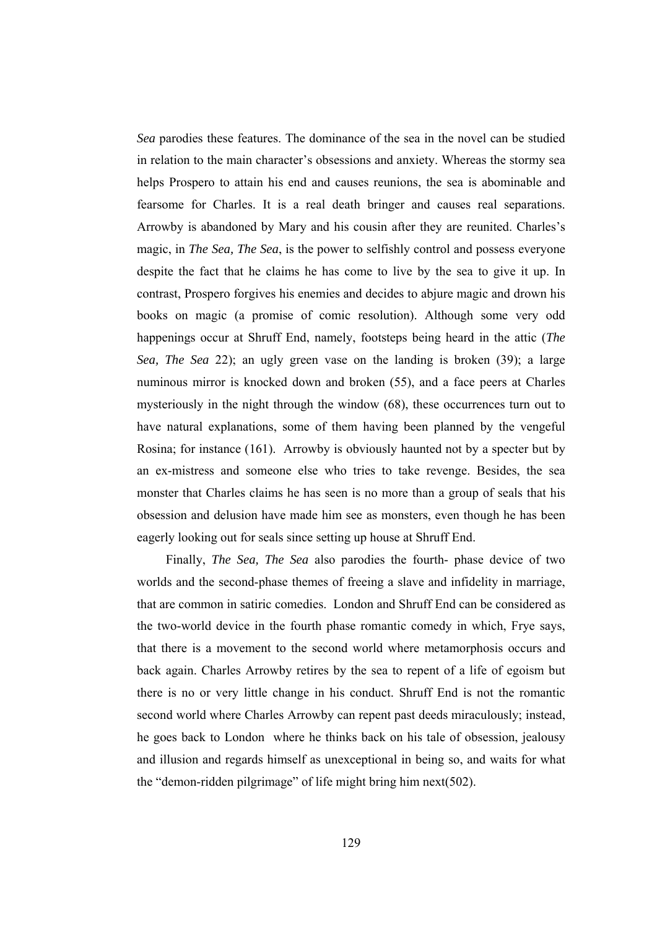*Sea* parodies these features. The dominance of the sea in the novel can be studied in relation to the main character's obsessions and anxiety. Whereas the stormy sea helps Prospero to attain his end and causes reunions, the sea is abominable and fearsome for Charles. It is a real death bringer and causes real separations. Arrowby is abandoned by Mary and his cousin after they are reunited. Charles's magic, in *The Sea, The Sea*, is the power to selfishly control and possess everyone despite the fact that he claims he has come to live by the sea to give it up. In contrast, Prospero forgives his enemies and decides to abjure magic and drown his books on magic (a promise of comic resolution). Although some very odd happenings occur at Shruff End, namely, footsteps being heard in the attic (*The Sea, The Sea* 22); an ugly green vase on the landing is broken (39); a large numinous mirror is knocked down and broken (55), and a face peers at Charles mysteriously in the night through the window (68), these occurrences turn out to have natural explanations, some of them having been planned by the vengeful Rosina; for instance (161). Arrowby is obviously haunted not by a specter but by an ex-mistress and someone else who tries to take revenge. Besides, the sea monster that Charles claims he has seen is no more than a group of seals that his obsession and delusion have made him see as monsters, even though he has been eagerly looking out for seals since setting up house at Shruff End.

 Finally, *The Sea, The Sea* also parodies the fourth- phase device of two worlds and the second-phase themes of freeing a slave and infidelity in marriage, that are common in satiric comedies. London and Shruff End can be considered as the two-world device in the fourth phase romantic comedy in which, Frye says, that there is a movement to the second world where metamorphosis occurs and back again. Charles Arrowby retires by the sea to repent of a life of egoism but there is no or very little change in his conduct. Shruff End is not the romantic second world where Charles Arrowby can repent past deeds miraculously; instead, he goes back to London where he thinks back on his tale of obsession, jealousy and illusion and regards himself as unexceptional in being so, and waits for what the "demon-ridden pilgrimage" of life might bring him next(502).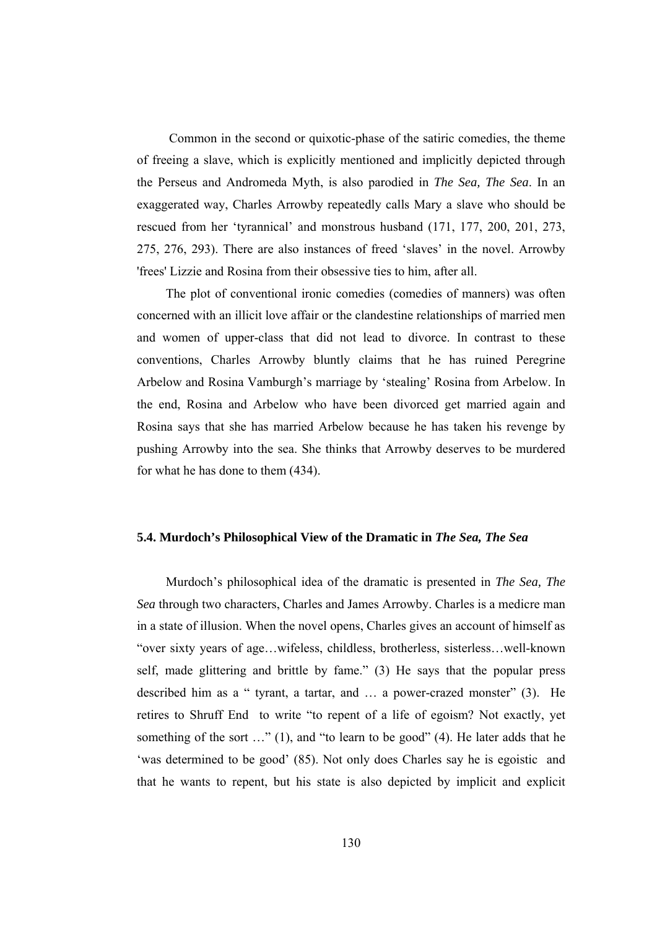Common in the second or quixotic-phase of the satiric comedies, the theme of freeing a slave, which is explicitly mentioned and implicitly depicted through the Perseus and Andromeda Myth, is also parodied in *The Sea, The Sea*. In an exaggerated way, Charles Arrowby repeatedly calls Mary a slave who should be rescued from her 'tyrannical' and monstrous husband (171, 177, 200, 201, 273, 275, 276, 293). There are also instances of freed 'slaves' in the novel. Arrowby 'frees' Lizzie and Rosina from their obsessive ties to him, after all.

 The plot of conventional ironic comedies (comedies of manners) was often concerned with an illicit love affair or the clandestine relationships of married men and women of upper-class that did not lead to divorce. In contrast to these conventions, Charles Arrowby bluntly claims that he has ruined Peregrine Arbelow and Rosina Vamburgh's marriage by 'stealing' Rosina from Arbelow. In the end, Rosina and Arbelow who have been divorced get married again and Rosina says that she has married Arbelow because he has taken his revenge by pushing Arrowby into the sea. She thinks that Arrowby deserves to be murdered for what he has done to them (434).

## **5.4. Murdoch's Philosophical View of the Dramatic in** *The Sea, The Sea*

 Murdoch's philosophical idea of the dramatic is presented in *The Sea, The Sea* through two characters, Charles and James Arrowby. Charles is a medicre man in a state of illusion. When the novel opens, Charles gives an account of himself as "over sixty years of age…wifeless, childless, brotherless, sisterless…well-known self, made glittering and brittle by fame." (3) He says that the popular press described him as a " tyrant, a tartar, and … a power-crazed monster" (3). He retires to Shruff End to write "to repent of a life of egoism? Not exactly, yet something of the sort ..." (1), and "to learn to be good" (4). He later adds that he 'was determined to be good' (85). Not only does Charles say he is egoistic and that he wants to repent, but his state is also depicted by implicit and explicit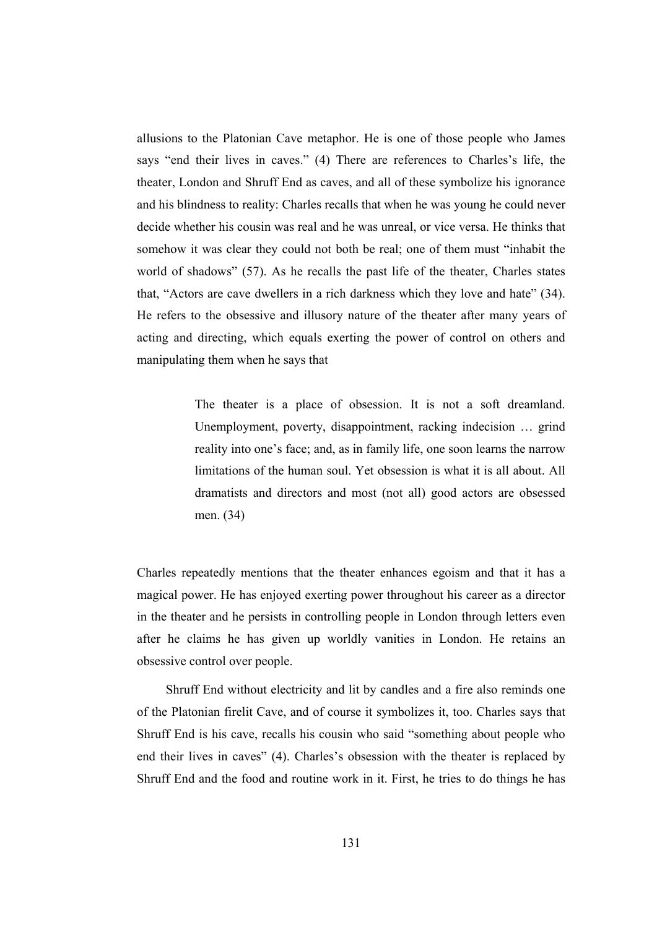allusions to the Platonian Cave metaphor. He is one of those people who James says "end their lives in caves." (4) There are references to Charles's life, the theater, London and Shruff End as caves, and all of these symbolize his ignorance and his blindness to reality: Charles recalls that when he was young he could never decide whether his cousin was real and he was unreal, or vice versa. He thinks that somehow it was clear they could not both be real; one of them must "inhabit the world of shadows" (57). As he recalls the past life of the theater, Charles states that, "Actors are cave dwellers in a rich darkness which they love and hate" (34). He refers to the obsessive and illusory nature of the theater after many years of acting and directing, which equals exerting the power of control on others and manipulating them when he says that

> The theater is a place of obsession. It is not a soft dreamland. Unemployment, poverty, disappointment, racking indecision … grind reality into one's face; and, as in family life, one soon learns the narrow limitations of the human soul. Yet obsession is what it is all about. All dramatists and directors and most (not all) good actors are obsessed men. (34)

Charles repeatedly mentions that the theater enhances egoism and that it has a magical power. He has enjoyed exerting power throughout his career as a director in the theater and he persists in controlling people in London through letters even after he claims he has given up worldly vanities in London. He retains an obsessive control over people.

 Shruff End without electricity and lit by candles and a fire also reminds one of the Platonian firelit Cave, and of course it symbolizes it, too. Charles says that Shruff End is his cave, recalls his cousin who said "something about people who end their lives in caves" (4). Charles's obsession with the theater is replaced by Shruff End and the food and routine work in it. First, he tries to do things he has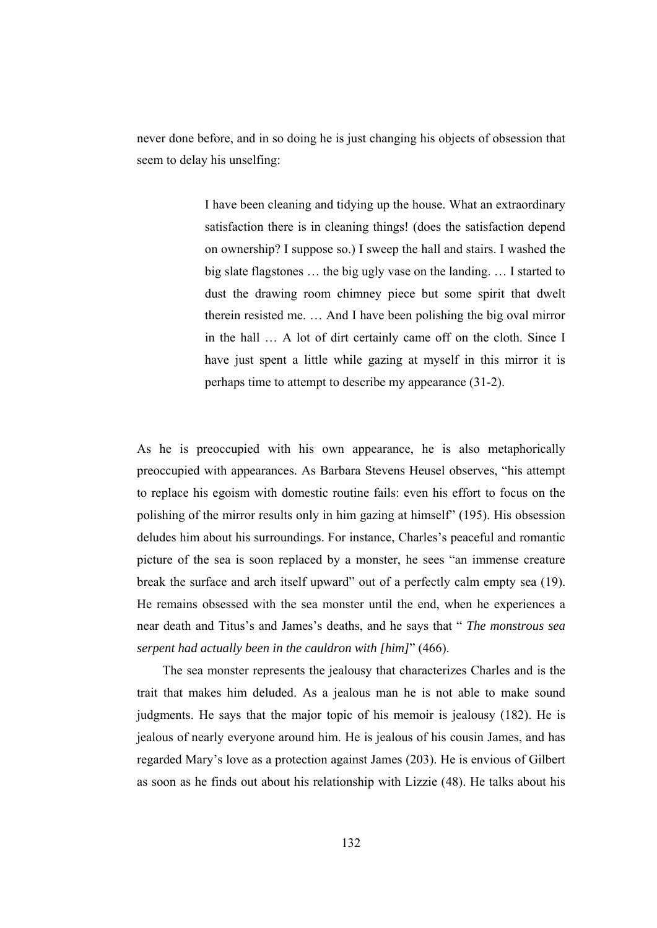never done before, and in so doing he is just changing his objects of obsession that seem to delay his unselfing:

> I have been cleaning and tidying up the house. What an extraordinary satisfaction there is in cleaning things! (does the satisfaction depend on ownership? I suppose so.) I sweep the hall and stairs. I washed the big slate flagstones … the big ugly vase on the landing. … I started to dust the drawing room chimney piece but some spirit that dwelt therein resisted me. … And I have been polishing the big oval mirror in the hall … A lot of dirt certainly came off on the cloth. Since I have just spent a little while gazing at myself in this mirror it is perhaps time to attempt to describe my appearance (31-2).

As he is preoccupied with his own appearance, he is also metaphorically preoccupied with appearances. As Barbara Stevens Heusel observes, "his attempt to replace his egoism with domestic routine fails: even his effort to focus on the polishing of the mirror results only in him gazing at himself" (195). His obsession deludes him about his surroundings. For instance, Charles's peaceful and romantic picture of the sea is soon replaced by a monster, he sees "an immense creature break the surface and arch itself upward" out of a perfectly calm empty sea (19). He remains obsessed with the sea monster until the end, when he experiences a near death and Titus's and James's deaths, and he says that " *The monstrous sea serpent had actually been in the cauldron with [him]*" (466).

 The sea monster represents the jealousy that characterizes Charles and is the trait that makes him deluded. As a jealous man he is not able to make sound judgments. He says that the major topic of his memoir is jealousy (182). He is jealous of nearly everyone around him. He is jealous of his cousin James, and has regarded Mary's love as a protection against James (203). He is envious of Gilbert as soon as he finds out about his relationship with Lizzie (48). He talks about his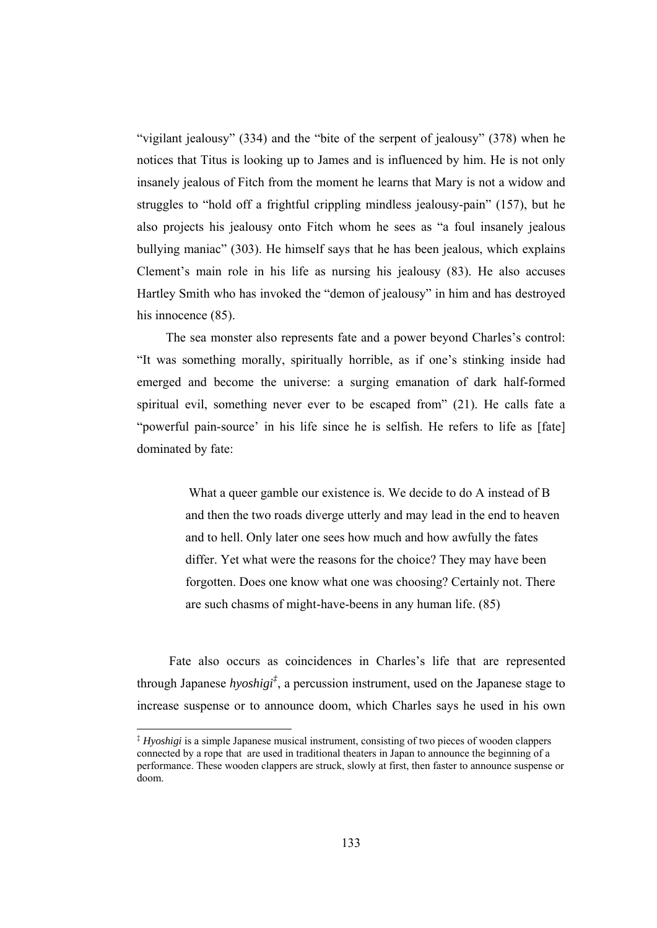"vigilant jealousy" (334) and the "bite of the serpent of jealousy" (378) when he notices that Titus is looking up to James and is influenced by him. He is not only insanely jealous of Fitch from the moment he learns that Mary is not a widow and struggles to "hold off a frightful crippling mindless jealousy-pain" (157), but he also projects his jealousy onto Fitch whom he sees as "a foul insanely jealous bullying maniac" (303). He himself says that he has been jealous, which explains Clement's main role in his life as nursing his jealousy (83). He also accuses Hartley Smith who has invoked the "demon of jealousy" in him and has destroyed his innocence  $(85)$ .

 The sea monster also represents fate and a power beyond Charles's control: "It was something morally, spiritually horrible, as if one's stinking inside had emerged and become the universe: a surging emanation of dark half-formed spiritual evil, something never ever to be escaped from" (21). He calls fate a "powerful pain-source' in his life since he is selfish. He refers to life as [fate] dominated by fate:

> What a queer gamble our existence is. We decide to do A instead of B and then the two roads diverge utterly and may lead in the end to heaven and to hell. Only later one sees how much and how awfully the fates differ. Yet what were the reasons for the choice? They may have been forgotten. Does one know what one was choosing? Certainly not. There are such chasms of might-have-beens in any human life. (85)

 Fate also occurs as coincidences in Charles's life that are represented through Japanese *hyoshigi‡* , a percussion instrument, used on the Japanese stage to increase suspense or to announce doom, which Charles says he used in his own

-

<sup>‡</sup> *Hyoshigi* is a simple Japanese musical instrument, consisting of two pieces of wooden clappers connected by a rope that are used in traditional theaters in Japan to announce the beginning of a performance. These wooden clappers are struck, slowly at first, then faster to announce suspense or doom.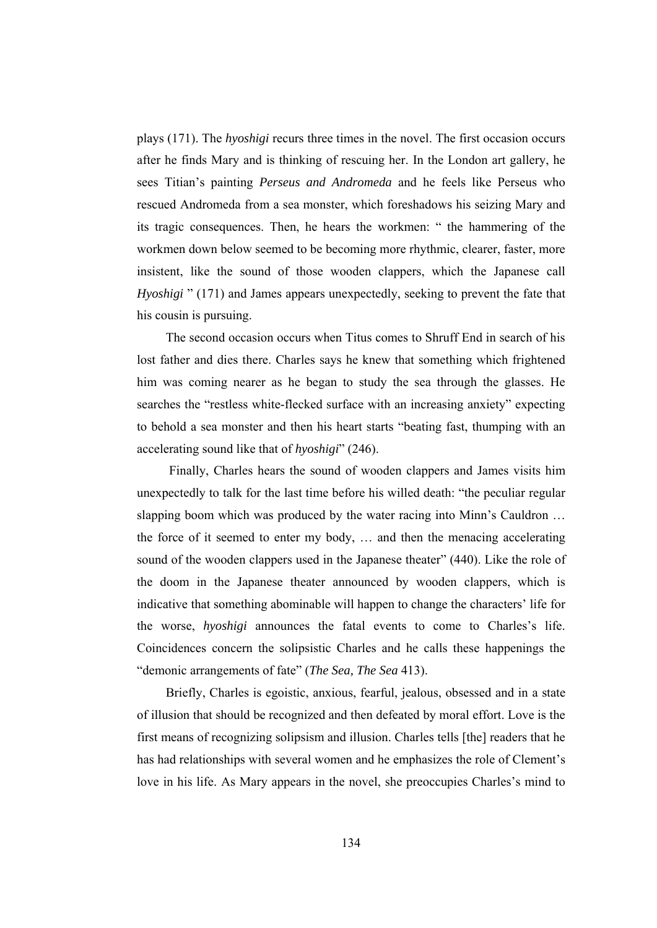plays (171). The *hyoshigi* recurs three times in the novel. The first occasion occurs after he finds Mary and is thinking of rescuing her. In the London art gallery, he sees Titian's painting *Perseus and Andromeda* and he feels like Perseus who rescued Andromeda from a sea monster, which foreshadows his seizing Mary and its tragic consequences. Then, he hears the workmen: " the hammering of the workmen down below seemed to be becoming more rhythmic, clearer, faster, more insistent, like the sound of those wooden clappers, which the Japanese call *Hyoshigi* " (171) and James appears unexpectedly, seeking to prevent the fate that his cousin is pursuing.

 The second occasion occurs when Titus comes to Shruff End in search of his lost father and dies there. Charles says he knew that something which frightened him was coming nearer as he began to study the sea through the glasses. He searches the "restless white-flecked surface with an increasing anxiety" expecting to behold a sea monster and then his heart starts "beating fast, thumping with an accelerating sound like that of *hyoshigi*" (246).

 Finally, Charles hears the sound of wooden clappers and James visits him unexpectedly to talk for the last time before his willed death: "the peculiar regular slapping boom which was produced by the water racing into Minn's Cauldron … the force of it seemed to enter my body, … and then the menacing accelerating sound of the wooden clappers used in the Japanese theater" (440). Like the role of the doom in the Japanese theater announced by wooden clappers, which is indicative that something abominable will happen to change the characters' life for the worse, *hyoshigi* announces the fatal events to come to Charles's life. Coincidences concern the solipsistic Charles and he calls these happenings the "demonic arrangements of fate" (*The Sea, The Sea* 413).

 Briefly, Charles is egoistic, anxious, fearful, jealous, obsessed and in a state of illusion that should be recognized and then defeated by moral effort. Love is the first means of recognizing solipsism and illusion. Charles tells [the] readers that he has had relationships with several women and he emphasizes the role of Clement's love in his life. As Mary appears in the novel, she preoccupies Charles's mind to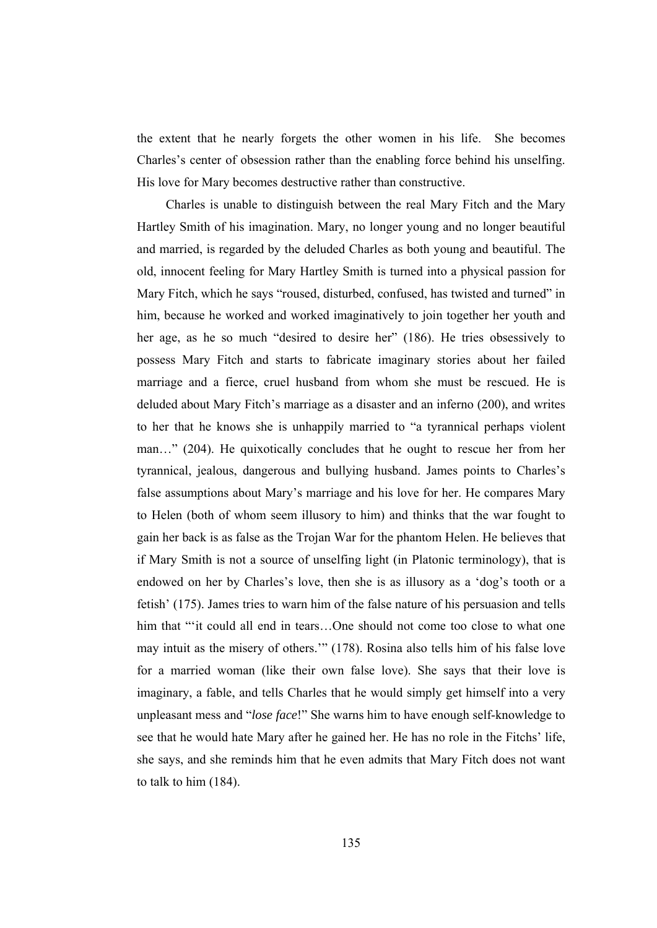the extent that he nearly forgets the other women in his life. She becomes Charles's center of obsession rather than the enabling force behind his unselfing. His love for Mary becomes destructive rather than constructive.

 Charles is unable to distinguish between the real Mary Fitch and the Mary Hartley Smith of his imagination. Mary, no longer young and no longer beautiful and married, is regarded by the deluded Charles as both young and beautiful. The old, innocent feeling for Mary Hartley Smith is turned into a physical passion for Mary Fitch, which he says "roused, disturbed, confused, has twisted and turned" in him, because he worked and worked imaginatively to join together her youth and her age, as he so much "desired to desire her" (186). He tries obsessively to possess Mary Fitch and starts to fabricate imaginary stories about her failed marriage and a fierce, cruel husband from whom she must be rescued. He is deluded about Mary Fitch's marriage as a disaster and an inferno (200), and writes to her that he knows she is unhappily married to "a tyrannical perhaps violent man…" (204). He quixotically concludes that he ought to rescue her from her tyrannical, jealous, dangerous and bullying husband. James points to Charles's false assumptions about Mary's marriage and his love for her. He compares Mary to Helen (both of whom seem illusory to him) and thinks that the war fought to gain her back is as false as the Trojan War for the phantom Helen. He believes that if Mary Smith is not a source of unselfing light (in Platonic terminology), that is endowed on her by Charles's love, then she is as illusory as a 'dog's tooth or a fetish' (175). James tries to warn him of the false nature of his persuasion and tells him that "'it could all end in tears...One should not come too close to what one may intuit as the misery of others.'" (178). Rosina also tells him of his false love for a married woman (like their own false love). She says that their love is imaginary, a fable, and tells Charles that he would simply get himself into a very unpleasant mess and "*lose face*!" She warns him to have enough self-knowledge to see that he would hate Mary after he gained her. He has no role in the Fitchs' life, she says, and she reminds him that he even admits that Mary Fitch does not want to talk to him (184).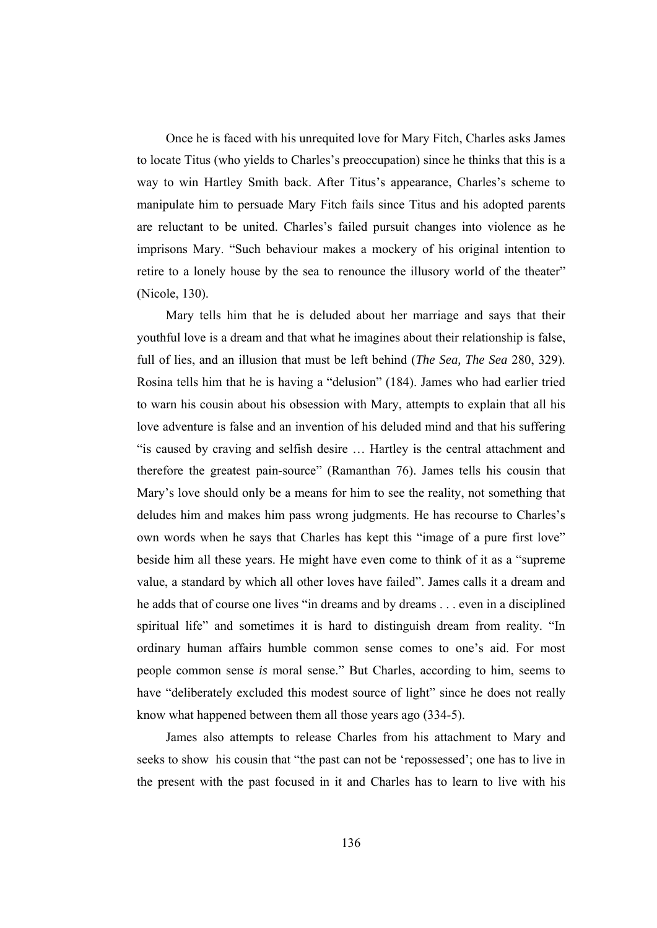Once he is faced with his unrequited love for Mary Fitch, Charles asks James to locate Titus (who yields to Charles's preoccupation) since he thinks that this is a way to win Hartley Smith back. After Titus's appearance, Charles's scheme to manipulate him to persuade Mary Fitch fails since Titus and his adopted parents are reluctant to be united. Charles's failed pursuit changes into violence as he imprisons Mary. "Such behaviour makes a mockery of his original intention to retire to a lonely house by the sea to renounce the illusory world of the theater" (Nicole, 130).

 Mary tells him that he is deluded about her marriage and says that their youthful love is a dream and that what he imagines about their relationship is false, full of lies, and an illusion that must be left behind (*The Sea, The Sea* 280, 329). Rosina tells him that he is having a "delusion" (184). James who had earlier tried to warn his cousin about his obsession with Mary, attempts to explain that all his love adventure is false and an invention of his deluded mind and that his suffering "is caused by craving and selfish desire … Hartley is the central attachment and therefore the greatest pain-source" (Ramanthan 76). James tells his cousin that Mary's love should only be a means for him to see the reality, not something that deludes him and makes him pass wrong judgments. He has recourse to Charles's own words when he says that Charles has kept this "image of a pure first love" beside him all these years. He might have even come to think of it as a "supreme value, a standard by which all other loves have failed". James calls it a dream and he adds that of course one lives "in dreams and by dreams . . . even in a disciplined spiritual life" and sometimes it is hard to distinguish dream from reality. "In ordinary human affairs humble common sense comes to one's aid. For most people common sense *is* moral sense." But Charles, according to him, seems to have "deliberately excluded this modest source of light" since he does not really know what happened between them all those years ago (334-5).

 James also attempts to release Charles from his attachment to Mary and seeks to show his cousin that "the past can not be 'repossessed'; one has to live in the present with the past focused in it and Charles has to learn to live with his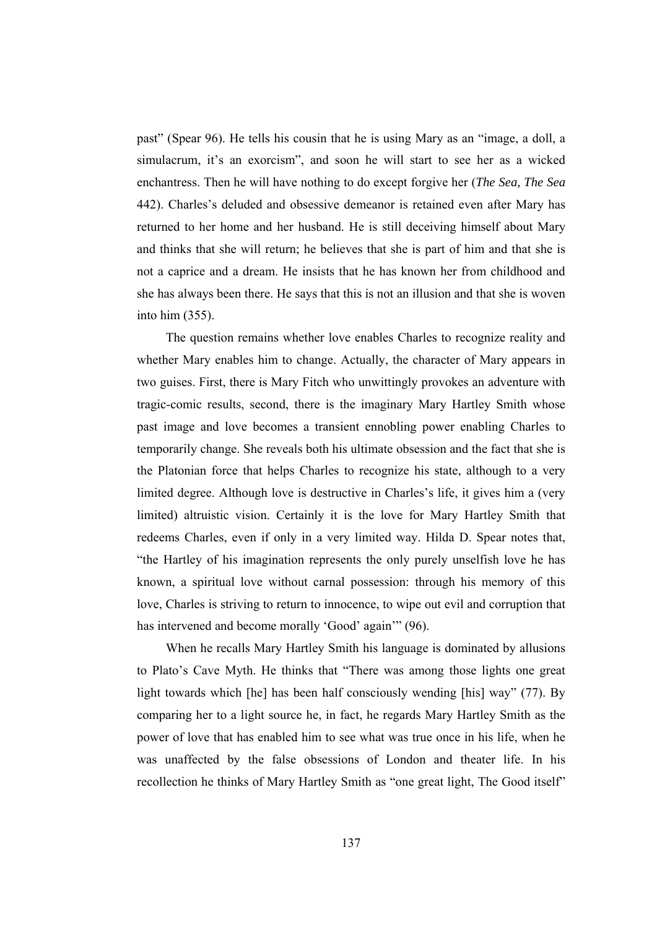past" (Spear 96). He tells his cousin that he is using Mary as an "image, a doll, a simulacrum, it's an exorcism", and soon he will start to see her as a wicked enchantress. Then he will have nothing to do except forgive her (*The Sea, The Sea* 442). Charles's deluded and obsessive demeanor is retained even after Mary has returned to her home and her husband. He is still deceiving himself about Mary and thinks that she will return; he believes that she is part of him and that she is not a caprice and a dream. He insists that he has known her from childhood and she has always been there. He says that this is not an illusion and that she is woven into him (355).

 The question remains whether love enables Charles to recognize reality and whether Mary enables him to change. Actually, the character of Mary appears in two guises. First, there is Mary Fitch who unwittingly provokes an adventure with tragic-comic results, second, there is the imaginary Mary Hartley Smith whose past image and love becomes a transient ennobling power enabling Charles to temporarily change. She reveals both his ultimate obsession and the fact that she is the Platonian force that helps Charles to recognize his state, although to a very limited degree. Although love is destructive in Charles's life, it gives him a (very limited) altruistic vision. Certainly it is the love for Mary Hartley Smith that redeems Charles, even if only in a very limited way. Hilda D. Spear notes that, "the Hartley of his imagination represents the only purely unselfish love he has known, a spiritual love without carnal possession: through his memory of this love, Charles is striving to return to innocence, to wipe out evil and corruption that has intervened and become morally 'Good' again'" (96).

 When he recalls Mary Hartley Smith his language is dominated by allusions to Plato's Cave Myth. He thinks that "There was among those lights one great light towards which [he] has been half consciously wending [his] way" (77). By comparing her to a light source he, in fact, he regards Mary Hartley Smith as the power of love that has enabled him to see what was true once in his life, when he was unaffected by the false obsessions of London and theater life. In his recollection he thinks of Mary Hartley Smith as "one great light, The Good itself"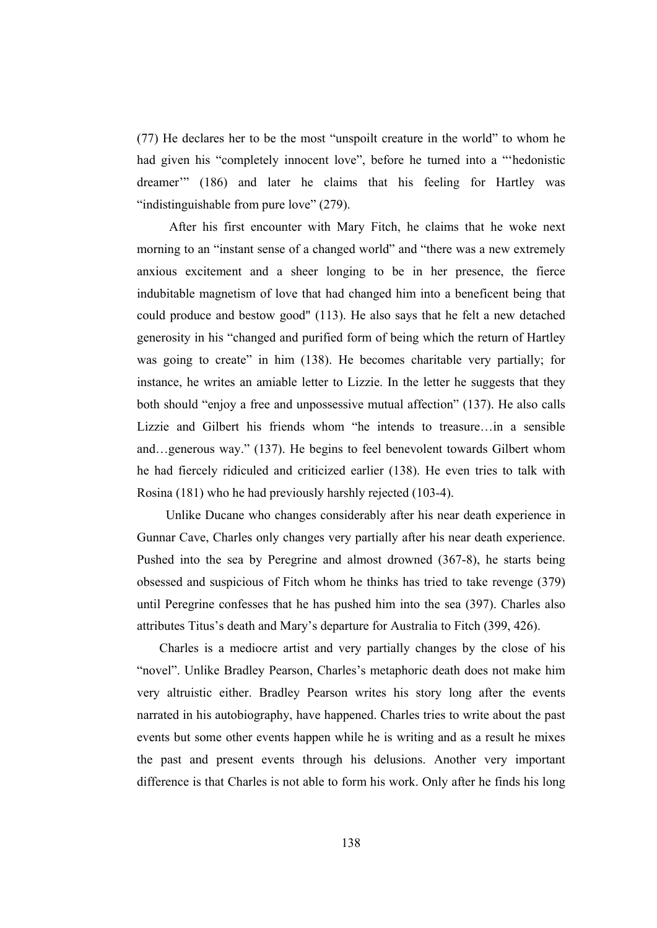(77) He declares her to be the most "unspoilt creature in the world" to whom he had given his "completely innocent love", before he turned into a "'hedonistic dreamer'" (186) and later he claims that his feeling for Hartley was "indistinguishable from pure love" (279).

 After his first encounter with Mary Fitch, he claims that he woke next morning to an "instant sense of a changed world" and "there was a new extremely anxious excitement and a sheer longing to be in her presence, the fierce indubitable magnetism of love that had changed him into a beneficent being that could produce and bestow good" (113). He also says that he felt a new detached generosity in his "changed and purified form of being which the return of Hartley was going to create" in him (138). He becomes charitable very partially; for instance, he writes an amiable letter to Lizzie. In the letter he suggests that they both should "enjoy a free and unpossessive mutual affection" (137). He also calls Lizzie and Gilbert his friends whom "he intends to treasure…in a sensible and…generous way." (137). He begins to feel benevolent towards Gilbert whom he had fiercely ridiculed and criticized earlier (138). He even tries to talk with Rosina (181) who he had previously harshly rejected (103-4).

 Unlike Ducane who changes considerably after his near death experience in Gunnar Cave, Charles only changes very partially after his near death experience. Pushed into the sea by Peregrine and almost drowned (367-8), he starts being obsessed and suspicious of Fitch whom he thinks has tried to take revenge (379) until Peregrine confesses that he has pushed him into the sea (397). Charles also attributes Titus's death and Mary's departure for Australia to Fitch (399, 426).

 Charles is a mediocre artist and very partially changes by the close of his "novel". Unlike Bradley Pearson, Charles's metaphoric death does not make him very altruistic either. Bradley Pearson writes his story long after the events narrated in his autobiography, have happened. Charles tries to write about the past events but some other events happen while he is writing and as a result he mixes the past and present events through his delusions. Another very important difference is that Charles is not able to form his work. Only after he finds his long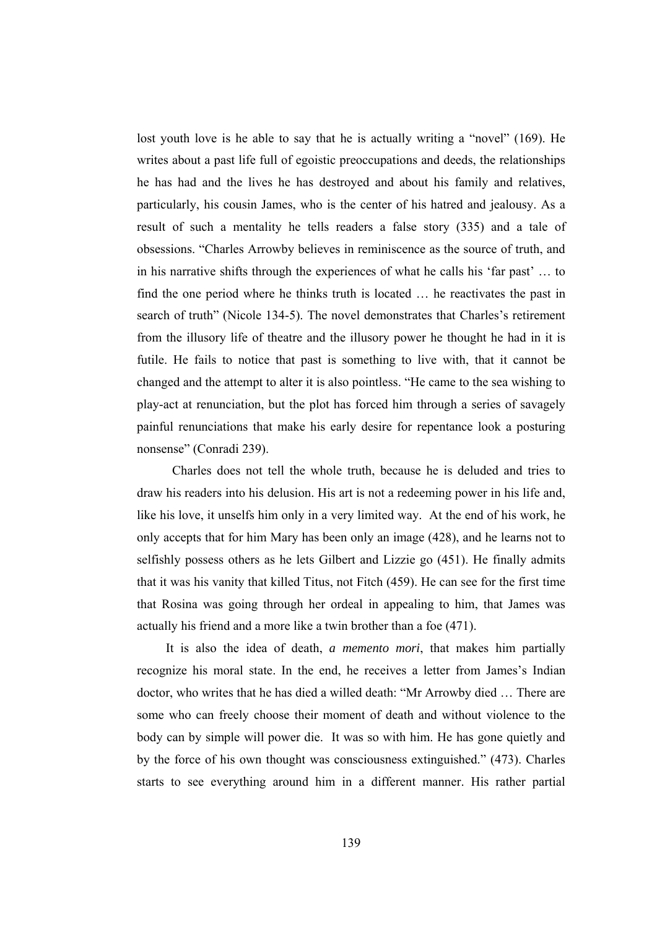lost youth love is he able to say that he is actually writing a "novel" (169). He writes about a past life full of egoistic preoccupations and deeds, the relationships he has had and the lives he has destroyed and about his family and relatives, particularly, his cousin James, who is the center of his hatred and jealousy. As a result of such a mentality he tells readers a false story (335) and a tale of obsessions. "Charles Arrowby believes in reminiscence as the source of truth, and in his narrative shifts through the experiences of what he calls his 'far past' … to find the one period where he thinks truth is located … he reactivates the past in search of truth" (Nicole 134-5). The novel demonstrates that Charles's retirement from the illusory life of theatre and the illusory power he thought he had in it is futile. He fails to notice that past is something to live with, that it cannot be changed and the attempt to alter it is also pointless. "He came to the sea wishing to play-act at renunciation, but the plot has forced him through a series of savagely painful renunciations that make his early desire for repentance look a posturing nonsense" (Conradi 239).

 Charles does not tell the whole truth, because he is deluded and tries to draw his readers into his delusion. His art is not a redeeming power in his life and, like his love, it unselfs him only in a very limited way. At the end of his work, he only accepts that for him Mary has been only an image (428), and he learns not to selfishly possess others as he lets Gilbert and Lizzie go (451). He finally admits that it was his vanity that killed Titus, not Fitch (459). He can see for the first time that Rosina was going through her ordeal in appealing to him, that James was actually his friend and a more like a twin brother than a foe (471).

 It is also the idea of death, *a memento mori*, that makes him partially recognize his moral state. In the end, he receives a letter from James's Indian doctor, who writes that he has died a willed death: "Mr Arrowby died … There are some who can freely choose their moment of death and without violence to the body can by simple will power die. It was so with him. He has gone quietly and by the force of his own thought was consciousness extinguished." (473). Charles starts to see everything around him in a different manner. His rather partial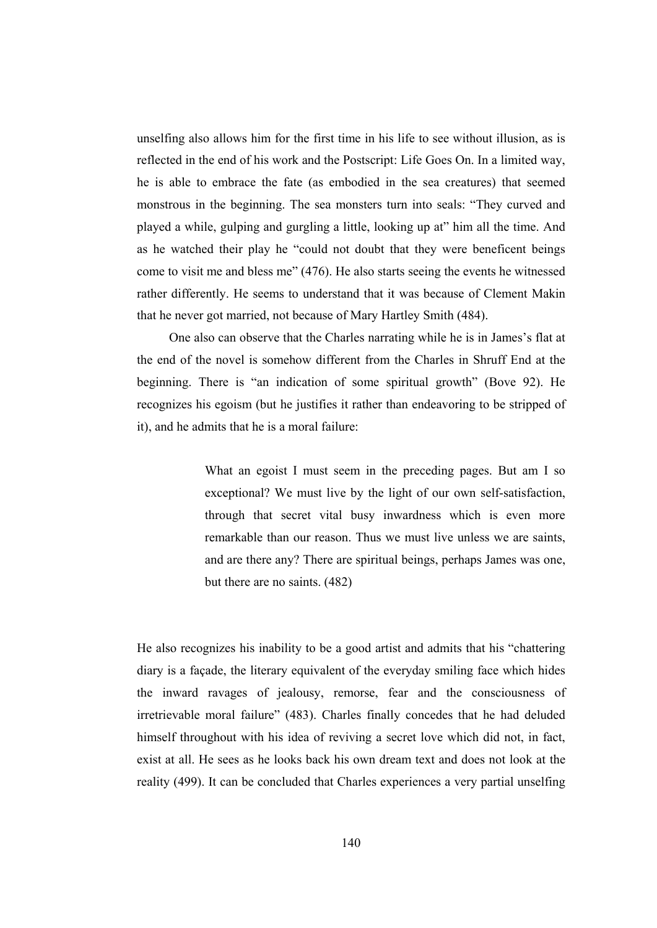unselfing also allows him for the first time in his life to see without illusion, as is reflected in the end of his work and the Postscript: Life Goes On. In a limited way, he is able to embrace the fate (as embodied in the sea creatures) that seemed monstrous in the beginning. The sea monsters turn into seals: "They curved and played a while, gulping and gurgling a little, looking up at" him all the time. And as he watched their play he "could not doubt that they were beneficent beings come to visit me and bless me" (476). He also starts seeing the events he witnessed rather differently. He seems to understand that it was because of Clement Makin that he never got married, not because of Mary Hartley Smith (484).

 One also can observe that the Charles narrating while he is in James's flat at the end of the novel is somehow different from the Charles in Shruff End at the beginning. There is "an indication of some spiritual growth" (Bove 92). He recognizes his egoism (but he justifies it rather than endeavoring to be stripped of it), and he admits that he is a moral failure:

> What an egoist I must seem in the preceding pages. But am I so exceptional? We must live by the light of our own self-satisfaction, through that secret vital busy inwardness which is even more remarkable than our reason. Thus we must live unless we are saints, and are there any? There are spiritual beings, perhaps James was one, but there are no saints. (482)

He also recognizes his inability to be a good artist and admits that his "chattering diary is a façade, the literary equivalent of the everyday smiling face which hides the inward ravages of jealousy, remorse, fear and the consciousness of irretrievable moral failure" (483). Charles finally concedes that he had deluded himself throughout with his idea of reviving a secret love which did not, in fact, exist at all. He sees as he looks back his own dream text and does not look at the reality (499). It can be concluded that Charles experiences a very partial unselfing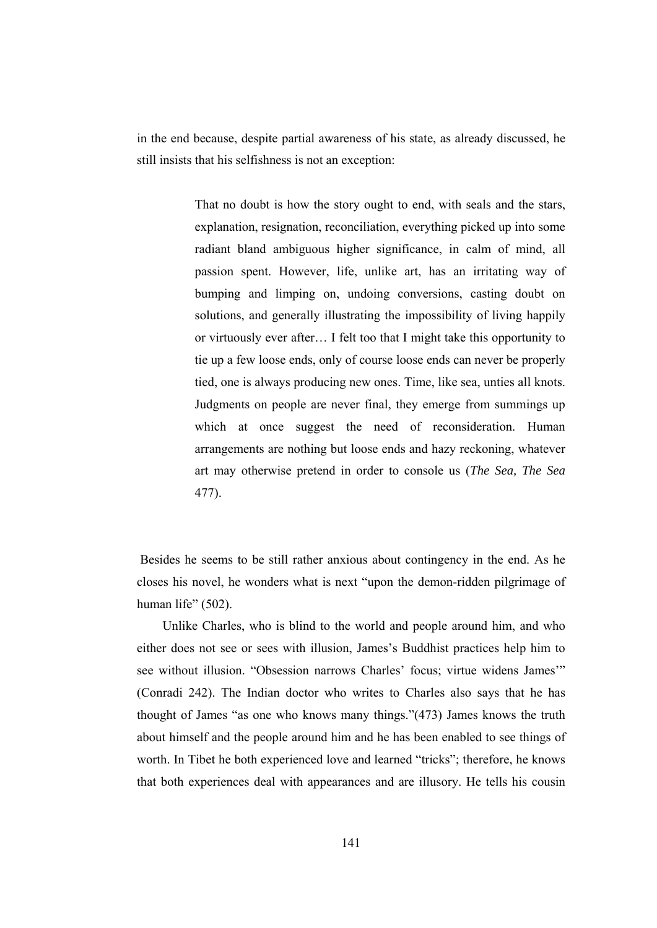in the end because, despite partial awareness of his state, as already discussed, he still insists that his selfishness is not an exception:

> That no doubt is how the story ought to end, with seals and the stars, explanation, resignation, reconciliation, everything picked up into some radiant bland ambiguous higher significance, in calm of mind, all passion spent. However, life, unlike art, has an irritating way of bumping and limping on, undoing conversions, casting doubt on solutions, and generally illustrating the impossibility of living happily or virtuously ever after… I felt too that I might take this opportunity to tie up a few loose ends, only of course loose ends can never be properly tied, one is always producing new ones. Time, like sea, unties all knots. Judgments on people are never final, they emerge from summings up which at once suggest the need of reconsideration. Human arrangements are nothing but loose ends and hazy reckoning, whatever art may otherwise pretend in order to console us (*The Sea, The Sea*  477).

 Besides he seems to be still rather anxious about contingency in the end. As he closes his novel, he wonders what is next "upon the demon-ridden pilgrimage of human life" (502).

 Unlike Charles, who is blind to the world and people around him, and who either does not see or sees with illusion, James's Buddhist practices help him to see without illusion. "Obsession narrows Charles' focus; virtue widens James'" (Conradi 242). The Indian doctor who writes to Charles also says that he has thought of James "as one who knows many things."(473) James knows the truth about himself and the people around him and he has been enabled to see things of worth. In Tibet he both experienced love and learned "tricks"; therefore, he knows that both experiences deal with appearances and are illusory. He tells his cousin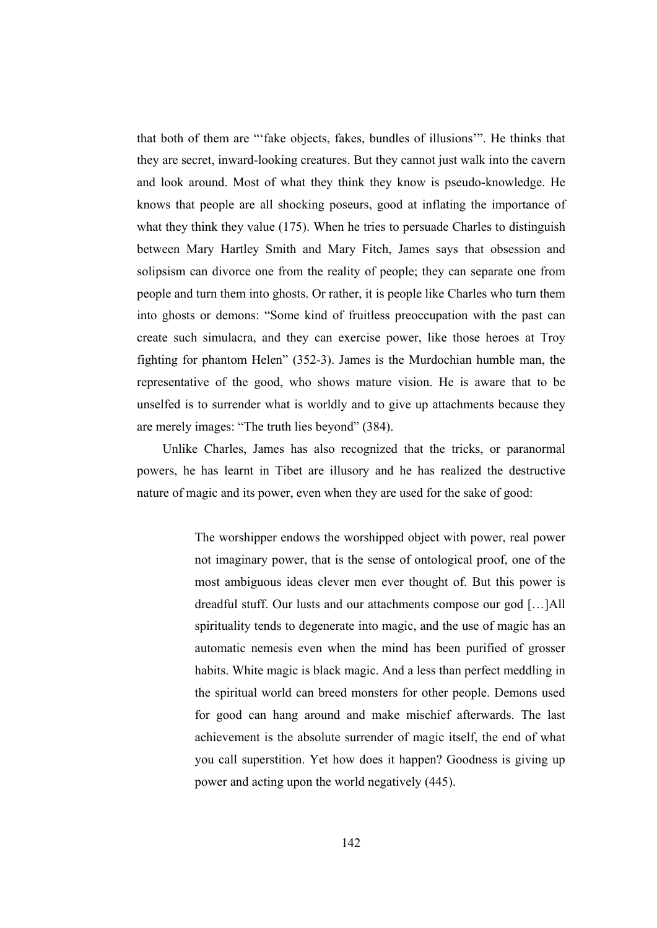that both of them are "'fake objects, fakes, bundles of illusions'". He thinks that they are secret, inward-looking creatures. But they cannot just walk into the cavern and look around. Most of what they think they know is pseudo-knowledge. He knows that people are all shocking poseurs, good at inflating the importance of what they think they value (175). When he tries to persuade Charles to distinguish between Mary Hartley Smith and Mary Fitch, James says that obsession and solipsism can divorce one from the reality of people; they can separate one from people and turn them into ghosts. Or rather, it is people like Charles who turn them into ghosts or demons: "Some kind of fruitless preoccupation with the past can create such simulacra, and they can exercise power, like those heroes at Troy fighting for phantom Helen" (352-3). James is the Murdochian humble man, the representative of the good, who shows mature vision. He is aware that to be unselfed is to surrender what is worldly and to give up attachments because they are merely images: "The truth lies beyond" (384).

 Unlike Charles, James has also recognized that the tricks, or paranormal powers, he has learnt in Tibet are illusory and he has realized the destructive nature of magic and its power, even when they are used for the sake of good:

> The worshipper endows the worshipped object with power, real power not imaginary power, that is the sense of ontological proof, one of the most ambiguous ideas clever men ever thought of. But this power is dreadful stuff. Our lusts and our attachments compose our god […]All spirituality tends to degenerate into magic, and the use of magic has an automatic nemesis even when the mind has been purified of grosser habits. White magic is black magic. And a less than perfect meddling in the spiritual world can breed monsters for other people. Demons used for good can hang around and make mischief afterwards. The last achievement is the absolute surrender of magic itself, the end of what you call superstition. Yet how does it happen? Goodness is giving up power and acting upon the world negatively (445).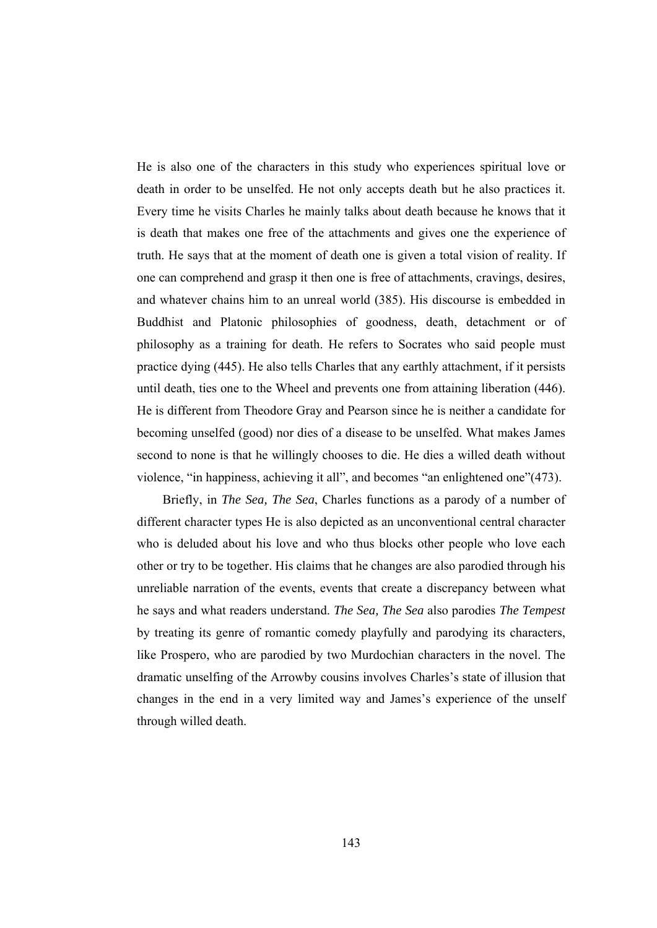He is also one of the characters in this study who experiences spiritual love or death in order to be unselfed. He not only accepts death but he also practices it. Every time he visits Charles he mainly talks about death because he knows that it is death that makes one free of the attachments and gives one the experience of truth. He says that at the moment of death one is given a total vision of reality. If one can comprehend and grasp it then one is free of attachments, cravings, desires, and whatever chains him to an unreal world (385). His discourse is embedded in Buddhist and Platonic philosophies of goodness, death, detachment or of philosophy as a training for death. He refers to Socrates who said people must practice dying (445). He also tells Charles that any earthly attachment, if it persists until death, ties one to the Wheel and prevents one from attaining liberation (446). He is different from Theodore Gray and Pearson since he is neither a candidate for becoming unselfed (good) nor dies of a disease to be unselfed. What makes James second to none is that he willingly chooses to die. He dies a willed death without violence, "in happiness, achieving it all", and becomes "an enlightened one"(473).

 Briefly, in *The Sea, The Sea*, Charles functions as a parody of a number of different character types He is also depicted as an unconventional central character who is deluded about his love and who thus blocks other people who love each other or try to be together. His claims that he changes are also parodied through his unreliable narration of the events, events that create a discrepancy between what he says and what readers understand. *The Sea, The Sea* also parodies *The Tempest* by treating its genre of romantic comedy playfully and parodying its characters, like Prospero, who are parodied by two Murdochian characters in the novel. The dramatic unselfing of the Arrowby cousins involves Charles's state of illusion that changes in the end in a very limited way and James's experience of the unself through willed death.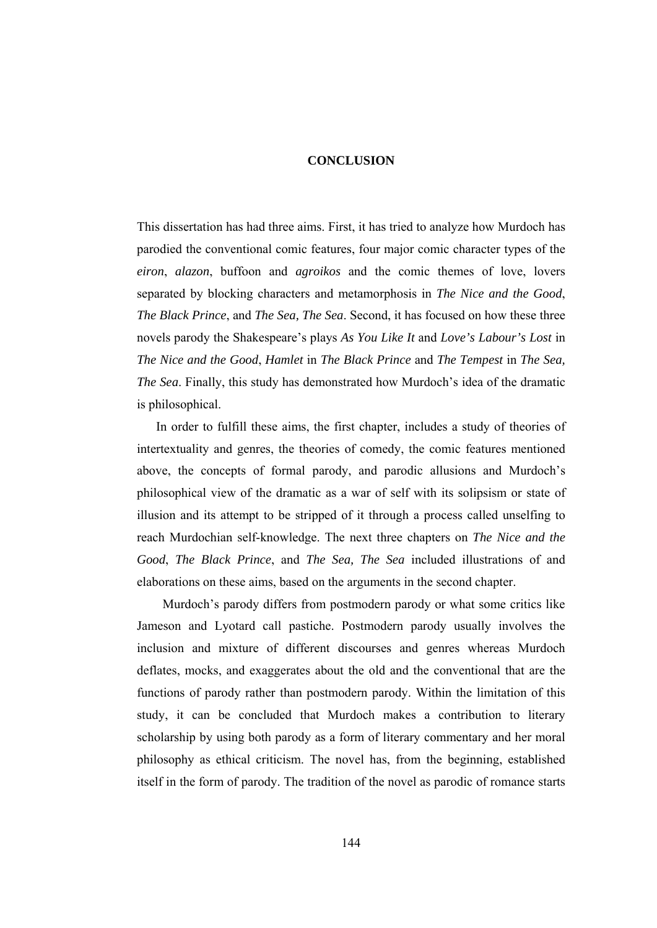#### **CONCLUSION**

This dissertation has had three aims. First, it has tried to analyze how Murdoch has parodied the conventional comic features, four major comic character types of the *eiron*, *alazon*, buffoon and *agroikos* and the comic themes of love, lovers separated by blocking characters and metamorphosis in *The Nice and the Good*, *The Black Prince*, and *The Sea, The Sea*. Second, it has focused on how these three novels parody the Shakespeare's plays *As You Like It* and *Love's Labour's Lost* in *The Nice and the Good*, *Hamlet* in *The Black Prince* and *The Tempest* in *The Sea, The Sea*. Finally, this study has demonstrated how Murdoch's idea of the dramatic is philosophical.

 In order to fulfill these aims, the first chapter, includes a study of theories of intertextuality and genres, the theories of comedy, the comic features mentioned above, the concepts of formal parody, and parodic allusions and Murdoch's philosophical view of the dramatic as a war of self with its solipsism or state of illusion and its attempt to be stripped of it through a process called unselfing to reach Murdochian self-knowledge. The next three chapters on *The Nice and the Good*, *The Black Prince*, and *The Sea, The Sea* included illustrations of and elaborations on these aims, based on the arguments in the second chapter.

 Murdoch's parody differs from postmodern parody or what some critics like Jameson and Lyotard call pastiche. Postmodern parody usually involves the inclusion and mixture of different discourses and genres whereas Murdoch deflates, mocks, and exaggerates about the old and the conventional that are the functions of parody rather than postmodern parody. Within the limitation of this study, it can be concluded that Murdoch makes a contribution to literary scholarship by using both parody as a form of literary commentary and her moral philosophy as ethical criticism. The novel has, from the beginning, established itself in the form of parody. The tradition of the novel as parodic of romance starts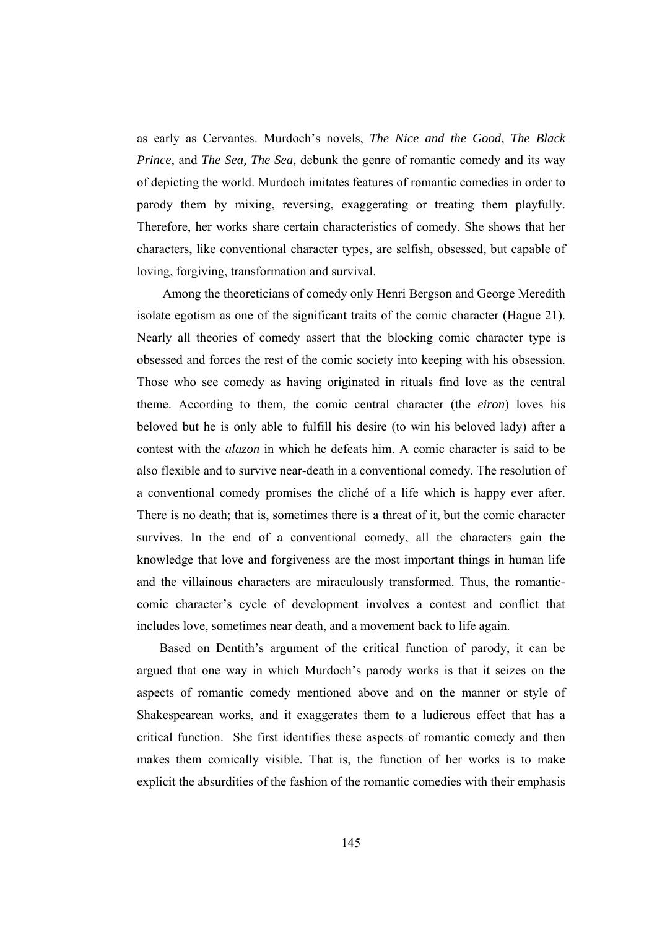as early as Cervantes. Murdoch's novels, *The Nice and the Good*, *The Black Prince*, and *The Sea, The Sea,* debunk the genre of romantic comedy and its way of depicting the world. Murdoch imitates features of romantic comedies in order to parody them by mixing, reversing, exaggerating or treating them playfully. Therefore, her works share certain characteristics of comedy. She shows that her characters, like conventional character types, are selfish, obsessed, but capable of loving, forgiving, transformation and survival.

 Among the theoreticians of comedy only Henri Bergson and George Meredith isolate egotism as one of the significant traits of the comic character (Hague 21). Nearly all theories of comedy assert that the blocking comic character type is obsessed and forces the rest of the comic society into keeping with his obsession. Those who see comedy as having originated in rituals find love as the central theme. According to them, the comic central character (the *eiron*) loves his beloved but he is only able to fulfill his desire (to win his beloved lady) after a contest with the *alazon* in which he defeats him. A comic character is said to be also flexible and to survive near-death in a conventional comedy. The resolution of a conventional comedy promises the cliché of a life which is happy ever after. There is no death; that is, sometimes there is a threat of it, but the comic character survives. In the end of a conventional comedy, all the characters gain the knowledge that love and forgiveness are the most important things in human life and the villainous characters are miraculously transformed. Thus, the romanticcomic character's cycle of development involves a contest and conflict that includes love, sometimes near death, and a movement back to life again.

 Based on Dentith's argument of the critical function of parody, it can be argued that one way in which Murdoch's parody works is that it seizes on the aspects of romantic comedy mentioned above and on the manner or style of Shakespearean works, and it exaggerates them to a ludicrous effect that has a critical function. She first identifies these aspects of romantic comedy and then makes them comically visible. That is, the function of her works is to make explicit the absurdities of the fashion of the romantic comedies with their emphasis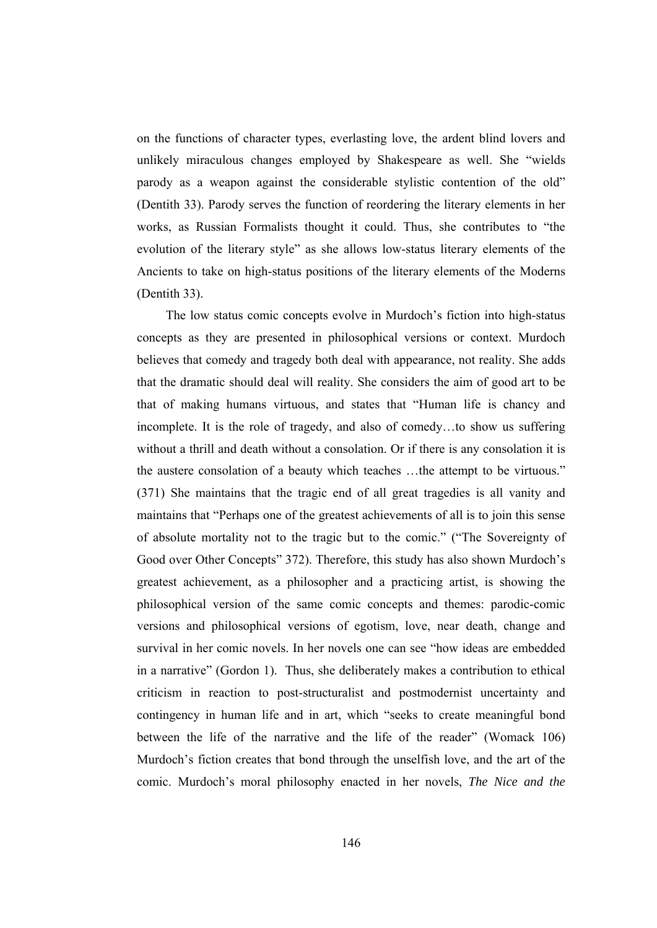on the functions of character types, everlasting love, the ardent blind lovers and unlikely miraculous changes employed by Shakespeare as well. She "wields parody as a weapon against the considerable stylistic contention of the old" (Dentith 33). Parody serves the function of reordering the literary elements in her works, as Russian Formalists thought it could. Thus, she contributes to "the evolution of the literary style" as she allows low-status literary elements of the Ancients to take on high-status positions of the literary elements of the Moderns (Dentith 33).

 The low status comic concepts evolve in Murdoch's fiction into high-status concepts as they are presented in philosophical versions or context. Murdoch believes that comedy and tragedy both deal with appearance, not reality. She adds that the dramatic should deal will reality. She considers the aim of good art to be that of making humans virtuous, and states that "Human life is chancy and incomplete. It is the role of tragedy, and also of comedy…to show us suffering without a thrill and death without a consolation. Or if there is any consolation it is the austere consolation of a beauty which teaches …the attempt to be virtuous." (371) She maintains that the tragic end of all great tragedies is all vanity and maintains that "Perhaps one of the greatest achievements of all is to join this sense of absolute mortality not to the tragic but to the comic." ("The Sovereignty of Good over Other Concepts" 372). Therefore, this study has also shown Murdoch's greatest achievement, as a philosopher and a practicing artist, is showing the philosophical version of the same comic concepts and themes: parodic-comic versions and philosophical versions of egotism, love, near death, change and survival in her comic novels. In her novels one can see "how ideas are embedded in a narrative" (Gordon 1). Thus, she deliberately makes a contribution to ethical criticism in reaction to post-structuralist and postmodernist uncertainty and contingency in human life and in art, which "seeks to create meaningful bond between the life of the narrative and the life of the reader" (Womack 106) Murdoch's fiction creates that bond through the unselfish love, and the art of the comic. Murdoch's moral philosophy enacted in her novels, *The Nice and the*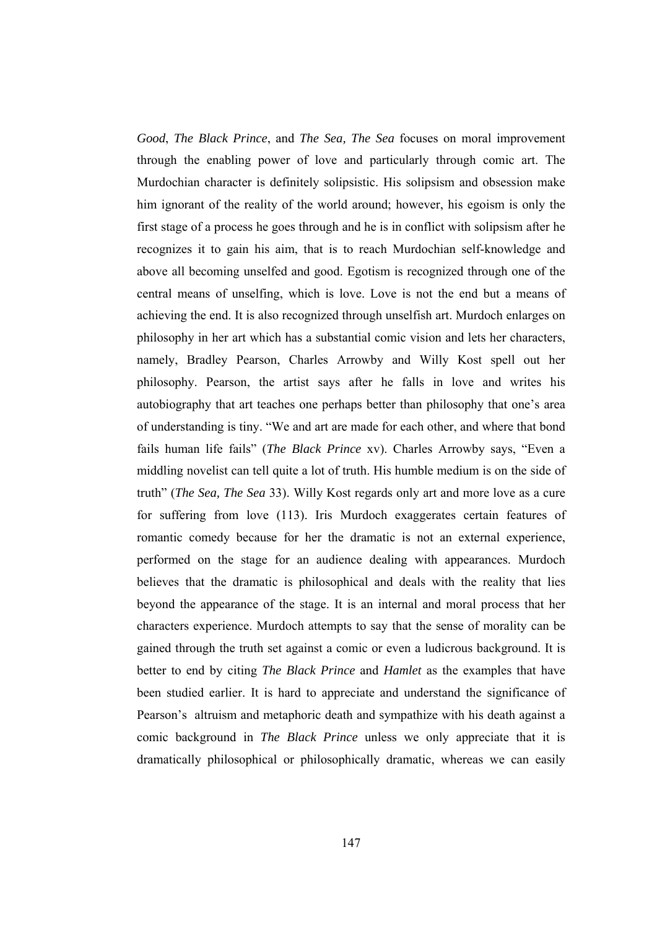*Good*, *The Black Prince*, and *The Sea, The Sea* focuses on moral improvement through the enabling power of love and particularly through comic art. The Murdochian character is definitely solipsistic. His solipsism and obsession make him ignorant of the reality of the world around; however, his egoism is only the first stage of a process he goes through and he is in conflict with solipsism after he recognizes it to gain his aim, that is to reach Murdochian self-knowledge and above all becoming unselfed and good. Egotism is recognized through one of the central means of unselfing, which is love. Love is not the end but a means of achieving the end. It is also recognized through unselfish art. Murdoch enlarges on philosophy in her art which has a substantial comic vision and lets her characters, namely, Bradley Pearson, Charles Arrowby and Willy Kost spell out her philosophy. Pearson, the artist says after he falls in love and writes his autobiography that art teaches one perhaps better than philosophy that one's area of understanding is tiny. "We and art are made for each other, and where that bond fails human life fails" (*The Black Prince* xv). Charles Arrowby says, "Even a middling novelist can tell quite a lot of truth. His humble medium is on the side of truth" (*The Sea, The Sea* 33). Willy Kost regards only art and more love as a cure for suffering from love (113). Iris Murdoch exaggerates certain features of romantic comedy because for her the dramatic is not an external experience, performed on the stage for an audience dealing with appearances. Murdoch believes that the dramatic is philosophical and deals with the reality that lies beyond the appearance of the stage. It is an internal and moral process that her characters experience. Murdoch attempts to say that the sense of morality can be gained through the truth set against a comic or even a ludicrous background. It is better to end by citing *The Black Prince* and *Hamlet* as the examples that have been studied earlier. It is hard to appreciate and understand the significance of Pearson's altruism and metaphoric death and sympathize with his death against a comic background in *The Black Prince* unless we only appreciate that it is dramatically philosophical or philosophically dramatic, whereas we can easily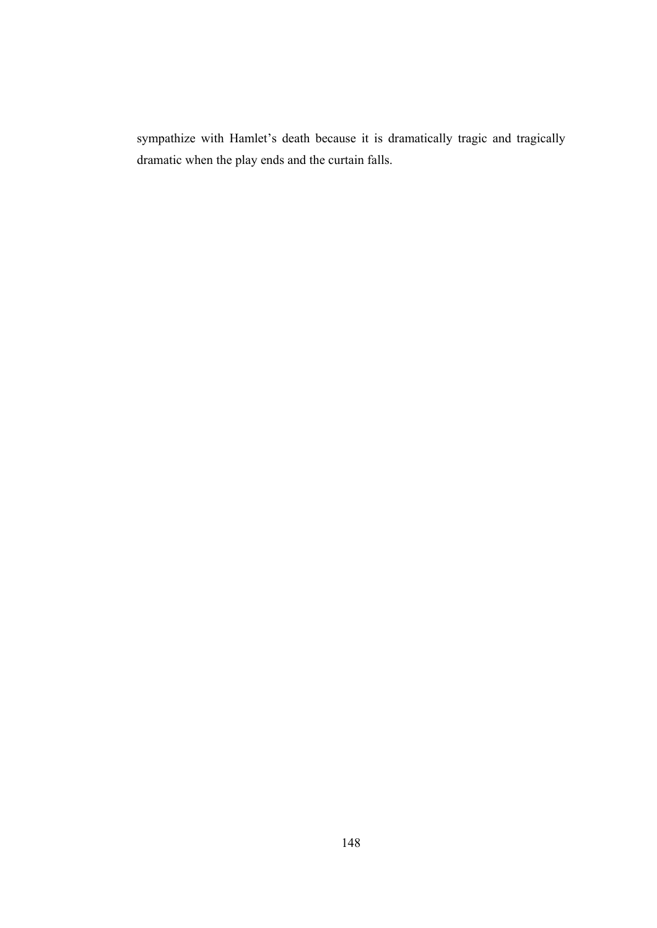sympathize with Hamlet's death because it is dramatically tragic and tragically dramatic when the play ends and the curtain falls.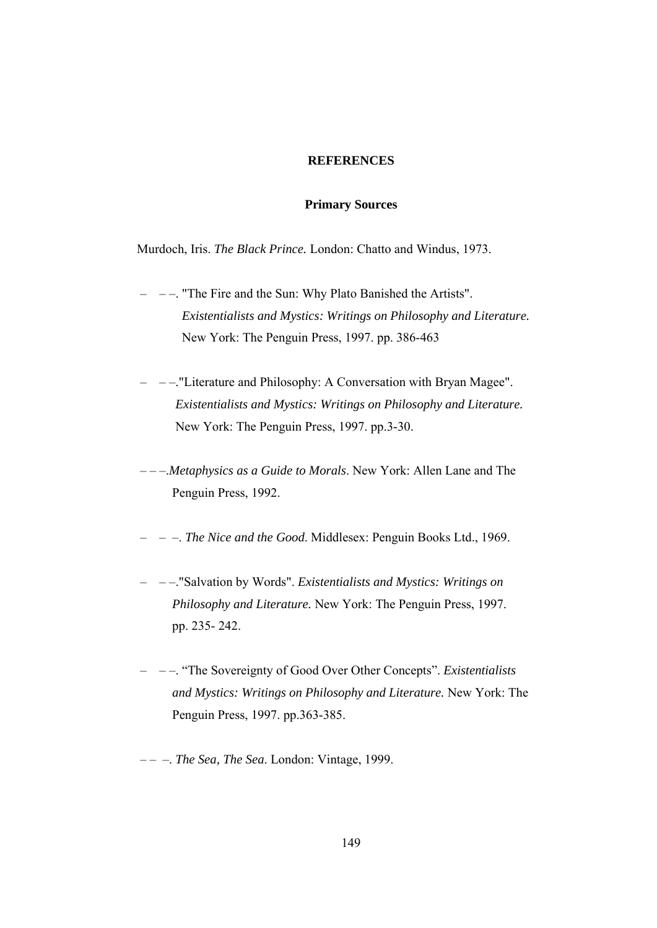## **REFERENCES**

## **Primary Sources**

Murdoch, Iris. *The Black Prince.* London: Chatto and Windus, 1973.

- – –. "The Fire and the Sun: Why Plato Banished the Artists". *Existentialists and Mystics: Writings on Philosophy and Literature.* New York: The Penguin Press, 1997. pp. 386-463
- – –."Literature and Philosophy: A Conversation with Bryan Magee". *Existentialists and Mystics: Writings on Philosophy and Literature.* New York: The Penguin Press, 1997. pp.3-30.
- – –.*Metaphysics as a Guide to Morals*. New York: Allen Lane and The Penguin Press, 1992.
- – –. *The Nice and the Good*. Middlesex: Penguin Books Ltd., 1969.
- – –."Salvation by Words". *Existentialists and Mystics: Writings on Philosophy and Literature.* New York: The Penguin Press, 1997. pp. 235- 242.
- – –. "The Sovereignty of Good Over Other Concepts". *Existentialists and Mystics: Writings on Philosophy and Literature.* New York: The Penguin Press, 1997. pp.363-385.
- – –. *The Sea, The Sea*. London: Vintage, 1999.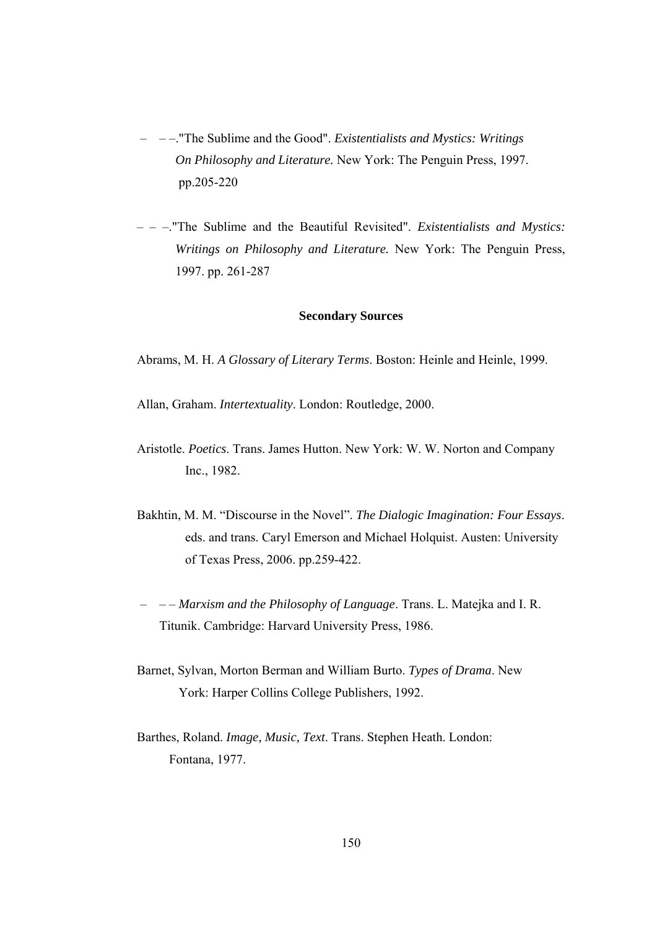- – –."The Sublime and the Good". *Existentialists and Mystics: Writings On Philosophy and Literature.* New York: The Penguin Press, 1997. pp.205-220
- – –."The Sublime and the Beautiful Revisited". *Existentialists and Mystics: Writings on Philosophy and Literature.* New York: The Penguin Press, 1997. pp. 261-287

# **Secondary Sources**

Abrams, M. H. *A Glossary of Literary Terms*. Boston: Heinle and Heinle, 1999.

Allan, Graham. *Intertextuality*. London: Routledge, 2000.

- Aristotle. *Poetics*. Trans. James Hutton. New York: W. W. Norton and Company Inc., 1982.
- Bakhtin, M. M. "Discourse in the Novel". *The Dialogic Imagination: Four Essays*. eds. and trans. Caryl Emerson and Michael Holquist. Austen: University of Texas Press, 2006. pp.259-422.
- – *Marxism and the Philosophy of Language*. Trans. L. Matejka and I. R. Titunik. Cambridge: Harvard University Press, 1986.
- Barnet, Sylvan, Morton Berman and William Burto. *Types of Drama*. New York: Harper Collins College Publishers, 1992.
- Barthes, Roland. *Image, Music, Text*. Trans. Stephen Heath. London: Fontana, 1977.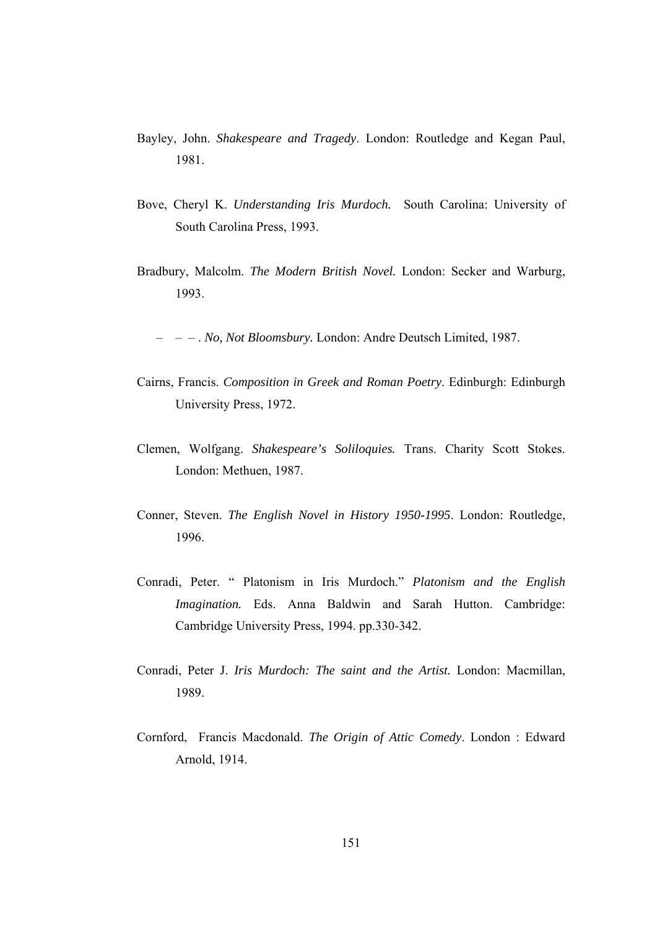- Bayley, John. *Shakespeare and Tragedy*. London: Routledge and Kegan Paul, 1981.
- Bove, Cheryl K. *Understanding Iris Murdoch.* South Carolina: University of South Carolina Press, 1993.
- Bradbury, Malcolm. *The Modern British Novel.* London: Secker and Warburg, 1993.
	- – . *No, Not Bloomsbury.* London: Andre Deutsch Limited, 1987.
- Cairns, Francis. *Composition in Greek and Roman Poetry*. Edinburgh: Edinburgh University Press, 1972.
- Clemen, Wolfgang. *Shakespeare's Soliloquies.* Trans. Charity Scott Stokes. London: Methuen, 1987.
- Conner, Steven. *The English Novel in History 1950-1995*. London: Routledge, 1996.
- Conradi, Peter. " Platonism in Iris Murdoch." *Platonism and the English Imagination.* Eds. Anna Baldwin and Sarah Hutton. Cambridge: Cambridge University Press, 1994. pp.330-342.
- Conradi, Peter J. *Iris Murdoch: The saint and the Artist.* London: Macmillan, 1989.
- Cornford, Francis Macdonald. *The Origin of Attic Comedy*. London : Edward Arnold, 1914.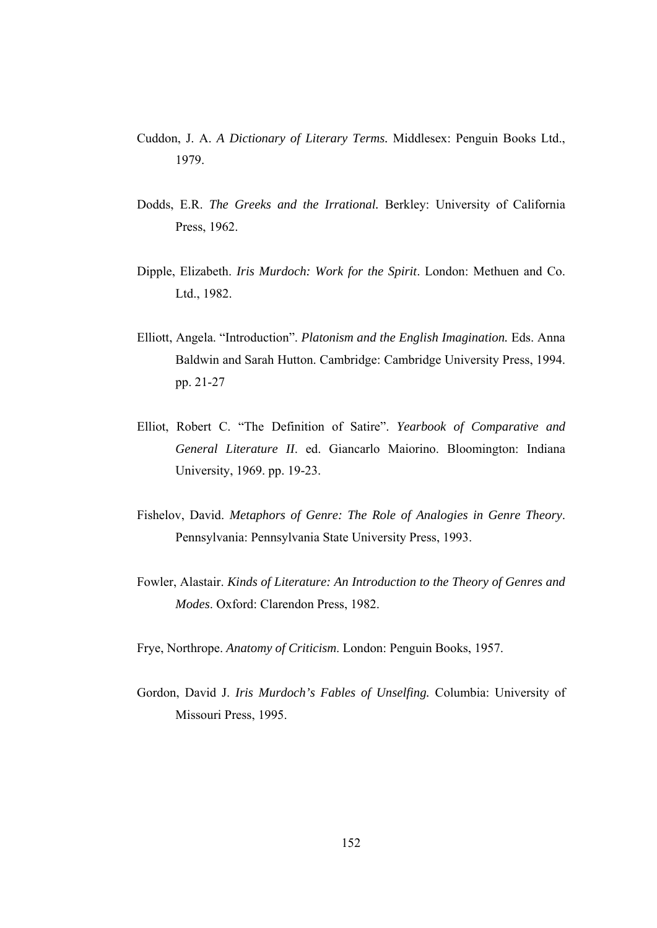- Cuddon, J. A. *A Dictionary of Literary Terms.* Middlesex: Penguin Books Ltd., 1979.
- Dodds, E.R. *The Greeks and the Irrational.* Berkley: University of California Press, 1962.
- Dipple, Elizabeth. *Iris Murdoch: Work for the Spirit*. London: Methuen and Co. Ltd., 1982.
- Elliott, Angela. "Introduction". *Platonism and the English Imagination.* Eds. Anna Baldwin and Sarah Hutton. Cambridge: Cambridge University Press, 1994. pp. 21-27
- Elliot, Robert C. "The Definition of Satire". *Yearbook of Comparative and General Literature II*. ed. Giancarlo Maiorino. Bloomington: Indiana University, 1969. pp. 19-23.
- Fishelov, David. *Metaphors of Genre: The Role of Analogies in Genre Theory*. Pennsylvania: Pennsylvania State University Press, 1993.
- Fowler, Alastair. *Kinds of Literature: An Introduction to the Theory of Genres and Modes*. Oxford: Clarendon Press, 1982.
- Frye, Northrope. *Anatomy of Criticism*. London: Penguin Books, 1957.
- Gordon, David J. *Iris Murdoch's Fables of Unselfing.* Columbia: University of Missouri Press, 1995.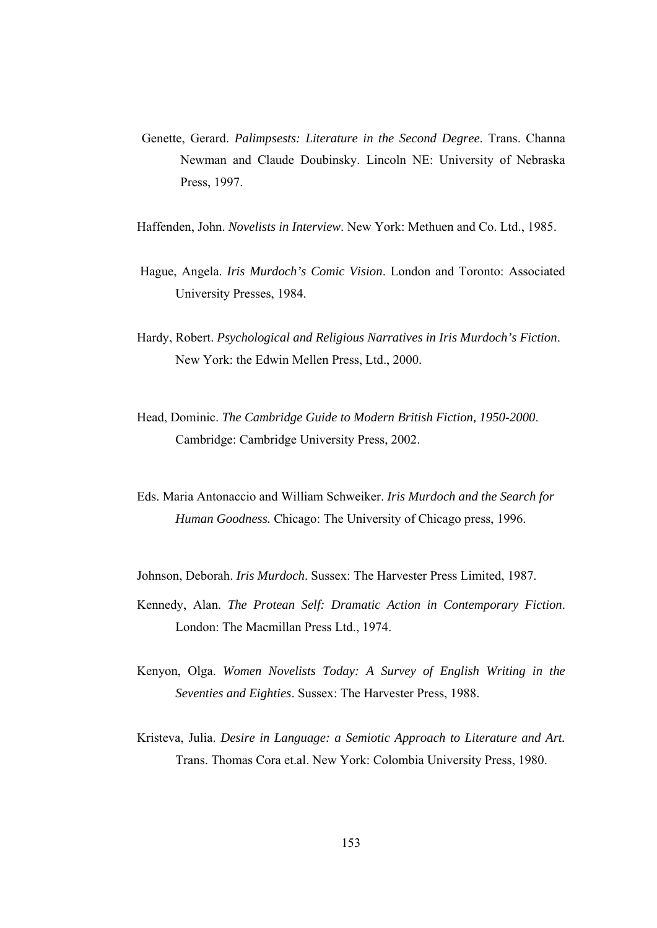- Genette, Gerard. *Palimpsests: Literature in the Second Degree*. Trans. Channa Newman and Claude Doubinsky. Lincoln NE: University of Nebraska Press, 1997.
- Haffenden, John. *Novelists in Interview*. New York: Methuen and Co. Ltd., 1985.
- Hague, Angela. *Iris Murdoch's Comic Vision*. London and Toronto: Associated University Presses, 1984.
- Hardy, Robert. *Psychological and Religious Narratives in Iris Murdoch's Fiction*. New York: the Edwin Mellen Press, Ltd., 2000.
- Head, Dominic. *The Cambridge Guide to Modern British Fiction, 1950-2000*. Cambridge: Cambridge University Press, 2002.
- Eds. Maria Antonaccio and William Schweiker. *Iris Murdoch and the Search for Human Goodness.* Chicago: The University of Chicago press, 1996.
- Johnson, Deborah. *Iris Murdoch*. Sussex: The Harvester Press Limited, 1987.
- Kennedy, Alan. *The Protean Self: Dramatic Action in Contemporary Fiction*. London: The Macmillan Press Ltd., 1974.
- Kenyon, Olga. *Women Novelists Today: A Survey of English Writing in the Seventies and Eighties*. Sussex: The Harvester Press, 1988.
- Kristeva, Julia. *Desire in Language: a Semiotic Approach to Literature and Art.* Trans. Thomas Cora et.al. New York: Colombia University Press, 1980.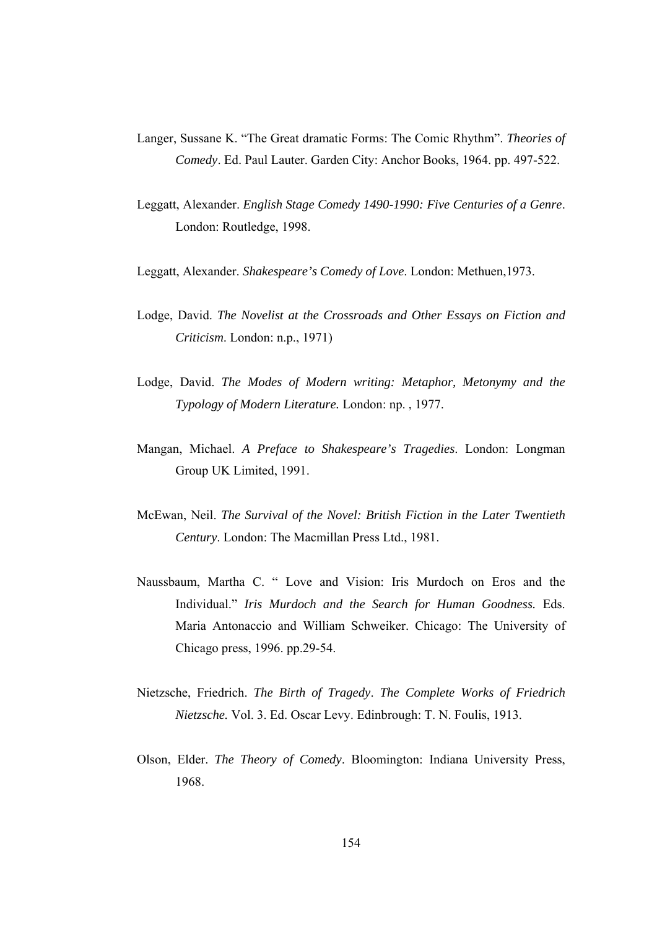- Langer, Sussane K. "The Great dramatic Forms: The Comic Rhythm". *Theories of Comedy*. Ed. Paul Lauter. Garden City: Anchor Books, 1964. pp. 497-522.
- Leggatt, Alexander. *English Stage Comedy 1490-1990: Five Centuries of a Genre*. London: Routledge, 1998.
- Leggatt, Alexander. *Shakespeare's Comedy of Love*. London: Methuen,1973.
- Lodge, David. *The Novelist at the Crossroads and Other Essays on Fiction and Criticism*. London: n.p., 1971)
- Lodge, David. *The Modes of Modern writing: Metaphor, Metonymy and the Typology of Modern Literature.* London: np. , 1977.
- Mangan, Michael. *A Preface to Shakespeare's Tragedies*. London: Longman Group UK Limited, 1991.
- McEwan, Neil. *The Survival of the Novel: British Fiction in the Later Twentieth Century*. London: The Macmillan Press Ltd., 1981.
- Naussbaum, Martha C. " Love and Vision: Iris Murdoch on Eros and the Individual." *Iris Murdoch and the Search for Human Goodness.* Eds. Maria Antonaccio and William Schweiker. Chicago: The University of Chicago press, 1996. pp.29-54.
- Nietzsche, Friedrich. *The Birth of Tragedy*. *The Complete Works of Friedrich Nietzsche.* Vol. 3. Ed. Oscar Levy. Edinbrough: T. N. Foulis, 1913.
- Olson, Elder. *The Theory of Comedy*. Bloomington: Indiana University Press, 1968.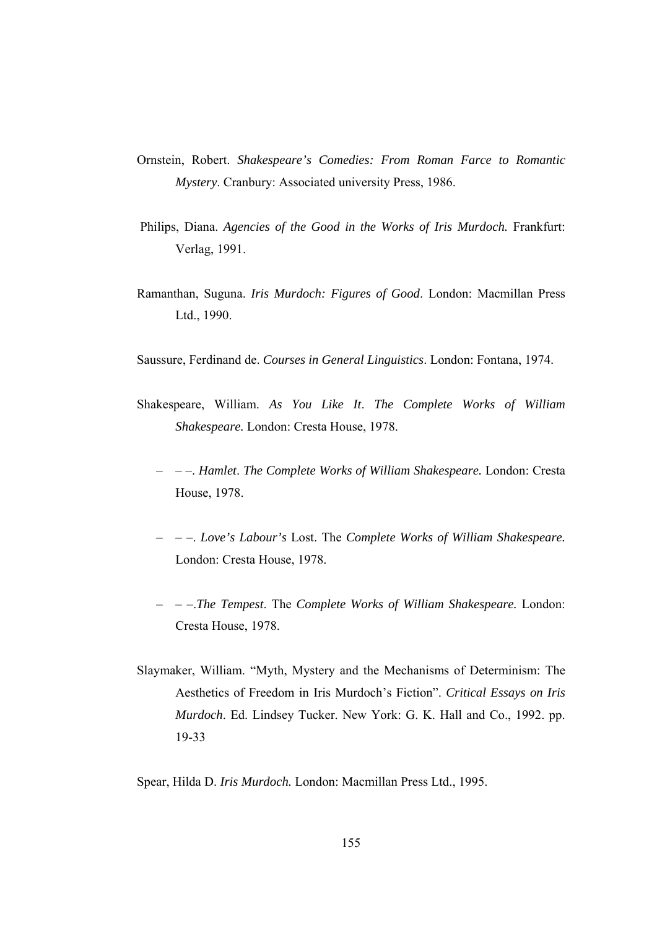- Ornstein, Robert. *Shakespeare's Comedies: From Roman Farce to Romantic Mystery*. Cranbury: Associated university Press, 1986.
- Philips, Diana. *Agencies of the Good in the Works of Iris Murdoch*. Frankfurt: Verlag, 1991.
- Ramanthan, Suguna. *Iris Murdoch: Figures of Good*. London: Macmillan Press Ltd., 1990.
- Saussure, Ferdinand de. *Courses in General Linguistics*. London: Fontana, 1974.
- Shakespeare, William. *As You Like It*. *The Complete Works of William Shakespeare.* London: Cresta House, 1978.
	- – –. *Hamlet*. *The Complete Works of William Shakespeare.* London: Cresta House, 1978.
	- – –. *Love's Labour's* Lost. The *Complete Works of William Shakespeare.* London: Cresta House, 1978.
	- – –.*The Tempest*. The *Complete Works of William Shakespeare.* London: Cresta House, 1978.
- Slaymaker, William. "Myth, Mystery and the Mechanisms of Determinism: The Aesthetics of Freedom in Iris Murdoch's Fiction". *Critical Essays on Iris Murdoch*. Ed. Lindsey Tucker. New York: G. K. Hall and Co., 1992. pp. 19-33

Spear, Hilda D. *Iris Murdoch.* London: Macmillan Press Ltd., 1995.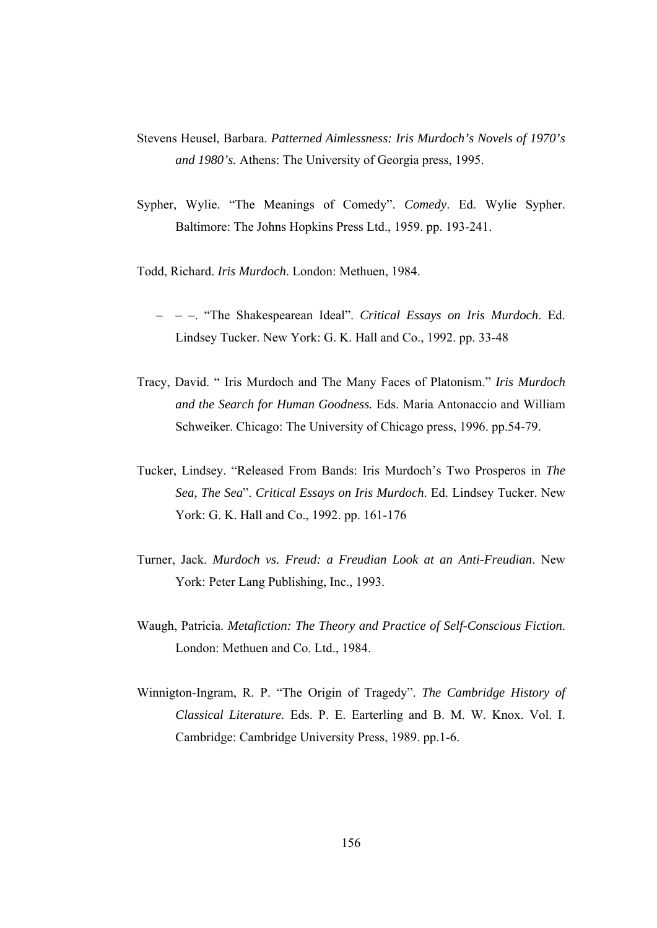- Stevens Heusel, Barbara. *Patterned Aimlessness: Iris Murdoch's Novels of 1970's and 1980's.* Athens: The University of Georgia press, 1995.
- Sypher, Wylie. "The Meanings of Comedy". *Comedy*. Ed. Wylie Sypher. Baltimore: The Johns Hopkins Press Ltd., 1959. pp. 193-241.

Todd, Richard. *Iris Murdoch*. London: Methuen, 1984.

- – –. "The Shakespearean Ideal". *Critical Essays on Iris Murdoch*. Ed. Lindsey Tucker. New York: G. K. Hall and Co., 1992. pp. 33-48
- Tracy, David. " Iris Murdoch and The Many Faces of Platonism." *Iris Murdoch and the Search for Human Goodness.* Eds. Maria Antonaccio and William Schweiker. Chicago: The University of Chicago press, 1996. pp.54-79.
- Tucker, Lindsey. "Released From Bands: Iris Murdoch's Two Prosperos in *The Sea, The Sea*". *Critical Essays on Iris Murdoch*. Ed. Lindsey Tucker. New York: G. K. Hall and Co., 1992. pp. 161-176
- Turner, Jack. *Murdoch vs. Freud: a Freudian Look at an Anti-Freudian*. New York: Peter Lang Publishing, Inc., 1993.
- Waugh, Patricia. *Metafiction: The Theory and Practice of Self-Conscious Fiction*. London: Methuen and Co. Ltd., 1984.
- Winnigton-Ingram, R. P. "The Origin of Tragedy". *The Cambridge History of Classical Literature.* Eds. P. E. Earterling and B. M. W. Knox. Vol. I. Cambridge: Cambridge University Press, 1989. pp.1-6.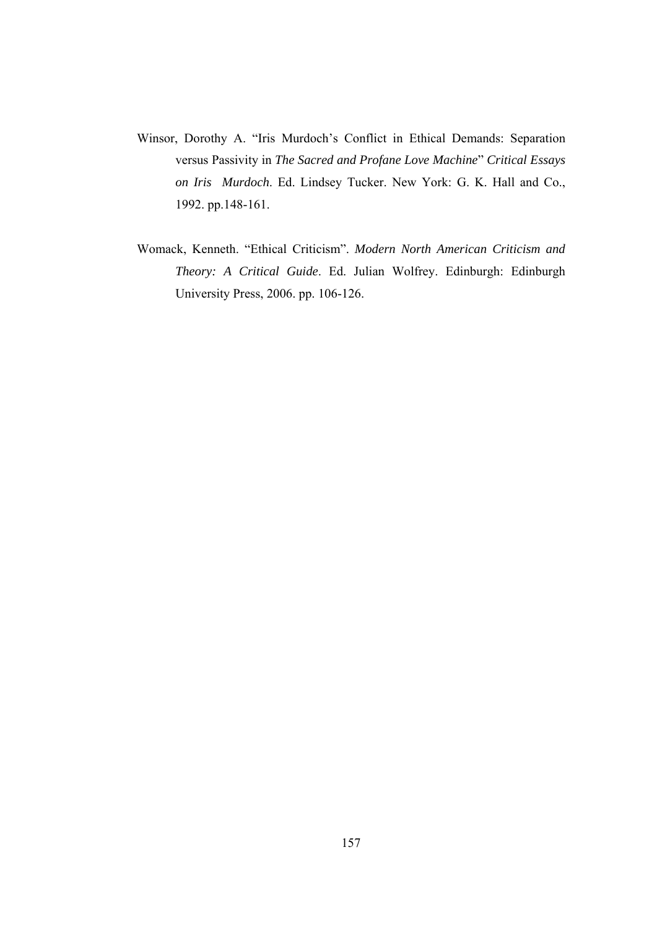- Winsor, Dorothy A. "Iris Murdoch's Conflict in Ethical Demands: Separation versus Passivity in *The Sacred and Profane Love Machine*" *Critical Essays on Iris Murdoch*. Ed. Lindsey Tucker. New York: G. K. Hall and Co., 1992. pp.148-161.
- Womack, Kenneth. "Ethical Criticism". *Modern North American Criticism and Theory: A Critical Guide*. Ed. Julian Wolfrey. Edinburgh: Edinburgh University Press, 2006. pp. 106-126.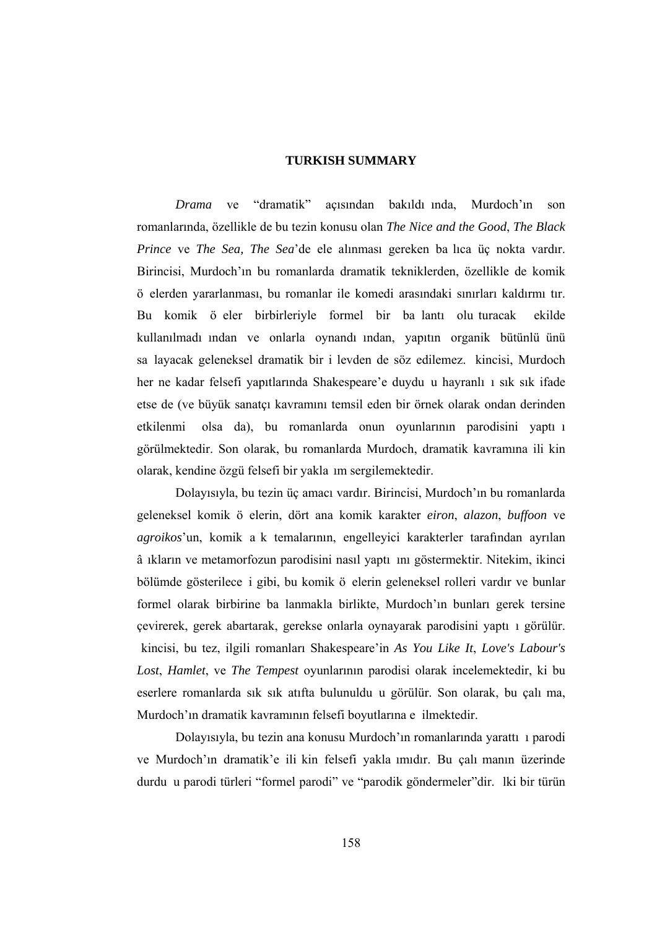#### **TURKISH SUMMARY**

*Drama* ve "dramatik" açısından bakıldı ında, Murdoch'ın son romanlarında, özellikle de bu tezin konusu olan *The Nice and the Good*, *The Black Prince* ve *The Sea, The Sea*'de ele alınması gereken ba lıca üç nokta vardır. Birincisi, Murdoch'ın bu romanlarda dramatik tekniklerden, özellikle de komik ö elerden yararlanması, bu romanlar ile komedi arasındaki sınırları kaldırmı tır. Bu komik ö eler birbirleriyle formel bir ba lantı olu turacak ekilde kullanılmadı ından ve onlarla oynandı ından, yapıtın organik bütünlü ünü sa layacak geleneksel dramatik bir i levden de söz edilemez. kincisi, Murdoch her ne kadar felsefi yapıtlarında Shakespeare'e duydu u hayranlı ı sık sık ifade etse de (ve büyük sanatçı kavramını temsil eden bir örnek olarak ondan derinden etkilenmi olsa da), bu romanlarda onun oyunlarının parodisini yaptı ı görülmektedir. Son olarak, bu romanlarda Murdoch, dramatik kavramına ili kin olarak, kendine özgü felsefi bir yakla ım sergilemektedir.

 Dolayısıyla, bu tezin üç amacı vardır. Birincisi, Murdoch'ın bu romanlarda geleneksel komik ö elerin, dört ana komik karakter *eiron*, *alazon*, *buffoon* ve *agroikos*'un, komik a k temalarının, engelleyici karakterler tarafından ayrılan â ıkların ve metamorfozun parodisini nasıl yaptı ını göstermektir. Nitekim, ikinci bölümde gösterilece i gibi, bu komik ö elerin geleneksel rolleri vardır ve bunlar formel olarak birbirine ba lanmakla birlikte, Murdoch'ın bunları gerek tersine çevirerek, gerek abartarak, gerekse onlarla oynayarak parodisini yaptı ı görülür. kincisi, bu tez, ilgili romanları Shakespeare'in *As You Like It*, *Love's Labour's Lost*, *Hamlet*, ve *The Tempest* oyunlarının parodisi olarak incelemektedir, ki bu eserlere romanlarda sık sık atıfta bulunuldu u görülür. Son olarak, bu çalı ma, Murdoch'ın dramatik kavramının felsefi boyutlarına e ilmektedir.

 Dolayısıyla, bu tezin ana konusu Murdoch'ın romanlarında yarattı ı parodi ve Murdoch'ın dramatik'e ili kin felsefi yakla ımıdır. Bu çalı manın üzerinde durdu u parodi türleri "formel parodi" ve "parodik göndermeler"dir. lki bir türün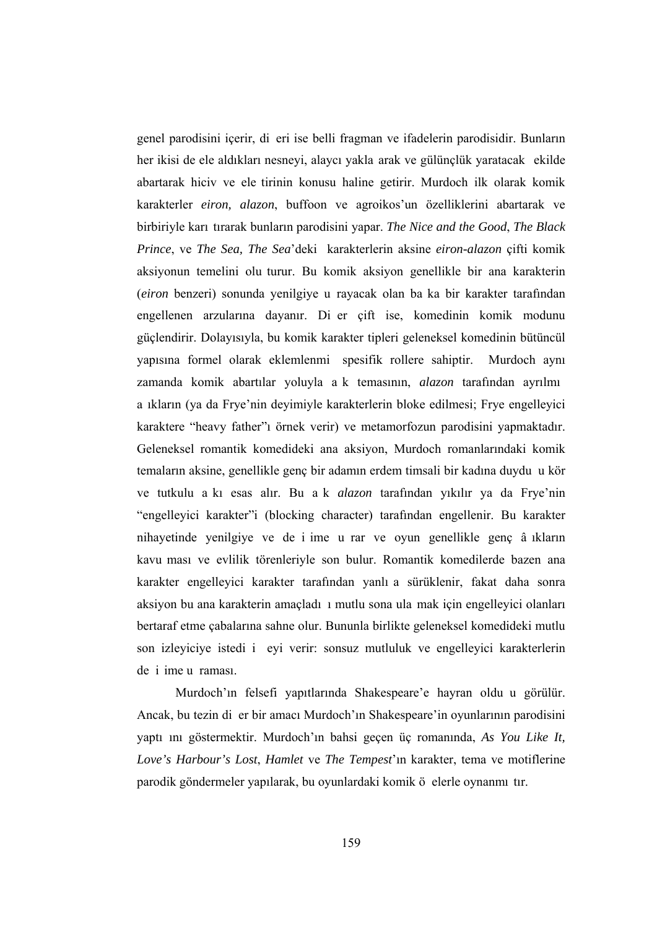genel parodisini içerir, di eri ise belli fragman ve ifadelerin parodisidir. Bunların her ikisi de ele aldıkları nesneyi, alaycı yakla arak ve gülünçlük yaratacak ekilde abartarak hiciv ve ele tirinin konusu haline getirir. Murdoch ilk olarak komik karakterler *eiron, alazon*, buffoon ve agroikos'un özelliklerini abartarak ve birbiriyle karı tırarak bunların parodisini yapar. *The Nice and the Good*, *The Black Prince*, ve *The Sea, The Sea*'deki karakterlerin aksine *eiron-alazon* çifti komik aksiyonun temelini olu turur. Bu komik aksiyon genellikle bir ana karakterin (*eiron* benzeri) sonunda yenilgiye u rayacak olan ba ka bir karakter tarafından engellenen arzularına dayanır. Di er çift ise, komedinin komik modunu güçlendirir. Dolayısıyla, bu komik karakter tipleri geleneksel komedinin bütüncül yapısına formel olarak eklemlenmi spesifik rollere sahiptir. Murdoch aynı zamanda komik abartılar yoluyla a k temasının, *alazon* tarafından ayrılmı a ıkların (ya da Frye'nin deyimiyle karakterlerin bloke edilmesi; Frye engelleyici karaktere "heavy father"ı örnek verir) ve metamorfozun parodisini yapmaktadır. Geleneksel romantik komedideki ana aksiyon, Murdoch romanlarındaki komik temaların aksine, genellikle genç bir adamın erdem timsali bir kadına duydu u kör ve tutkulu a kı esas alır. Bu a k *alazon* tarafından yıkılır ya da Frye'nin "engelleyici karakter"i (blocking character) tarafından engellenir. Bu karakter nihayetinde yenilgiye ve de i ime u rar ve oyun genellikle genç â ıkların kavu ması ve evlilik törenleriyle son bulur. Romantik komedilerde bazen ana karakter engelleyici karakter tarafından yanlı a sürüklenir, fakat daha sonra aksiyon bu ana karakterin amaçladı ı mutlu sona ula mak için engelleyici olanları bertaraf etme çabalarına sahne olur. Bununla birlikte geleneksel komedideki mutlu son izleyiciye istedi i eyi verir: sonsuz mutluluk ve engelleyici karakterlerin de i ime u raması.

 Murdoch'ın felsefi yapıtlarında Shakespeare'e hayran oldu u görülür. Ancak, bu tezin di er bir amacı Murdoch'ın Shakespeare'in oyunlarının parodisini yaptı ını göstermektir. Murdoch'ın bahsi geçen üç romanında, *As You Like It, Love's Harbour's Lost*, *Hamlet* ve *The Tempest*'ın karakter, tema ve motiflerine parodik göndermeler yapılarak, bu oyunlardaki komik ö elerle oynanmı tır.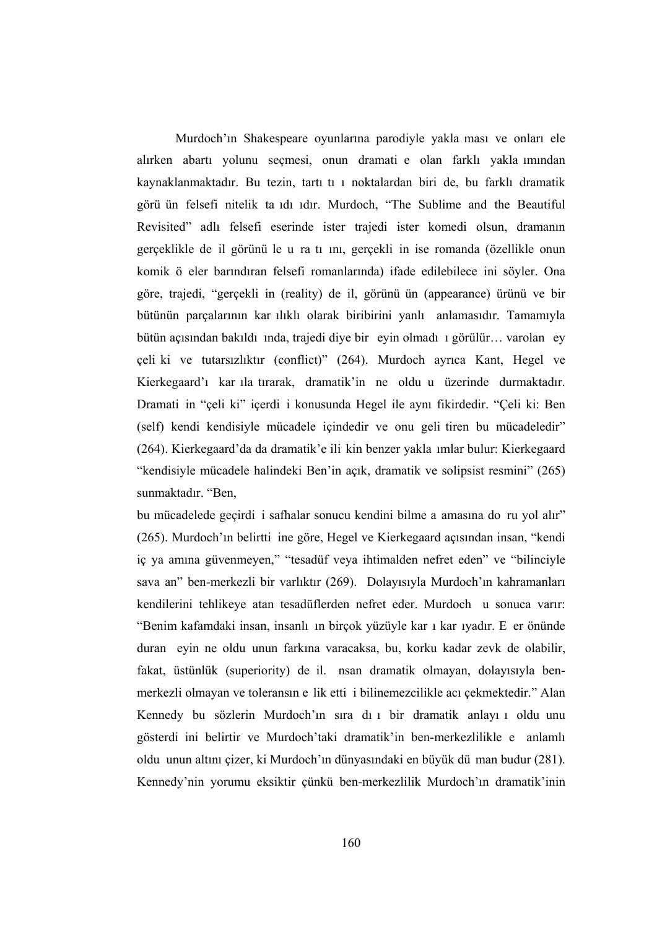Murdoch'ın Shakespeare oyunlarına parodiyle yakla ması ve onları ele alırken abartı yolunu seçmesi, onun dramati e olan farklı yakla ımından kaynaklanmaktadır. Bu tezin, tartı tı ı noktalardan biri de, bu farklı dramatik görü ün felsefi nitelik ta ıdı ıdır. Murdoch, "The Sublime and the Beautiful Revisited" adlı felsefi eserinde ister trajedi ister komedi olsun, dramanın gerçeklikle de il görünü le u ra tı ını, gerçekli in ise romanda (özellikle onun komik ö eler barındıran felsefi romanlarında) ifade edilebilece ini söyler. Ona göre, trajedi, "gerçekli in (reality) de il, görünü ün (appearance) ürünü ve bir bütünün parçalarının kar ılıklı olarak biribirini yanlı anlamasıdır. Tamamıyla bütün açısından bakıldı ında, trajedi diye bir eyin olmadı ı görülür… varolan ey çeli ki ve tutarsızlıktır (conflict)" (264). Murdoch ayrıca Kant, Hegel ve Kierkegaard'ı kar ıla tırarak, dramatik'in ne oldu u üzerinde durmaktadır. Dramati in "çeli ki" içerdi i konusunda Hegel ile aynı fikirdedir. "Çeli ki: Ben (self) kendi kendisiyle mücadele içindedir ve onu geli tiren bu mücadeledir" (264). Kierkegaard'da da dramatik'e ili kin benzer yakla ımlar bulur: Kierkegaard "kendisiyle mücadele halindeki Ben'in açık, dramatik ve solipsist resmini" (265) sunmaktadır. "Ben,

bu mücadelede geçirdi i safhalar sonucu kendini bilme a amasına do ru yol alır" (265). Murdoch'ın belirtti ine göre, Hegel ve Kierkegaard açısından insan, "kendi iç ya amına güvenmeyen," "tesadüf veya ihtimalden nefret eden" ve "bilinciyle sava an" ben-merkezli bir varlıktır (269). Dolayısıyla Murdoch'ın kahramanları kendilerini tehlikeye atan tesadüflerden nefret eder. Murdoch u sonuca varır: "Benim kafamdaki insan, insanlı ın birçok yüzüyle kar ı kar ıyadır. E er önünde duran eyin ne oldu unun farkına varacaksa, bu, korku kadar zevk de olabilir, fakat, üstünlük (superiority) de il. nsan dramatik olmayan, dolayısıyla benmerkezli olmayan ve toleransın e lik etti i bilinemezcilikle acı çekmektedir." Alan Kennedy bu sözlerin Murdoch'ın sıra dı ı bir dramatik anlayı ı oldu unu gösterdi ini belirtir ve Murdoch'taki dramatik'in ben-merkezlilikle e anlamlı oldu unun altını çizer, ki Murdoch'ın dünyasındaki en büyük dü man budur (281). Kennedy'nin yorumu eksiktir çünkü ben-merkezlilik Murdoch'ın dramatik'inin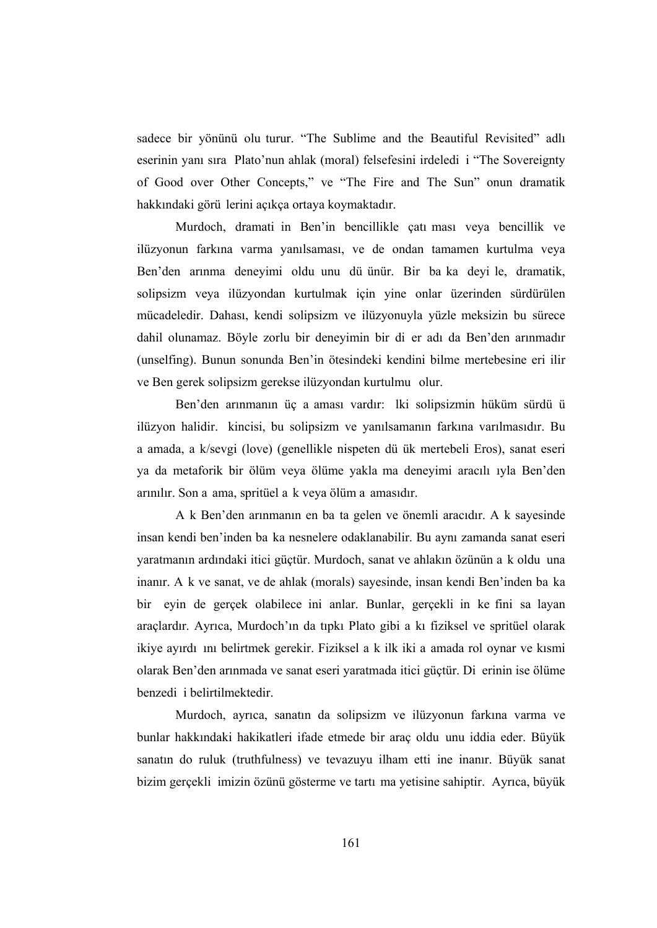sadece bir yönünü olu turur. "The Sublime and the Beautiful Revisited" adlı eserinin yanı sıra Plato'nun ahlak (moral) felsefesini irdeledi i "The Sovereignty of Good over Other Concepts," ve "The Fire and The Sun" onun dramatik hakkındaki görü lerini açıkça ortaya koymaktadır.

 Murdoch, dramati in Ben'in bencillikle çatı ması veya bencillik ve ilüzyonun farkına varma yanılsaması, ve de ondan tamamen kurtulma veya Ben'den arınma deneyimi oldu unu dü ünür. Bir ba ka deyi le, dramatik, solipsizm veya ilüzyondan kurtulmak için yine onlar üzerinden sürdürülen mücadeledir. Dahası, kendi solipsizm ve ilüzyonuyla yüzle meksizin bu sürece dahil olunamaz. Böyle zorlu bir deneyimin bir di er adı da Ben'den arınmadır (unselfing). Bunun sonunda Ben'in ötesindeki kendini bilme mertebesine eri ilir ve Ben gerek solipsizm gerekse ilüzyondan kurtulmu olur.

 Ben'den arınmanın üç a aması vardır: lki solipsizmin hüküm sürdü ü ilüzyon halidir. kincisi, bu solipsizm ve yanılsamanın farkına varılmasıdır. Bu a amada, a k/sevgi (love) (genellikle nispeten dü ük mertebeli Eros), sanat eseri ya da metaforik bir ölüm veya ölüme yakla ma deneyimi aracılı ıyla Ben'den arınılır. Son a ama, spritüel a k veya ölüm a amasıdır.

 A k Ben'den arınmanın en ba ta gelen ve önemli aracıdır. A k sayesinde insan kendi ben'inden ba ka nesnelere odaklanabilir. Bu aynı zamanda sanat eseri yaratmanın ardındaki itici güçtür. Murdoch, sanat ve ahlakın özünün a k oldu una inanır. A k ve sanat, ve de ahlak (morals) sayesinde, insan kendi Ben'inden ba ka bir eyin de gerçek olabilece ini anlar. Bunlar, gerçekli in ke fini sa layan araçlardır. Ayrıca, Murdoch'ın da tıpkı Plato gibi a kı fiziksel ve spritüel olarak ikiye ayırdı ını belirtmek gerekir. Fiziksel a k ilk iki a amada rol oynar ve kısmi olarak Ben'den arınmada ve sanat eseri yaratmada itici güçtür. Di erinin ise ölüme benzedi i belirtilmektedir.

 Murdoch, ayrıca, sanatın da solipsizm ve ilüzyonun farkına varma ve bunlar hakkındaki hakikatleri ifade etmede bir araç oldu unu iddia eder. Büyük sanatın do ruluk (truthfulness) ve tevazuyu ilham etti ine inanır. Büyük sanat bizim gerçekli imizin özünü gösterme ve tartı ma yetisine sahiptir. Ayrıca, büyük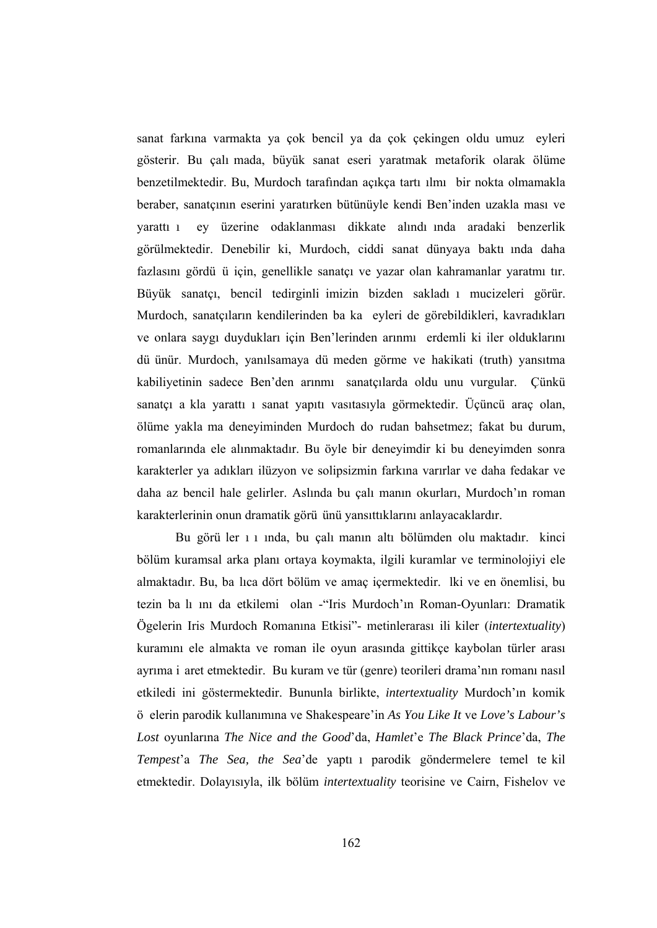sanat farkına varmakta ya çok bencil ya da çok çekingen oldu umuz eyleri gösterir. Bu çalı mada, büyük sanat eseri yaratmak metaforik olarak ölüme benzetilmektedir. Bu, Murdoch tarafından açıkça tartı ılmı bir nokta olmamakla beraber, sanatçının eserini yaratırken bütünüyle kendi Ben'inden uzakla ması ve yarattı ı ey üzerine odaklanması dikkate alındı ında aradaki benzerlik görülmektedir. Denebilir ki, Murdoch, ciddi sanat dünyaya baktı ında daha fazlasını gördü ü için, genellikle sanatçı ve yazar olan kahramanlar yaratmı tır. Büyük sanatçı, bencil tedirginli imizin bizden sakladı ı mucizeleri görür. Murdoch, sanatçıların kendilerinden ba ka eyleri de görebildikleri, kavradıkları ve onlara saygı duydukları için Ben'lerinden arınmı erdemli ki iler olduklarını dü ünür. Murdoch, yanılsamaya dü meden görme ve hakikati (truth) yansıtma kabiliyetinin sadece Ben'den arınmı sanatçılarda oldu unu vurgular. Çünkü sanatçı a kla yarattı ı sanat yapıtı vasıtasıyla görmektedir. Üçüncü araç olan, ölüme yakla ma deneyiminden Murdoch do rudan bahsetmez; fakat bu durum, romanlarında ele alınmaktadır. Bu öyle bir deneyimdir ki bu deneyimden sonra karakterler ya adıkları ilüzyon ve solipsizmin farkına varırlar ve daha fedakar ve daha az bencil hale gelirler. Aslında bu çalı manın okurları, Murdoch'ın roman karakterlerinin onun dramatik görü ünü yansıttıklarını anlayacaklardır.

 Bu görü ler ı ı ında, bu çalı manın altı bölümden olu maktadır. kinci bölüm kuramsal arka planı ortaya koymakta, ilgili kuramlar ve terminolojiyi ele almaktadır. Bu, ba lıca dört bölüm ve amaç içermektedir. lki ve en önemlisi, bu tezin ba lı ını da etkilemi olan -"Iris Murdoch'ın Roman-Oyunları: Dramatik Ögelerin Iris Murdoch Romanına Etkisi"- metinlerarası ili kiler (*intertextuality*) kuramını ele almakta ve roman ile oyun arasında gittikçe kaybolan türler arası ayrıma i aret etmektedir. Bu kuram ve tür (genre) teorileri drama'nın romanı nasıl etkiledi ini göstermektedir. Bununla birlikte, *intertextuality* Murdoch'ın komik ö elerin parodik kullanımına ve Shakespeare'in *As You Like It* ve *Love's Labour's Lost* oyunlarına *The Nice and the Good*'da, *Hamlet*'e *The Black Prince*'da, *The Tempest*'a *The Sea, the Sea*'de yaptı ı parodik göndermelere temel te kil etmektedir. Dolayısıyla, ilk bölüm *intertextuality* teorisine ve Cairn, Fishelov ve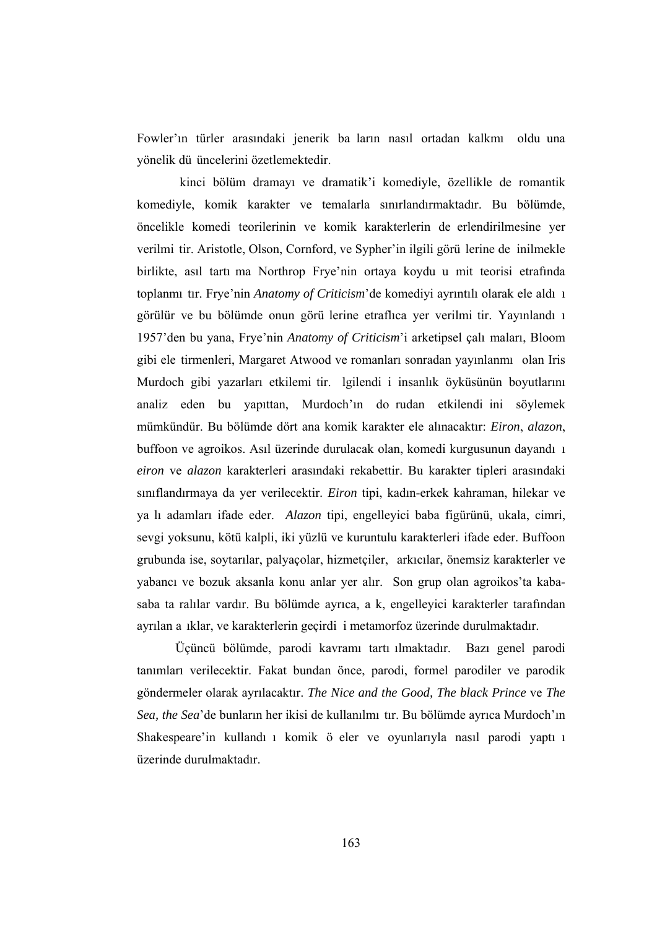Fowler'ın türler arasındaki jenerik ba ların nasıl ortadan kalkmı oldu una yönelik dü üncelerini özetlemektedir.

kinci bölüm dramayı ve dramatik'i komediyle, özellikle de romantik komediyle, komik karakter ve temalarla sınırlandırmaktadır. Bu bölümde, öncelikle komedi teorilerinin ve komik karakterlerin de erlendirilmesine yer verilmi tir. Aristotle, Olson, Cornford, ve Sypher'in ilgili görü lerine de inilmekle birlikte, asıl tartı ma Northrop Frye'nin ortaya koydu u mit teorisi etrafında toplanmı tır. Frye'nin *Anatomy of Criticism*'de komediyi ayrıntılı olarak ele aldı ı görülür ve bu bölümde onun görü lerine etraflıca yer verilmi tir. Yayınlandı ı 1957'den bu yana, Frye'nin *Anatomy of Criticism*'i arketipsel çalı maları, Bloom gibi ele tirmenleri, Margaret Atwood ve romanları sonradan yayınlanmı olan Iris Murdoch gibi yazarları etkilemi tir. lgilendi i insanlık öyküsünün boyutlarını analiz eden bu yapıttan, Murdoch'ın do rudan etkilendi ini söylemek mümkündür. Bu bölümde dört ana komik karakter ele alınacaktır: *Eiron*, *alazon*, buffoon ve agroikos. Asıl üzerinde durulacak olan, komedi kurgusunun dayandı ı *eiron* ve *alazon* karakterleri arasındaki rekabettir. Bu karakter tipleri arasındaki sınıflandırmaya da yer verilecektir. *Eiron* tipi, kadın-erkek kahraman, hilekar ve ya lı adamları ifade eder. *Alazon* tipi, engelleyici baba figürünü, ukala, cimri, sevgi yoksunu, kötü kalpli, iki yüzlü ve kuruntulu karakterleri ifade eder. Buffoon grubunda ise, soytarılar, palyaçolar, hizmetçiler, arkıcılar, önemsiz karakterler ve yabancı ve bozuk aksanla konu anlar yer alır. Son grup olan agroikos'ta kabasaba ta ralılar vardır. Bu bölümde ayrıca, a k, engelleyici karakterler tarafından ayrılan a ıklar, ve karakterlerin geçirdi i metamorfoz üzerinde durulmaktadır.

 Üçüncü bölümde, parodi kavramı tartı ılmaktadır. Bazı genel parodi tanımları verilecektir. Fakat bundan önce, parodi, formel parodiler ve parodik göndermeler olarak ayrılacaktır. *The Nice and the Good, The black Prince* ve *The Sea, the Sea*'de bunların her ikisi de kullanılmı tır. Bu bölümde ayrıca Murdoch'ın Shakespeare'in kullandı ı komik ö eler ve oyunlarıyla nasıl parodi yaptı ı üzerinde durulmaktadır.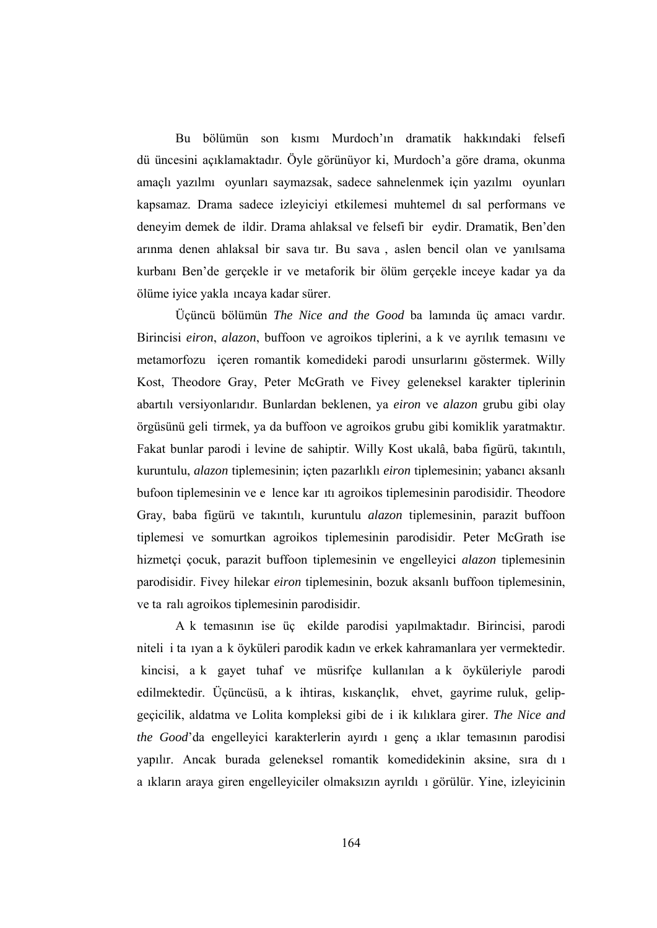Bu bölümün son kısmı Murdoch'ın dramatik hakkındaki felsefi dü üncesini açıklamaktadır. Öyle görünüyor ki, Murdoch'a göre drama, okunma amaçlı yazılmı oyunları saymazsak, sadece sahnelenmek için yazılmı oyunları kapsamaz. Drama sadece izleyiciyi etkilemesi muhtemel dı sal performans ve deneyim demek de ildir. Drama ahlaksal ve felsefi bir eydir. Dramatik, Ben'den arınma denen ahlaksal bir sava tır. Bu sava , aslen bencil olan ve yanılsama kurbanı Ben'de gerçekle ir ve metaforik bir ölüm gerçekle inceye kadar ya da ölüme iyice yakla ıncaya kadar sürer.

 Üçüncü bölümün *The Nice and the Good* ba lamında üç amacı vardır. Birincisi *eiron*, *alazon*, buffoon ve agroikos tiplerini, a k ve ayrılık temasını ve metamorfozu içeren romantik komedideki parodi unsurlarını göstermek. Willy Kost, Theodore Gray, Peter McGrath ve Fivey geleneksel karakter tiplerinin abartılı versiyonlarıdır. Bunlardan beklenen, ya *eiron* ve *alazon* grubu gibi olay örgüsünü geli tirmek, ya da buffoon ve agroikos grubu gibi komiklik yaratmaktır. Fakat bunlar parodi i levine de sahiptir. Willy Kost ukalâ, baba figürü, takıntılı, kuruntulu, *alazon* tiplemesinin; içten pazarlıklı *eiron* tiplemesinin; yabancı aksanlı bufoon tiplemesinin ve e lence kar ıtı agroikos tiplemesinin parodisidir. Theodore Gray, baba figürü ve takıntılı, kuruntulu *alazon* tiplemesinin, parazit buffoon tiplemesi ve somurtkan agroikos tiplemesinin parodisidir. Peter McGrath ise hizmetçi çocuk, parazit buffoon tiplemesinin ve engelleyici *alazon* tiplemesinin parodisidir. Fivey hilekar *eiron* tiplemesinin, bozuk aksanlı buffoon tiplemesinin, ve ta ralı agroikos tiplemesinin parodisidir.

 A k temasının ise üç ekilde parodisi yapılmaktadır. Birincisi, parodi niteli i ta ıyan a k öyküleri parodik kadın ve erkek kahramanlara yer vermektedir. kincisi, a k gayet tuhaf ve müsrifçe kullanılan a k öyküleriyle parodi edilmektedir. Üçüncüsü, a k ihtiras, kıskançlık, ehvet, gayrime ruluk, gelipgeçicilik, aldatma ve Lolita kompleksi gibi de i ik kılıklara girer. *The Nice and the Good*'da engelleyici karakterlerin ayırdı ı genç a ıklar temasının parodisi yapılır. Ancak burada geleneksel romantik komedidekinin aksine, sıra dı ı a ıkların araya giren engelleyiciler olmaksızın ayrıldı ı görülür. Yine, izleyicinin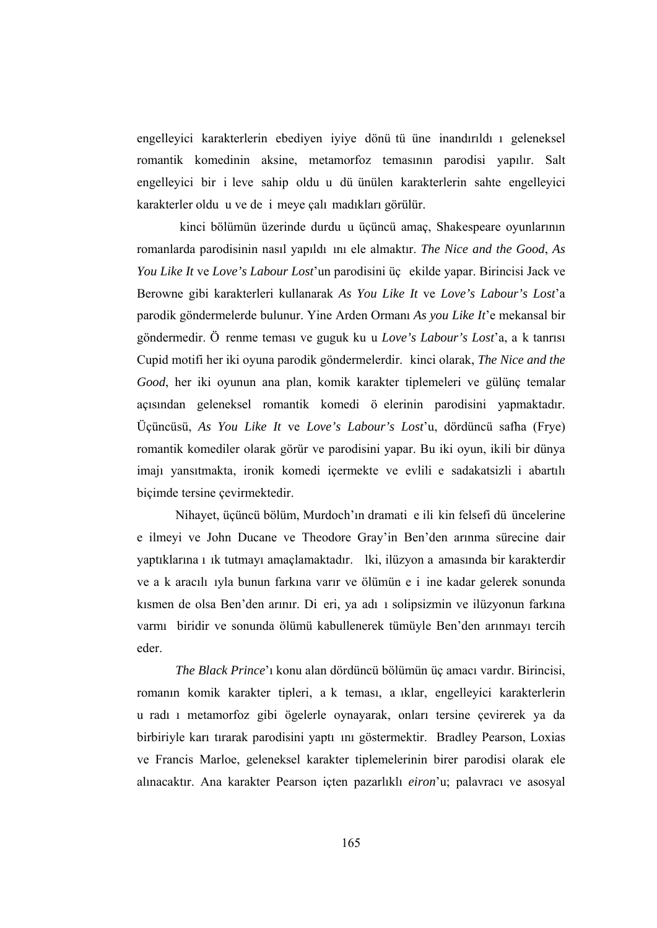engelleyici karakterlerin ebediyen iyiye dönü tü üne inandırıldı ı geleneksel romantik komedinin aksine, metamorfoz temasının parodisi yapılır. Salt engelleyici bir i leve sahip oldu u dü ünülen karakterlerin sahte engelleyici karakterler oldu u ve de i meye çalı madıkları görülür.

kinci bölümün üzerinde durdu u üçüncü amaç, Shakespeare oyunlarının romanlarda parodisinin nasıl yapıldı ını ele almaktır. *The Nice and the Good*, *As You Like It* ve *Love's Labour Lost*'un parodisini üç ekilde yapar. Birincisi Jack ve Berowne gibi karakterleri kullanarak *As You Like It* ve *Love's Labour's Lost*'a parodik göndermelerde bulunur. Yine Arden Ormanı *As you Like It*'e mekansal bir göndermedir. Ö renme teması ve guguk ku u *Love's Labour's Lost*'a, a k tanrısı Cupid motifi her iki oyuna parodik göndermelerdir. kinci olarak, *The Nice and the Good*, her iki oyunun ana plan, komik karakter tiplemeleri ve gülünç temalar açısından geleneksel romantik komedi ö elerinin parodisini yapmaktadır. Üçüncüsü, *As You Like It* ve *Love's Labour's Lost*'u, dördüncü safha (Frye) romantik komediler olarak görür ve parodisini yapar. Bu iki oyun, ikili bir dünya imajı yansıtmakta, ironik komedi içermekte ve evlili e sadakatsizli i abartılı biçimde tersine çevirmektedir.

 Nihayet, üçüncü bölüm, Murdoch'ın dramati e ili kin felsefi dü üncelerine e ilmeyi ve John Ducane ve Theodore Gray'in Ben'den arınma sürecine dair yaptıklarına ı ık tutmayı amaçlamaktadır. lki, ilüzyon a amasında bir karakterdir ve a k aracılı ıyla bunun farkına varır ve ölümün e i ine kadar gelerek sonunda kısmen de olsa Ben'den arınır. Di eri, ya adı ı solipsizmin ve ilüzyonun farkına varmı biridir ve sonunda ölümü kabullenerek tümüyle Ben'den arınmayı tercih eder.

*The Black Prince*'ı konu alan dördüncü bölümün üç amacı vardır. Birincisi, romanın komik karakter tipleri, a k teması, a ıklar, engelleyici karakterlerin u radı ı metamorfoz gibi ögelerle oynayarak, onları tersine çevirerek ya da birbiriyle karı tırarak parodisini yaptı ını göstermektir. Bradley Pearson, Loxias ve Francis Marloe, geleneksel karakter tiplemelerinin birer parodisi olarak ele alınacaktır. Ana karakter Pearson içten pazarlıklı *eiron*'u; palavracı ve asosyal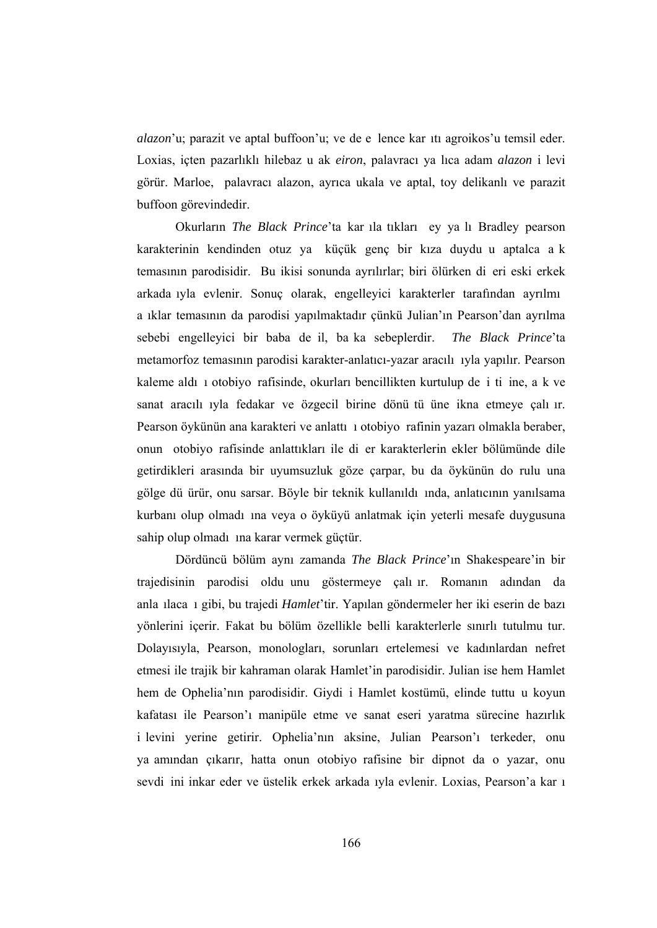*alazon*'u; parazit ve aptal buffoon'u; ve de e lence kar ıtı agroikos'u temsil eder. Loxias, içten pazarlıklı hilebaz u ak *eiron*, palavracı ya lıca adam *alazon* i levi görür. Marloe, palavracı alazon, ayrıca ukala ve aptal, toy delikanlı ve parazit buffoon görevindedir.

 Okurların *The Black Prince*'ta kar ıla tıkları ey ya lı Bradley pearson karakterinin kendinden otuz ya küçük genç bir kıza duydu u aptalca a k temasının parodisidir. Bu ikisi sonunda ayrılırlar; biri ölürken di eri eski erkek arkada ıyla evlenir. Sonuç olarak, engelleyici karakterler tarafından ayrılmı a ıklar temasının da parodisi yapılmaktadır çünkü Julian'ın Pearson'dan ayrılma sebebi engelleyici bir baba de il, ba ka sebeplerdir. *The Black Prince*'ta metamorfoz temasının parodisi karakter-anlatıcı-yazar aracılı ıyla yapılır. Pearson kaleme aldı ı otobiyo rafisinde, okurları bencillikten kurtulup de i ti ine, a k ve sanat aracılı ıyla fedakar ve özgecil birine dönü tü üne ikna etmeye çalı ır. Pearson öykünün ana karakteri ve anlattı ı otobiyo rafinin yazarı olmakla beraber, onun otobiyo rafisinde anlattıkları ile di er karakterlerin ekler bölümünde dile getirdikleri arasında bir uyumsuzluk göze çarpar, bu da öykünün do rulu una gölge dü ürür, onu sarsar. Böyle bir teknik kullanıldı ında, anlatıcının yanılsama kurbanı olup olmadı ına veya o öyküyü anlatmak için yeterli mesafe duygusuna sahip olup olmadı ına karar vermek güçtür.

 Dördüncü bölüm aynı zamanda *The Black Prince*'ın Shakespeare'in bir trajedisinin parodisi oldu unu göstermeye çalı ır. Romanın adından da anla ılaca ı gibi, bu trajedi *Hamlet*'tir. Yapılan göndermeler her iki eserin de bazı yönlerini içerir. Fakat bu bölüm özellikle belli karakterlerle sınırlı tutulmu tur. Dolayısıyla, Pearson, monologları, sorunları ertelemesi ve kadınlardan nefret etmesi ile trajik bir kahraman olarak Hamlet'in parodisidir. Julian ise hem Hamlet hem de Ophelia'nın parodisidir. Giydi i Hamlet kostümü, elinde tuttu u koyun kafatası ile Pearson'ı manipüle etme ve sanat eseri yaratma sürecine hazırlık i levini yerine getirir. Ophelia'nın aksine, Julian Pearson'ı terkeder, onu ya amından çıkarır, hatta onun otobiyo rafisine bir dipnot da o yazar, onu sevdi ini inkar eder ve üstelik erkek arkada ıyla evlenir. Loxias, Pearson'a kar ı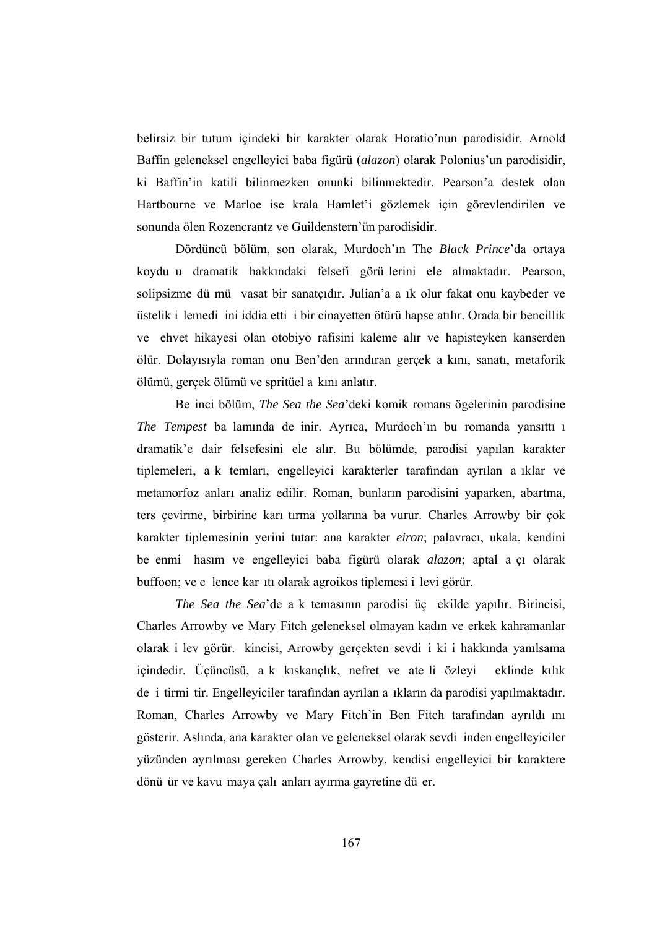belirsiz bir tutum içindeki bir karakter olarak Horatio'nun parodisidir. Arnold Baffin geleneksel engelleyici baba figürü (*alazon*) olarak Polonius'un parodisidir, ki Baffin'in katili bilinmezken onunki bilinmektedir. Pearson'a destek olan Hartbourne ve Marloe ise krala Hamlet'i gözlemek için görevlendirilen ve sonunda ölen Rozencrantz ve Guildenstern'ün parodisidir.

 Dördüncü bölüm, son olarak, Murdoch'ın The *Black Prince*'da ortaya koydu u dramatik hakkındaki felsefi görü lerini ele almaktadır. Pearson, solipsizme dü mü vasat bir sanatçıdır. Julian'a a ık olur fakat onu kaybeder ve üstelik i lemedi ini iddia etti i bir cinayetten ötürü hapse atılır. Orada bir bencillik ve ehvet hikayesi olan otobiyo rafisini kaleme alır ve hapisteyken kanserden ölür. Dolayısıyla roman onu Ben'den arındıran gerçek a kını, sanatı, metaforik ölümü, gerçek ölümü ve spritüel a kını anlatır.

 Be inci bölüm, *The Sea the Sea*'deki komik romans ögelerinin parodisine *The Tempest* ba lamında de inir. Ayrıca, Murdoch'ın bu romanda yansıttı ı dramatik'e dair felsefesini ele alır. Bu bölümde, parodisi yapılan karakter tiplemeleri, a k temları, engelleyici karakterler tarafından ayrılan a ıklar ve metamorfoz anları analiz edilir. Roman, bunların parodisini yaparken, abartma, ters çevirme, birbirine karı tırma yollarına ba vurur. Charles Arrowby bir çok karakter tiplemesinin yerini tutar: ana karakter *eiron*; palavracı, ukala, kendini be enmi hasım ve engelleyici baba figürü olarak *alazon*; aptal a çı olarak buffoon; ve e lence kar ıtı olarak agroikos tiplemesi i levi görür.

*The Sea the Sea*'de a k temasının parodisi üç ekilde yapılır. Birincisi, Charles Arrowby ve Mary Fitch geleneksel olmayan kadın ve erkek kahramanlar olarak i lev görür. kincisi, Arrowby gerçekten sevdi i ki i hakkında yanılsama içindedir. Üçüncüsü, a k kıskançlık, nefret ve ate li özleyi eklinde kılık de i tirmi tir. Engelleyiciler tarafından ayrılan a ıkların da parodisi yapılmaktadır. Roman, Charles Arrowby ve Mary Fitch'in Ben Fitch tarafından ayrıldı ını gösterir. Aslında, ana karakter olan ve geleneksel olarak sevdi inden engelleyiciler yüzünden ayrılması gereken Charles Arrowby, kendisi engelleyici bir karaktere dönü ür ve kavu maya çalı anları ayırma gayretine dü er.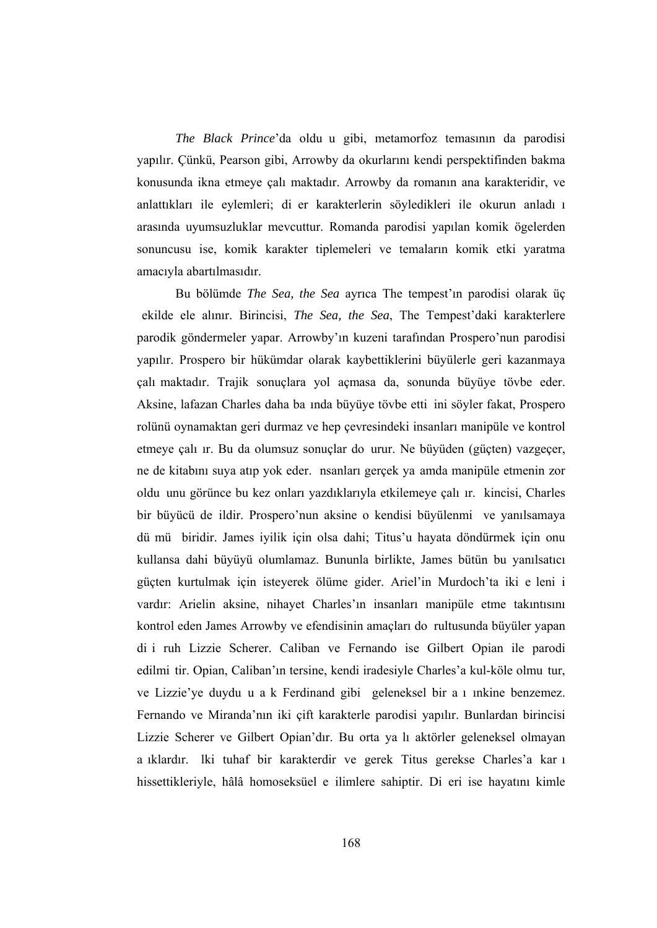*The Black Prince*'da oldu u gibi, metamorfoz temasının da parodisi yapılır. Çünkü, Pearson gibi, Arrowby da okurlarını kendi perspektifinden bakma konusunda ikna etmeye çalı maktadır. Arrowby da romanın ana karakteridir, ve anlattıkları ile eylemleri; di er karakterlerin söyledikleri ile okurun anladı ı arasında uyumsuzluklar mevcuttur. Romanda parodisi yapılan komik ögelerden sonuncusu ise, komik karakter tiplemeleri ve temaların komik etki yaratma amacıyla abartılmasıdır.

 Bu bölümde *The Sea, the Sea* ayrıca The tempest'ın parodisi olarak üç ekilde ele alınır. Birincisi, *The Sea, the Sea*, The Tempest'daki karakterlere parodik göndermeler yapar. Arrowby'ın kuzeni tarafından Prospero'nun parodisi yapılır. Prospero bir hükümdar olarak kaybettiklerini büyülerle geri kazanmaya çalı maktadır. Trajik sonuçlara yol açmasa da, sonunda büyüye tövbe eder. Aksine, lafazan Charles daha ba ında büyüye tövbe etti ini söyler fakat, Prospero rolünü oynamaktan geri durmaz ve hep çevresindeki insanları manipüle ve kontrol etmeye çalı ır. Bu da olumsuz sonuçlar do urur. Ne büyüden (güçten) vazgeçer, ne de kitabını suya atıp yok eder. nsanları gerçek ya amda manipüle etmenin zor oldu unu görünce bu kez onları yazdıklarıyla etkilemeye çalı ır. kincisi, Charles bir büyücü de ildir. Prospero'nun aksine o kendisi büyülenmi ve yanılsamaya dü mü biridir. James iyilik için olsa dahi; Titus'u hayata döndürmek için onu kullansa dahi büyüyü olumlamaz. Bununla birlikte, James bütün bu yanılsatıcı güçten kurtulmak için isteyerek ölüme gider. Ariel'in Murdoch'ta iki e leni i vardır: Arielin aksine, nihayet Charles'ın insanları manipüle etme takıntısını kontrol eden James Arrowby ve efendisinin amaçları do rultusunda büyüler yapan di i ruh Lizzie Scherer. Caliban ve Fernando ise Gilbert Opian ile parodi edilmi tir. Opian, Caliban'ın tersine, kendi iradesiyle Charles'a kul-köle olmu tur, ve Lizzie'ye duydu u a k Ferdinand gibi geleneksel bir a ı ınkine benzemez. Fernando ve Miranda'nın iki çift karakterle parodisi yapılır. Bunlardan birincisi Lizzie Scherer ve Gilbert Opian'dır. Bu orta ya lı aktörler geleneksel olmayan a ıklardır. lki tuhaf bir karakterdir ve gerek Titus gerekse Charles'a kar ı hissettikleriyle, hâlâ homoseksüel e ilimlere sahiptir. Di eri ise hayatını kimle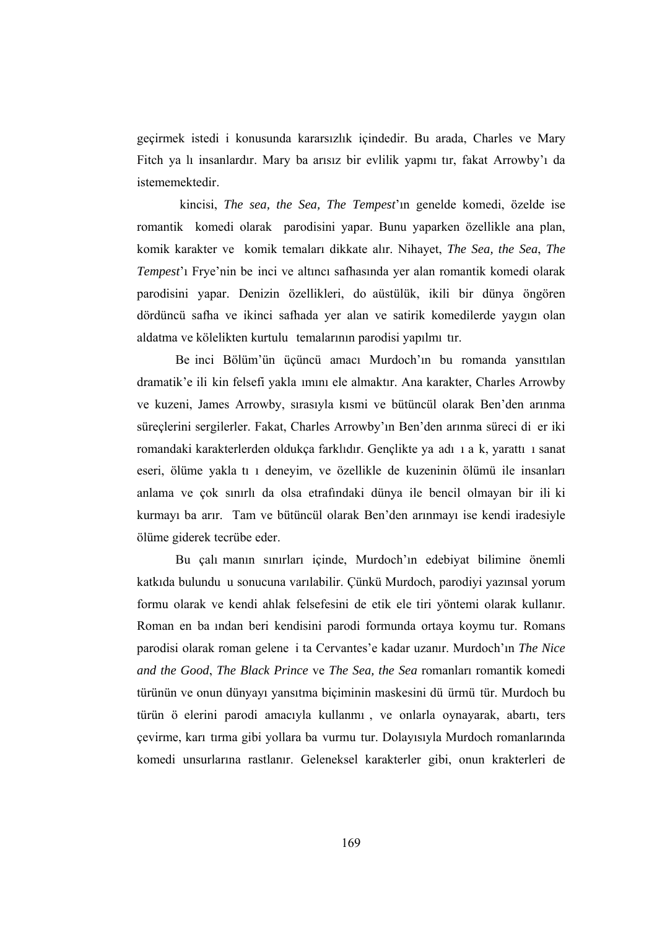geçirmek istedi i konusunda kararsızlık içindedir. Bu arada, Charles ve Mary Fitch ya lı insanlardır. Mary ba arısız bir evlilik yapmı tır, fakat Arrowby'ı da istememektedir.

kincisi, *The sea, the Sea, The Tempest*'ın genelde komedi, özelde ise romantik komedi olarak parodisini yapar. Bunu yaparken özellikle ana plan, komik karakter ve komik temaları dikkate alır. Nihayet, *The Sea, the Sea*, *The Tempest*'ı Frye'nin be inci ve altıncı safhasında yer alan romantik komedi olarak parodisini yapar. Denizin özellikleri, do aüstülük, ikili bir dünya öngören dördüncü safha ve ikinci safhada yer alan ve satirik komedilerde yaygın olan aldatma ve kölelikten kurtulu temalarının parodisi yapılmı tır.

 Be inci Bölüm'ün üçüncü amacı Murdoch'ın bu romanda yansıtılan dramatik'e ili kin felsefi yakla ımını ele almaktır. Ana karakter, Charles Arrowby ve kuzeni, James Arrowby, sırasıyla kısmi ve bütüncül olarak Ben'den arınma süreçlerini sergilerler. Fakat, Charles Arrowby'ın Ben'den arınma süreci di er iki romandaki karakterlerden oldukça farklıdır. Gençlikte ya adı ı a k, yarattı ı sanat eseri, ölüme yakla tı ı deneyim, ve özellikle de kuzeninin ölümü ile insanları anlama ve çok sınırlı da olsa etrafındaki dünya ile bencil olmayan bir ili ki kurmayı ba arır. Tam ve bütüncül olarak Ben'den arınmayı ise kendi iradesiyle ölüme giderek tecrübe eder.

 Bu çalı manın sınırları içinde, Murdoch'ın edebiyat bilimine önemli katkıda bulundu u sonucuna varılabilir. Çünkü Murdoch, parodiyi yazınsal yorum formu olarak ve kendi ahlak felsefesini de etik ele tiri yöntemi olarak kullanır. Roman en ba ından beri kendisini parodi formunda ortaya koymu tur. Romans parodisi olarak roman gelene i ta Cervantes'e kadar uzanır. Murdoch'ın *The Nice and the Good*, *The Black Prince* ve *The Sea, the Sea* romanları romantik komedi türünün ve onun dünyayı yansıtma biçiminin maskesini dü ürmü tür. Murdoch bu türün ö elerini parodi amacıyla kullanmı , ve onlarla oynayarak, abartı, ters çevirme, karı tırma gibi yollara ba vurmu tur. Dolayısıyla Murdoch romanlarında komedi unsurlarına rastlanır. Geleneksel karakterler gibi, onun krakterleri de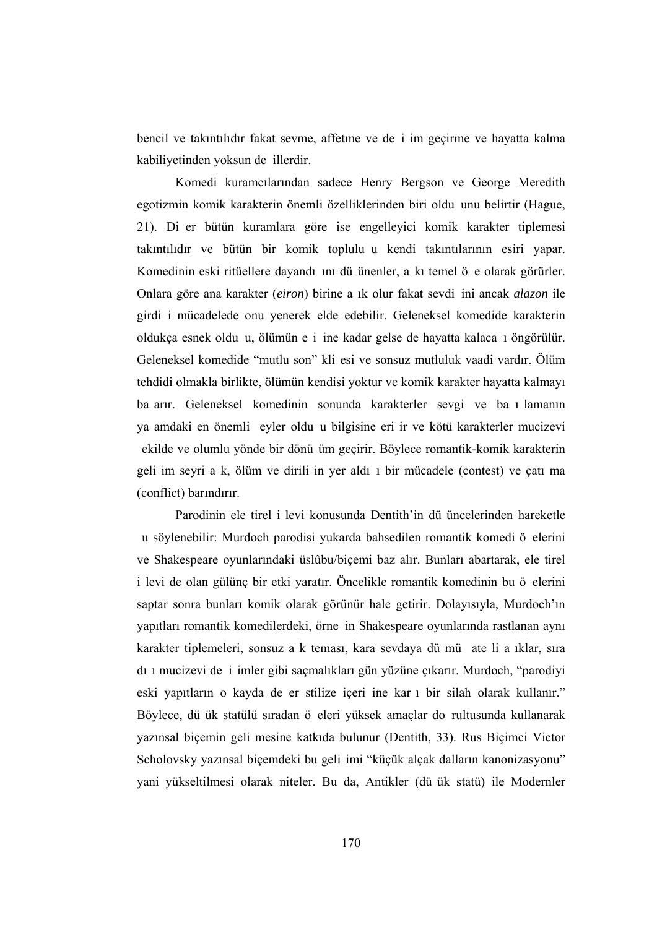bencil ve takıntılıdır fakat sevme, affetme ve de i im geçirme ve hayatta kalma kabiliyetinden yoksun de illerdir.

 Komedi kuramcılarından sadece Henry Bergson ve George Meredith egotizmin komik karakterin önemli özelliklerinden biri oldu unu belirtir (Hague, 21). Di er bütün kuramlara göre ise engelleyici komik karakter tiplemesi takıntılıdır ve bütün bir komik toplulu u kendi takıntılarının esiri yapar. Komedinin eski ritüellere dayandı ını dü ünenler, a kı temel ö e olarak görürler. Onlara göre ana karakter (*eiron*) birine a ık olur fakat sevdi ini ancak *alazon* ile girdi i mücadelede onu yenerek elde edebilir. Geleneksel komedide karakterin oldukça esnek oldu u, ölümün e i ine kadar gelse de hayatta kalaca ı öngörülür. Geleneksel komedide "mutlu son" kli esi ve sonsuz mutluluk vaadi vardır. Ölüm tehdidi olmakla birlikte, ölümün kendisi yoktur ve komik karakter hayatta kalmayı ba arır. Geleneksel komedinin sonunda karakterler sevgi ve ba ı lamanın ya amdaki en önemli eyler oldu u bilgisine eri ir ve kötü karakterler mucizevi ekilde ve olumlu yönde bir dönü üm geçirir. Böylece romantik-komik karakterin geli im seyri a k, ölüm ve dirili in yer aldı ı bir mücadele (contest) ve çatı ma (conflict) barındırır.

 Parodinin ele tirel i levi konusunda Dentith'in dü üncelerinden hareketle u söylenebilir: Murdoch parodisi yukarda bahsedilen romantik komedi ö elerini ve Shakespeare oyunlarındaki üslûbu/biçemi baz alır. Bunları abartarak, ele tirel i levi de olan gülünç bir etki yaratır. Öncelikle romantik komedinin bu ö elerini saptar sonra bunları komik olarak görünür hale getirir. Dolayısıyla, Murdoch'ın yapıtları romantik komedilerdeki, örne in Shakespeare oyunlarında rastlanan aynı karakter tiplemeleri, sonsuz a k teması, kara sevdaya dü mü ate li a ıklar, sıra dı ı mucizevi de i imler gibi saçmalıkları gün yüzüne çıkarır. Murdoch, "parodiyi eski yapıtların o kayda de er stilize içeri ine kar ı bir silah olarak kullanır." Böylece, dü ük statülü sıradan ö eleri yüksek amaçlar do rultusunda kullanarak yazınsal biçemin geli mesine katkıda bulunur (Dentith, 33). Rus Biçimci Victor Scholovsky yazınsal biçemdeki bu geli imi "küçük alçak dalların kanonizasyonu" yani yükseltilmesi olarak niteler. Bu da, Antikler (dü ük statü) ile Modernler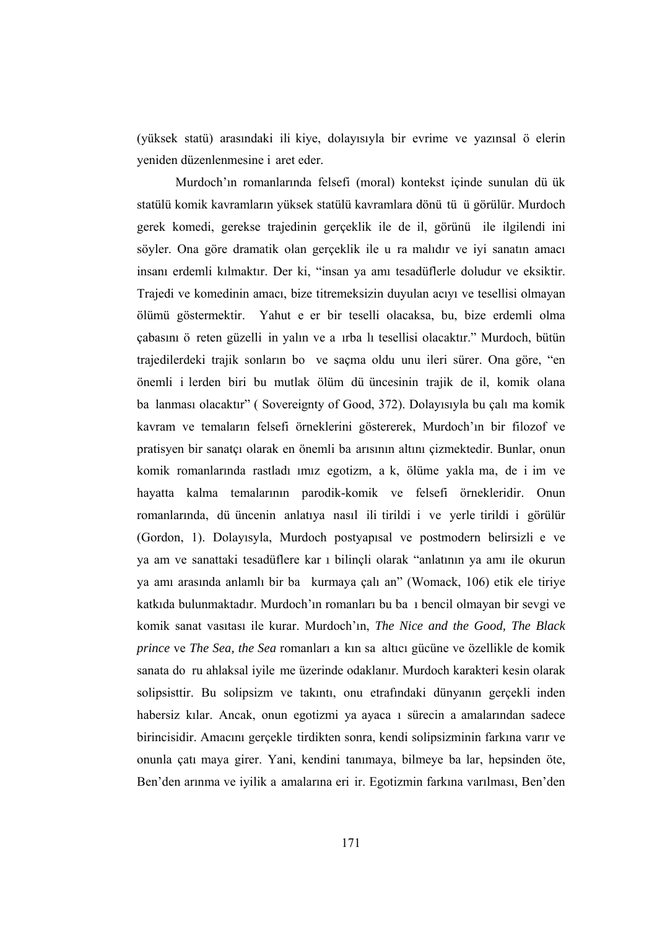(yüksek statü) arasındaki ili kiye, dolayısıyla bir evrime ve yazınsal ö elerin yeniden düzenlenmesine i aret eder.

 Murdoch'ın romanlarında felsefi (moral) kontekst içinde sunulan dü ük statülü komik kavramların yüksek statülü kavramlara dönü tü ü görülür. Murdoch gerek komedi, gerekse trajedinin gerçeklik ile de il, görünü ile ilgilendi ini söyler. Ona göre dramatik olan gerçeklik ile u ra malıdır ve iyi sanatın amacı insanı erdemli kılmaktır. Der ki, "insan ya amı tesadüflerle doludur ve eksiktir. Trajedi ve komedinin amacı, bize titremeksizin duyulan acıyı ve tesellisi olmayan ölümü göstermektir. Yahut e er bir teselli olacaksa, bu, bize erdemli olma çabasını ö reten güzelli in yalın ve a ırba lı tesellisi olacaktır." Murdoch, bütün trajedilerdeki trajik sonların bo ve saçma oldu unu ileri sürer. Ona göre, "en önemli i lerden biri bu mutlak ölüm dü üncesinin trajik de il, komik olana ba lanması olacaktır" ( Sovereignty of Good, 372). Dolayısıyla bu çalı ma komik kavram ve temaların felsefi örneklerini göstererek, Murdoch'ın bir filozof ve pratisyen bir sanatçı olarak en önemli ba arısının altını çizmektedir. Bunlar, onun komik romanlarında rastladı ımız egotizm, a k, ölüme yakla ma, de i im ve hayatta kalma temalarının parodik-komik ve felsefi örnekleridir. Onun romanlarında, dü üncenin anlatıya nasıl ili tirildi i ve yerle tirildi i görülür (Gordon, 1). Dolayısyla, Murdoch postyapısal ve postmodern belirsizli e ve ya am ve sanattaki tesadüflere kar ı bilinçli olarak "anlatının ya amı ile okurun ya amı arasında anlamlı bir ba kurmaya çalı an" (Womack, 106) etik ele tiriye katkıda bulunmaktadır. Murdoch'ın romanları bu ba ı bencil olmayan bir sevgi ve komik sanat vasıtası ile kurar. Murdoch'ın, *The Nice and the Good, The Black prince* ve *The Sea, the Sea* romanları a kın sa altıcı gücüne ve özellikle de komik sanata do ru ahlaksal iyile me üzerinde odaklanır. Murdoch karakteri kesin olarak solipsisttir. Bu solipsizm ve takıntı, onu etrafındaki dünyanın gerçekli inden habersiz kılar. Ancak, onun egotizmi ya ayaca ı sürecin a amalarından sadece birincisidir. Amacını gerçekle tirdikten sonra, kendi solipsizminin farkına varır ve onunla çatı maya girer. Yani, kendini tanımaya, bilmeye ba lar, hepsinden öte, Ben'den arınma ve iyilik a amalarına eri ir. Egotizmin farkına varılması, Ben'den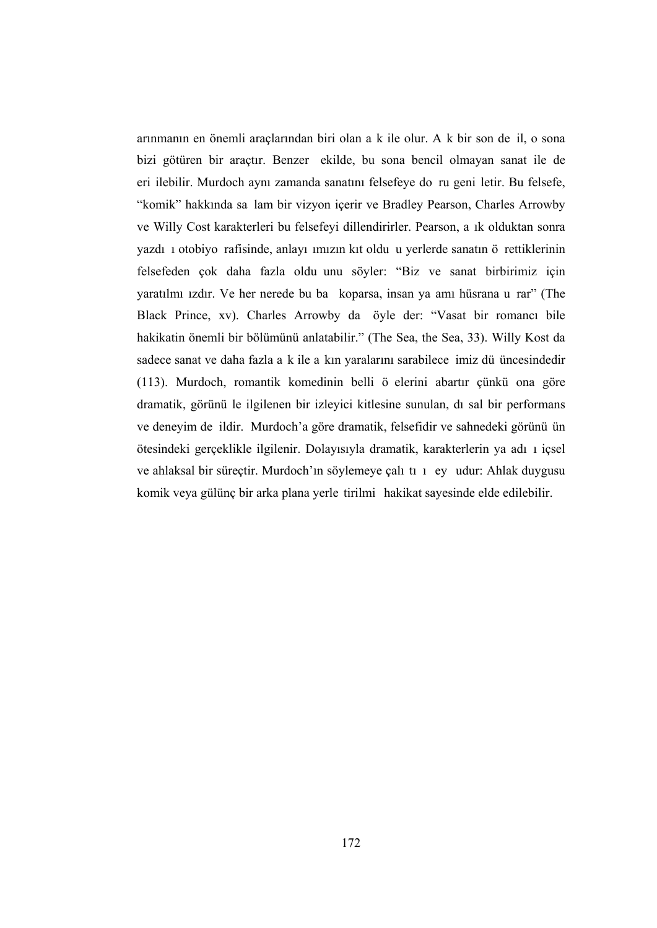arınmanın en önemli araçlarından biri olan a k ile olur. A k bir son de il, o sona bizi götüren bir araçtır. Benzer ekilde, bu sona bencil olmayan sanat ile de eri ilebilir. Murdoch aynı zamanda sanatını felsefeye do ru geni letir. Bu felsefe, "komik" hakkında sa lam bir vizyon içerir ve Bradley Pearson, Charles Arrowby ve Willy Cost karakterleri bu felsefeyi dillendirirler. Pearson, a ık olduktan sonra yazdı ı otobiyo rafisinde, anlayı ımızın kıt oldu u yerlerde sanatın ö rettiklerinin felsefeden çok daha fazla oldu unu söyler: "Biz ve sanat birbirimiz için yaratılmı ızdır. Ve her nerede bu ba koparsa, insan ya amı hüsrana u rar" (The Black Prince, xv). Charles Arrowby da öyle der: "Vasat bir romancı bile hakikatin önemli bir bölümünü anlatabilir." (The Sea, the Sea, 33). Willy Kost da sadece sanat ve daha fazla a k ile a kın yaralarını sarabilece imiz dü üncesindedir (113). Murdoch, romantik komedinin belli ö elerini abartır çünkü ona göre dramatik, görünü le ilgilenen bir izleyici kitlesine sunulan, dı sal bir performans ve deneyim de ildir. Murdoch'a göre dramatik, felsefidir ve sahnedeki görünü ün ötesindeki gerçeklikle ilgilenir. Dolayısıyla dramatik, karakterlerin ya adı ı içsel ve ahlaksal bir süreçtir. Murdoch'ın söylemeye çalı tı ı ey udur: Ahlak duygusu komik veya gülünç bir arka plana yerle tirilmi hakikat sayesinde elde edilebilir.